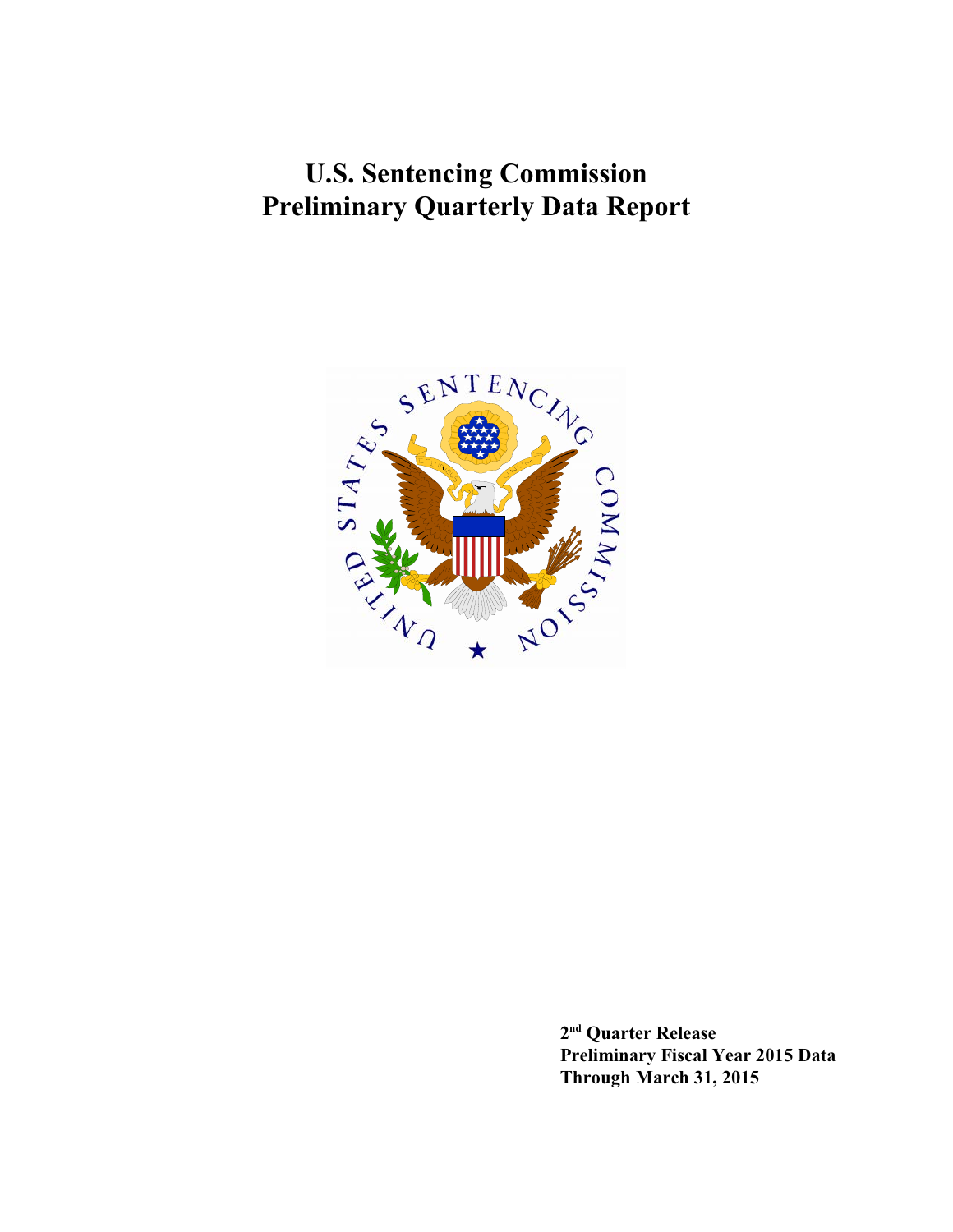**U.S. Sentencing Commission Preliminary Quarterly Data Report**



 $2<sup>nd</sup>$  Quarter Release **Preliminary Fiscal Year 2015 Data Through March 31, 2015**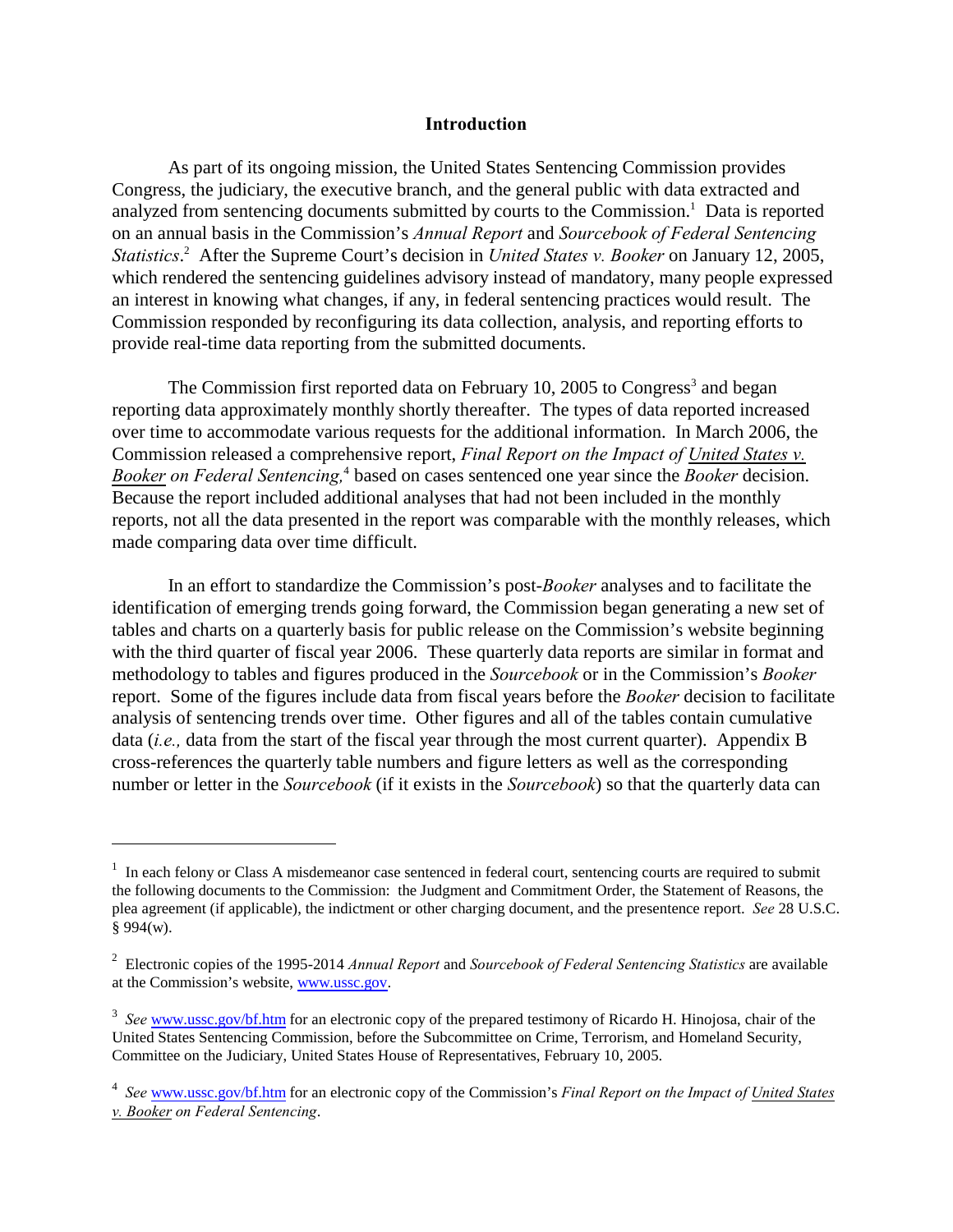#### **Introduction**

As part of its ongoing mission, the United States Sentencing Commission provides Congress, the judiciary, the executive branch, and the general public with data extracted and analyzed from sentencing documents submitted by courts to the Commission.<sup>1</sup> Data is reported on an annual basis in the Commission's *Annual Report* and *Sourcebook of Federal Sentencing Statistics*<sup>2</sup> After the Supreme Court's decision in *United States v. Booker* on January 12, 2005, which rendered the sentencing guidelines advisory instead of mandatory, many people expressed an interest in knowing what changes, if any, in federal sentencing practices would result. The Commission responded by reconfiguring its data collection, analysis, and reporting efforts to provide real-time data reporting from the submitted documents.

The Commission first reported data on February 10, 2005 to Congress<sup>3</sup> and began reporting data approximately monthly shortly thereafter. The types of data reported increased over time to accommodate various requests for the additional information. In March 2006, the Commission released a comprehensive report, *Final Report on the Impact of United States v. Booker on Federal Sentencing,* based on cases sentenced one year since the *Booker* decision. <sup>4</sup> Because the report included additional analyses that had not been included in the monthly reports, not all the data presented in the report was comparable with the monthly releases, which made comparing data over time difficult.

In an effort to standardize the Commission's post-*Booker* analyses and to facilitate the identification of emerging trends going forward, the Commission began generating a new set of tables and charts on a quarterly basis for public release on the Commission's website beginning with the third quarter of fiscal year 2006. These quarterly data reports are similar in format and methodology to tables and figures produced in the *Sourcebook* or in the Commission's *Booker* report. Some of the figures include data from fiscal years before the *Booker* decision to facilitate analysis of sentencing trends over time. Other figures and all of the tables contain cumulative data (*i.e.,* data from the start of the fiscal year through the most current quarter). Appendix B cross-references the quarterly table numbers and figure letters as well as the corresponding number or letter in the *Sourcebook* (if it exists in the *Sourcebook*) so that the quarterly data can

<sup>&</sup>lt;sup>1</sup> In each felony or Class A misdemeanor case sentenced in federal court, sentencing courts are required to submit the following documents to the Commission: the Judgment and Commitment Order, the Statement of Reasons, the plea agreement (if applicable), the indictment or other charging document, and the presentence report. *See* 28 U.S.C.  $§ 994(w).$ 

Electronic copies of the 1995-2014 *Annual Report* and *Sourcebook of Federal Sentencing Statistics* are available <sup>2</sup> at the Commission's website, [www.ussc.gov](http://www.ussc.gov).

<sup>&</sup>lt;sup>3</sup> See [www.ussc.gov/bf.htm](http://www.ussc.gov/bf.htm) for an electronic copy of the prepared testimony of Ricardo H. Hinojosa, chair of the United States Sentencing Commission, before the Subcommittee on Crime, Terrorism, and Homeland Security, Committee on the Judiciary, United States House of Representatives, February 10, 2005.

<sup>&</sup>lt;sup>4</sup> See [www.ussc.gov/bf.htm](http://www.ussc.gov/bf.htm) for an electronic copy of the Commission's *Final Report on the Impact of United States v. Booker on Federal Sentencing*.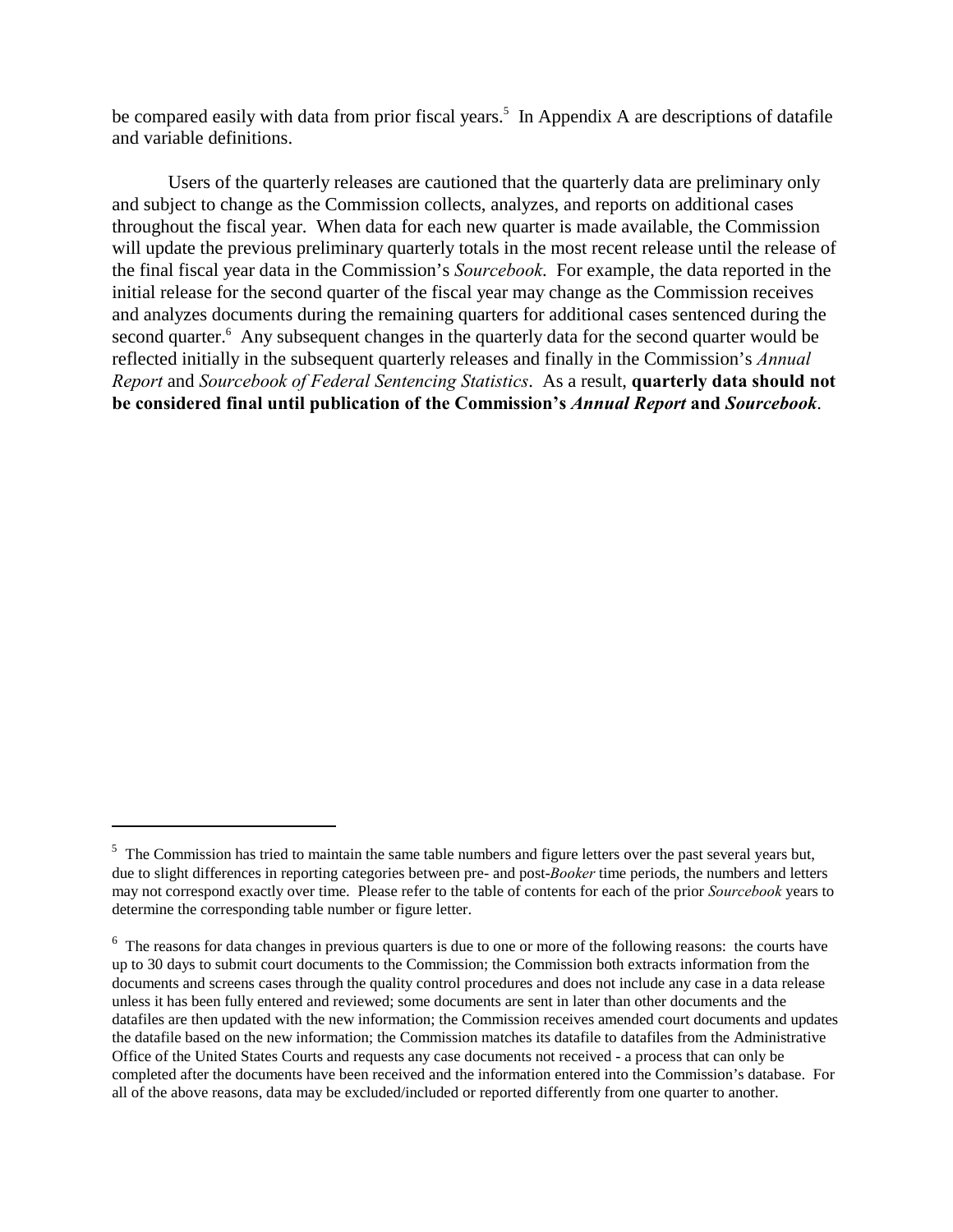be compared easily with data from prior fiscal years.<sup>5</sup> In Appendix A are descriptions of datafile and variable definitions.

Users of the quarterly releases are cautioned that the quarterly data are preliminary only and subject to change as the Commission collects, analyzes, and reports on additional cases throughout the fiscal year. When data for each new quarter is made available, the Commission will update the previous preliminary quarterly totals in the most recent release until the release of the final fiscal year data in the Commission's *Sourcebook*. For example, the data reported in the initial release for the second quarter of the fiscal year may change as the Commission receives and analyzes documents during the remaining quarters for additional cases sentenced during the second quarter.<sup>6</sup> Any subsequent changes in the quarterly data for the second quarter would be reflected initially in the subsequent quarterly releases and finally in the Commission's *Annual Report* and *Sourcebook of Federal Sentencing Statistics*. As a result, **quarterly data should not be considered final until publication of the Commission's** *Annual Report* **and** *Sourcebook*.

 $<sup>5</sup>$  The Commission has tried to maintain the same table numbers and figure letters over the past several years but,</sup> due to slight differences in reporting categories between pre- and post-*Booker* time periods, the numbers and letters may not correspond exactly over time. Please refer to the table of contents for each of the prior *Sourcebook* years to determine the corresponding table number or figure letter.

 $6\text{ The reasons for data changes in previous quarters is due to one or more of the following reasons: the courts have }$ up to 30 days to submit court documents to the Commission; the Commission both extracts information from the documents and screens cases through the quality control procedures and does not include any case in a data release unless it has been fully entered and reviewed; some documents are sent in later than other documents and the datafiles are then updated with the new information; the Commission receives amended court documents and updates the datafile based on the new information; the Commission matches its datafile to datafiles from the Administrative Office of the United States Courts and requests any case documents not received - a process that can only be completed after the documents have been received and the information entered into the Commission's database. For all of the above reasons, data may be excluded/included or reported differently from one quarter to another.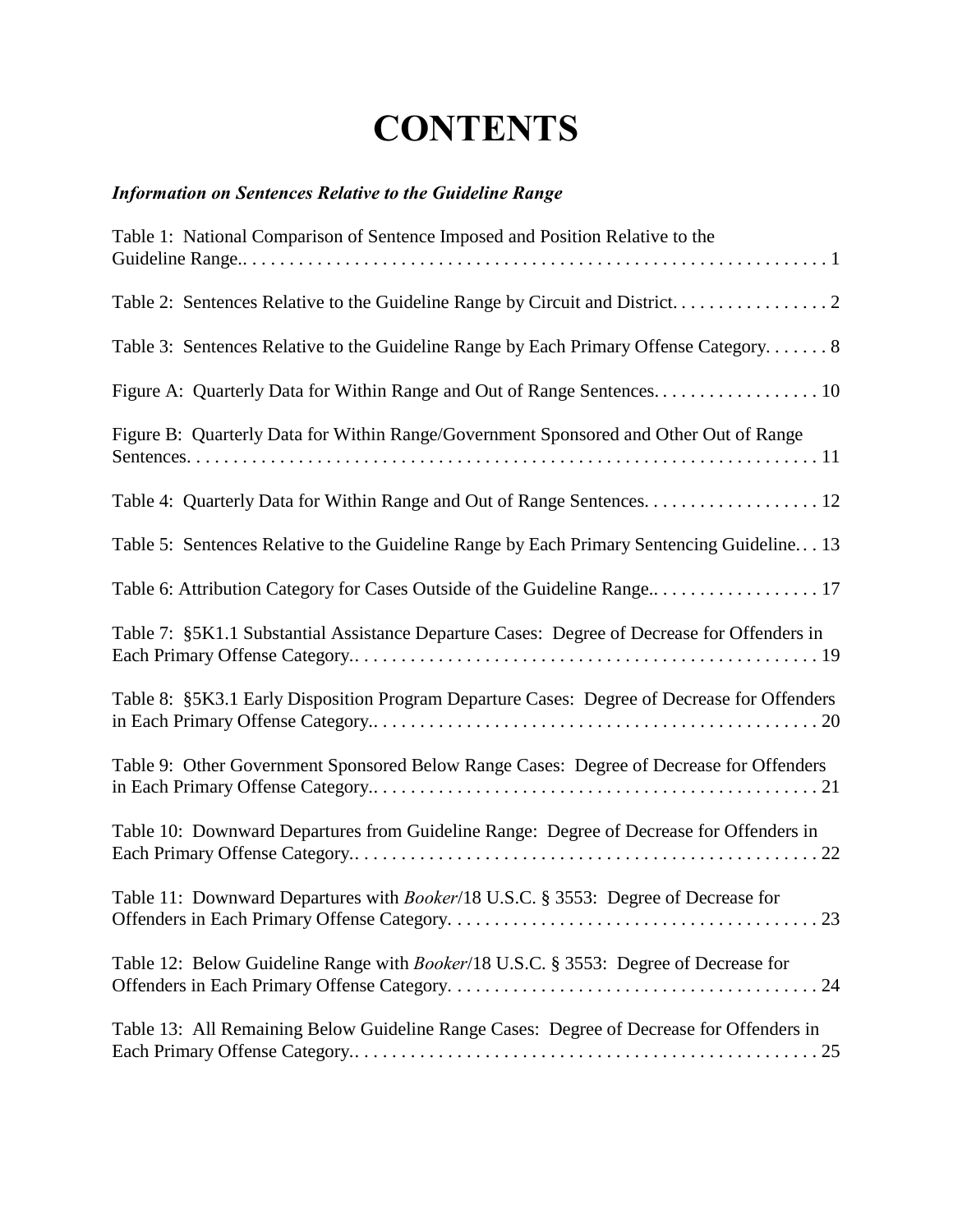# **CONTENTS**

### *Information on Sentences Relative to the Guideline Range*

| Table 1: National Comparison of Sentence Imposed and Position Relative to the               |
|---------------------------------------------------------------------------------------------|
|                                                                                             |
| Table 3: Sentences Relative to the Guideline Range by Each Primary Offense Category 8       |
|                                                                                             |
| Figure B: Quarterly Data for Within Range/Government Sponsored and Other Out of Range       |
|                                                                                             |
| Table 5: Sentences Relative to the Guideline Range by Each Primary Sentencing Guideline 13  |
|                                                                                             |
| Table 7: §5K1.1 Substantial Assistance Departure Cases: Degree of Decrease for Offenders in |
| Table 8: §5K3.1 Early Disposition Program Departure Cases: Degree of Decrease for Offenders |
| Table 9: Other Government Sponsored Below Range Cases: Degree of Decrease for Offenders     |
| Table 10: Downward Departures from Guideline Range: Degree of Decrease for Offenders in     |
| Table 11: Downward Departures with <i>Booker</i> /18 U.S.C. § 3553: Degree of Decrease for  |
| Table 12: Below Guideline Range with Booker/18 U.S.C. § 3553: Degree of Decrease for        |
| Table 13: All Remaining Below Guideline Range Cases: Degree of Decrease for Offenders in    |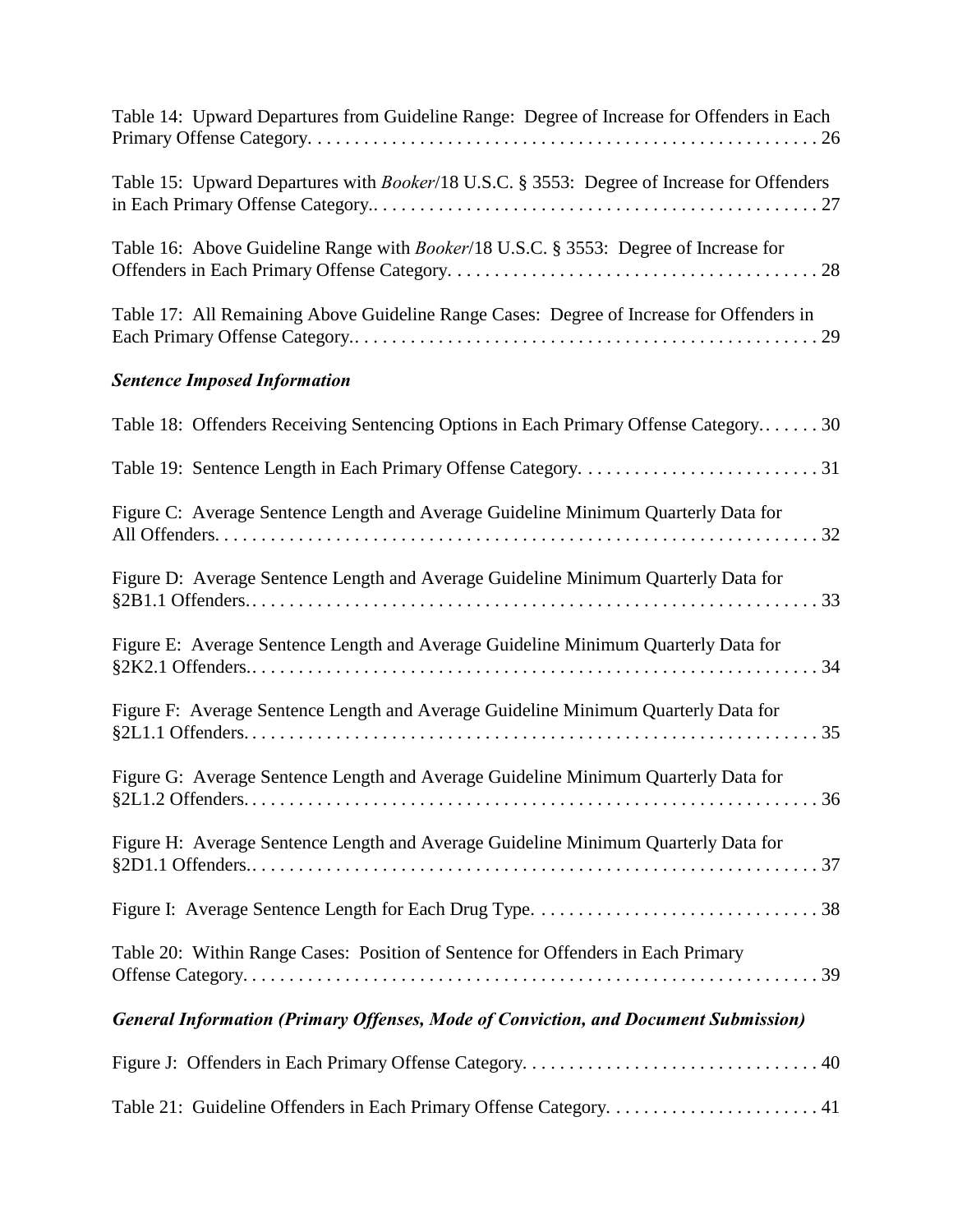| Table 14: Upward Departures from Guideline Range: Degree of Increase for Offenders in Each   |
|----------------------------------------------------------------------------------------------|
| Table 15: Upward Departures with Booker/18 U.S.C. § 3553: Degree of Increase for Offenders   |
| Table 16: Above Guideline Range with <i>Booker</i> /18 U.S.C. § 3553: Degree of Increase for |
| Table 17: All Remaining Above Guideline Range Cases: Degree of Increase for Offenders in     |
| <b>Sentence Imposed Information</b>                                                          |
| Table 18: Offenders Receiving Sentencing Options in Each Primary Offense Category30          |
|                                                                                              |
| Figure C: Average Sentence Length and Average Guideline Minimum Quarterly Data for           |
| Figure D: Average Sentence Length and Average Guideline Minimum Quarterly Data for           |
| Figure E: Average Sentence Length and Average Guideline Minimum Quarterly Data for           |
| Figure F: Average Sentence Length and Average Guideline Minimum Quarterly Data for           |
| Figure G: Average Sentence Length and Average Guideline Minimum Quarterly Data for           |
| Figure H: Average Sentence Length and Average Guideline Minimum Quarterly Data for           |
|                                                                                              |
| Table 20: Within Range Cases: Position of Sentence for Offenders in Each Primary             |
| <b>General Information (Primary Offenses, Mode of Conviction, and Document Submission)</b>   |
|                                                                                              |
|                                                                                              |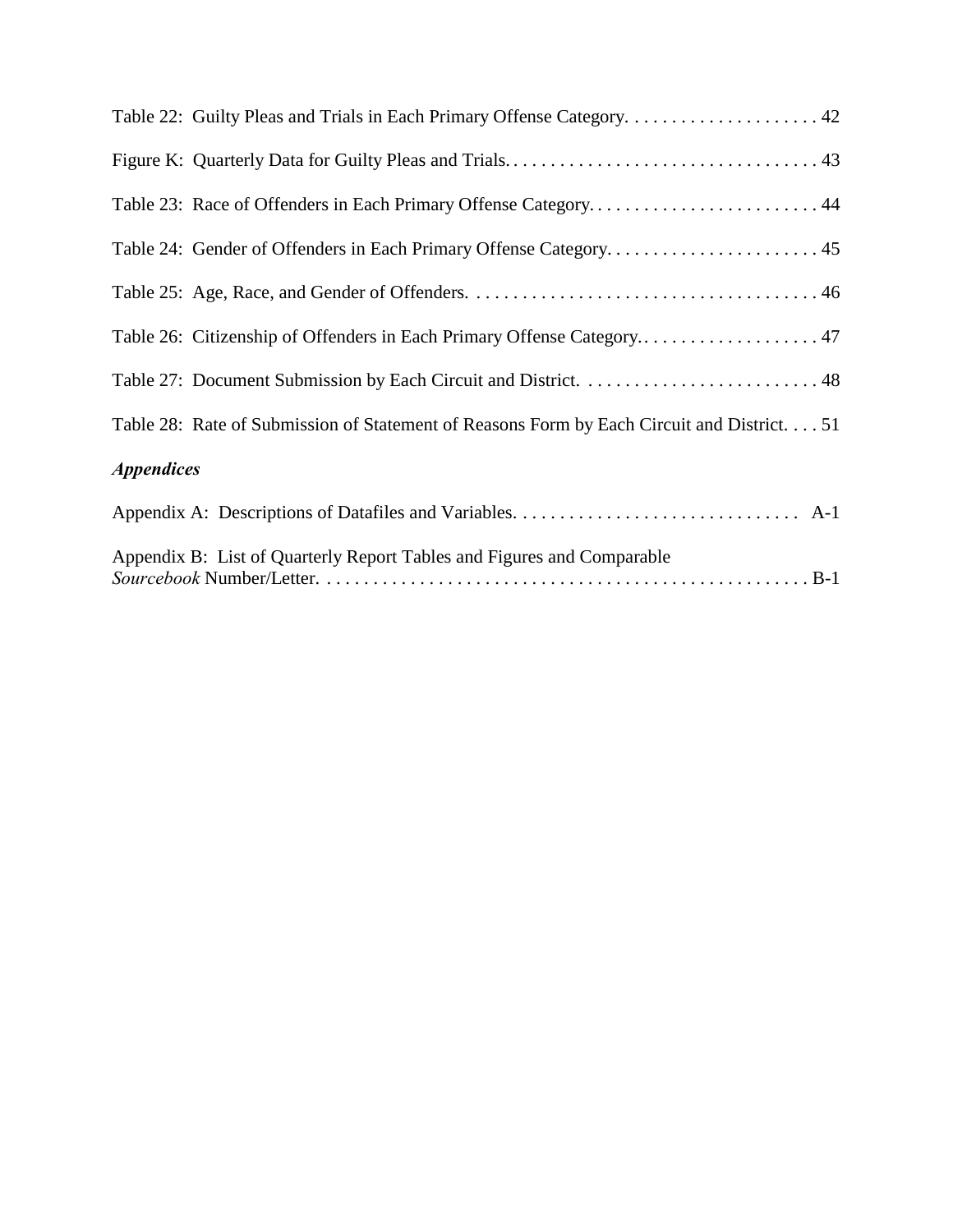|                          | Table 22: Guilty Pleas and Trials in Each Primary Offense Category 42                      |
|--------------------------|--------------------------------------------------------------------------------------------|
|                          |                                                                                            |
|                          | Table 23: Race of Offenders in Each Primary Offense Category 44                            |
|                          | Table 24: Gender of Offenders in Each Primary Offense Category 45                          |
|                          |                                                                                            |
|                          | Table 26: Citizenship of Offenders in Each Primary Offense Category 47                     |
|                          |                                                                                            |
|                          | Table 28: Rate of Submission of Statement of Reasons Form by Each Circuit and District. 51 |
| <i><b>Appendices</b></i> |                                                                                            |
|                          |                                                                                            |
|                          | Appendix B: List of Quarterly Report Tables and Figures and Comparable                     |

*Sourcebook* Number/Letter. . . . . . . . . . . . . . . . . . . . . . . . . . . . . . . . . . . . . . . . . . . . . . . . . . . . . B-1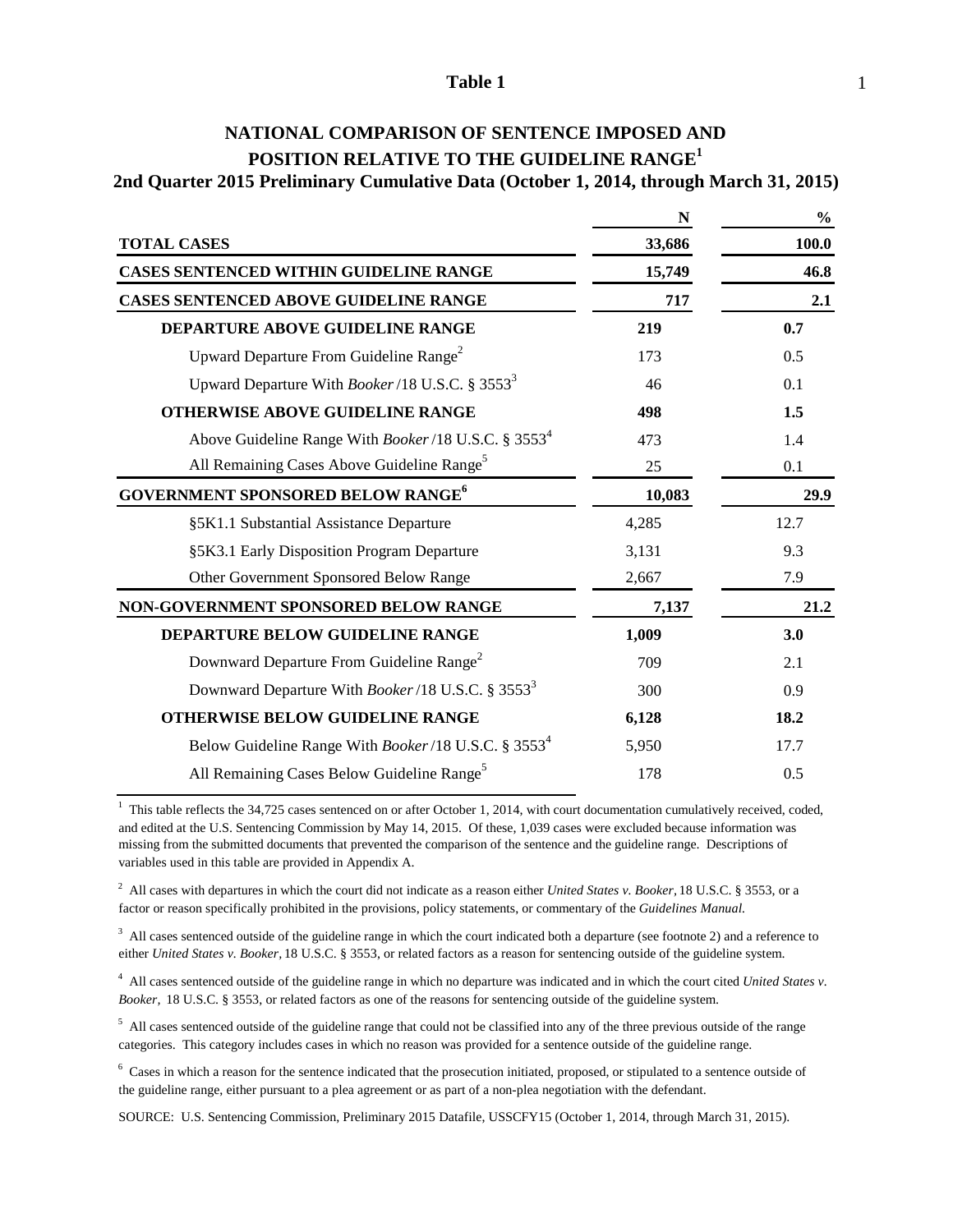| NATIONAL COMPARISON OF SENTENCE IMPOSED AND                                            |
|----------------------------------------------------------------------------------------|
| POSITION RELATIVE TO THE GUIDELINE RANGE <sup>1</sup>                                  |
| 2nd Quarter 2015 Preliminary Cumulative Data (October 1, 2014, through March 31, 2015) |

|                                                                         | N      | $\frac{0}{0}$ |  |
|-------------------------------------------------------------------------|--------|---------------|--|
| <b>TOTAL CASES</b>                                                      | 33,686 | 100.0         |  |
| <b>CASES SENTENCED WITHIN GUIDELINE RANGE</b>                           | 15,749 | 46.8          |  |
| <b>CASES SENTENCED ABOVE GUIDELINE RANGE</b>                            | 717    | 2.1           |  |
| DEPARTURE ABOVE GUIDELINE RANGE                                         | 219    | 0.7           |  |
| Upward Departure From Guideline Range <sup>2</sup>                      | 173    | 0.5           |  |
| Upward Departure With <i>Booker</i> /18 U.S.C. § 3553 <sup>3</sup>      | 46     | 0.1           |  |
| <b>OTHERWISE ABOVE GUIDELINE RANGE</b>                                  | 498    | 1.5           |  |
| Above Guideline Range With Booker/18 U.S.C. § 3553 <sup>4</sup>         | 473    | 1.4           |  |
| All Remaining Cases Above Guideline Range <sup>5</sup>                  | 25     | 0.1           |  |
| <b>GOVERNMENT SPONSORED BELOW RANGE<sup>6</sup></b>                     | 10,083 | 29.9          |  |
| §5K1.1 Substantial Assistance Departure                                 | 4,285  | 12.7          |  |
| §5K3.1 Early Disposition Program Departure                              | 3,131  | 9.3           |  |
| Other Government Sponsored Below Range                                  | 2,667  | 7.9           |  |
| NON-GOVERNMENT SPONSORED BELOW RANGE                                    | 7,137  | 21.2          |  |
| DEPARTURE BELOW GUIDELINE RANGE                                         | 1,009  | 3.0           |  |
| Downward Departure From Guideline Range <sup>2</sup>                    | 709    | 2.1           |  |
| Downward Departure With Booker/18 U.S.C. § 3553 <sup>3</sup>            | 300    | 0.9           |  |
| <b>OTHERWISE BELOW GUIDELINE RANGE</b>                                  | 6,128  | 18.2          |  |
| Below Guideline Range With <i>Booker</i> /18 U.S.C. § 3553 <sup>4</sup> | 5,950  | 17.7          |  |
| All Remaining Cases Below Guideline Range <sup>5</sup>                  | 178    | 0.5           |  |

 $1$  This table reflects the 34,725 cases sentenced on or after October 1, 2014, with court documentation cumulatively received, coded, and edited at the U.S. Sentencing Commission by May 14, 2015. Of these, 1,039 cases were excluded because information was missing from the submitted documents that prevented the comparison of the sentence and the guideline range. Descriptions of variables used in this table are provided in Appendix A.

2 All cases with departures in which the court did not indicate as a reason either *United States v. Booker,* 18 U.S.C. § 3553, or a factor or reason specifically prohibited in the provisions, policy statements, or commentary of the *Guidelines Manual.*

 $3$  All cases sentenced outside of the guideline range in which the court indicated both a departure (see footnote 2) and a reference to either *United States v. Booker,* 18 U.S.C. § 3553, or related factors as a reason for sentencing outside of the guideline system.

4 All cases sentenced outside of the guideline range in which no departure was indicated and in which the court cited *United States v. Booker,* 18 U.S.C. § 3553, or related factors as one of the reasons for sentencing outside of the guideline system.

 $<sup>5</sup>$  All cases sentenced outside of the guideline range that could not be classified into any of the three previous outside of the range</sup> categories. This category includes cases in which no reason was provided for a sentence outside of the guideline range.

<sup>6</sup> Cases in which a reason for the sentence indicated that the prosecution initiated, proposed, or stipulated to a sentence outside of the guideline range, either pursuant to a plea agreement or as part of a non-plea negotiation with the defendant.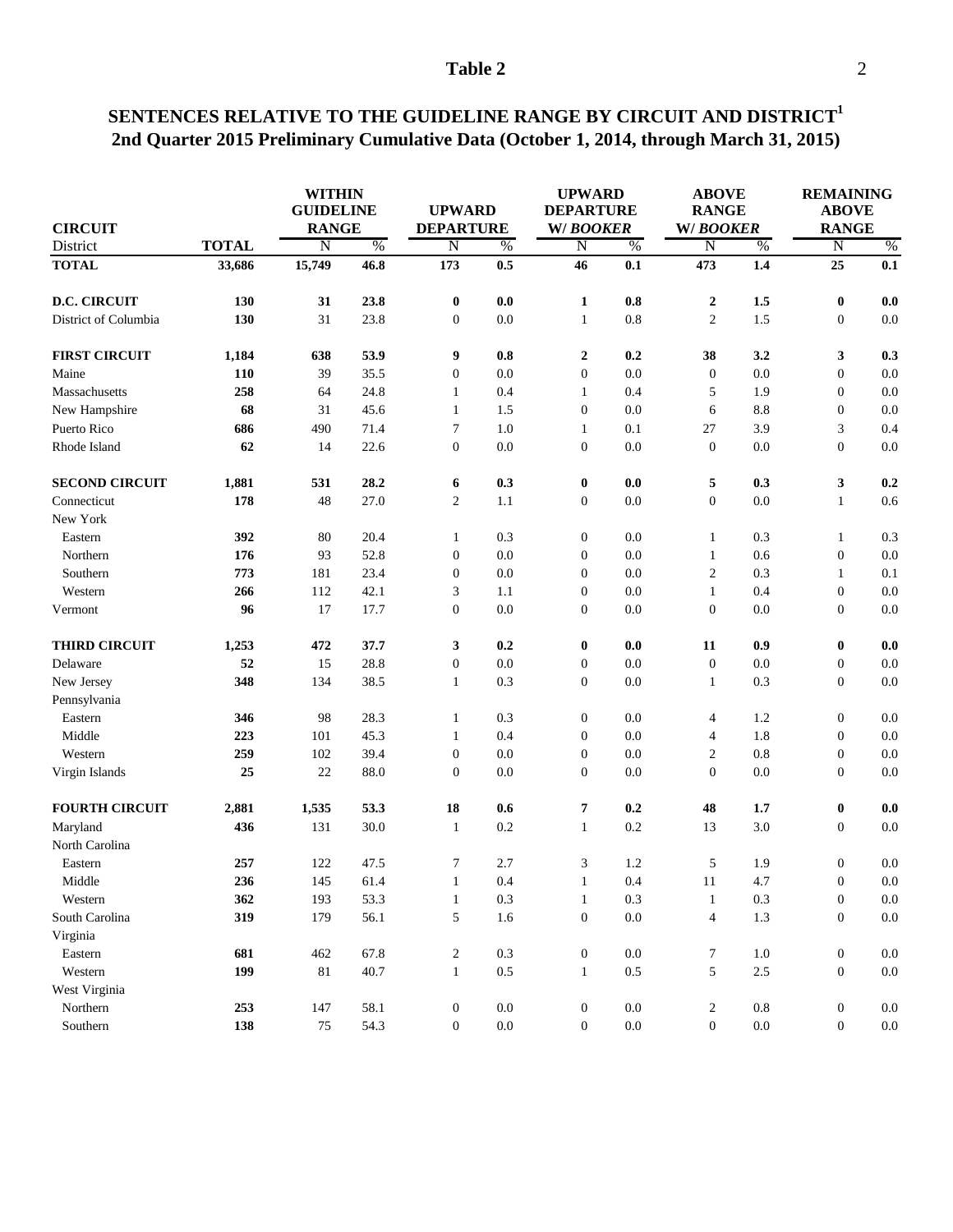### **SENTENCES RELATIVE TO THE GUIDELINE RANGE BY CIRCUIT AND DISTRICT<sup>1</sup> 2nd Quarter 2015 Preliminary Cumulative Data (October 1, 2014, through March 31, 2015)**

| <b>DEPARTURE</b><br><b>TOTAL</b><br>District<br>$\frac{0}{6}$<br>N<br>$\frac{0}{6}$<br>$\overline{\rm N}$<br>$\%$<br>N<br>$\overline{\rm N}$<br>$\%$<br>N<br>%<br><b>TOTAL</b><br>15,749<br>46.8<br>173<br>0.5<br>46<br>0.1<br>473<br>1.4<br>25<br>33,686<br>0.8<br><b>D.C. CIRCUIT</b><br>130<br>31<br>23.8<br>$\bf{0}$<br>$0.0\,$<br>$\boldsymbol{2}$<br>1.5<br>$\bf{0}$<br>1<br>130<br>0.8<br>District of Columbia<br>31<br>23.8<br>$\boldsymbol{0}$<br>0.0<br>$\overline{c}$<br>1.5<br>$\boldsymbol{0}$<br>$\mathbf{1}$<br>0.2<br><b>FIRST CIRCUIT</b><br>1,184<br>638<br>53.9<br>9<br>$0.8\,$<br>$\mathbf{2}$<br>38<br>3.2<br>3<br>0.3<br>0.0<br>Maine<br>110<br>39<br>35.5<br>$\boldsymbol{0}$<br>0.0<br>$\mathbf{0}$<br>$\boldsymbol{0}$<br>0.0<br>$\boldsymbol{0}$<br>$\boldsymbol{0}$<br>Massachusetts<br>258<br>64<br>24.8<br>0.4<br>0.4<br>1.9<br>$\mathbf{1}$<br>$\mathbf{1}$<br>5<br>68<br>$\boldsymbol{0}$<br>31<br>45.6<br>$\mathbf{1}$<br>$\mathbf{0}$<br>0.0<br>8.8<br>New Hampshire<br>1.5<br>6<br>Puerto Rico<br>686<br>$\overline{7}$<br>3.9<br>3<br>490<br>71.4<br>1.0<br>0.1<br>27<br>0.4<br>1<br>62<br>0.0<br>$\boldsymbol{0}$<br>Rhode Island<br>14<br>22.6<br>$\boldsymbol{0}$<br>0.0<br>$\overline{0}$<br>$\boldsymbol{0}$<br>0.0<br>0.0<br><b>SECOND CIRCUIT</b><br>28.2<br>3<br>1,881<br>531<br>0.3<br>0.0<br>5<br>0.3<br>0.2<br>6<br>$\bf{0}$<br>178<br>48<br>$\overline{2}$<br>0.0<br>Connecticut<br>27.0<br>1.1<br>$\overline{0}$<br>0.0<br>$\boldsymbol{0}$<br>0.6<br>$\mathbf{1}$<br>New York<br>392<br>80<br>20.4<br>0.3<br>0.0<br>0.3<br>0.3<br>Eastern<br>$\mathbf{1}$<br>$\boldsymbol{0}$<br>$\mathbf{1}$<br>1<br>93<br>176<br>52.8<br>$\boldsymbol{0}$<br>0.0<br>0.0<br>0.6<br>$\boldsymbol{0}$<br>Northern<br>$\overline{0}$<br>$\mathbf{1}$<br>$\sqrt{2}$<br>Southern<br>773<br>181<br>23.4<br>$\boldsymbol{0}$<br>0.0<br>0.0<br>0.3<br>$\overline{0}$<br>0.1<br>1<br>266<br>112<br>42.1<br>3<br>$\boldsymbol{0}$<br>0.0<br>0.4<br>$\boldsymbol{0}$<br>0.0<br>Western<br>1.1<br>$\mathbf{1}$<br>96<br>17<br>17.7<br>$\boldsymbol{0}$<br>0.0<br>0.0<br>$\boldsymbol{0}$<br>$\boldsymbol{0}$<br>0.0<br>$\boldsymbol{0}$<br>Vermont<br>$\pmb{0}$<br><b>THIRD CIRCUIT</b><br>1,253<br>472<br>37.7<br>3<br>0.2<br>$\bf{0}$<br>0.0<br>11<br>0.9<br>0.0<br>52<br>15<br>0.0<br>0.0<br>28.8<br>$\boldsymbol{0}$<br>0.0<br>$\boldsymbol{0}$<br>$\boldsymbol{0}$<br>$\boldsymbol{0}$<br>Delaware<br>348<br>134<br>38.5<br>$\mathbf{1}$<br>0.3<br>$\boldsymbol{0}$<br>0.0<br>0.3<br>$\boldsymbol{0}$<br>New Jersey<br>$\mathbf{1}$<br>Pennsylvania<br>346<br>98<br>28.3<br>0.0<br>1.2<br>$\boldsymbol{0}$<br>0.0<br>$\mathbf{1}$<br>0.3<br>$\boldsymbol{0}$<br>4<br>Eastern<br>Middle<br>1.8<br>223<br>101<br>45.3<br>$\mathbf{1}$<br>0.4<br>$\boldsymbol{0}$<br>0.0<br>$\boldsymbol{0}$<br>4<br>Western<br>259<br>102<br>39.4<br>$\boldsymbol{0}$<br>$\overline{0}$<br>0.0<br>$\overline{c}$<br>0.8<br>$\boldsymbol{0}$<br>0.0<br>$\boldsymbol{0}$<br>22<br>88.0<br>$\boldsymbol{0}$<br>0.0<br>0.0<br>$\boldsymbol{0}$<br>0.0<br>Virgin Islands<br>25<br>$\overline{0}$<br><b>FOURTH CIRCUIT</b><br>2,881<br>1,535<br>53.3<br>18<br>7<br>0.2<br>48<br>1.7<br>$\bf{0}$<br>0.6<br>0.2<br>436<br>131<br>30.0<br>$\mathbf{1}$<br>0.2<br>13<br>3.0<br>$\boldsymbol{0}$<br>Maryland<br>$\mathbf{1}$<br>North Carolina<br>257<br>7<br>1.2<br>5<br>1.9<br>$\boldsymbol{0}$<br>122<br>47.5<br>2.7<br>3<br>Eastern<br>Middle<br>236<br>145<br>61.4<br>$\mathbf{1}$<br>0.4<br>1<br>0.4<br>11<br>4.7<br>$\boldsymbol{0}$<br>362<br>53.3<br>0.3<br>0.3<br>Western<br>193<br>$\mathbf{1}$<br>0.3<br>$\mathbf{1}$<br>$\mathbf{0}$<br>$\mathbf{1}$<br>319<br>56.1<br>$\sqrt{5}$<br>1.6<br>$0.0\,$<br>$\overline{4}$<br>1.3<br>South Carolina<br>179<br>$\boldsymbol{0}$<br>$\boldsymbol{0}$<br>Virginia<br>$\boldsymbol{7}$<br>Eastern<br>681<br>67.8<br>$\overline{c}$<br>0.3<br>$\boldsymbol{0}$<br>0.0<br>1.0<br>$\boldsymbol{0}$<br>0.0<br>462<br>199<br>40.7<br>$\mathbf{1}$<br>$0.5\,$<br>0.5<br>5<br>$2.5\,$<br>Western<br>$81\,$<br>$\mathbf{1}$<br>$\boldsymbol{0}$<br>West Virginia<br>$0.0\,$<br>$\sqrt{2}$<br>Northern<br>253<br>147<br>58.1<br>$\boldsymbol{0}$<br>0.0<br>$0.8\,$<br>$\boldsymbol{0}$<br>$\boldsymbol{0}$<br>138<br>54.3<br>$\boldsymbol{0}$<br>$0.0\,$<br>$0.0\,$<br>$\boldsymbol{0}$<br>$0.0\,$<br>$\boldsymbol{0}$<br>Southern<br>75<br>$\mathbf{0}$ | <b>CIRCUIT</b> |  |  | <b>WITHIN</b><br><b>GUIDELINE</b><br><b>RANGE</b> |  | <b>UPWARD</b> | <b>UPWARD</b><br><b>DEPARTURE</b><br><b>W/BOOKER</b> |  | <b>ABOVE</b><br><b>RANGE</b><br>W/BOOKER |  | <b>REMAINING</b><br><b>ABOVE</b><br><b>RANGE</b> |         |
|---------------------------------------------------------------------------------------------------------------------------------------------------------------------------------------------------------------------------------------------------------------------------------------------------------------------------------------------------------------------------------------------------------------------------------------------------------------------------------------------------------------------------------------------------------------------------------------------------------------------------------------------------------------------------------------------------------------------------------------------------------------------------------------------------------------------------------------------------------------------------------------------------------------------------------------------------------------------------------------------------------------------------------------------------------------------------------------------------------------------------------------------------------------------------------------------------------------------------------------------------------------------------------------------------------------------------------------------------------------------------------------------------------------------------------------------------------------------------------------------------------------------------------------------------------------------------------------------------------------------------------------------------------------------------------------------------------------------------------------------------------------------------------------------------------------------------------------------------------------------------------------------------------------------------------------------------------------------------------------------------------------------------------------------------------------------------------------------------------------------------------------------------------------------------------------------------------------------------------------------------------------------------------------------------------------------------------------------------------------------------------------------------------------------------------------------------------------------------------------------------------------------------------------------------------------------------------------------------------------------------------------------------------------------------------------------------------------------------------------------------------------------------------------------------------------------------------------------------------------------------------------------------------------------------------------------------------------------------------------------------------------------------------------------------------------------------------------------------------------------------------------------------------------------------------------------------------------------------------------------------------------------------------------------------------------------------------------------------------------------------------------------------------------------------------------------------------------------------------------------------------------------------------------------------------------------------------------------------------------------------------------------------------------------------------------------------------------------------------------------------------------------------------------------------------------------------------------------------------------------------------------------------------------------------------------------------------------------------------------------------------------------------------------------------------------------------------------------------------------------------------------------------------------------------------------------------------------------------------------------------------------------------------------------------------------------------------------------------------------------------------------------------|----------------|--|--|---------------------------------------------------|--|---------------|------------------------------------------------------|--|------------------------------------------|--|--------------------------------------------------|---------|
|                                                                                                                                                                                                                                                                                                                                                                                                                                                                                                                                                                                                                                                                                                                                                                                                                                                                                                                                                                                                                                                                                                                                                                                                                                                                                                                                                                                                                                                                                                                                                                                                                                                                                                                                                                                                                                                                                                                                                                                                                                                                                                                                                                                                                                                                                                                                                                                                                                                                                                                                                                                                                                                                                                                                                                                                                                                                                                                                                                                                                                                                                                                                                                                                                                                                                                                                                                                                                                                                                                                                                                                                                                                                                                                                                                                                                                                                                                                                                                                                                                                                                                                                                                                                                                                                                                                                                                                                   |                |  |  |                                                   |  |               |                                                      |  |                                          |  |                                                  |         |
|                                                                                                                                                                                                                                                                                                                                                                                                                                                                                                                                                                                                                                                                                                                                                                                                                                                                                                                                                                                                                                                                                                                                                                                                                                                                                                                                                                                                                                                                                                                                                                                                                                                                                                                                                                                                                                                                                                                                                                                                                                                                                                                                                                                                                                                                                                                                                                                                                                                                                                                                                                                                                                                                                                                                                                                                                                                                                                                                                                                                                                                                                                                                                                                                                                                                                                                                                                                                                                                                                                                                                                                                                                                                                                                                                                                                                                                                                                                                                                                                                                                                                                                                                                                                                                                                                                                                                                                                   |                |  |  |                                                   |  |               |                                                      |  |                                          |  |                                                  | 0.1     |
|                                                                                                                                                                                                                                                                                                                                                                                                                                                                                                                                                                                                                                                                                                                                                                                                                                                                                                                                                                                                                                                                                                                                                                                                                                                                                                                                                                                                                                                                                                                                                                                                                                                                                                                                                                                                                                                                                                                                                                                                                                                                                                                                                                                                                                                                                                                                                                                                                                                                                                                                                                                                                                                                                                                                                                                                                                                                                                                                                                                                                                                                                                                                                                                                                                                                                                                                                                                                                                                                                                                                                                                                                                                                                                                                                                                                                                                                                                                                                                                                                                                                                                                                                                                                                                                                                                                                                                                                   |                |  |  |                                                   |  |               |                                                      |  |                                          |  |                                                  | 0.0     |
|                                                                                                                                                                                                                                                                                                                                                                                                                                                                                                                                                                                                                                                                                                                                                                                                                                                                                                                                                                                                                                                                                                                                                                                                                                                                                                                                                                                                                                                                                                                                                                                                                                                                                                                                                                                                                                                                                                                                                                                                                                                                                                                                                                                                                                                                                                                                                                                                                                                                                                                                                                                                                                                                                                                                                                                                                                                                                                                                                                                                                                                                                                                                                                                                                                                                                                                                                                                                                                                                                                                                                                                                                                                                                                                                                                                                                                                                                                                                                                                                                                                                                                                                                                                                                                                                                                                                                                                                   |                |  |  |                                                   |  |               |                                                      |  |                                          |  |                                                  | 0.0     |
|                                                                                                                                                                                                                                                                                                                                                                                                                                                                                                                                                                                                                                                                                                                                                                                                                                                                                                                                                                                                                                                                                                                                                                                                                                                                                                                                                                                                                                                                                                                                                                                                                                                                                                                                                                                                                                                                                                                                                                                                                                                                                                                                                                                                                                                                                                                                                                                                                                                                                                                                                                                                                                                                                                                                                                                                                                                                                                                                                                                                                                                                                                                                                                                                                                                                                                                                                                                                                                                                                                                                                                                                                                                                                                                                                                                                                                                                                                                                                                                                                                                                                                                                                                                                                                                                                                                                                                                                   |                |  |  |                                                   |  |               |                                                      |  |                                          |  |                                                  |         |
|                                                                                                                                                                                                                                                                                                                                                                                                                                                                                                                                                                                                                                                                                                                                                                                                                                                                                                                                                                                                                                                                                                                                                                                                                                                                                                                                                                                                                                                                                                                                                                                                                                                                                                                                                                                                                                                                                                                                                                                                                                                                                                                                                                                                                                                                                                                                                                                                                                                                                                                                                                                                                                                                                                                                                                                                                                                                                                                                                                                                                                                                                                                                                                                                                                                                                                                                                                                                                                                                                                                                                                                                                                                                                                                                                                                                                                                                                                                                                                                                                                                                                                                                                                                                                                                                                                                                                                                                   |                |  |  |                                                   |  |               |                                                      |  |                                          |  |                                                  | 0.0     |
|                                                                                                                                                                                                                                                                                                                                                                                                                                                                                                                                                                                                                                                                                                                                                                                                                                                                                                                                                                                                                                                                                                                                                                                                                                                                                                                                                                                                                                                                                                                                                                                                                                                                                                                                                                                                                                                                                                                                                                                                                                                                                                                                                                                                                                                                                                                                                                                                                                                                                                                                                                                                                                                                                                                                                                                                                                                                                                                                                                                                                                                                                                                                                                                                                                                                                                                                                                                                                                                                                                                                                                                                                                                                                                                                                                                                                                                                                                                                                                                                                                                                                                                                                                                                                                                                                                                                                                                                   |                |  |  |                                                   |  |               |                                                      |  |                                          |  |                                                  | 0.0     |
|                                                                                                                                                                                                                                                                                                                                                                                                                                                                                                                                                                                                                                                                                                                                                                                                                                                                                                                                                                                                                                                                                                                                                                                                                                                                                                                                                                                                                                                                                                                                                                                                                                                                                                                                                                                                                                                                                                                                                                                                                                                                                                                                                                                                                                                                                                                                                                                                                                                                                                                                                                                                                                                                                                                                                                                                                                                                                                                                                                                                                                                                                                                                                                                                                                                                                                                                                                                                                                                                                                                                                                                                                                                                                                                                                                                                                                                                                                                                                                                                                                                                                                                                                                                                                                                                                                                                                                                                   |                |  |  |                                                   |  |               |                                                      |  |                                          |  |                                                  | 0.0     |
|                                                                                                                                                                                                                                                                                                                                                                                                                                                                                                                                                                                                                                                                                                                                                                                                                                                                                                                                                                                                                                                                                                                                                                                                                                                                                                                                                                                                                                                                                                                                                                                                                                                                                                                                                                                                                                                                                                                                                                                                                                                                                                                                                                                                                                                                                                                                                                                                                                                                                                                                                                                                                                                                                                                                                                                                                                                                                                                                                                                                                                                                                                                                                                                                                                                                                                                                                                                                                                                                                                                                                                                                                                                                                                                                                                                                                                                                                                                                                                                                                                                                                                                                                                                                                                                                                                                                                                                                   |                |  |  |                                                   |  |               |                                                      |  |                                          |  |                                                  |         |
|                                                                                                                                                                                                                                                                                                                                                                                                                                                                                                                                                                                                                                                                                                                                                                                                                                                                                                                                                                                                                                                                                                                                                                                                                                                                                                                                                                                                                                                                                                                                                                                                                                                                                                                                                                                                                                                                                                                                                                                                                                                                                                                                                                                                                                                                                                                                                                                                                                                                                                                                                                                                                                                                                                                                                                                                                                                                                                                                                                                                                                                                                                                                                                                                                                                                                                                                                                                                                                                                                                                                                                                                                                                                                                                                                                                                                                                                                                                                                                                                                                                                                                                                                                                                                                                                                                                                                                                                   |                |  |  |                                                   |  |               |                                                      |  |                                          |  |                                                  |         |
|                                                                                                                                                                                                                                                                                                                                                                                                                                                                                                                                                                                                                                                                                                                                                                                                                                                                                                                                                                                                                                                                                                                                                                                                                                                                                                                                                                                                                                                                                                                                                                                                                                                                                                                                                                                                                                                                                                                                                                                                                                                                                                                                                                                                                                                                                                                                                                                                                                                                                                                                                                                                                                                                                                                                                                                                                                                                                                                                                                                                                                                                                                                                                                                                                                                                                                                                                                                                                                                                                                                                                                                                                                                                                                                                                                                                                                                                                                                                                                                                                                                                                                                                                                                                                                                                                                                                                                                                   |                |  |  |                                                   |  |               |                                                      |  |                                          |  |                                                  |         |
|                                                                                                                                                                                                                                                                                                                                                                                                                                                                                                                                                                                                                                                                                                                                                                                                                                                                                                                                                                                                                                                                                                                                                                                                                                                                                                                                                                                                                                                                                                                                                                                                                                                                                                                                                                                                                                                                                                                                                                                                                                                                                                                                                                                                                                                                                                                                                                                                                                                                                                                                                                                                                                                                                                                                                                                                                                                                                                                                                                                                                                                                                                                                                                                                                                                                                                                                                                                                                                                                                                                                                                                                                                                                                                                                                                                                                                                                                                                                                                                                                                                                                                                                                                                                                                                                                                                                                                                                   |                |  |  |                                                   |  |               |                                                      |  |                                          |  |                                                  |         |
|                                                                                                                                                                                                                                                                                                                                                                                                                                                                                                                                                                                                                                                                                                                                                                                                                                                                                                                                                                                                                                                                                                                                                                                                                                                                                                                                                                                                                                                                                                                                                                                                                                                                                                                                                                                                                                                                                                                                                                                                                                                                                                                                                                                                                                                                                                                                                                                                                                                                                                                                                                                                                                                                                                                                                                                                                                                                                                                                                                                                                                                                                                                                                                                                                                                                                                                                                                                                                                                                                                                                                                                                                                                                                                                                                                                                                                                                                                                                                                                                                                                                                                                                                                                                                                                                                                                                                                                                   |                |  |  |                                                   |  |               |                                                      |  |                                          |  |                                                  |         |
|                                                                                                                                                                                                                                                                                                                                                                                                                                                                                                                                                                                                                                                                                                                                                                                                                                                                                                                                                                                                                                                                                                                                                                                                                                                                                                                                                                                                                                                                                                                                                                                                                                                                                                                                                                                                                                                                                                                                                                                                                                                                                                                                                                                                                                                                                                                                                                                                                                                                                                                                                                                                                                                                                                                                                                                                                                                                                                                                                                                                                                                                                                                                                                                                                                                                                                                                                                                                                                                                                                                                                                                                                                                                                                                                                                                                                                                                                                                                                                                                                                                                                                                                                                                                                                                                                                                                                                                                   |                |  |  |                                                   |  |               |                                                      |  |                                          |  |                                                  |         |
|                                                                                                                                                                                                                                                                                                                                                                                                                                                                                                                                                                                                                                                                                                                                                                                                                                                                                                                                                                                                                                                                                                                                                                                                                                                                                                                                                                                                                                                                                                                                                                                                                                                                                                                                                                                                                                                                                                                                                                                                                                                                                                                                                                                                                                                                                                                                                                                                                                                                                                                                                                                                                                                                                                                                                                                                                                                                                                                                                                                                                                                                                                                                                                                                                                                                                                                                                                                                                                                                                                                                                                                                                                                                                                                                                                                                                                                                                                                                                                                                                                                                                                                                                                                                                                                                                                                                                                                                   |                |  |  |                                                   |  |               |                                                      |  |                                          |  |                                                  | 0.0     |
|                                                                                                                                                                                                                                                                                                                                                                                                                                                                                                                                                                                                                                                                                                                                                                                                                                                                                                                                                                                                                                                                                                                                                                                                                                                                                                                                                                                                                                                                                                                                                                                                                                                                                                                                                                                                                                                                                                                                                                                                                                                                                                                                                                                                                                                                                                                                                                                                                                                                                                                                                                                                                                                                                                                                                                                                                                                                                                                                                                                                                                                                                                                                                                                                                                                                                                                                                                                                                                                                                                                                                                                                                                                                                                                                                                                                                                                                                                                                                                                                                                                                                                                                                                                                                                                                                                                                                                                                   |                |  |  |                                                   |  |               |                                                      |  |                                          |  |                                                  |         |
|                                                                                                                                                                                                                                                                                                                                                                                                                                                                                                                                                                                                                                                                                                                                                                                                                                                                                                                                                                                                                                                                                                                                                                                                                                                                                                                                                                                                                                                                                                                                                                                                                                                                                                                                                                                                                                                                                                                                                                                                                                                                                                                                                                                                                                                                                                                                                                                                                                                                                                                                                                                                                                                                                                                                                                                                                                                                                                                                                                                                                                                                                                                                                                                                                                                                                                                                                                                                                                                                                                                                                                                                                                                                                                                                                                                                                                                                                                                                                                                                                                                                                                                                                                                                                                                                                                                                                                                                   |                |  |  |                                                   |  |               |                                                      |  |                                          |  |                                                  |         |
|                                                                                                                                                                                                                                                                                                                                                                                                                                                                                                                                                                                                                                                                                                                                                                                                                                                                                                                                                                                                                                                                                                                                                                                                                                                                                                                                                                                                                                                                                                                                                                                                                                                                                                                                                                                                                                                                                                                                                                                                                                                                                                                                                                                                                                                                                                                                                                                                                                                                                                                                                                                                                                                                                                                                                                                                                                                                                                                                                                                                                                                                                                                                                                                                                                                                                                                                                                                                                                                                                                                                                                                                                                                                                                                                                                                                                                                                                                                                                                                                                                                                                                                                                                                                                                                                                                                                                                                                   |                |  |  |                                                   |  |               |                                                      |  |                                          |  |                                                  | 0.0     |
|                                                                                                                                                                                                                                                                                                                                                                                                                                                                                                                                                                                                                                                                                                                                                                                                                                                                                                                                                                                                                                                                                                                                                                                                                                                                                                                                                                                                                                                                                                                                                                                                                                                                                                                                                                                                                                                                                                                                                                                                                                                                                                                                                                                                                                                                                                                                                                                                                                                                                                                                                                                                                                                                                                                                                                                                                                                                                                                                                                                                                                                                                                                                                                                                                                                                                                                                                                                                                                                                                                                                                                                                                                                                                                                                                                                                                                                                                                                                                                                                                                                                                                                                                                                                                                                                                                                                                                                                   |                |  |  |                                                   |  |               |                                                      |  |                                          |  |                                                  |         |
|                                                                                                                                                                                                                                                                                                                                                                                                                                                                                                                                                                                                                                                                                                                                                                                                                                                                                                                                                                                                                                                                                                                                                                                                                                                                                                                                                                                                                                                                                                                                                                                                                                                                                                                                                                                                                                                                                                                                                                                                                                                                                                                                                                                                                                                                                                                                                                                                                                                                                                                                                                                                                                                                                                                                                                                                                                                                                                                                                                                                                                                                                                                                                                                                                                                                                                                                                                                                                                                                                                                                                                                                                                                                                                                                                                                                                                                                                                                                                                                                                                                                                                                                                                                                                                                                                                                                                                                                   |                |  |  |                                                   |  |               |                                                      |  |                                          |  |                                                  | 0.0     |
|                                                                                                                                                                                                                                                                                                                                                                                                                                                                                                                                                                                                                                                                                                                                                                                                                                                                                                                                                                                                                                                                                                                                                                                                                                                                                                                                                                                                                                                                                                                                                                                                                                                                                                                                                                                                                                                                                                                                                                                                                                                                                                                                                                                                                                                                                                                                                                                                                                                                                                                                                                                                                                                                                                                                                                                                                                                                                                                                                                                                                                                                                                                                                                                                                                                                                                                                                                                                                                                                                                                                                                                                                                                                                                                                                                                                                                                                                                                                                                                                                                                                                                                                                                                                                                                                                                                                                                                                   |                |  |  |                                                   |  |               |                                                      |  |                                          |  |                                                  | 0.0     |
|                                                                                                                                                                                                                                                                                                                                                                                                                                                                                                                                                                                                                                                                                                                                                                                                                                                                                                                                                                                                                                                                                                                                                                                                                                                                                                                                                                                                                                                                                                                                                                                                                                                                                                                                                                                                                                                                                                                                                                                                                                                                                                                                                                                                                                                                                                                                                                                                                                                                                                                                                                                                                                                                                                                                                                                                                                                                                                                                                                                                                                                                                                                                                                                                                                                                                                                                                                                                                                                                                                                                                                                                                                                                                                                                                                                                                                                                                                                                                                                                                                                                                                                                                                                                                                                                                                                                                                                                   |                |  |  |                                                   |  |               |                                                      |  |                                          |  |                                                  |         |
|                                                                                                                                                                                                                                                                                                                                                                                                                                                                                                                                                                                                                                                                                                                                                                                                                                                                                                                                                                                                                                                                                                                                                                                                                                                                                                                                                                                                                                                                                                                                                                                                                                                                                                                                                                                                                                                                                                                                                                                                                                                                                                                                                                                                                                                                                                                                                                                                                                                                                                                                                                                                                                                                                                                                                                                                                                                                                                                                                                                                                                                                                                                                                                                                                                                                                                                                                                                                                                                                                                                                                                                                                                                                                                                                                                                                                                                                                                                                                                                                                                                                                                                                                                                                                                                                                                                                                                                                   |                |  |  |                                                   |  |               |                                                      |  |                                          |  |                                                  |         |
|                                                                                                                                                                                                                                                                                                                                                                                                                                                                                                                                                                                                                                                                                                                                                                                                                                                                                                                                                                                                                                                                                                                                                                                                                                                                                                                                                                                                                                                                                                                                                                                                                                                                                                                                                                                                                                                                                                                                                                                                                                                                                                                                                                                                                                                                                                                                                                                                                                                                                                                                                                                                                                                                                                                                                                                                                                                                                                                                                                                                                                                                                                                                                                                                                                                                                                                                                                                                                                                                                                                                                                                                                                                                                                                                                                                                                                                                                                                                                                                                                                                                                                                                                                                                                                                                                                                                                                                                   |                |  |  |                                                   |  |               |                                                      |  |                                          |  |                                                  | 0.0     |
|                                                                                                                                                                                                                                                                                                                                                                                                                                                                                                                                                                                                                                                                                                                                                                                                                                                                                                                                                                                                                                                                                                                                                                                                                                                                                                                                                                                                                                                                                                                                                                                                                                                                                                                                                                                                                                                                                                                                                                                                                                                                                                                                                                                                                                                                                                                                                                                                                                                                                                                                                                                                                                                                                                                                                                                                                                                                                                                                                                                                                                                                                                                                                                                                                                                                                                                                                                                                                                                                                                                                                                                                                                                                                                                                                                                                                                                                                                                                                                                                                                                                                                                                                                                                                                                                                                                                                                                                   |                |  |  |                                                   |  |               |                                                      |  |                                          |  |                                                  | 0.0     |
|                                                                                                                                                                                                                                                                                                                                                                                                                                                                                                                                                                                                                                                                                                                                                                                                                                                                                                                                                                                                                                                                                                                                                                                                                                                                                                                                                                                                                                                                                                                                                                                                                                                                                                                                                                                                                                                                                                                                                                                                                                                                                                                                                                                                                                                                                                                                                                                                                                                                                                                                                                                                                                                                                                                                                                                                                                                                                                                                                                                                                                                                                                                                                                                                                                                                                                                                                                                                                                                                                                                                                                                                                                                                                                                                                                                                                                                                                                                                                                                                                                                                                                                                                                                                                                                                                                                                                                                                   |                |  |  |                                                   |  |               |                                                      |  |                                          |  |                                                  | 0.0     |
|                                                                                                                                                                                                                                                                                                                                                                                                                                                                                                                                                                                                                                                                                                                                                                                                                                                                                                                                                                                                                                                                                                                                                                                                                                                                                                                                                                                                                                                                                                                                                                                                                                                                                                                                                                                                                                                                                                                                                                                                                                                                                                                                                                                                                                                                                                                                                                                                                                                                                                                                                                                                                                                                                                                                                                                                                                                                                                                                                                                                                                                                                                                                                                                                                                                                                                                                                                                                                                                                                                                                                                                                                                                                                                                                                                                                                                                                                                                                                                                                                                                                                                                                                                                                                                                                                                                                                                                                   |                |  |  |                                                   |  |               |                                                      |  |                                          |  |                                                  | 0.0     |
|                                                                                                                                                                                                                                                                                                                                                                                                                                                                                                                                                                                                                                                                                                                                                                                                                                                                                                                                                                                                                                                                                                                                                                                                                                                                                                                                                                                                                                                                                                                                                                                                                                                                                                                                                                                                                                                                                                                                                                                                                                                                                                                                                                                                                                                                                                                                                                                                                                                                                                                                                                                                                                                                                                                                                                                                                                                                                                                                                                                                                                                                                                                                                                                                                                                                                                                                                                                                                                                                                                                                                                                                                                                                                                                                                                                                                                                                                                                                                                                                                                                                                                                                                                                                                                                                                                                                                                                                   |                |  |  |                                                   |  |               |                                                      |  |                                          |  |                                                  | 0.0     |
|                                                                                                                                                                                                                                                                                                                                                                                                                                                                                                                                                                                                                                                                                                                                                                                                                                                                                                                                                                                                                                                                                                                                                                                                                                                                                                                                                                                                                                                                                                                                                                                                                                                                                                                                                                                                                                                                                                                                                                                                                                                                                                                                                                                                                                                                                                                                                                                                                                                                                                                                                                                                                                                                                                                                                                                                                                                                                                                                                                                                                                                                                                                                                                                                                                                                                                                                                                                                                                                                                                                                                                                                                                                                                                                                                                                                                                                                                                                                                                                                                                                                                                                                                                                                                                                                                                                                                                                                   |                |  |  |                                                   |  |               |                                                      |  |                                          |  |                                                  |         |
|                                                                                                                                                                                                                                                                                                                                                                                                                                                                                                                                                                                                                                                                                                                                                                                                                                                                                                                                                                                                                                                                                                                                                                                                                                                                                                                                                                                                                                                                                                                                                                                                                                                                                                                                                                                                                                                                                                                                                                                                                                                                                                                                                                                                                                                                                                                                                                                                                                                                                                                                                                                                                                                                                                                                                                                                                                                                                                                                                                                                                                                                                                                                                                                                                                                                                                                                                                                                                                                                                                                                                                                                                                                                                                                                                                                                                                                                                                                                                                                                                                                                                                                                                                                                                                                                                                                                                                                                   |                |  |  |                                                   |  |               |                                                      |  |                                          |  |                                                  | 0.0     |
|                                                                                                                                                                                                                                                                                                                                                                                                                                                                                                                                                                                                                                                                                                                                                                                                                                                                                                                                                                                                                                                                                                                                                                                                                                                                                                                                                                                                                                                                                                                                                                                                                                                                                                                                                                                                                                                                                                                                                                                                                                                                                                                                                                                                                                                                                                                                                                                                                                                                                                                                                                                                                                                                                                                                                                                                                                                                                                                                                                                                                                                                                                                                                                                                                                                                                                                                                                                                                                                                                                                                                                                                                                                                                                                                                                                                                                                                                                                                                                                                                                                                                                                                                                                                                                                                                                                                                                                                   |                |  |  |                                                   |  |               |                                                      |  |                                          |  |                                                  | 0.0     |
|                                                                                                                                                                                                                                                                                                                                                                                                                                                                                                                                                                                                                                                                                                                                                                                                                                                                                                                                                                                                                                                                                                                                                                                                                                                                                                                                                                                                                                                                                                                                                                                                                                                                                                                                                                                                                                                                                                                                                                                                                                                                                                                                                                                                                                                                                                                                                                                                                                                                                                                                                                                                                                                                                                                                                                                                                                                                                                                                                                                                                                                                                                                                                                                                                                                                                                                                                                                                                                                                                                                                                                                                                                                                                                                                                                                                                                                                                                                                                                                                                                                                                                                                                                                                                                                                                                                                                                                                   |                |  |  |                                                   |  |               |                                                      |  |                                          |  |                                                  | 0.0     |
|                                                                                                                                                                                                                                                                                                                                                                                                                                                                                                                                                                                                                                                                                                                                                                                                                                                                                                                                                                                                                                                                                                                                                                                                                                                                                                                                                                                                                                                                                                                                                                                                                                                                                                                                                                                                                                                                                                                                                                                                                                                                                                                                                                                                                                                                                                                                                                                                                                                                                                                                                                                                                                                                                                                                                                                                                                                                                                                                                                                                                                                                                                                                                                                                                                                                                                                                                                                                                                                                                                                                                                                                                                                                                                                                                                                                                                                                                                                                                                                                                                                                                                                                                                                                                                                                                                                                                                                                   |                |  |  |                                                   |  |               |                                                      |  |                                          |  |                                                  | 0.0     |
|                                                                                                                                                                                                                                                                                                                                                                                                                                                                                                                                                                                                                                                                                                                                                                                                                                                                                                                                                                                                                                                                                                                                                                                                                                                                                                                                                                                                                                                                                                                                                                                                                                                                                                                                                                                                                                                                                                                                                                                                                                                                                                                                                                                                                                                                                                                                                                                                                                                                                                                                                                                                                                                                                                                                                                                                                                                                                                                                                                                                                                                                                                                                                                                                                                                                                                                                                                                                                                                                                                                                                                                                                                                                                                                                                                                                                                                                                                                                                                                                                                                                                                                                                                                                                                                                                                                                                                                                   |                |  |  |                                                   |  |               |                                                      |  |                                          |  |                                                  |         |
|                                                                                                                                                                                                                                                                                                                                                                                                                                                                                                                                                                                                                                                                                                                                                                                                                                                                                                                                                                                                                                                                                                                                                                                                                                                                                                                                                                                                                                                                                                                                                                                                                                                                                                                                                                                                                                                                                                                                                                                                                                                                                                                                                                                                                                                                                                                                                                                                                                                                                                                                                                                                                                                                                                                                                                                                                                                                                                                                                                                                                                                                                                                                                                                                                                                                                                                                                                                                                                                                                                                                                                                                                                                                                                                                                                                                                                                                                                                                                                                                                                                                                                                                                                                                                                                                                                                                                                                                   |                |  |  |                                                   |  |               |                                                      |  |                                          |  |                                                  |         |
|                                                                                                                                                                                                                                                                                                                                                                                                                                                                                                                                                                                                                                                                                                                                                                                                                                                                                                                                                                                                                                                                                                                                                                                                                                                                                                                                                                                                                                                                                                                                                                                                                                                                                                                                                                                                                                                                                                                                                                                                                                                                                                                                                                                                                                                                                                                                                                                                                                                                                                                                                                                                                                                                                                                                                                                                                                                                                                                                                                                                                                                                                                                                                                                                                                                                                                                                                                                                                                                                                                                                                                                                                                                                                                                                                                                                                                                                                                                                                                                                                                                                                                                                                                                                                                                                                                                                                                                                   |                |  |  |                                                   |  |               |                                                      |  |                                          |  |                                                  | 0.0     |
|                                                                                                                                                                                                                                                                                                                                                                                                                                                                                                                                                                                                                                                                                                                                                                                                                                                                                                                                                                                                                                                                                                                                                                                                                                                                                                                                                                                                                                                                                                                                                                                                                                                                                                                                                                                                                                                                                                                                                                                                                                                                                                                                                                                                                                                                                                                                                                                                                                                                                                                                                                                                                                                                                                                                                                                                                                                                                                                                                                                                                                                                                                                                                                                                                                                                                                                                                                                                                                                                                                                                                                                                                                                                                                                                                                                                                                                                                                                                                                                                                                                                                                                                                                                                                                                                                                                                                                                                   |                |  |  |                                                   |  |               |                                                      |  |                                          |  |                                                  |         |
|                                                                                                                                                                                                                                                                                                                                                                                                                                                                                                                                                                                                                                                                                                                                                                                                                                                                                                                                                                                                                                                                                                                                                                                                                                                                                                                                                                                                                                                                                                                                                                                                                                                                                                                                                                                                                                                                                                                                                                                                                                                                                                                                                                                                                                                                                                                                                                                                                                                                                                                                                                                                                                                                                                                                                                                                                                                                                                                                                                                                                                                                                                                                                                                                                                                                                                                                                                                                                                                                                                                                                                                                                                                                                                                                                                                                                                                                                                                                                                                                                                                                                                                                                                                                                                                                                                                                                                                                   |                |  |  |                                                   |  |               |                                                      |  |                                          |  |                                                  | 0.0     |
|                                                                                                                                                                                                                                                                                                                                                                                                                                                                                                                                                                                                                                                                                                                                                                                                                                                                                                                                                                                                                                                                                                                                                                                                                                                                                                                                                                                                                                                                                                                                                                                                                                                                                                                                                                                                                                                                                                                                                                                                                                                                                                                                                                                                                                                                                                                                                                                                                                                                                                                                                                                                                                                                                                                                                                                                                                                                                                                                                                                                                                                                                                                                                                                                                                                                                                                                                                                                                                                                                                                                                                                                                                                                                                                                                                                                                                                                                                                                                                                                                                                                                                                                                                                                                                                                                                                                                                                                   |                |  |  |                                                   |  |               |                                                      |  |                                          |  |                                                  | $0.0\,$ |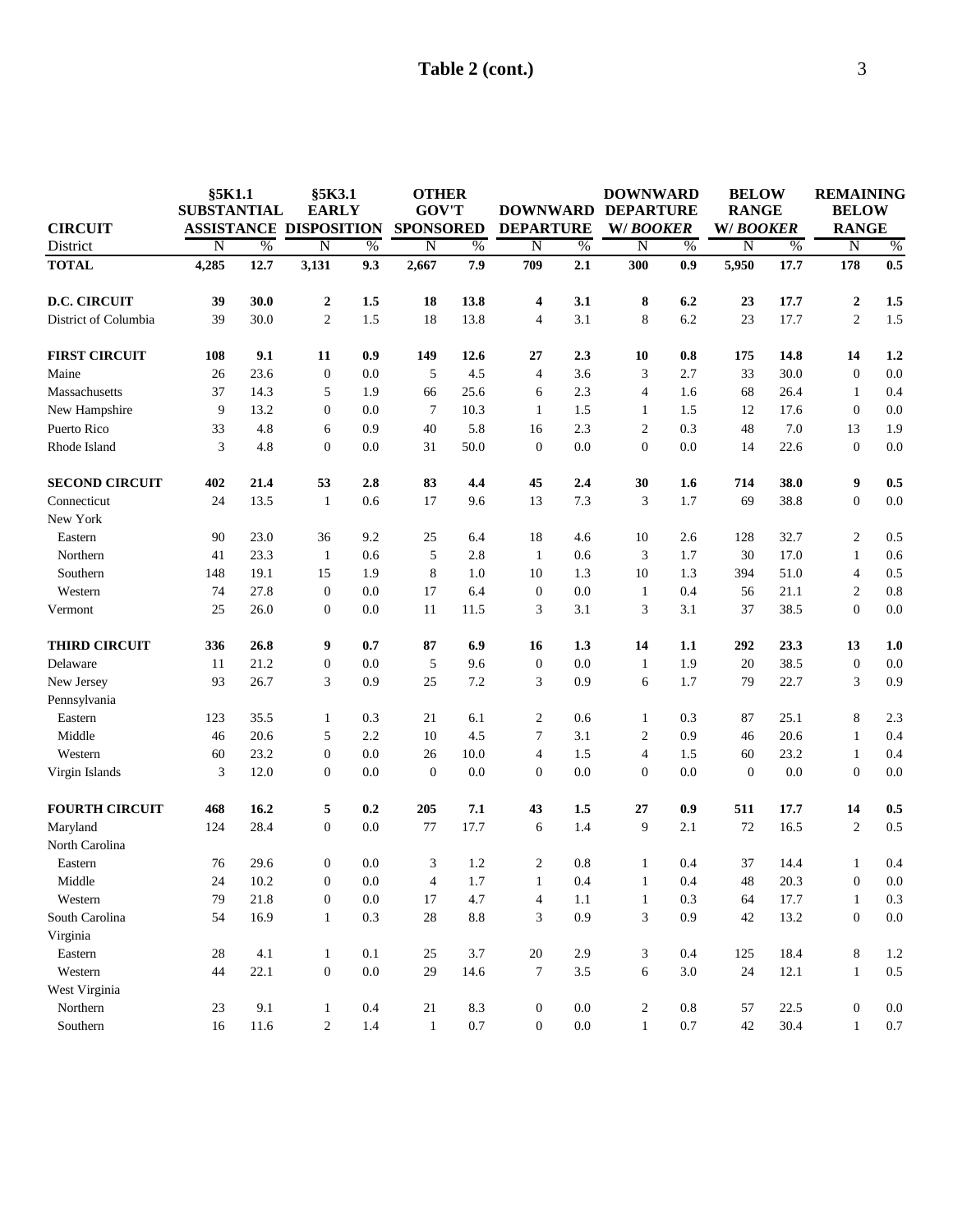|                       | §5K1.1<br><b>SUBSTANTIAL</b><br><b>ASSISTANCE</b> |      |                         | §5K3.1<br><b>EARLY</b><br><b>DISPOSITION</b> |                         | <b>OTHER</b><br><b>GOV'T</b><br><b>SPONSORED</b> |                         | <b>DOWNWARD</b><br><b>DEPARTURE</b> |                         | <b>DOWNWARD</b><br><b>DEPARTURE</b><br>W/BOOKER |          | <b>BELOW</b><br><b>RANGE</b><br>W/BOOKER |                    | <b>REMAINING</b><br><b>BELOW</b> |  |
|-----------------------|---------------------------------------------------|------|-------------------------|----------------------------------------------|-------------------------|--------------------------------------------------|-------------------------|-------------------------------------|-------------------------|-------------------------------------------------|----------|------------------------------------------|--------------------|----------------------------------|--|
|                       |                                                   |      |                         |                                              |                         |                                                  |                         |                                     |                         |                                                 |          |                                          |                    |                                  |  |
| <b>CIRCUIT</b>        |                                                   |      |                         |                                              |                         |                                                  |                         |                                     |                         |                                                 |          |                                          |                    | <b>RANGE</b>                     |  |
| District              | $\overline{\rm N}$                                | $\%$ | $\overline{\mathrm{N}}$ | $\%$                                         | $\overline{\mathrm{N}}$ | $\%$                                             | $\overline{\mathrm{N}}$ | $\%$                                | $\overline{\mathrm{N}}$ | $\%$                                            | N        | $\frac{0}{6}$                            | $\overline{\rm N}$ | $\%$                             |  |
| <b>TOTAL</b>          | 4,285                                             | 12.7 | 3,131                   | 9.3                                          | 2,667                   | 7.9                                              | 709                     | 2.1                                 | 300                     | 0.9                                             | 5,950    | 17.7                                     | 178                | 0.5                              |  |
| <b>D.C. CIRCUIT</b>   | 39                                                | 30.0 | $\boldsymbol{2}$        | 1.5                                          | 18                      | 13.8                                             | $\overline{\mathbf{4}}$ | 3.1                                 | 8                       | 6.2                                             | 23       | 17.7                                     | $\boldsymbol{2}$   | 1.5                              |  |
| District of Columbia  | 39                                                | 30.0 | $\overline{c}$          | 1.5                                          | 18                      | 13.8                                             | $\overline{4}$          | 3.1                                 | 8                       | 6.2                                             | 23       | 17.7                                     | $\overline{2}$     | 1.5                              |  |
| <b>FIRST CIRCUIT</b>  | 108                                               | 9.1  | 11                      | 0.9                                          | 149                     | 12.6                                             | 27                      | 2.3                                 | 10                      | 0.8                                             | 175      | 14.8                                     | 14                 | 1.2                              |  |
| Maine                 | 26                                                | 23.6 | $\boldsymbol{0}$        | 0.0                                          | 5                       | 4.5                                              | $\overline{4}$          | 3.6                                 | 3                       | 2.7                                             | 33       | 30.0                                     | $\boldsymbol{0}$   | 0.0                              |  |
| Massachusetts         | 37                                                | 14.3 | 5                       | 1.9                                          | 66                      | 25.6                                             | 6                       | 2.3                                 | $\overline{4}$          | 1.6                                             | 68       | 26.4                                     | $\mathbf{1}$       | 0.4                              |  |
| New Hampshire         | 9                                                 | 13.2 | $\boldsymbol{0}$        | 0.0                                          | $\overline{7}$          | 10.3                                             | 1                       | 1.5                                 | 1                       | 1.5                                             | 12       | 17.6                                     | $\boldsymbol{0}$   | 0.0                              |  |
| Puerto Rico           | 33                                                | 4.8  | 6                       | 0.9                                          | 40                      | 5.8                                              | 16                      | 2.3                                 | $\sqrt{2}$              | 0.3                                             | 48       | 7.0                                      | 13                 | 1.9                              |  |
| Rhode Island          | 3                                                 | 4.8  | $\boldsymbol{0}$        | 0.0                                          | 31                      | 50.0                                             | $\mathbf{0}$            | 0.0                                 | $\boldsymbol{0}$        | $0.0\,$                                         | 14       | 22.6                                     | $\boldsymbol{0}$   | 0.0                              |  |
| <b>SECOND CIRCUIT</b> | 402                                               | 21.4 | 53                      | 2.8                                          | 83                      | 4.4                                              | 45                      | 2.4                                 | 30                      | 1.6                                             | 714      | 38.0                                     | 9                  | 0.5                              |  |
| Connecticut           | 24                                                | 13.5 | $\mathbf{1}$            | 0.6                                          | 17                      | 9.6                                              | 13                      | 7.3                                 | 3                       | 1.7                                             | 69       | 38.8                                     | $\boldsymbol{0}$   | 0.0                              |  |
| New York              |                                                   |      |                         |                                              |                         |                                                  |                         |                                     |                         |                                                 |          |                                          |                    |                                  |  |
| Eastern               | 90                                                | 23.0 | 36                      | 9.2                                          | 25                      | 6.4                                              | 18                      | 4.6                                 | 10                      | 2.6                                             | 128      | 32.7                                     | $\overline{c}$     | 0.5                              |  |
| Northern              | 41                                                | 23.3 | $\mathbf{1}$            | 0.6                                          | 5                       | 2.8                                              | 1                       | 0.6                                 | 3                       | 1.7                                             | 30       | 17.0                                     | $\mathbf{1}$       | 0.6                              |  |
| Southern              | 148                                               | 19.1 | 15                      | 1.9                                          | 8                       | 1.0                                              | 10                      | 1.3                                 | 10                      | 1.3                                             | 394      | 51.0                                     | $\overline{4}$     | 0.5                              |  |
| Western               | 74                                                | 27.8 | $\mathbf{0}$            | 0.0                                          | 17                      | 6.4                                              | $\boldsymbol{0}$        | 0.0                                 | $\mathbf{1}$            | 0.4                                             | 56       | 21.1                                     | 2                  | 0.8                              |  |
| Vermont               | 25                                                | 26.0 | $\mathbf{0}$            | 0.0                                          | 11                      | 11.5                                             | 3                       | 3.1                                 | 3                       | 3.1                                             | 37       | 38.5                                     | $\boldsymbol{0}$   | 0.0                              |  |
| <b>THIRD CIRCUIT</b>  | 336                                               | 26.8 | 9                       | 0.7                                          | 87                      | 6.9                                              | 16                      | 1.3                                 | 14                      | 1.1                                             | 292      | 23.3                                     | 13                 | 1.0                              |  |
| Delaware              | 11                                                | 21.2 | $\boldsymbol{0}$        | 0.0                                          | 5                       | 9.6                                              | $\mathbf{0}$            | 0.0                                 | $\mathbf{1}$            | 1.9                                             | 20       | 38.5                                     | $\boldsymbol{0}$   | 0.0                              |  |
| New Jersey            | 93                                                | 26.7 | 3                       | 0.9                                          | 25                      | 7.2                                              | 3                       | 0.9                                 | 6                       | 1.7                                             | 79       | 22.7                                     | 3                  | 0.9                              |  |
| Pennsylvania          |                                                   |      |                         |                                              |                         |                                                  |                         |                                     |                         |                                                 |          |                                          |                    |                                  |  |
| Eastern               | 123                                               | 35.5 | $\mathbf{1}$            | 0.3                                          | 21                      | 6.1                                              | $\overline{c}$          | 0.6                                 | 1                       | 0.3                                             | 87       | 25.1                                     | 8                  | 2.3                              |  |
| Middle                | 46                                                | 20.6 | 5                       | 2.2                                          | 10                      | 4.5                                              | 7                       | 3.1                                 | $\overline{c}$          | 0.9                                             | 46       | 20.6                                     | $\mathbf{1}$       | 0.4                              |  |
| Western               | 60                                                | 23.2 | $\boldsymbol{0}$        | 0.0                                          | 26                      | 10.0                                             | $\overline{4}$          | 1.5                                 | $\overline{4}$          | 1.5                                             | 60       | 23.2                                     | $\mathbf{1}$       | 0.4                              |  |
| Virgin Islands        | 3                                                 | 12.0 | $\boldsymbol{0}$        | 0.0                                          | $\theta$                | 0.0                                              | $\mathbf{0}$            | 0.0                                 | $\boldsymbol{0}$        | $0.0\,$                                         | $\theta$ | 0.0                                      | $\boldsymbol{0}$   | 0.0                              |  |
| <b>FOURTH CIRCUIT</b> | 468                                               | 16.2 | 5                       | 0.2                                          | 205                     | 7.1                                              | 43                      | 1.5                                 | 27                      | 0.9                                             | 511      | 17.7                                     | 14                 | 0.5                              |  |
| Maryland              | 124                                               | 28.4 | $\mathbf{0}$            | 0.0                                          | 77                      | 17.7                                             | 6                       | 1.4                                 | 9                       | 2.1                                             | 72       | 16.5                                     | $\overline{2}$     | 0.5                              |  |
| North Carolina        |                                                   |      |                         |                                              |                         |                                                  |                         |                                     |                         |                                                 |          |                                          |                    |                                  |  |
| Eastern               | 76                                                | 29.6 | $\boldsymbol{0}$        | 0.0                                          | 3                       | 1.2                                              | 2                       | 0.8                                 | 1                       | 0.4                                             | 37       | 14.4                                     | $\mathbf{1}$       | 0.4                              |  |
| Middle                | 24                                                | 10.2 | $\overline{0}$          | $0.0\,$                                      | $\overline{4}$          | 1.7                                              | 1                       | 0.4                                 | $\mathbf{1}$            | 0.4                                             | $48\,$   | 20.3                                     | $\overline{0}$     | $0.0\,$                          |  |
| Western               | 79                                                | 21.8 | $\boldsymbol{0}$        | 0.0                                          | 17                      | 4.7                                              | 4                       | 1.1                                 | $\mathbf{1}$            | 0.3                                             | 64       | 17.7                                     | $\mathbf{1}$       | $0.3\,$                          |  |
| South Carolina        | 54                                                | 16.9 | $\mathbf{1}$            | 0.3                                          | $28\,$                  | $8.8\,$                                          | 3                       | 0.9                                 | 3                       | 0.9                                             | 42       | 13.2                                     | $\boldsymbol{0}$   | $0.0\,$                          |  |
| Virginia              |                                                   |      |                         |                                              |                         |                                                  |                         |                                     |                         |                                                 |          |                                          |                    |                                  |  |
| Eastern               | $28\,$                                            | 4.1  | $\mathbf{1}$            | 0.1                                          | 25                      | 3.7                                              | $20\,$                  | 2.9                                 | 3                       | 0.4                                             | 125      | 18.4                                     | 8                  | 1.2                              |  |
| Western               | 44                                                | 22.1 | $\boldsymbol{0}$        | $0.0\,$                                      | 29                      | 14.6                                             | 7                       | $3.5\,$                             | 6                       | 3.0                                             | 24       | 12.1                                     | $\mathbf{1}$       | $0.5\,$                          |  |
| West Virginia         |                                                   |      |                         |                                              |                         |                                                  |                         |                                     |                         |                                                 |          |                                          |                    |                                  |  |
| Northern              | 23                                                | 9.1  | $\mathbf{1}$            | 0.4                                          | 21                      | 8.3                                              | $\boldsymbol{0}$        | $0.0\,$                             | $\overline{\mathbf{c}}$ | 0.8                                             | 57       | 22.5                                     | $\boldsymbol{0}$   | 0.0                              |  |
| Southern              | 16                                                | 11.6 | $\overline{c}$          | $1.4\,$                                      | $\mathbf{1}$            | 0.7                                              | $\boldsymbol{0}$        | $0.0\,$                             | $\mathbf{1}$            | $0.7\,$                                         | 42       | 30.4                                     | 1                  | $0.7\,$                          |  |
|                       |                                                   |      |                         |                                              |                         |                                                  |                         |                                     |                         |                                                 |          |                                          |                    |                                  |  |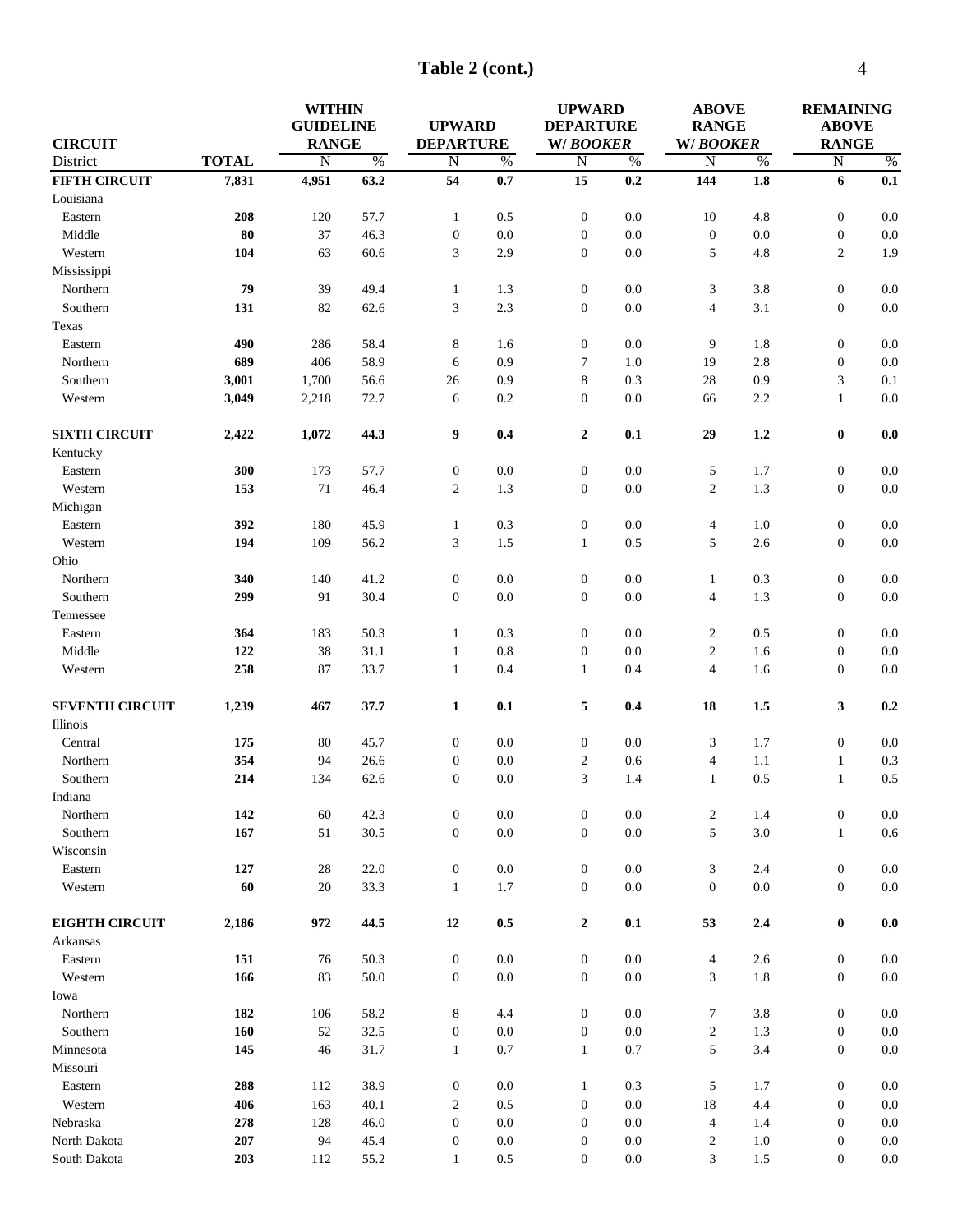**Table 2 (cont.)**

|                        |              | <b>WITHIN</b>    |          |                  |               | <b>UPWARD</b>      |               | <b>ABOVE</b>             |               | <b>REMAINING</b> |                |  |
|------------------------|--------------|------------------|----------|------------------|---------------|--------------------|---------------|--------------------------|---------------|------------------|----------------|--|
|                        |              | <b>GUIDELINE</b> |          | <b>UPWARD</b>    |               | <b>DEPARTURE</b>   |               | <b>RANGE</b>             |               | <b>ABOVE</b>     |                |  |
| <b>CIRCUIT</b>         |              | <b>RANGE</b>     |          | <b>DEPARTURE</b> |               | W/BOOKER           |               | W/BOOKER                 |               | <b>RANGE</b>     |                |  |
| District               | <b>TOTAL</b> | N                | $\%$     | $\overline{N}$   | $\frac{0}{6}$ | $\overline{\rm N}$ | $\frac{0}{6}$ | $\overline{\rm N}$       | $\frac{0}{6}$ | N                | $\%$           |  |
| <b>FIFTH CIRCUIT</b>   | 7,831        | 4,951            | 63.2     | 54               | 0.7           | 15                 | 0.2           | 144                      | 1.8           | 6                | 0.1            |  |
| Louisiana              |              |                  |          |                  |               |                    |               |                          |               |                  |                |  |
| Eastern                | 208          | 120              | 57.7     | $\mathbf{1}$     | 0.5           | $\mathbf{0}$       | 0.0           | 10                       | 4.8           | $\mathbf{0}$     | 0.0            |  |
| Middle                 | 80           | 37               | 46.3     | $\boldsymbol{0}$ | 0.0           | $\mathbf{0}$       | 0.0           | $\boldsymbol{0}$         | 0.0           | $\mathbf{0}$     | 0.0            |  |
| Western                | 104          | 63               | 60.6     | 3                | 2.9           | $\mathbf{0}$       | 0.0           | 5                        | 4.8           | $\overline{c}$   | 1.9            |  |
| Mississippi            |              |                  |          |                  |               |                    |               |                          |               |                  |                |  |
| Northern               | 79           | 39               | 49.4     | $\mathbf{1}$     | 1.3           | $\boldsymbol{0}$   | 0.0           | 3                        | 3.8           | $\mathbf{0}$     | 0.0            |  |
| Southern               | 131          | 82               | 62.6     | 3                | 2.3           | $\mathbf{0}$       | $0.0\,$       | $\overline{\mathcal{A}}$ | 3.1           | $\boldsymbol{0}$ | 0.0            |  |
| Texas                  |              |                  |          |                  |               |                    |               |                          |               |                  |                |  |
| Eastern                | 490          | 286              | 58.4     | 8                | 1.6           | $\boldsymbol{0}$   | 0.0           | 9                        | 1.8           | $\boldsymbol{0}$ | 0.0            |  |
| Northern               | 689          | 406              | 58.9     | 6                | 0.9           | 7                  | 1.0           | 19                       | 2.8           | $\mathbf{0}$     | $0.0\,$        |  |
| Southern               | 3,001        | 1,700            | 56.6     | $26\,$           | 0.9           | 8                  | 0.3           | $28\,$                   | 0.9           | 3                | 0.1            |  |
| Western                | 3,049        | 2,218            | 72.7     | 6                | 0.2           | $\mathbf{0}$       | 0.0           | 66                       | 2.2           | $\mathbf{1}$     | $0.0\,$        |  |
| <b>SIXTH CIRCUIT</b>   | 2,422        | 1,072            | 44.3     | 9                | 0.4           | $\mathbf{2}$       | 0.1           | 29                       | 1.2           | $\pmb{0}$        | 0.0            |  |
| Kentucky               |              |                  |          |                  |               |                    |               |                          |               |                  |                |  |
| Eastern                | 300          | 173              | 57.7     | $\boldsymbol{0}$ | 0.0           | $\boldsymbol{0}$   | $0.0\,$       | 5                        | 1.7           | $\boldsymbol{0}$ | $0.0\,$        |  |
| Western                | 153          | $71\,$           | 46.4     | $\overline{2}$   | 1.3           | $\boldsymbol{0}$   | $0.0\,$       | $\overline{c}$           | 1.3           | $\mathbf{0}$     | $0.0\,$        |  |
| Michigan               |              |                  |          |                  |               |                    |               |                          |               |                  |                |  |
| Eastern                | 392          | 180              | 45.9     | $\mathbf{1}$     | 0.3           | $\boldsymbol{0}$   | 0.0           | 4                        | 1.0           | $\mathbf{0}$     | 0.0            |  |
| Western                | 194          | 109              | 56.2     | 3                | 1.5           | 1                  | 0.5           | 5                        | 2.6           | $\mathbf{0}$     | 0.0            |  |
| Ohio                   |              |                  |          |                  |               |                    |               |                          |               |                  |                |  |
| Northern               | 340          | 140              | 41.2     | $\boldsymbol{0}$ | 0.0           | $\mathbf{0}$       | 0.0           | 1                        | 0.3           | $\mathbf{0}$     | 0.0            |  |
| Southern               | 299          | 91               | 30.4     | $\boldsymbol{0}$ | 0.0           | $\mathbf{0}$       | $0.0\,$       | 4                        | 1.3           | $\mathbf{0}$     | 0.0            |  |
| Tennessee              |              |                  |          |                  |               |                    |               |                          |               |                  |                |  |
| Eastern                | 364          | 183              | 50.3     | $\mathbf{1}$     | 0.3           | $\mathbf{0}$       | 0.0           | $\overline{c}$           | 0.5           | $\boldsymbol{0}$ | $0.0\,$        |  |
| Middle                 | 122          | 38               | 31.1     | $\mathbf{1}$     | 0.8           | $\mathbf{0}$       | 0.0           | $\overline{c}$           | 1.6           | $\boldsymbol{0}$ | $0.0\,$        |  |
| Western                | 258          | 87               | 33.7     | $\mathbf{1}$     | 0.4           | $\mathbf{1}$       | 0.4           | $\overline{4}$           | 1.6           | $\mathbf{0}$     | $0.0\,$        |  |
| <b>SEVENTH CIRCUIT</b> | 1,239        | 467              | 37.7     | $\mathbf{1}$     | 0.1           | 5                  | 0.4           | 18                       | 1.5           | 3                | 0.2            |  |
| Illinois               |              |                  |          |                  |               |                    |               |                          |               |                  |                |  |
| Central                | 175          | 80               | 45.7     | $\boldsymbol{0}$ | 0.0           | $\mathbf{0}$       | 0.0           | 3                        | 1.7           | $\mathbf{0}$     | 0.0            |  |
| Northern               | 354          | 94               | 26.6     | $\boldsymbol{0}$ | 0.0           | $\overline{2}$     | 0.6           | $\overline{\mathbf{4}}$  | 1.1           | $\mathbf{1}$     | 0.3            |  |
| Southern               | 214          | 134              | 62.6     | $\mathbf{0}$     | 0.0           | 3                  | 1.4           | $\mathbf{1}$             | 0.5           | $\mathbf{1}$     | 0.5            |  |
| Indiana                |              |                  |          |                  |               |                    |               |                          |               |                  |                |  |
| Northern               | 142          | 60               | 42.3     | $\boldsymbol{0}$ | $0.0\,$       | $\boldsymbol{0}$   | $0.0\,$       | $\overline{c}$           | 1.4           | $\boldsymbol{0}$ | $0.0\,$        |  |
| Southern               | 167          | 51               | 30.5     | $\boldsymbol{0}$ | $0.0\,$       | $\mathbf{0}$       | $0.0\,$       | 5                        | 3.0           | $\mathbf{1}$     | $0.6\,$        |  |
| Wisconsin              |              |                  |          |                  |               |                    |               |                          |               |                  |                |  |
| Eastern                | 127          | 28               | 22.0     | $\boldsymbol{0}$ | $0.0\,$       | $\mathbf{0}$       | $0.0\,$       | 3                        | 2.4           | $\mathbf{0}$     | 0.0            |  |
| Western                | 60           | 20               | 33.3     | $\mathbf{1}$     | 1.7           | $\boldsymbol{0}$   | 0.0           | $\boldsymbol{0}$         | 0.0           | $\overline{0}$   | $0.0\,$        |  |
| <b>EIGHTH CIRCUIT</b>  | 2,186        | 972              | 44.5     | 12               | 0.5           | $\mathbf{2}$       | 0.1           | 53                       | 2.4           | $\bf{0}$         | $\mathbf{0.0}$ |  |
| Arkansas               |              |                  |          |                  |               |                    |               |                          |               |                  |                |  |
| Eastern                | 151          | 76               | 50.3     | $\boldsymbol{0}$ | $0.0\,$       | $\boldsymbol{0}$   | $0.0\,$       | $\overline{4}$           | $2.6$         | $\boldsymbol{0}$ | $0.0\,$        |  |
| Western                | 166          | 83               | $50.0\,$ | $\boldsymbol{0}$ | $0.0\,$       | $\mathbf{0}$       | $0.0\,$       | 3                        | 1.8           | $\mathbf{0}$     | $0.0\,$        |  |
| Iowa                   |              |                  |          |                  |               |                    |               |                          |               |                  |                |  |
| Northern               | 182          | 106              | 58.2     | 8                | 4.4           | $\boldsymbol{0}$   | $0.0\,$       | 7                        | 3.8           | $\boldsymbol{0}$ | 0.0            |  |
| Southern               | 160          | $52\,$           | 32.5     | $\boldsymbol{0}$ | $0.0\,$       | $\boldsymbol{0}$   | 0.0           | $\overline{c}$           | 1.3           | $\boldsymbol{0}$ | 0.0            |  |
| Minnesota              | 145          | 46               | 31.7     | $\mathbf{1}$     | 0.7           | $\mathbf{1}$       | 0.7           | 5                        | 3.4           | $\mathbf{0}$     | $0.0\,$        |  |
| Missouri               |              |                  |          |                  |               |                    |               |                          |               |                  |                |  |
| Eastern                | 288          | 112              | 38.9     | $\boldsymbol{0}$ | $0.0\,$       | $\mathbf{1}$       | $0.3\,$       | 5                        | 1.7           | $\boldsymbol{0}$ | 0.0            |  |
| Western                | 406          | 163              | 40.1     | $\overline{c}$   | 0.5           | $\boldsymbol{0}$   | $0.0\,$       | $18\,$                   | 4.4           | $\mathbf{0}$     | 0.0            |  |
| Nebraska               | 278          | 128              | 46.0     | $\boldsymbol{0}$ | $0.0\,$       | $\mathbf{0}$       | 0.0           | $\overline{4}$           | 1.4           | $\mathbf{0}$     | $0.0\,$        |  |
|                        |              |                  |          |                  |               |                    |               |                          |               |                  |                |  |
| North Dakota           | 207          | 94               | 45.4     | $\boldsymbol{0}$ | $0.0\,$       | $\boldsymbol{0}$   | 0.0           | $\overline{\mathbf{c}}$  | 1.0           | $\mathbf{0}$     | $0.0\,$        |  |
| South Dakota           | 203          | 112              | 55.2     | $\mathbf{1}$     | $0.5\,$       | $\boldsymbol{0}$   | 0.0           | 3                        | $1.5\,$       | $\mathbf{0}$     | $0.0\,$        |  |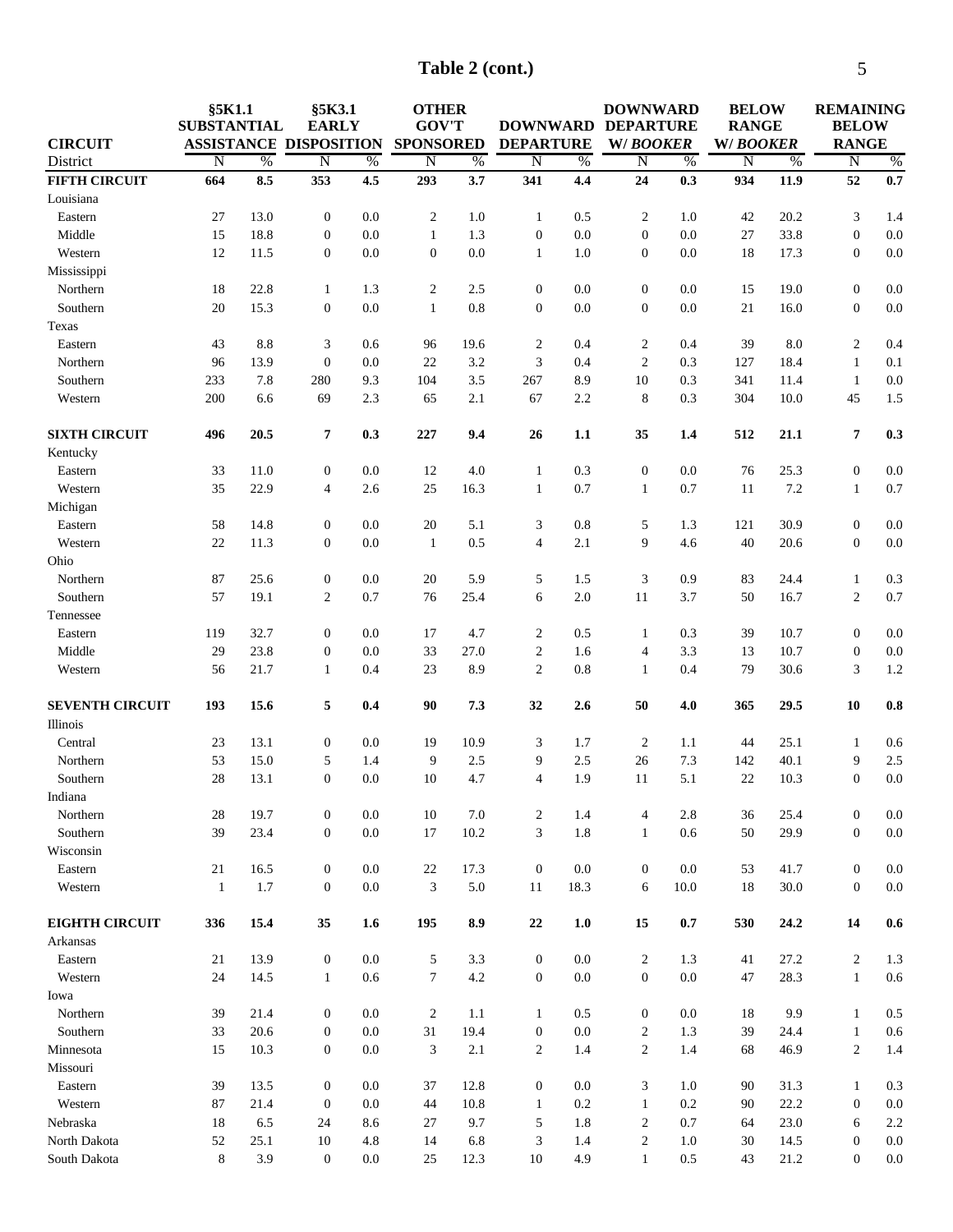| Table 2 (cont.) |  |  |
|-----------------|--|--|
|-----------------|--|--|

| <b>CIRCUIT</b>         | §5K1.1<br><b>SUBSTANTIAL</b> |             | §5K3.1<br><b>EARLY</b><br><b>ASSISTANCE DISPOSITION</b> |                |                  | <b>OTHER</b><br><b>GOV'T</b><br><b>SPONSORED</b> |                         | <b>DOWNWARD DEPARTURE</b><br><b>DEPARTURE</b> |                       | <b>DOWNWARD</b><br>W/BOOKER |                | <b>BELOW</b><br><b>RANGE</b><br>W/BOOKER |                                      | <b>REMAINING</b><br><b>BELOW</b><br><b>RANGE</b> |
|------------------------|------------------------------|-------------|---------------------------------------------------------|----------------|------------------|--------------------------------------------------|-------------------------|-----------------------------------------------|-----------------------|-----------------------------|----------------|------------------------------------------|--------------------------------------|--------------------------------------------------|
| District               | $\overline{N}$               | $\%$        | $\overline{\rm N}$                                      | $\%$           | $\overline{N}$   | $\%$                                             | $\overline{\mathrm{N}}$ | $\%$                                          | N                     | $\%$                        | $\overline{N}$ | $\%$                                     | $\overline{\mathrm{N}}$              | $\%$                                             |
| <b>FIFTH CIRCUIT</b>   | 664                          | 8.5         | 353                                                     | 4.5            | 293              | 3.7                                              | 341                     | 4,4                                           | 24                    | 0.3                         | 934            | 11.9                                     | 52                                   | 0.7                                              |
| Louisiana              |                              |             |                                                         |                |                  |                                                  |                         |                                               |                       |                             |                |                                          |                                      |                                                  |
| Eastern                | 27                           | 13.0        | $\boldsymbol{0}$                                        | 0.0            | $\overline{2}$   | 1.0                                              | $\mathbf{1}$            | 0.5                                           | 2                     | 1.0                         | 42             | 20.2                                     | 3                                    | 1.4                                              |
| Middle                 | 15                           | 18.8        | $\boldsymbol{0}$                                        | 0.0            | $\mathbf{1}$     | 1.3                                              | $\mathbf{0}$            | 0.0                                           | $\boldsymbol{0}$      | 0.0                         | 27             | 33.8                                     | $\boldsymbol{0}$                     | 0.0                                              |
| Western                | 12                           | 11.5        | $\boldsymbol{0}$                                        | 0.0            | $\boldsymbol{0}$ | 0.0                                              | $\mathbf{1}$            | 1.0                                           | $\boldsymbol{0}$      | 0.0                         | 18             | 17.3                                     | $\boldsymbol{0}$                     | $0.0\,$                                          |
| Mississippi            |                              |             |                                                         |                |                  |                                                  |                         |                                               |                       |                             |                |                                          |                                      |                                                  |
| Northern               | 18                           | 22.8        | $\mathbf{1}$                                            | 1.3            | 2                | 2.5                                              | $\mathbf{0}$            | 0.0                                           | $\boldsymbol{0}$      | 0.0                         | 15             | 19.0                                     | $\boldsymbol{0}$                     | $0.0\,$                                          |
| Southern               | 20                           | 15.3        | $\boldsymbol{0}$                                        | 0.0            | $\mathbf{1}$     | 0.8                                              | $\mathbf{0}$            | 0.0                                           | $\boldsymbol{0}$      | 0.0                         | 21             | 16.0                                     | $\boldsymbol{0}$                     | $0.0\,$                                          |
| Texas                  |                              |             |                                                         |                |                  |                                                  |                         |                                               |                       |                             |                |                                          |                                      |                                                  |
| Eastern                | 43                           | 8.8         | 3                                                       | 0.6            | 96               | 19.6                                             | 2                       | 0.4                                           | $\overline{2}$        | 0.4                         | 39             | 8.0                                      | $\overline{2}$                       | 0.4                                              |
| Northern               | 96                           | 13.9        | $\boldsymbol{0}$                                        | 0.0            | 22               | 3.2                                              | 3                       | 0.4                                           | $\mathfrak{2}$        | 0.3                         | 127            | 18.4                                     | $\mathbf{1}$                         | 0.1                                              |
| Southern               | 233                          | 7.8         | 280                                                     | 9.3            | 104              | 3.5                                              | 267                     | 8.9                                           | 10                    | 0.3                         | 341            | 11.4                                     | $\mathbf{1}$                         | $0.0\,$                                          |
| Western                | 200                          | 6.6         | 69                                                      | 2.3            | 65               | 2.1                                              | 67                      | 2.2                                           | 8                     | 0.3                         | 304            | 10.0                                     | 45                                   | $1.5\,$                                          |
| <b>SIXTH CIRCUIT</b>   | 496                          | 20.5        | 7                                                       | 0.3            | 227              | 9.4                                              | 26                      | 1.1                                           | 35                    | 1.4                         | 512            | 21.1                                     | 7                                    | 0.3                                              |
| Kentucky               |                              |             |                                                         |                |                  |                                                  |                         |                                               |                       |                             |                |                                          |                                      |                                                  |
| Eastern                | 33                           | 11.0        | $\boldsymbol{0}$                                        | 0.0            | 12               | 4.0                                              | $\mathbf{1}$            | 0.3                                           | $\boldsymbol{0}$      | 0.0                         | 76             | 25.3                                     | $\boldsymbol{0}$                     | $0.0\,$                                          |
| Western                | 35                           | 22.9        | $\overline{4}$                                          | 2.6            | 25               | 16.3                                             | $\mathbf{1}$            | 0.7                                           | $\mathbf{1}$          | 0.7                         | 11             | 7.2                                      | $\mathbf{1}$                         | 0.7                                              |
| Michigan               |                              |             |                                                         |                |                  |                                                  |                         |                                               |                       |                             |                |                                          |                                      |                                                  |
| Eastern                | 58                           | 14.8        | $\boldsymbol{0}$                                        | 0.0            | 20               | 5.1                                              | 3                       | 0.8                                           | 5                     | 1.3                         | 121            | 30.9                                     | $\boldsymbol{0}$                     | 0.0                                              |
| Western                | 22                           | 11.3        | $\boldsymbol{0}$                                        | 0.0            | $\mathbf{1}$     | 0.5                                              | $\overline{4}$          | 2.1                                           | 9                     | 4.6                         | 40             | 20.6                                     | $\boldsymbol{0}$                     | $0.0\,$                                          |
| Ohio                   |                              |             |                                                         |                |                  |                                                  |                         |                                               |                       |                             |                |                                          |                                      |                                                  |
| Northern               | 87                           | 25.6        | $\boldsymbol{0}$                                        | 0.0            | 20               | 5.9                                              | 5                       | 1.5                                           | 3                     | 0.9                         | 83             | 24.4                                     | $\mathbf{1}$                         | 0.3                                              |
| Southern               | 57                           | 19.1        | $\overline{c}$                                          | 0.7            | 76               | 25.4                                             | 6                       | 2.0                                           | 11                    | 3.7                         | 50             | 16.7                                     | $\sqrt{2}$                           | $0.7\,$                                          |
| Tennessee              |                              |             |                                                         |                |                  |                                                  |                         |                                               |                       |                             |                |                                          |                                      |                                                  |
| Eastern                | 119                          | 32.7        | $\boldsymbol{0}$                                        | 0.0            | 17               | 4.7                                              | $\overline{c}$          | 0.5                                           | 1                     | 0.3                         | 39             | 10.7                                     | $\boldsymbol{0}$                     | $0.0\,$                                          |
| Middle                 | 29                           | 23.8        | $\boldsymbol{0}$                                        | 0.0            | 33               | 27.0                                             | $\overline{2}$          | 1.6                                           | $\overline{4}$        | 3.3                         | 13             | 10.7                                     | $\boldsymbol{0}$                     | $0.0\,$                                          |
| Western                | 56                           | 21.7        | $\mathbf{1}$                                            | 0.4            | 23               | 8.9                                              | $\overline{2}$          | 0.8                                           | 1                     | 0.4                         | 79             | 30.6                                     | 3                                    | 1.2                                              |
| <b>SEVENTH CIRCUIT</b> | 193                          | 15.6        | 5                                                       | 0.4            | 90               | 7.3                                              | 32                      | 2.6                                           | 50                    | 4.0                         | 365            | 29.5                                     | 10                                   | $\bf 0.8$                                        |
| Illinois               |                              |             |                                                         |                |                  |                                                  |                         |                                               |                       |                             |                |                                          |                                      |                                                  |
| Central                | 23                           | 13.1        | $\boldsymbol{0}$                                        | 0.0            | 19               | 10.9                                             | 3                       | 1.7                                           | $\overline{c}$        | 1.1                         | 44             | 25.1                                     | $\mathbf{1}$                         | 0.6                                              |
| Northern               | 53                           | 15.0        | 5                                                       | 1.4            | 9                | 2.5                                              | 9                       | 2.5                                           | 26                    | 7.3                         | 142            | 40.1                                     | 9                                    | $2.5\,$                                          |
| Southern               | 28                           | 13.1        | $\mathbf{0}$                                            | 0.0            | 10               | 4.7                                              | $\overline{4}$          | 1.9                                           | 11                    | 5.1                         | 22             | 10.3                                     | $\boldsymbol{0}$                     | $0.0\,$                                          |
| Indiana                |                              |             |                                                         |                |                  |                                                  |                         |                                               |                       |                             |                |                                          |                                      |                                                  |
| Northern               | 28                           | 19.7        | $\boldsymbol{0}$                                        | 0.0            | 10               | 7.0                                              | $\boldsymbol{2}$        | 1.4                                           | 4                     | 2.8                         | 36             | 25.4                                     | $\boldsymbol{0}$                     | $0.0\,$                                          |
| Southern               | 39                           | 23.4        | $\boldsymbol{0}$                                        | $0.0\,$        | 17               | 10.2                                             | 3                       | 1.8                                           | $\mathbf{1}$          | 0.6                         | 50             | 29.9                                     | $\boldsymbol{0}$                     | $0.0\,$                                          |
| Wisconsin              |                              |             |                                                         |                |                  |                                                  |                         |                                               |                       |                             |                |                                          |                                      |                                                  |
| Eastern<br>Western     | 21<br>$\mathbf{1}$           | 16.5<br>1.7 | $\boldsymbol{0}$<br>$\boldsymbol{0}$                    | 0.0<br>$0.0\,$ | 22<br>$\sqrt{3}$ | 17.3<br>5.0                                      | $\mathbf{0}$<br>11      | 0.0<br>18.3                                   | $\boldsymbol{0}$<br>6 | 0.0<br>10.0                 | 53<br>18       | 41.7<br>30.0                             | $\boldsymbol{0}$<br>$\boldsymbol{0}$ | $0.0\,$<br>$0.0\,$                               |
| <b>EIGHTH CIRCUIT</b>  | 336                          | 15.4        | 35                                                      | 1.6            | 195              | 8.9                                              | 22                      | 1.0                                           | 15                    | $0.7\,$                     | 530            | 24.2                                     | 14                                   | $0.6\,$                                          |
| Arkansas               |                              |             |                                                         |                |                  |                                                  |                         |                                               |                       |                             |                |                                          |                                      |                                                  |
| Eastern                | 21                           | 13.9        | $\boldsymbol{0}$                                        | $0.0\,$        | 5                | 3.3                                              | $\mathbf{0}$            | 0.0                                           | $\overline{c}$        | 1.3                         | 41             | 27.2                                     | $\overline{c}$                       | 1.3                                              |
| Western                | 24                           | 14.5        | $\mathbf{1}$                                            | 0.6            | $\tau$           | 4.2                                              | $\boldsymbol{0}$        | 0.0                                           | $\boldsymbol{0}$      | 0.0                         | 47             | 28.3                                     | $\mathbf{1}$                         | $0.6\,$                                          |
| Iowa                   |                              |             |                                                         |                |                  |                                                  |                         |                                               |                       |                             |                |                                          |                                      |                                                  |
| Northern               | 39                           | 21.4        | $\boldsymbol{0}$                                        | 0.0            | $\overline{c}$   | 1.1                                              | $\mathbf{1}$            | 0.5                                           | $\boldsymbol{0}$      | 0.0                         | 18             | 9.9                                      | $\mathbf{1}$                         | 0.5                                              |
| Southern               | 33                           | 20.6        | $\boldsymbol{0}$                                        | 0.0            | 31               | 19.4                                             | $\boldsymbol{0}$        | $0.0\,$                                       | $\overline{c}$        | 1.3                         | 39             | 24.4                                     | $\mathbf{1}$                         | $0.6\,$                                          |
|                        |                              |             |                                                         |                | 3                | 2.1                                              |                         |                                               |                       |                             |                |                                          |                                      |                                                  |
| Minnesota              | 15                           | 10.3        | $\boldsymbol{0}$                                        | 0.0            |                  |                                                  | $\overline{2}$          | 1.4                                           | $\boldsymbol{2}$      | 1.4                         | 68             | 46.9                                     | $\overline{c}$                       | $1.4\,$                                          |
| Missouri               |                              |             |                                                         |                |                  |                                                  |                         |                                               |                       |                             |                |                                          |                                      |                                                  |
| Eastern                | 39                           | 13.5        | $\boldsymbol{0}$                                        | 0.0            | 37               | 12.8                                             | $\boldsymbol{0}$        | 0.0                                           | 3                     | 1.0                         | 90             | 31.3                                     | $\mathbf{1}$                         | 0.3                                              |
| Western                | 87                           | 21.4        | $\boldsymbol{0}$                                        | 0.0            | 44               | 10.8                                             | $\mathbf{1}$            | 0.2                                           | $\mathbf{1}$          | 0.2                         | 90             | 22.2                                     | $\boldsymbol{0}$                     | $0.0\,$                                          |
| Nebraska               | 18                           | 6.5         | 24                                                      | 8.6            | 27               | 9.7                                              | 5                       | 1.8                                           | $\boldsymbol{2}$      | 0.7                         | 64             | 23.0                                     | 6                                    | $2.2\,$                                          |
| North Dakota           | 52                           | 25.1        | 10                                                      | 4.8            | 14               | 6.8                                              | 3                       | 1.4                                           | $\sqrt{2}$            | 1.0                         | 30             | 14.5                                     | $\boldsymbol{0}$                     | $0.0\,$                                          |
| South Dakota           | 8                            | 3.9         | $\mathbf{0}$                                            | 0.0            | 25               | 12.3                                             | 10                      | 4.9                                           | $\mathbf{1}$          | 0.5                         | 43             | 21.2                                     | $\boldsymbol{0}$                     | $0.0\,$                                          |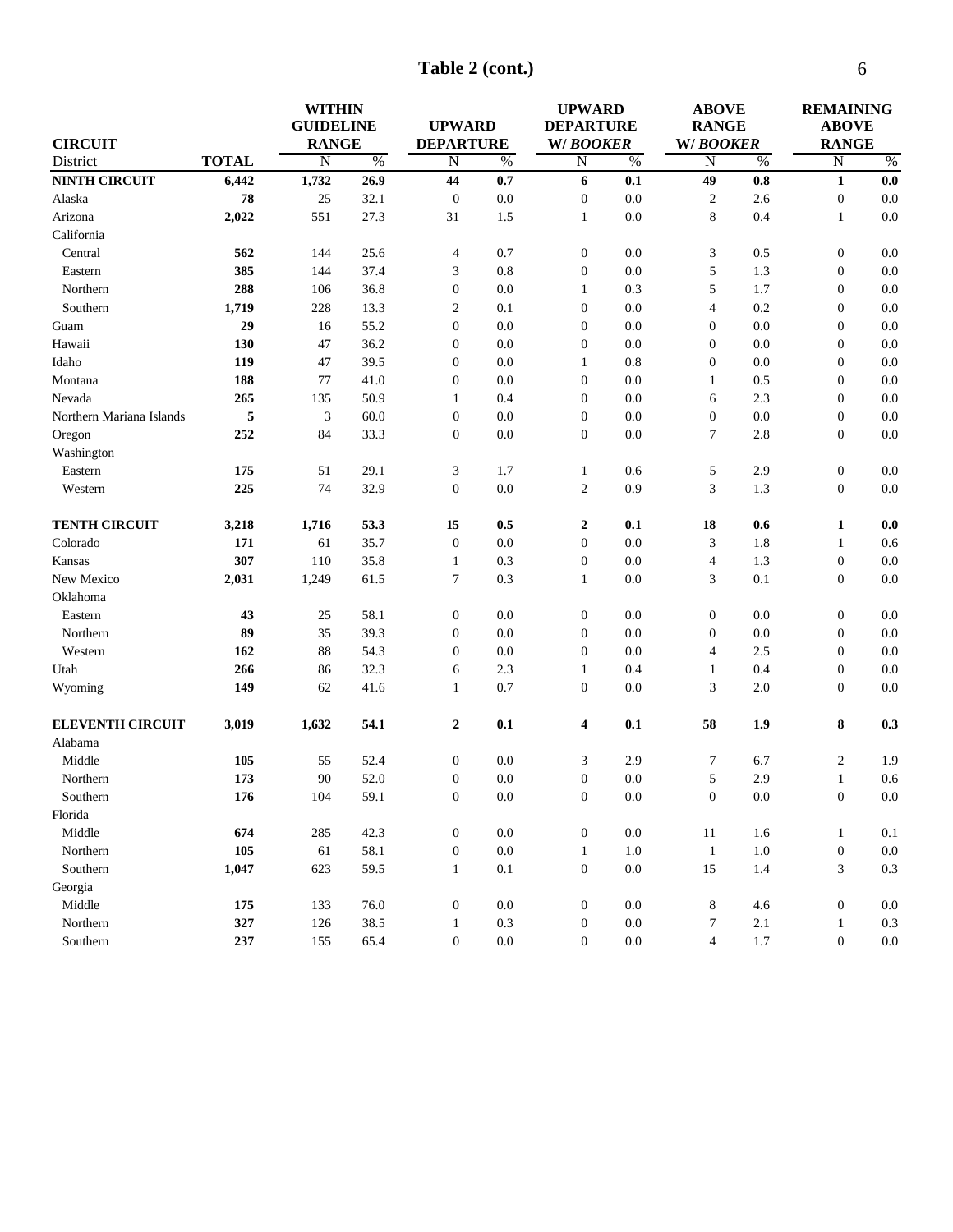**Table 2 (cont.)**

|                          |              | <b>WITHIN</b><br><b>GUIDELINE</b> |      | <b>UPWARD</b>      |               | <b>UPWARD</b><br><b>DEPARTURE</b> |               | <b>ABOVE</b><br><b>RANGE</b> |               | <b>REMAINING</b><br><b>ABOVE</b> |         |
|--------------------------|--------------|-----------------------------------|------|--------------------|---------------|-----------------------------------|---------------|------------------------------|---------------|----------------------------------|---------|
| <b>CIRCUIT</b>           |              | <b>RANGE</b>                      |      | <b>DEPARTURE</b>   |               | <b>W/BOOKER</b>                   |               | <b>W/BOOKER</b>              |               | <b>RANGE</b>                     |         |
| District                 | <b>TOTAL</b> | $\overline{\mathrm{N}}$           | $\%$ | $\overline{\rm N}$ | $\frac{0}{6}$ | $\overline{\mathrm{N}}$           | $\frac{0}{6}$ | $\overline{\mathrm{N}}$      | $\frac{0}{6}$ | N                                | $\%$    |
| <b>NINTH CIRCUIT</b>     | 6,442        | 1,732                             | 26.9 | 44                 | 0.7           | 6                                 | 0.1           | 49                           | 0.8           | $\mathbf{1}$                     | 0.0     |
| Alaska                   | 78           | 25                                | 32.1 | $\boldsymbol{0}$   | 0.0           | $\boldsymbol{0}$                  | 0.0           | $\overline{c}$               | 2.6           | $\boldsymbol{0}$                 | $0.0\,$ |
| Arizona                  | 2,022        | 551                               | 27.3 | 31                 | 1.5           | $\mathbf{1}$                      | 0.0           | 8                            | 0.4           | $\mathbf{1}$                     | 0.0     |
| California               |              |                                   |      |                    |               |                                   |               |                              |               |                                  |         |
| Central                  | 562          | 144                               | 25.6 | $\overline{4}$     | 0.7           | $\boldsymbol{0}$                  | 0.0           | 3                            | 0.5           | $\boldsymbol{0}$                 | 0.0     |
| Eastern                  | 385          | 144                               | 37.4 | 3                  | 0.8           | $\boldsymbol{0}$                  | 0.0           | 5                            | 1.3           | $\mathbf{0}$                     | 0.0     |
| Northern                 | 288          | 106                               | 36.8 | $\boldsymbol{0}$   | 0.0           | $\mathbf{1}$                      | 0.3           | 5                            | 1.7           | $\mathbf{0}$                     | 0.0     |
| Southern                 | 1,719        | 228                               | 13.3 | $\overline{c}$     | 0.1           | $\theta$                          | 0.0           | $\overline{\mathbf{4}}$      | 0.2           | $\mathbf{0}$                     | 0.0     |
| Guam                     | 29           | 16                                | 55.2 | $\mathbf{0}$       | 0.0           | $\theta$                          | 0.0           | $\boldsymbol{0}$             | 0.0           | $\theta$                         | 0.0     |
| Hawaii                   | 130          | 47                                | 36.2 | $\boldsymbol{0}$   | 0.0           | $\mathbf{0}$                      | 0.0           | $\boldsymbol{0}$             | 0.0           | $\boldsymbol{0}$                 | 0.0     |
| Idaho                    | 119          | 47                                | 39.5 | $\boldsymbol{0}$   | 0.0           | 1                                 | 0.8           | $\boldsymbol{0}$             | 0.0           | $\boldsymbol{0}$                 | 0.0     |
| Montana                  | 188          | 77                                | 41.0 | $\boldsymbol{0}$   | 0.0           | $\mathbf{0}$                      | 0.0           | $\mathbf{1}$                 | 0.5           | $\boldsymbol{0}$                 | 0.0     |
| Nevada                   | 265          | 135                               | 50.9 | 1                  | 0.4           | $\mathbf{0}$                      | 0.0           | 6                            | 2.3           | $\boldsymbol{0}$                 | 0.0     |
| Northern Mariana Islands | 5            | 3                                 | 60.0 | $\boldsymbol{0}$   | 0.0           | $\mathbf{0}$                      | 0.0           | $\boldsymbol{0}$             | 0.0           | $\boldsymbol{0}$                 | 0.0     |
| Oregon                   | 252          | 84                                | 33.3 | $\boldsymbol{0}$   | 0.0           | $\boldsymbol{0}$                  | 0.0           | 7                            | 2.8           | $\mathbf{0}$                     | 0.0     |
| Washington               |              |                                   |      |                    |               |                                   |               |                              |               |                                  |         |
| Eastern                  | 175          | 51                                | 29.1 | 3                  | 1.7           | $\mathbf{1}$                      | 0.6           | 5                            | 2.9           | $\mathbf{0}$                     | 0.0     |
| Western                  | 225          | 74                                | 32.9 | $\boldsymbol{0}$   | 0.0           | $\overline{c}$                    | 0.9           | 3                            | 1.3           | $\mathbf{0}$                     | 0.0     |
| <b>TENTH CIRCUIT</b>     | 3,218        | 1,716                             | 53.3 | 15                 | 0.5           | $\boldsymbol{2}$                  | 0.1           | 18                           | 0.6           | 1                                | 0.0     |
| Colorado                 | 171          | 61                                | 35.7 | $\mathbf{0}$       | 0.0           | $\mathbf{0}$                      | 0.0           | 3                            | 1.8           | 1                                | 0.6     |
| Kansas                   | 307          | 110                               | 35.8 | $\mathbf{1}$       | 0.3           | $\mathbf{0}$                      | 0.0           | $\overline{4}$               | 1.3           | $\mathbf{0}$                     | 0.0     |
| New Mexico               | 2,031        | 1,249                             | 61.5 | $\overline{7}$     | 0.3           | $\mathbf{1}$                      | 0.0           | 3                            | 0.1           | $\mathbf{0}$                     | 0.0     |
| Oklahoma                 |              |                                   |      |                    |               |                                   |               |                              |               |                                  |         |
| Eastern                  | 43           | 25                                | 58.1 | $\boldsymbol{0}$   | 0.0           | $\boldsymbol{0}$                  | 0.0           | $\boldsymbol{0}$             | 0.0           | $\mathbf{0}$                     | 0.0     |
| Northern                 | 89           | 35                                | 39.3 | $\mathbf{0}$       | 0.0           | $\overline{0}$                    | 0.0           | $\boldsymbol{0}$             | 0.0           | $\boldsymbol{0}$                 | 0.0     |
| Western                  | 162          | 88                                | 54.3 | $\mathbf{0}$       | 0.0           | $\theta$                          | 0.0           | $\overline{4}$               | 2.5           | $\boldsymbol{0}$                 | 0.0     |
| Utah                     | 266          | 86                                | 32.3 | 6                  | 2.3           | 1                                 | 0.4           | 1                            | 0.4           | $\boldsymbol{0}$                 | 0.0     |
| Wyoming                  | 149          | 62                                | 41.6 | $\mathbf{1}$       | 0.7           | $\overline{0}$                    | 0.0           | 3                            | 2.0           | $\mathbf{0}$                     | 0.0     |
| <b>ELEVENTH CIRCUIT</b>  | 3,019        | 1,632                             | 54.1 | $\mathbf{2}$       | 0.1           | 4                                 | 0.1           | 58                           | 1.9           | 8                                | 0.3     |
| Alabama                  |              |                                   |      |                    |               |                                   |               |                              |               |                                  |         |
| Middle                   | 105          | 55                                | 52.4 | $\boldsymbol{0}$   | 0.0           | 3                                 | 2.9           | 7                            | 6.7           | $\mathfrak{2}$                   | 1.9     |
| Northern                 | 173          | 90                                | 52.0 | $\boldsymbol{0}$   | 0.0           | $\boldsymbol{0}$                  | 0.0           | 5                            | 2.9           | $\mathbf{1}$                     | 0.6     |
| Southern                 | ${\bf 176}$  | 104                               | 59.1 | $\boldsymbol{0}$   | $0.0\,$       | $\boldsymbol{0}$                  | $0.0\,$       | $\boldsymbol{0}$             | $0.0\,$       | $\boldsymbol{0}$                 | $0.0\,$ |
| Florida                  |              |                                   |      |                    |               |                                   |               |                              |               |                                  |         |
| Middle                   | 674          | 285                               | 42.3 | $\mathbf{0}$       | $0.0\,$       | $\boldsymbol{0}$                  | $0.0\,$       | 11                           | 1.6           | $\mathbf{1}$                     | 0.1     |
| Northern                 | 105          | 61                                | 58.1 | $\boldsymbol{0}$   | $0.0\,$       | $\mathbf{1}$                      | $1.0\,$       | $\mathbf{1}$                 | $1.0\,$       | $\boldsymbol{0}$                 | $0.0\,$ |
| Southern                 | 1,047        | 623                               | 59.5 | $\mathbf{1}$       | $0.1\,$       | $\boldsymbol{0}$                  | $0.0\,$       | 15                           | 1.4           | 3                                | $0.3\,$ |
| Georgia                  |              |                                   |      |                    |               |                                   |               |                              |               |                                  |         |
| Middle                   | 175          | 133                               | 76.0 | $\boldsymbol{0}$   | $0.0\,$       | $\boldsymbol{0}$                  | $0.0\,$       | 8                            | 4.6           | $\mathbf{0}$                     | $0.0\,$ |
| Northern                 | 327          | 126                               | 38.5 | 1                  | $0.3\,$       | $\boldsymbol{0}$                  | $0.0\,$       | 7                            | $2.1\,$       | $\mathbf{1}$                     | 0.3     |
| Southern                 | 237          | 155                               | 65.4 | $\boldsymbol{0}$   | $0.0\,$       | $\boldsymbol{0}$                  | $0.0\,$       | $\overline{4}$               | $1.7\,$       | $\boldsymbol{0}$                 | $0.0\,$ |
|                          |              |                                   |      |                    |               |                                   |               |                              |               |                                  |         |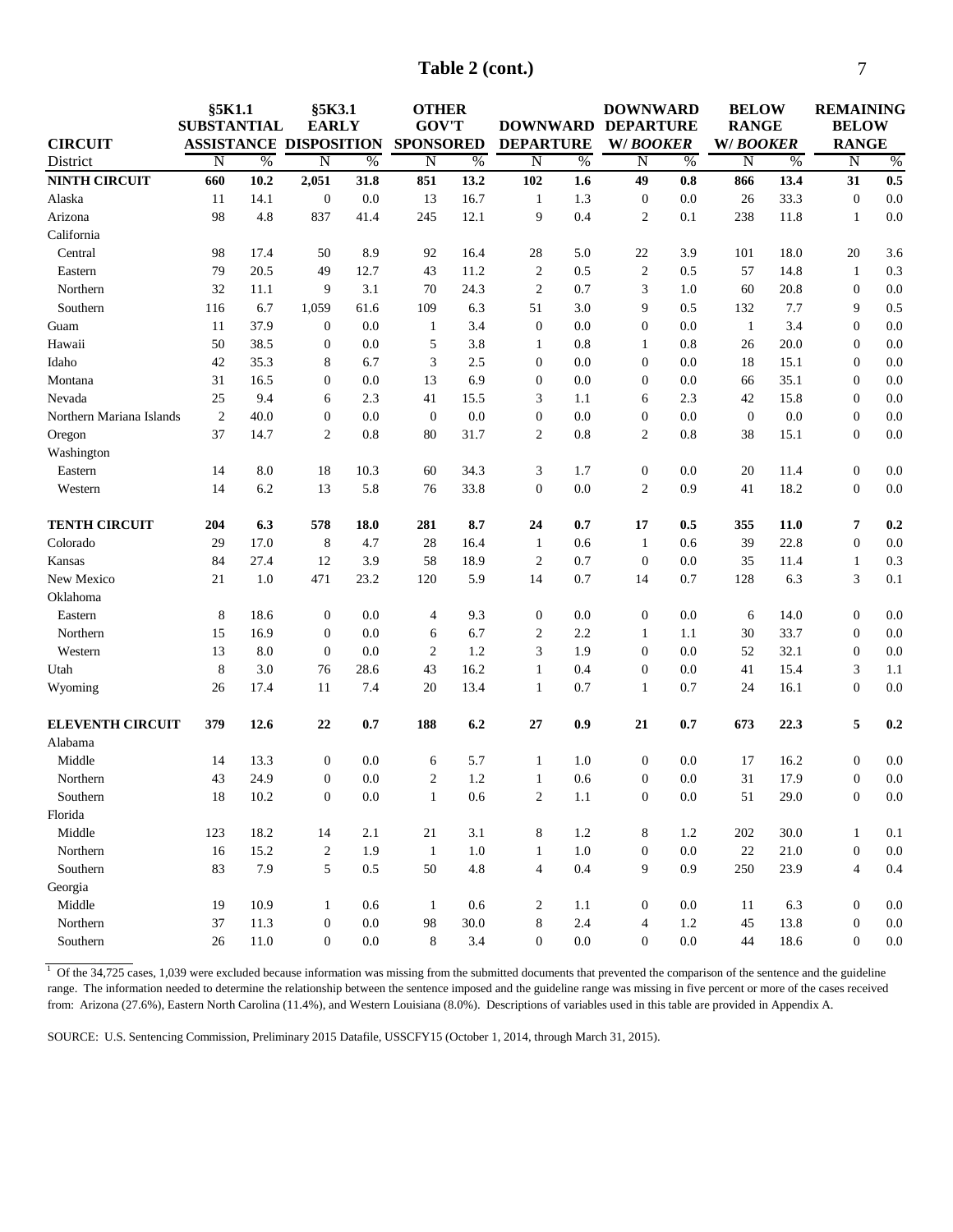| Table 2 (cont.) |
|-----------------|
|                 |

| <b>CIRCUIT</b>           | §5K1.1<br><b>SUBSTANTIAL</b> |               | §5K3.1<br><b>EARLY</b><br><b>ASSISTANCE DISPOSITION</b> |               | <b>OTHER</b><br><b>GOV'T</b><br><b>SPONSORED</b> |               | <b>DEPARTURE</b> |               | <b>DOWNWARD</b><br>DOWNWARD DEPARTURE<br>W/BOOKER |               | <b>BELOW</b><br><b>RANGE</b><br>W/BOOKER |      | <b>REMAINING</b><br><b>BELOW</b><br><b>RANGE</b> |         |
|--------------------------|------------------------------|---------------|---------------------------------------------------------|---------------|--------------------------------------------------|---------------|------------------|---------------|---------------------------------------------------|---------------|------------------------------------------|------|--------------------------------------------------|---------|
| District                 | N                            | $\frac{0}{6}$ | Ñ                                                       | $\frac{0}{6}$ | $\overline{\rm N}$                               | $\frac{0}{6}$ | $\overline{N}$   | $\frac{0}{6}$ | N                                                 | $\frac{0}{6}$ | $\overline{\rm N}$                       | %    | $\overline{\rm N}$                               | $\%$    |
| <b>NINTH CIRCUIT</b>     | 660                          | 10.2          | 2,051                                                   | 31.8          | 851                                              | 13.2          | 102              | 1.6           | 49                                                | $0.8\,$       | 866                                      | 13.4 | 31                                               | 0.5     |
| Alaska                   | 11                           | 14.1          | $\boldsymbol{0}$                                        | 0.0           | 13                                               | 16.7          | $\mathbf{1}$     | 1.3           | $\boldsymbol{0}$                                  | 0.0           | 26                                       | 33.3 | $\boldsymbol{0}$                                 | 0.0     |
| Arizona                  | 98                           | 4.8           | 837                                                     | 41.4          | 245                                              | 12.1          | 9                | 0.4           | $\overline{2}$                                    | 0.1           | 238                                      | 11.8 | $\mathbf{1}$                                     | 0.0     |
| California               |                              |               |                                                         |               |                                                  |               |                  |               |                                                   |               |                                          |      |                                                  |         |
| Central                  | 98                           | 17.4          | 50                                                      | 8.9           | 92                                               | 16.4          | 28               | 5.0           | 22                                                | 3.9           | 101                                      | 18.0 | 20                                               | 3.6     |
| Eastern                  | 79                           | 20.5          | 49                                                      | 12.7          | 43                                               | 11.2          | $\sqrt{2}$       | 0.5           | $\sqrt{2}$                                        | 0.5           | 57                                       | 14.8 | $\mathbf{1}$                                     | 0.3     |
| Northern                 | 32                           | 11.1          | 9                                                       | 3.1           | 70                                               | 24.3          | $\sqrt{2}$       | 0.7           | 3                                                 | 1.0           | 60                                       | 20.8 | $\boldsymbol{0}$                                 | 0.0     |
| Southern                 | 116                          | 6.7           | 1,059                                                   | 61.6          | 109                                              | 6.3           | 51               | 3.0           | 9                                                 | 0.5           | 132                                      | 7.7  | 9                                                | 0.5     |
| Guam                     | 11                           | 37.9          | $\boldsymbol{0}$                                        | 0.0           | $\mathbf{1}$                                     | 3.4           | $\mathbf{0}$     | 0.0           | $\boldsymbol{0}$                                  | 0.0           | $\mathbf{1}$                             | 3.4  | $\boldsymbol{0}$                                 | 0.0     |
| Hawaii                   | 50                           | 38.5          | $\boldsymbol{0}$                                        | 0.0           | 5                                                | 3.8           | 1                | 0.8           | 1                                                 | 0.8           | 26                                       | 20.0 | $\boldsymbol{0}$                                 | 0.0     |
| Idaho                    | 42                           | 35.3          | 8                                                       | 6.7           | 3                                                | 2.5           | $\boldsymbol{0}$ | 0.0           | $\boldsymbol{0}$                                  | 0.0           | 18                                       | 15.1 | $\boldsymbol{0}$                                 | 0.0     |
| Montana                  | 31                           | 16.5          | $\boldsymbol{0}$                                        | 0.0           | 13                                               | 6.9           | $\boldsymbol{0}$ | 0.0           | $\boldsymbol{0}$                                  | 0.0           | 66                                       | 35.1 | $\boldsymbol{0}$                                 | 0.0     |
| Nevada                   | 25                           | 9.4           | 6                                                       | 2.3           | 41                                               | 15.5          | 3                | 1.1           | 6                                                 | 2.3           | 42                                       | 15.8 | $\boldsymbol{0}$                                 | 0.0     |
| Northern Mariana Islands | $\overline{2}$               | 40.0          | $\boldsymbol{0}$                                        | 0.0           | $\mathbf{0}$                                     | 0.0           | $\boldsymbol{0}$ | 0.0           | $\boldsymbol{0}$                                  | 0.0           | $\mathbf{0}$                             | 0.0  | $\mathbf{0}$                                     | 0.0     |
| Oregon                   | 37                           | 14.7          | $\overline{2}$                                          | 0.8           | 80                                               | 31.7          | $\overline{2}$   | 0.8           | $\overline{c}$                                    | 0.8           | 38                                       | 15.1 | $\boldsymbol{0}$                                 | 0.0     |
| Washington               |                              |               |                                                         |               |                                                  |               |                  |               |                                                   |               |                                          |      |                                                  |         |
| Eastern                  | 14                           | 8.0           | 18                                                      | 10.3          | 60                                               | 34.3          | 3                | 1.7           | $\boldsymbol{0}$                                  | 0.0           | 20                                       | 11.4 | $\boldsymbol{0}$                                 | 0.0     |
| Western                  | 14                           | 6.2           | 13                                                      | 5.8           | 76                                               | 33.8          | $\mathbf{0}$     | 0.0           | $\overline{c}$                                    | 0.9           | 41                                       | 18.2 | $\boldsymbol{0}$                                 | 0.0     |
| <b>TENTH CIRCUIT</b>     | 204                          | 6.3           | 578                                                     | 18.0          | 281                                              | 8.7           | 24               | 0.7           | 17                                                | 0.5           | 355                                      | 11.0 | 7                                                | 0.2     |
| Colorado                 | 29                           | 17.0          | 8                                                       | 4.7           | 28                                               | 16.4          | $\mathbf{1}$     | 0.6           | $\mathbf{1}$                                      | 0.6           | 39                                       | 22.8 | $\boldsymbol{0}$                                 | 0.0     |
| Kansas                   | 84                           | 27.4          | 12                                                      | 3.9           | 58                                               | 18.9          | $\sqrt{2}$       | 0.7           | $\boldsymbol{0}$                                  | 0.0           | 35                                       | 11.4 | $\mathbf{1}$                                     | 0.3     |
| New Mexico               | 21                           | 1.0           | 471                                                     | 23.2          | 120                                              | 5.9           | 14               | 0.7           | 14                                                | 0.7           | 128                                      | 6.3  | $\mathfrak z$                                    | 0.1     |
| Oklahoma                 |                              |               |                                                         |               |                                                  |               |                  |               |                                                   |               |                                          |      |                                                  |         |
| Eastern                  | 8                            | 18.6          | $\boldsymbol{0}$                                        | 0.0           | $\overline{4}$                                   | 9.3           | $\mathbf{0}$     | 0.0           | $\boldsymbol{0}$                                  | 0.0           | 6                                        | 14.0 | $\boldsymbol{0}$                                 | 0.0     |
| Northern                 | 15                           | 16.9          | $\boldsymbol{0}$                                        | 0.0           | 6                                                | 6.7           | $\overline{c}$   | 2.2           | 1                                                 | 1.1           | 30                                       | 33.7 | $\boldsymbol{0}$                                 | 0.0     |
| Western                  | 13                           | 8.0           | $\boldsymbol{0}$                                        | 0.0           | $\overline{c}$                                   | 1.2           | 3                | 1.9           | $\boldsymbol{0}$                                  | 0.0           | 52                                       | 32.1 | $\boldsymbol{0}$                                 | $0.0\,$ |
| Utah                     | 8                            | 3.0           | 76                                                      | 28.6          | 43                                               | 16.2          | $\mathbf{1}$     | 0.4           | $\boldsymbol{0}$                                  | 0.0           | 41                                       | 15.4 | $\mathfrak z$                                    | 1.1     |
| Wyoming                  | 26                           | 17.4          | 11                                                      | 7.4           | 20                                               | 13.4          | $\mathbf{1}$     | 0.7           | 1                                                 | 0.7           | 24                                       | 16.1 | $\boldsymbol{0}$                                 | 0.0     |
| <b>ELEVENTH CIRCUIT</b>  | 379                          | 12.6          | 22                                                      | 0.7           | 188                                              | 6.2           | 27               | 0.9           | 21                                                | 0.7           | 673                                      | 22.3 | 5                                                | 0.2     |
| Alabama                  |                              |               |                                                         |               |                                                  |               |                  |               |                                                   |               |                                          |      |                                                  |         |
| Middle                   | 14                           | 13.3          | $\boldsymbol{0}$                                        | 0.0           | 6                                                | 5.7           | $\mathbf{1}$     | 1.0           | $\boldsymbol{0}$                                  | 0.0           | 17                                       | 16.2 | $\boldsymbol{0}$                                 | $0.0\,$ |
| Northern                 | 43                           | 24.9          | $\boldsymbol{0}$                                        | 0.0           | $\overline{2}$                                   | 1.2           | $\mathbf{1}$     | 0.6           | $\mathbf{0}$                                      | 0.0           | 31                                       | 17.9 | $\boldsymbol{0}$                                 | 0.0     |
| Southern                 | 18                           | 10.2          | $\bf{0}$                                                | 0.0           | 1                                                | 0.6           | 2                | 1.1           | $\bf{0}$                                          | $0.0\,$       | 51                                       | 29.0 | $\bf{0}$                                         | 0.0     |
| Florida                  |                              |               |                                                         |               |                                                  |               |                  |               |                                                   |               |                                          |      |                                                  |         |
| Middle                   | 123                          | 18.2          | 14                                                      | 2.1           | 21                                               | 3.1           | 8                | 1.2           | 8                                                 | 1.2           | 202                                      | 30.0 | $\mathbf{1}$                                     | 0.1     |
| Northern                 | 16                           | 15.2          | $\boldsymbol{2}$                                        | 1.9           | -1                                               | 1.0           | $\mathbf{1}$     | $1.0\,$       | $\boldsymbol{0}$                                  | $0.0\,$       | 22                                       | 21.0 | $\boldsymbol{0}$                                 | $0.0\,$ |
| Southern                 | 83                           | 7.9           | $\sqrt{5}$                                              | 0.5           | 50                                               | 4.8           | $\overline{4}$   | 0.4           | 9                                                 | 0.9           | 250                                      | 23.9 | $\overline{4}$                                   | 0.4     |
| Georgia                  |                              |               |                                                         |               |                                                  |               |                  |               |                                                   |               |                                          |      |                                                  |         |
| Middle                   | 19                           | 10.9          | $\mathbf{1}$                                            | 0.6           | 1                                                | 0.6           | $\boldsymbol{2}$ | 1.1           | $\boldsymbol{0}$                                  | 0.0           | 11                                       | 6.3  | $\mathbf{0}$                                     | 0.0     |
| Northern                 | 37                           | 11.3          | $\boldsymbol{0}$                                        | $0.0\,$       | 98                                               | 30.0          | $8\,$            | 2.4           | 4                                                 | 1.2           | 45                                       | 13.8 | $\boldsymbol{0}$                                 | $0.0\,$ |
| Southern                 | 26                           | 11.0          | $\boldsymbol{0}$                                        | $0.0\,$       | 8                                                | 3.4           | $\boldsymbol{0}$ | $0.0\,$       | $\boldsymbol{0}$                                  | $0.0\,$       | 44                                       | 18.6 | $\boldsymbol{0}$                                 | $0.0\,$ |

 $1$  Of the 34,725 cases, 1,039 were excluded because information was missing from the submitted documents that prevented the comparison of the sentence and the guideline range. The information needed to determine the relationship between the sentence imposed and the guideline range was missing in five percent or more of the cases received from: Arizona (27.6%), Eastern North Carolina (11.4%), and Western Louisiana (8.0%). Descriptions of variables used in this table are provided in Appendix A.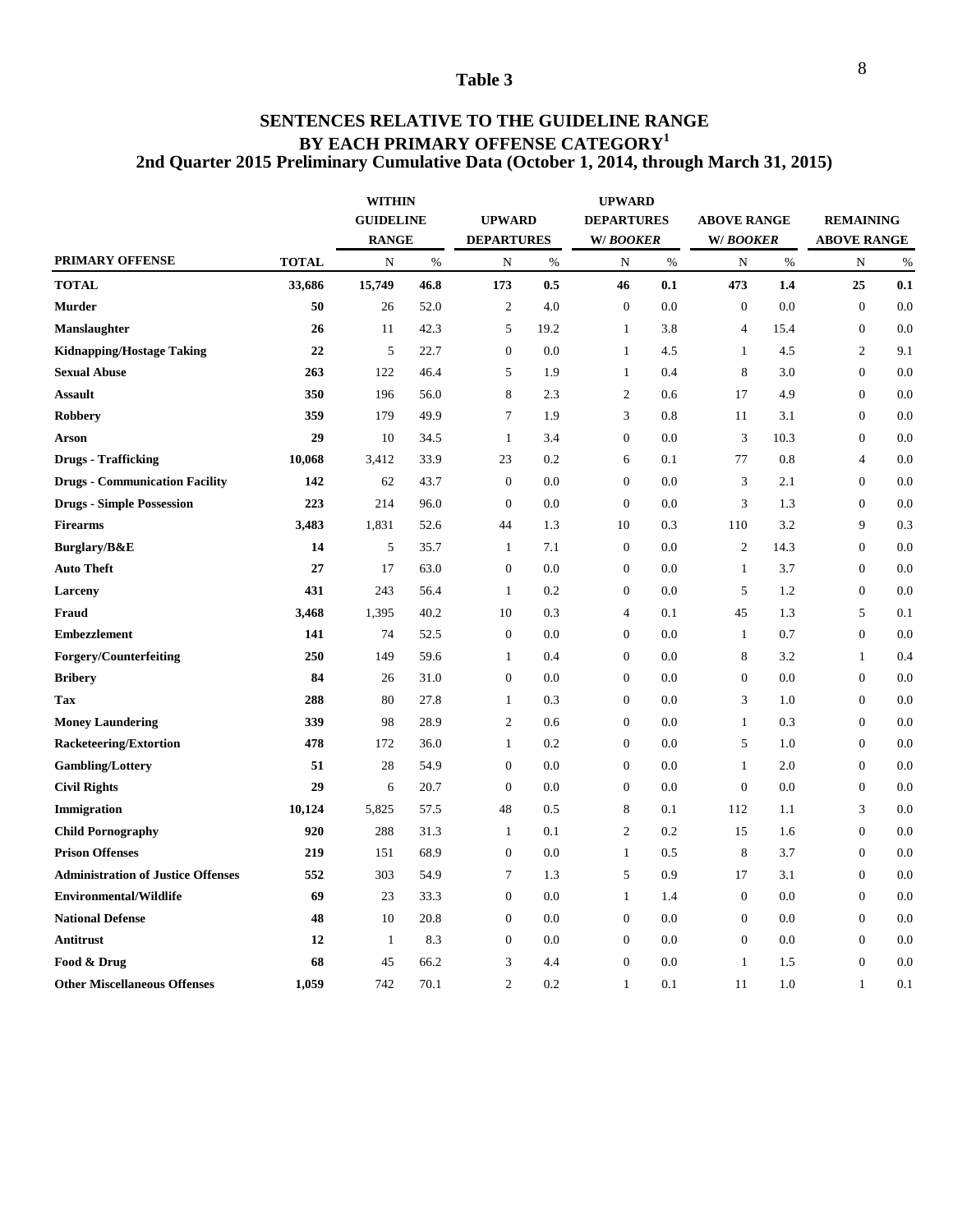### **SENTENCES RELATIVE TO THE GUIDELINE RANGE BY EACH PRIMARY OFFENSE CATEGORY<sup>1</sup> 2nd Quarter 2015 Preliminary Cumulative Data (October 1, 2014, through March 31, 2015)**

|                                           |              | <b>WITHIN</b><br><b>GUIDELINE</b><br><b>RANGE</b> |      | <b>UPWARD</b><br><b>DEPARTURES</b> |      | <b>UPWARD</b><br><b>DEPARTURES</b><br>W/BOOKER |      | <b>ABOVE RANGE</b><br>W/BOOKER |      | <b>REMAINING</b><br><b>ABOVE RANGE</b> |      |
|-------------------------------------------|--------------|---------------------------------------------------|------|------------------------------------|------|------------------------------------------------|------|--------------------------------|------|----------------------------------------|------|
| <b>PRIMARY OFFENSE</b>                    | <b>TOTAL</b> | N                                                 | $\%$ | N                                  | $\%$ | N                                              | $\%$ | N                              | $\%$ | N                                      | $\%$ |
| <b>TOTAL</b>                              | 33,686       | 15,749                                            | 46.8 | 173                                | 0.5  | 46                                             | 0.1  | 473                            | 1.4  | 25                                     | 0.1  |
| <b>Murder</b>                             | 50           | 26                                                | 52.0 | $\sqrt{2}$                         | 4.0  | $\mathbf{0}$                                   | 0.0  | $\overline{0}$                 | 0.0  | $\overline{0}$                         | 0.0  |
| Manslaughter                              | 26           | 11                                                | 42.3 | 5                                  | 19.2 | $\mathbf{1}$                                   | 3.8  | $\overline{4}$                 | 15.4 | $\boldsymbol{0}$                       | 0.0  |
| <b>Kidnapping/Hostage Taking</b>          | 22           | 5                                                 | 22.7 | $\boldsymbol{0}$                   | 0.0  | $\mathbf{1}$                                   | 4.5  | $\mathbf{1}$                   | 4.5  | $\overline{c}$                         | 9.1  |
| <b>Sexual Abuse</b>                       | 263          | 122                                               | 46.4 | 5                                  | 1.9  | $\mathbf{1}$                                   | 0.4  | 8                              | 3.0  | $\boldsymbol{0}$                       | 0.0  |
| <b>Assault</b>                            | 350          | 196                                               | 56.0 | 8                                  | 2.3  | $\overline{c}$                                 | 0.6  | 17                             | 4.9  | $\boldsymbol{0}$                       | 0.0  |
| Robbery                                   | 359          | 179                                               | 49.9 | $\tau$                             | 1.9  | $\sqrt{3}$                                     | 0.8  | 11                             | 3.1  | $\boldsymbol{0}$                       | 0.0  |
| Arson                                     | 29           | 10                                                | 34.5 | $\mathbf{1}$                       | 3.4  | $\boldsymbol{0}$                               | 0.0  | 3                              | 10.3 | $\boldsymbol{0}$                       | 0.0  |
| <b>Drugs - Trafficking</b>                | 10,068       | 3,412                                             | 33.9 | 23                                 | 0.2  | 6                                              | 0.1  | 77                             | 0.8  | $\overline{4}$                         | 0.0  |
| <b>Drugs - Communication Facility</b>     | 142          | 62                                                | 43.7 | $\boldsymbol{0}$                   | 0.0  | $\boldsymbol{0}$                               | 0.0  | 3                              | 2.1  | $\boldsymbol{0}$                       | 0.0  |
| <b>Drugs - Simple Possession</b>          | 223          | 214                                               | 96.0 | $\overline{0}$                     | 0.0  | $\mathbf{0}$                                   | 0.0  | 3                              | 1.3  | $\boldsymbol{0}$                       | 0.0  |
| <b>Firearms</b>                           | 3,483        | 1,831                                             | 52.6 | 44                                 | 1.3  | 10                                             | 0.3  | 110                            | 3.2  | 9                                      | 0.3  |
| Burglary/B&E                              | 14           | 5                                                 | 35.7 | $\mathbf{1}$                       | 7.1  | $\boldsymbol{0}$                               | 0.0  | $\overline{2}$                 | 14.3 | $\boldsymbol{0}$                       | 0.0  |
| <b>Auto Theft</b>                         | 27           | 17                                                | 63.0 | $\boldsymbol{0}$                   | 0.0  | $\boldsymbol{0}$                               | 0.0  | $\mathbf{1}$                   | 3.7  | $\boldsymbol{0}$                       | 0.0  |
| Larceny                                   | 431          | 243                                               | 56.4 | 1                                  | 0.2  | $\boldsymbol{0}$                               | 0.0  | 5                              | 1.2  | $\boldsymbol{0}$                       | 0.0  |
| <b>Fraud</b>                              | 3,468        | 1,395                                             | 40.2 | 10                                 | 0.3  | $\overline{4}$                                 | 0.1  | 45                             | 1.3  | 5                                      | 0.1  |
| <b>Embezzlement</b>                       | 141          | 74                                                | 52.5 | $\boldsymbol{0}$                   | 0.0  | $\boldsymbol{0}$                               | 0.0  | 1                              | 0.7  | $\boldsymbol{0}$                       | 0.0  |
| <b>Forgery/Counterfeiting</b>             | 250          | 149                                               | 59.6 | 1                                  | 0.4  | $\boldsymbol{0}$                               | 0.0  | 8                              | 3.2  | $\mathbf{1}$                           | 0.4  |
| <b>Bribery</b>                            | 84           | 26                                                | 31.0 | $\overline{0}$                     | 0.0  | $\overline{0}$                                 | 0.0  | $\overline{0}$                 | 0.0  | $\boldsymbol{0}$                       | 0.0  |
| Tax                                       | 288          | 80                                                | 27.8 | $\mathbf{1}$                       | 0.3  | $\overline{0}$                                 | 0.0  | 3                              | 1.0  | $\boldsymbol{0}$                       | 0.0  |
| <b>Money Laundering</b>                   | 339          | 98                                                | 28.9 | $\overline{2}$                     | 0.6  | $\boldsymbol{0}$                               | 0.0  | $\mathbf{1}$                   | 0.3  | $\boldsymbol{0}$                       | 0.0  |
| <b>Racketeering/Extortion</b>             | 478          | 172                                               | 36.0 | $\mathbf{1}$                       | 0.2  | $\overline{0}$                                 | 0.0  | 5                              | 1.0  | $\overline{0}$                         | 0.0  |
| <b>Gambling/Lottery</b>                   | 51           | 28                                                | 54.9 | $\boldsymbol{0}$                   | 0.0  | $\boldsymbol{0}$                               | 0.0  | 1                              | 2.0  | $\boldsymbol{0}$                       | 0.0  |
| <b>Civil Rights</b>                       | 29           | 6                                                 | 20.7 | $\boldsymbol{0}$                   | 0.0  | $\boldsymbol{0}$                               | 0.0  | $\mathbf{0}$                   | 0.0  | $\boldsymbol{0}$                       | 0.0  |
| Immigration                               | 10,124       | 5,825                                             | 57.5 | 48                                 | 0.5  | 8                                              | 0.1  | 112                            | 1.1  | 3                                      | 0.0  |
| <b>Child Pornography</b>                  | 920          | 288                                               | 31.3 | $\mathbf{1}$                       | 0.1  | $\overline{c}$                                 | 0.2  | 15                             | 1.6  | $\boldsymbol{0}$                       | 0.0  |
| <b>Prison Offenses</b>                    | 219          | 151                                               | 68.9 | $\boldsymbol{0}$                   | 0.0  | $\mathbf{1}$                                   | 0.5  | $\,$ 8 $\,$                    | 3.7  | $\boldsymbol{0}$                       | 0.0  |
| <b>Administration of Justice Offenses</b> | 552          | 303                                               | 54.9 | $\tau$                             | 1.3  | 5                                              | 0.9  | 17                             | 3.1  | $\overline{0}$                         | 0.0  |
| <b>Environmental/Wildlife</b>             | 69           | 23                                                | 33.3 | $\boldsymbol{0}$                   | 0.0  | $\mathbf{1}$                                   | 1.4  | $\boldsymbol{0}$               | 0.0  | $\boldsymbol{0}$                       | 0.0  |
| <b>National Defense</b>                   | 48           | 10                                                | 20.8 | $\overline{0}$                     | 0.0  | $\mathbf{0}$                                   | 0.0  | $\mathbf{0}$                   | 0.0  | $\overline{0}$                         | 0.0  |
| Antitrust                                 | 12           | $\mathbf{1}$                                      | 8.3  | $\boldsymbol{0}$                   | 0.0  | $\boldsymbol{0}$                               | 0.0  | $\mathbf{0}$                   | 0.0  | $\overline{0}$                         | 0.0  |
| Food & Drug                               | 68           | 45                                                | 66.2 | 3                                  | 4.4  | $\boldsymbol{0}$                               | 0.0  | 1                              | 1.5  | $\boldsymbol{0}$                       | 0.0  |
| <b>Other Miscellaneous Offenses</b>       | 1,059        | 742                                               | 70.1 | $\overline{c}$                     | 0.2  | $\mathbf{1}$                                   | 0.1  | 11                             | 1.0  | $\mathbf{1}$                           | 0.1  |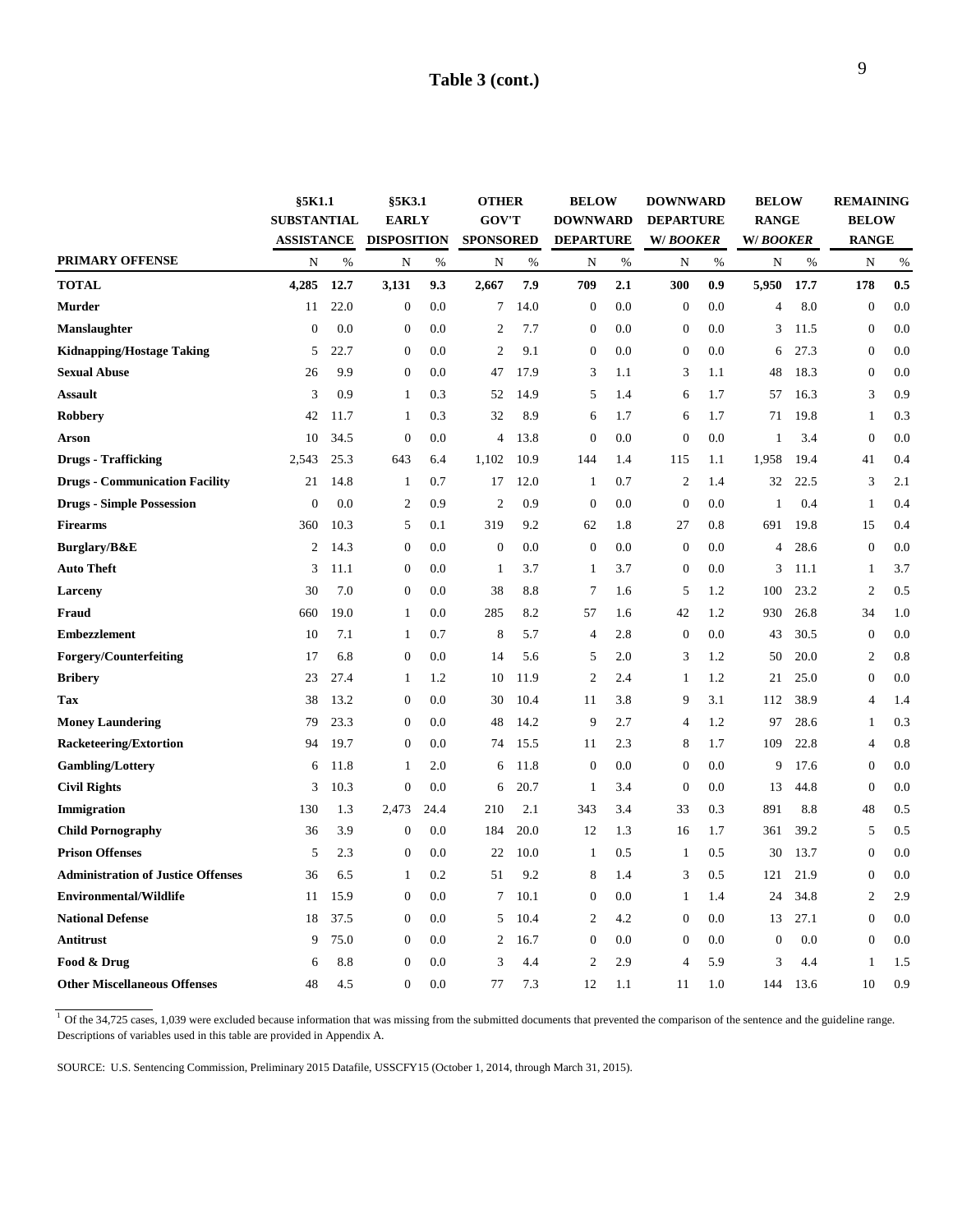### **Table 3 (cont.)**

|                                           | §5K1.1<br><b>SUBSTANTIAL</b> |      | §5K3.1<br><b>EARLY</b> |      | <b>OTHER</b><br><b>GOV'T</b> |      | <b>BELOW</b><br><b>DOWNWARD</b> |      | <b>DOWNWARD</b><br><b>DEPARTURE</b> |      | <b>BELOW</b><br><b>RANGE</b> |      | <b>REMAINING</b><br><b>BELOW</b> |      |
|-------------------------------------------|------------------------------|------|------------------------|------|------------------------------|------|---------------------------------|------|-------------------------------------|------|------------------------------|------|----------------------------------|------|
|                                           | <b>ASSISTANCE</b>            |      | <b>DISPOSITION</b>     |      | <b>SPONSORED</b>             |      | <b>DEPARTURE</b>                |      | W/BOOKER                            |      | W/BOOKER                     |      | <b>RANGE</b>                     |      |
| <b>PRIMARY OFFENSE</b>                    | N                            | $\%$ | N                      | $\%$ | N                            | $\%$ | N                               | $\%$ | N                                   | $\%$ | N                            | $\%$ | N                                | $\%$ |
| <b>TOTAL</b>                              | 4,285                        | 12.7 | 3,131                  | 9.3  | 2,667                        | 7.9  | 709                             | 2.1  | 300                                 | 0.9  | 5,950                        | 17.7 | 178                              | 0.5  |
| <b>Murder</b>                             | 11                           | 22.0 | $\boldsymbol{0}$       | 0.0  | $7\phantom{.0}$              | 14.0 | $\boldsymbol{0}$                | 0.0  | $\theta$                            | 0.0  | 4                            | 8.0  | $\boldsymbol{0}$                 | 0.0  |
| Manslaughter                              | $\theta$                     | 0.0  | $\boldsymbol{0}$       | 0.0  | $\overline{2}$               | 7.7  | $\mathbf{0}$                    | 0.0  | $\mathbf{0}$                        | 0.0  | 3                            | 11.5 | $\boldsymbol{0}$                 | 0.0  |
| <b>Kidnapping/Hostage Taking</b>          | 5                            | 22.7 | $\boldsymbol{0}$       | 0.0  | $\overline{2}$               | 9.1  | $\boldsymbol{0}$                | 0.0  | $\boldsymbol{0}$                    | 0.0  | 6                            | 27.3 | $\boldsymbol{0}$                 | 0.0  |
| <b>Sexual Abuse</b>                       | 26                           | 9.9  | $\boldsymbol{0}$       | 0.0  | 47                           | 17.9 | 3                               | 1.1  | 3                                   | 1.1  | 48                           | 18.3 | $\boldsymbol{0}$                 | 0.0  |
| <b>Assault</b>                            | 3                            | 0.9  | 1                      | 0.3  | 52                           | 14.9 | 5                               | 1.4  | 6                                   | 1.7  | 57                           | 16.3 | 3                                | 0.9  |
| Robbery                                   | 42                           | 11.7 | $\mathbf{1}$           | 0.3  | 32                           | 8.9  | 6                               | 1.7  | 6                                   | 1.7  | 71                           | 19.8 | $\mathbf{1}$                     | 0.3  |
| <b>Arson</b>                              | 10                           | 34.5 | $\boldsymbol{0}$       | 0.0  | 4                            | 13.8 | $\boldsymbol{0}$                | 0.0  | $\boldsymbol{0}$                    | 0.0  | 1                            | 3.4  | $\boldsymbol{0}$                 | 0.0  |
| <b>Drugs - Trafficking</b>                | 2,543                        | 25.3 | 643                    | 6.4  | 1,102                        | 10.9 | 144                             | 1.4  | 115                                 | 1.1  | 1,958                        | 19.4 | 41                               | 0.4  |
| <b>Drugs - Communication Facility</b>     | 21                           | 14.8 | $\mathbf{1}$           | 0.7  | 17                           | 12.0 | 1                               | 0.7  | $\overline{2}$                      | 1.4  | 32                           | 22.5 | 3                                | 2.1  |
| <b>Drugs - Simple Possession</b>          | $\mathbf{0}$                 | 0.0  | $\overline{2}$         | 0.9  | $\overline{2}$               | 0.9  | $\boldsymbol{0}$                | 0.0  | $\boldsymbol{0}$                    | 0.0  | 1                            | 0.4  | 1                                | 0.4  |
| <b>Firearms</b>                           | 360                          | 10.3 | 5                      | 0.1  | 319                          | 9.2  | 62                              | 1.8  | 27                                  | 0.8  | 691                          | 19.8 | 15                               | 0.4  |
| Burglary/B&E                              | 2                            | 14.3 | $\boldsymbol{0}$       | 0.0  | $\mathbf{0}$                 | 0.0  | $\mathbf{0}$                    | 0.0  | $\boldsymbol{0}$                    | 0.0  | 4                            | 28.6 | $\boldsymbol{0}$                 | 0.0  |
| <b>Auto Theft</b>                         | 3                            | 11.1 | $\boldsymbol{0}$       | 0.0  | -1                           | 3.7  | 1                               | 3.7  | $\boldsymbol{0}$                    | 0.0  | 3                            | 11.1 | 1                                | 3.7  |
| Larceny                                   | 30                           | 7.0  | $\boldsymbol{0}$       | 0.0  | 38                           | 8.8  | 7                               | 1.6  | 5                                   | 1.2  | 100                          | 23.2 | $\mathfrak{2}$                   | 0.5  |
| Fraud                                     | 660                          | 19.0 | 1                      | 0.0  | 285                          | 8.2  | 57                              | 1.6  | 42                                  | 1.2  | 930                          | 26.8 | 34                               | 1.0  |
| <b>Embezzlement</b>                       | 10                           | 7.1  | 1                      | 0.7  | 8                            | 5.7  | 4                               | 2.8  | $\boldsymbol{0}$                    | 0.0  | 43                           | 30.5 | $\boldsymbol{0}$                 | 0.0  |
| Forgery/Counterfeiting                    | 17                           | 6.8  | $\boldsymbol{0}$       | 0.0  | 14                           | 5.6  | 5                               | 2.0  | 3                                   | 1.2  | 50                           | 20.0 | 2                                | 0.8  |
| <b>Bribery</b>                            | 23                           | 27.4 | 1                      | 1.2  | 10                           | 11.9 | 2                               | 2.4  | 1                                   | 1.2  | 21                           | 25.0 | $\boldsymbol{0}$                 | 0.0  |
| Tax                                       | 38                           | 13.2 | $\boldsymbol{0}$       | 0.0  | 30                           | 10.4 | 11                              | 3.8  | 9                                   | 3.1  | 112                          | 38.9 | $\overline{4}$                   | 1.4  |
| <b>Money Laundering</b>                   | 79                           | 23.3 | $\boldsymbol{0}$       | 0.0  | 48                           | 14.2 | 9                               | 2.7  | $\overline{4}$                      | 1.2  | 97                           | 28.6 | 1                                | 0.3  |
| <b>Racketeering/Extortion</b>             | 94                           | 19.7 | $\boldsymbol{0}$       | 0.0  | 74                           | 15.5 | 11                              | 2.3  | 8                                   | 1.7  | 109                          | 22.8 | $\overline{4}$                   | 0.8  |
| <b>Gambling/Lottery</b>                   | 6                            | 11.8 | $\mathbf{1}$           | 2.0  | 6                            | 11.8 | $\mathbf 0$                     | 0.0  | $\boldsymbol{0}$                    | 0.0  | 9                            | 17.6 | $\boldsymbol{0}$                 | 0.0  |
| <b>Civil Rights</b>                       | 3                            | 10.3 | $\boldsymbol{0}$       | 0.0  | 6                            | 20.7 | 1                               | 3.4  | $\boldsymbol{0}$                    | 0.0  | 13                           | 44.8 | $\boldsymbol{0}$                 | 0.0  |
| Immigration                               | 130                          | 1.3  | 2,473                  | 24.4 | 210                          | 2.1  | 343                             | 3.4  | 33                                  | 0.3  | 891                          | 8.8  | 48                               | 0.5  |
| <b>Child Pornography</b>                  | 36                           | 3.9  | $\boldsymbol{0}$       | 0.0  | 184                          | 20.0 | 12                              | 1.3  | 16                                  | 1.7  | 361                          | 39.2 | 5                                | 0.5  |
| <b>Prison Offenses</b>                    | 5                            | 2.3  | $\boldsymbol{0}$       | 0.0  | 22                           | 10.0 | 1                               | 0.5  | 1                                   | 0.5  | 30                           | 13.7 | $\boldsymbol{0}$                 | 0.0  |
| <b>Administration of Justice Offenses</b> | 36                           | 6.5  | $\mathbf{1}$           | 0.2  | 51                           | 9.2  | 8                               | 1.4  | 3                                   | 0.5  | 121                          | 21.9 | $\boldsymbol{0}$                 | 0.0  |
| Environmental/Wildlife                    | 11                           | 15.9 | $\boldsymbol{0}$       | 0.0  | $\tau$                       | 10.1 | $\mathbf{0}$                    | 0.0  | 1                                   | 1.4  | 24                           | 34.8 | $\sqrt{2}$                       | 2.9  |
| <b>National Defense</b>                   | 18                           | 37.5 | $\boldsymbol{0}$       | 0.0  | 5                            | 10.4 | 2                               | 4.2  | $\overline{0}$                      | 0.0  | 13                           | 27.1 | $\boldsymbol{0}$                 | 0.0  |
| <b>Antitrust</b>                          | 9                            | 75.0 | $\boldsymbol{0}$       | 0.0  | $\overline{2}$               | 16.7 | $\mathbf{0}$                    | 0.0  | $\overline{0}$                      | 0.0  | $\overline{0}$               | 0.0  | $\overline{0}$                   | 0.0  |
| Food & Drug                               | 6                            | 8.8  | $\boldsymbol{0}$       | 0.0  | 3                            | 4.4  | $\overline{c}$                  | 2.9  | $\overline{4}$                      | 5.9  | 3                            | 4.4  | 1                                | 1.5  |
| <b>Other Miscellaneous Offenses</b>       | 48                           | 4.5  | $\overline{0}$         | 0.0  | 77                           | 7.3  | 12                              | 1.1  | 11                                  | 1.0  | 144                          | 13.6 | 10                               | 0.9  |

 $\frac{1}{1}$  Of the 34,725 cases, 1,039 were excluded because information that was missing from the submitted documents that prevented the comparison of the sentence and the guideline range. Descriptions of variables used in this table are provided in Appendix A.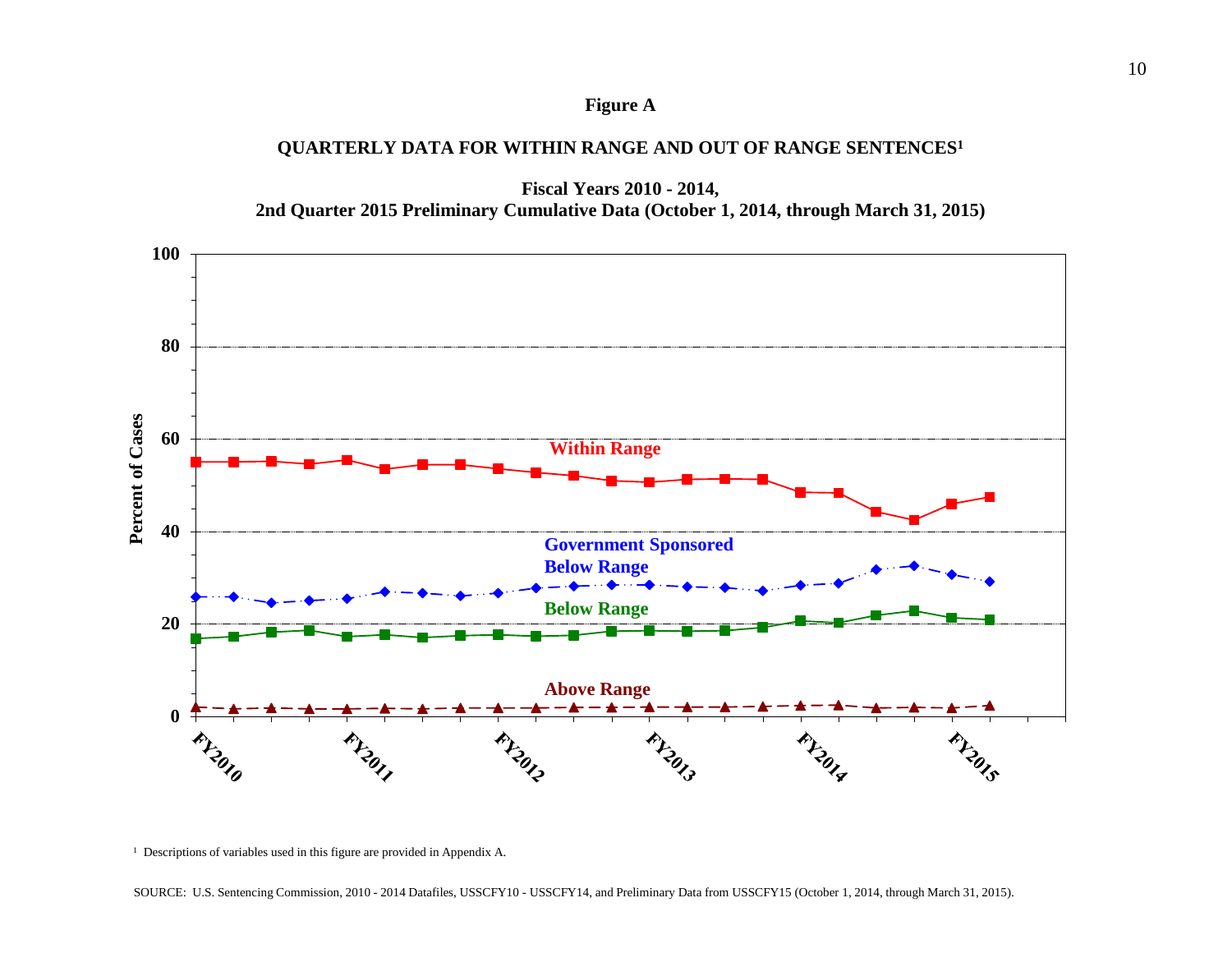### **Figure A**

### **QUARTERLY DATA FOR WITHIN RANGE AND OUT OF RANGE SENTENCES1**





<sup>&</sup>lt;sup>1</sup> Descriptions of variables used in this figure are provided in Appendix A.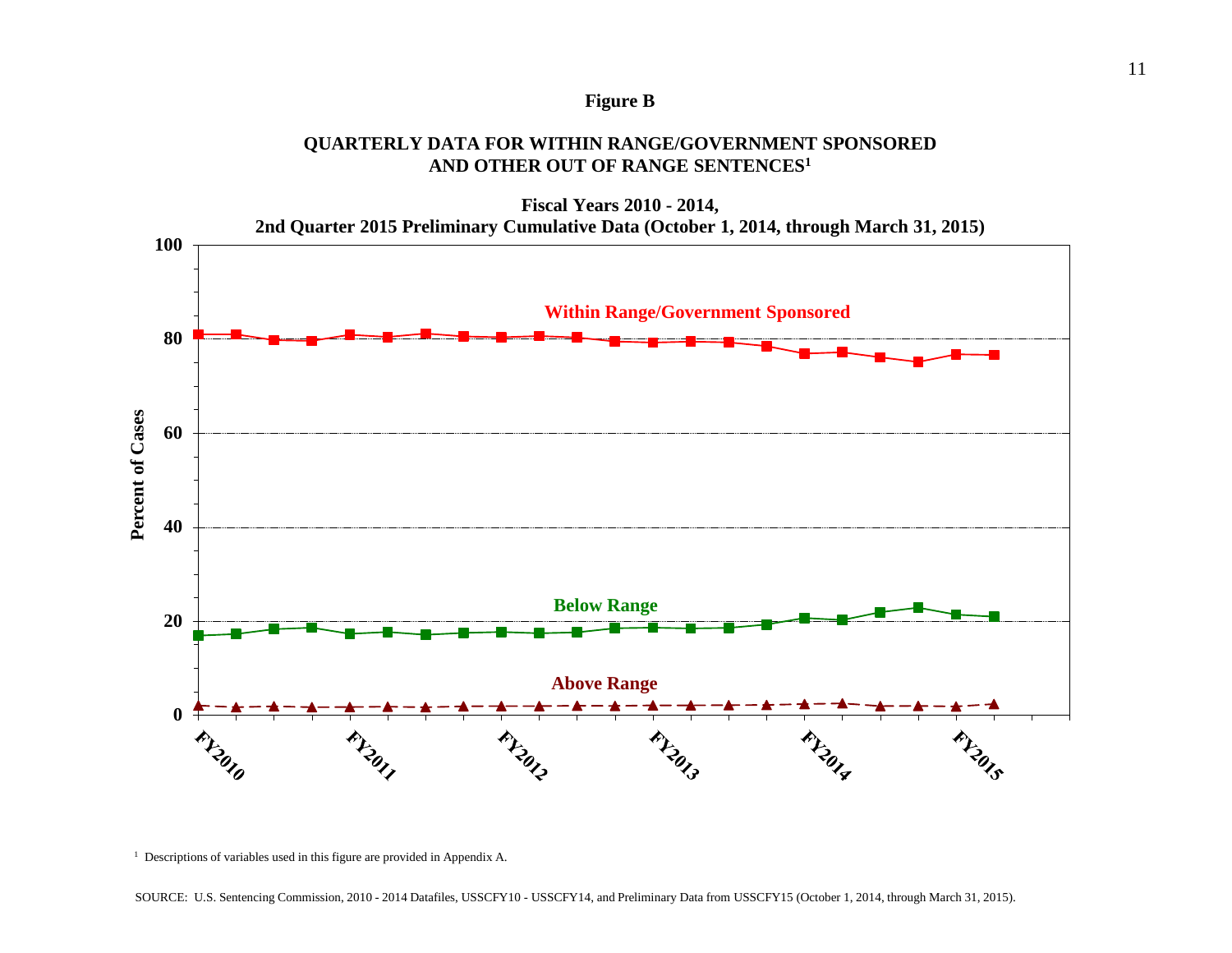### **Figure B**

### **QUARTERLY DATA FOR WITHIN RANGE/GOVERNMENT SPONSORED AND OTHER OUT OF RANGE SENTENCES1**



**Fiscal Years 2010 - 2014,**

<sup>&</sup>lt;sup>1</sup> Descriptions of variables used in this figure are provided in Appendix A.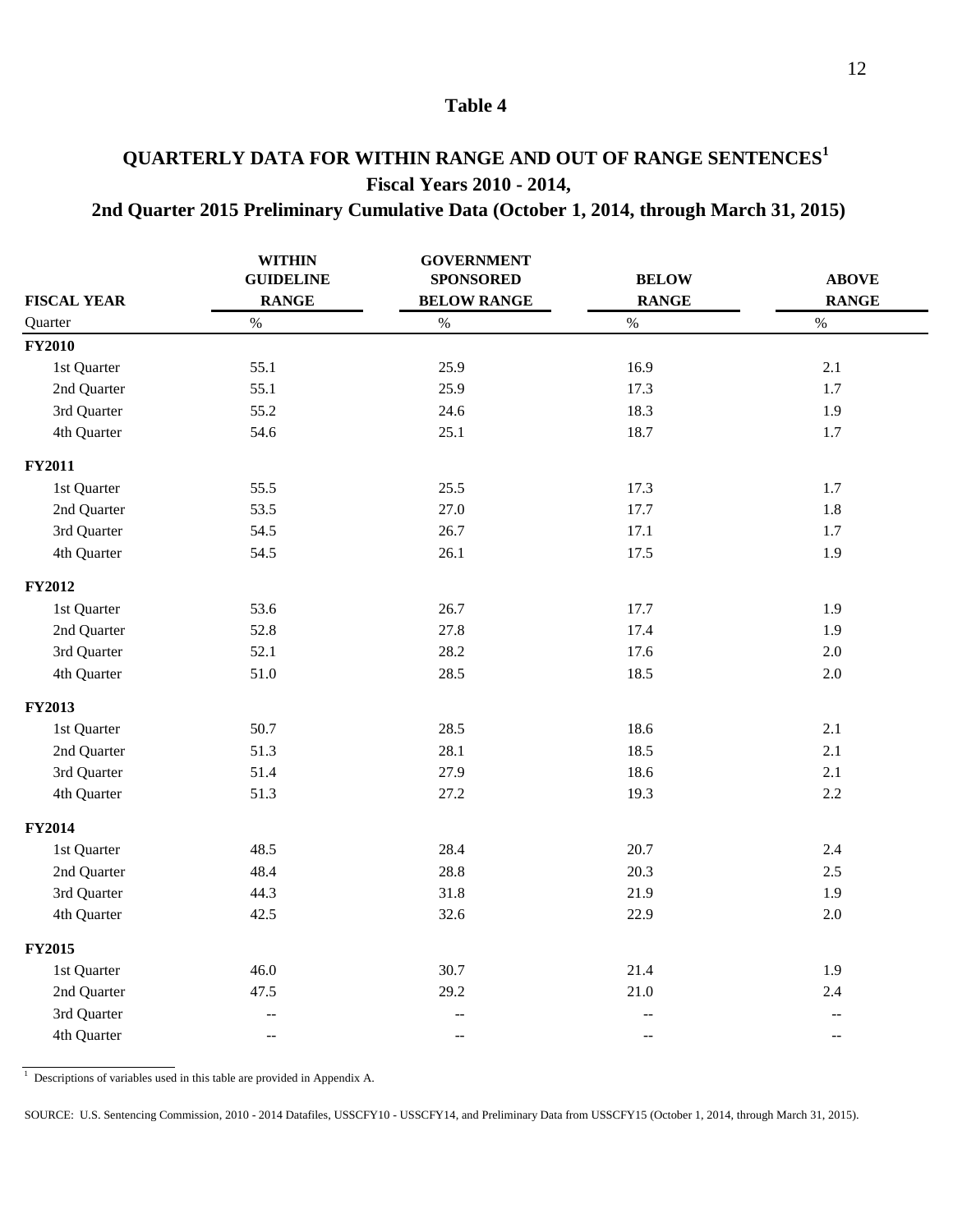## **QUARTERLY DATA FOR WITHIN RANGE AND OUT OF RANGE SENTENCES<sup>1</sup> Fiscal Years 2010 - 2014,**

### **2nd Quarter 2015 Preliminary Cumulative Data (October 1, 2014, through March 31, 2015)**

|                    | <b>WITHIN</b><br><b>GUIDELINE</b>             | <b>GOVERNMENT</b><br><b>SPONSORED</b>         | <b>BELOW</b>             | <b>ABOVE</b>                                        |
|--------------------|-----------------------------------------------|-----------------------------------------------|--------------------------|-----------------------------------------------------|
| <b>FISCAL YEAR</b> | <b>RANGE</b>                                  | <b>BELOW RANGE</b>                            | <b>RANGE</b>             | <b>RANGE</b>                                        |
| Quarter            | $\%$                                          | $\%$                                          | $\%$                     | $\%$                                                |
| <b>FY2010</b>      |                                               |                                               |                          |                                                     |
| 1st Quarter        | 55.1                                          | 25.9                                          | 16.9                     | 2.1                                                 |
| 2nd Quarter        | 55.1                                          | 25.9                                          | 17.3                     | $1.7\,$                                             |
| 3rd Quarter        | 55.2                                          | 24.6                                          | 18.3                     | 1.9                                                 |
| 4th Quarter        | 54.6                                          | 25.1                                          | 18.7                     | 1.7                                                 |
| <b>FY2011</b>      |                                               |                                               |                          |                                                     |
| 1st Quarter        | 55.5                                          | 25.5                                          | 17.3                     | 1.7                                                 |
| 2nd Quarter        | 53.5                                          | 27.0                                          | 17.7                     | 1.8                                                 |
| 3rd Quarter        | 54.5                                          | 26.7                                          | 17.1                     | 1.7                                                 |
| 4th Quarter        | 54.5                                          | 26.1                                          | 17.5                     | 1.9                                                 |
| <b>FY2012</b>      |                                               |                                               |                          |                                                     |
| 1st Quarter        | 53.6                                          | 26.7                                          | 17.7                     | 1.9                                                 |
| 2nd Quarter        | 52.8                                          | 27.8                                          | 17.4                     | 1.9                                                 |
| 3rd Quarter        | 52.1                                          | 28.2                                          | 17.6                     | $2.0\,$                                             |
| 4th Quarter        | 51.0                                          | 28.5                                          | 18.5                     | $2.0\,$                                             |
| <b>FY2013</b>      |                                               |                                               |                          |                                                     |
| 1st Quarter        | 50.7                                          | 28.5                                          | 18.6                     | 2.1                                                 |
| 2nd Quarter        | 51.3                                          | 28.1                                          | 18.5                     | 2.1                                                 |
| 3rd Quarter        | 51.4                                          | 27.9                                          | 18.6                     | 2.1                                                 |
| 4th Quarter        | 51.3                                          | 27.2                                          | 19.3                     | 2.2                                                 |
| <b>FY2014</b>      |                                               |                                               |                          |                                                     |
| 1st Quarter        | 48.5                                          | 28.4                                          | 20.7                     | $2.4\,$                                             |
| 2nd Quarter        | 48.4                                          | 28.8                                          | 20.3                     | 2.5                                                 |
| 3rd Quarter        | 44.3                                          | 31.8                                          | 21.9                     | 1.9                                                 |
| 4th Quarter        | 42.5                                          | 32.6                                          | 22.9                     | 2.0                                                 |
| <b>FY2015</b>      |                                               |                                               |                          |                                                     |
| 1st Quarter        | 46.0                                          | 30.7                                          | 21.4                     | 1.9                                                 |
| 2nd Quarter        | 47.5                                          | 29.2                                          | 21.0                     | $2.4\,$                                             |
| 3rd Quarter        | $\qquad \qquad -$                             | $\overline{\phantom{a}}$                      | $\overline{\phantom{m}}$ | $\hspace{0.05cm} -\hspace{0.05cm} -\hspace{0.05cm}$ |
| 4th Quarter        | $\mathord{\hspace{1pt}\text{--}\hspace{1pt}}$ | $\mathord{\hspace{1pt}\text{--}\hspace{1pt}}$ | $\overline{\phantom{a}}$ | $\mathcal{L}_{\mathcal{F}}$                         |

<sup>1</sup> Descriptions of variables used in this table are provided in Appendix A.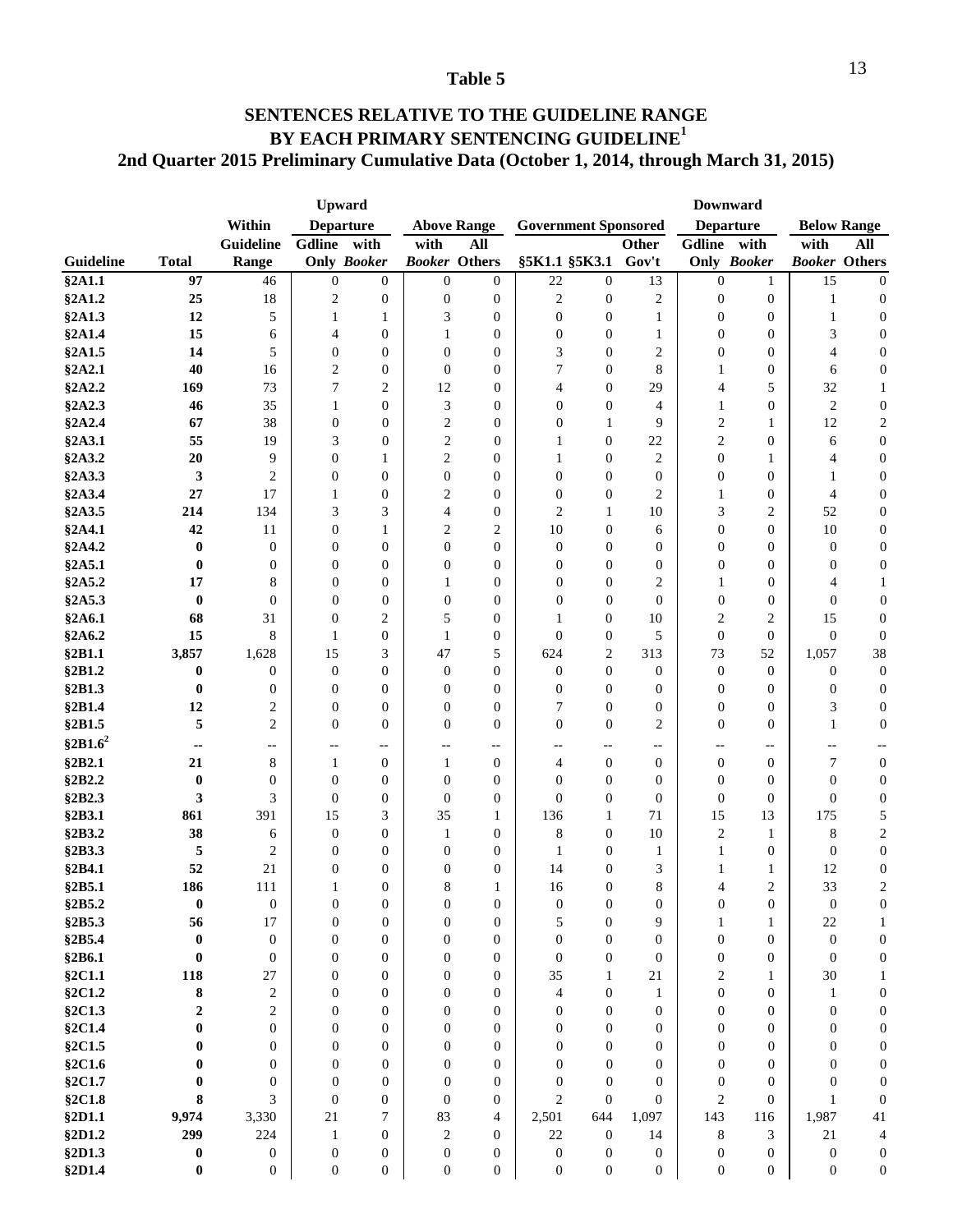### **BY EACH PRIMARY SENTENCING GUIDELINE<sup>1</sup> 2nd Quarter 2015 Preliminary Cumulative Data (October 1, 2014, through March 31, 2015) SENTENCES RELATIVE TO THE GUIDELINE RANGE**

|                  |                  |                      |                                | <b>Upward</b>                      |                       |                       | <b>Downward</b>  |                                    |                          |                     |                     |                        |                                    |
|------------------|------------------|----------------------|--------------------------------|------------------------------------|-----------------------|-----------------------|------------------|------------------------------------|--------------------------|---------------------|---------------------|------------------------|------------------------------------|
|                  |                  | Within               |                                | <b>Departure</b>                   |                       | <b>Above Range</b>    |                  | <b>Government Sponsored</b>        |                          |                     | <b>Departure</b>    |                        | <b>Below Range</b>                 |
|                  |                  | <b>Guideline</b>     | Gdline                         | with                               | with                  | All                   |                  |                                    | Other                    | <b>Gdline</b>       | with                | with                   | All                                |
| <b>Guideline</b> | <b>Total</b>     | Range                |                                | <b>Only Booker</b>                 |                       | <b>Booker Others</b>  |                  | §5K1.1 §5K3.1                      | Gov't                    |                     | <b>Only Booker</b>  | <b>Booker Others</b>   |                                    |
| §2A1.1           | 97               | 46                   | $\boldsymbol{0}$               | $\mathbf{0}$                       | $\boldsymbol{0}$      | $\mathbf{0}$          | 22               | $\boldsymbol{0}$                   | 13                       | $\boldsymbol{0}$    | 1                   | 15                     | $\overline{0}$                     |
| §2A1.2           | 25               | 18                   | $\sqrt{2}$                     | $\mathbf{0}$                       | $\boldsymbol{0}$      | 0                     | $\mathfrak{2}$   | $\boldsymbol{0}$                   | 2                        | $\boldsymbol{0}$    | $\boldsymbol{0}$    | 1                      | $\boldsymbol{0}$                   |
| §2A1.3           | 12               | 5                    | $\mathbf{1}$                   | 1                                  | 3                     | $\overline{0}$        | $\boldsymbol{0}$ | $\boldsymbol{0}$                   | $\mathbf{1}$             | $\boldsymbol{0}$    | $\boldsymbol{0}$    | $\mathbf{1}$           | $\boldsymbol{0}$                   |
| §2A1.4           | 15               | 6                    | 4                              | $\mathbf{0}$                       | 1                     | $\overline{0}$        | $\boldsymbol{0}$ | $\overline{0}$                     | 1                        | $\mathbf{0}$        | $\boldsymbol{0}$    | 3                      | $\boldsymbol{0}$                   |
| §2A1.5           | 14               | 5                    | $\boldsymbol{0}$               | $\overline{0}$                     | $\boldsymbol{0}$      | $\overline{0}$        | 3                | $\overline{0}$                     | 2                        | $\boldsymbol{0}$    | $\boldsymbol{0}$    | 4                      | $\boldsymbol{0}$                   |
| §2A2.1           | 40               | 16                   | $\overline{2}$                 | $\boldsymbol{0}$                   | $\mathbf{0}$          | $\overline{0}$        | 7                | $\overline{0}$                     | 8                        | 1                   | $\boldsymbol{0}$    | 6                      | $\boldsymbol{0}$                   |
| §2A2.2           | 169              | 73                   | $\tau$                         | 2                                  | 12                    | $\overline{0}$        | 4                | $\overline{0}$                     | 29                       | 4                   | 5                   | 32                     | $\mathbf{1}$                       |
| §2A2.3           | 46               | 35                   | 1                              | $\overline{0}$                     | 3                     | $\overline{0}$        | $\mathbf{0}$     | $\boldsymbol{0}$                   | 4                        | $\mathbf{1}$        | $\boldsymbol{0}$    | $\boldsymbol{2}$       | $\boldsymbol{0}$                   |
| §2A2.4           | 67               | 38                   | $\mathbf{0}$                   | $\overline{0}$                     | 2                     | $\mathbf{0}$          | $\mathbf{0}$     | 1                                  | 9                        | $\sqrt{2}$          | 1                   | 12                     | $\boldsymbol{2}$                   |
| §2A3.1           | 55               | 19                   | 3                              | $\overline{0}$                     | $\mathfrak{2}$        | $\boldsymbol{0}$      | 1                | $\boldsymbol{0}$                   | 22                       | $\overline{c}$      | $\boldsymbol{0}$    | 6                      | $\boldsymbol{0}$                   |
| §2A3.2           | 20               | 9                    | $\boldsymbol{0}$               | 1                                  | 2                     | $\overline{0}$        | 1                | $\boldsymbol{0}$                   | $\overline{c}$           | $\boldsymbol{0}$    | 1                   | $\overline{4}$         | $\boldsymbol{0}$                   |
| §2A3.3           | 3                | $\mathfrak{2}$       | $\boldsymbol{0}$               | $\mathbf{0}$                       | $\boldsymbol{0}$      | $\overline{0}$        | $\boldsymbol{0}$ | $\overline{0}$                     | $\boldsymbol{0}$         | $\boldsymbol{0}$    | $\boldsymbol{0}$    | 1                      | $\boldsymbol{0}$                   |
| §2A3.4           | 27               | 17                   | 1                              | $\mathbf{0}$                       | 2                     | $\overline{0}$        | $\boldsymbol{0}$ | $\boldsymbol{0}$                   | 2                        | $\mathbf{1}$        | $\boldsymbol{0}$    | 4                      | $\boldsymbol{0}$                   |
| §2A3.5           | 214              | 134                  | 3                              | 3                                  | 4                     | $\boldsymbol{0}$      | $\overline{2}$   | $\mathbf{1}$                       | 10                       | 3                   | $\overline{2}$      | 52                     | $\boldsymbol{0}$                   |
| §2A4.1           | 42               | 11                   | $\overline{0}$                 | 1                                  | $\overline{2}$        | 2                     | 10               | $\boldsymbol{0}$                   | 6                        | $\overline{0}$      | $\boldsymbol{0}$    | 10                     | $\boldsymbol{0}$                   |
| §2A4.2           | $\bf{0}$         | $\mathbf{0}$         | $\mathbf{0}$                   | $\overline{0}$                     | $\boldsymbol{0}$      | $\overline{0}$        | $\mathbf{0}$     | $\overline{0}$                     | $\mathbf{0}$             | $\mathbf{0}$        | $\boldsymbol{0}$    | $\mathbf{0}$           | $\boldsymbol{0}$                   |
| §2A5.1           | $\bf{0}$         | $\mathbf{0}$         | $\mathbf{0}$                   | $\mathbf{0}$                       | $\mathbf{0}$          | $\overline{0}$        | $\mathbf{0}$     | $\overline{0}$                     | 0                        | $\mathbf{0}$        | $\mathbf{0}$        | $\mathbf{0}$           | $\boldsymbol{0}$                   |
| §2A5.2           | 17               | 8                    | $\mathbf{0}$                   | $\overline{0}$                     | 1                     | $\overline{0}$        | $\mathbf{0}$     | $\mathbf{0}$                       | 2                        | 1                   | $\boldsymbol{0}$    | 4                      | 1                                  |
| §2A5.3           | $\bf{0}$         | $\mathbf{0}$         | $\Omega$                       | $\mathbf{0}$                       | $\mathbf{0}$          | $\mathbf{0}$          | $\Omega$         | $\mathbf{0}$                       | $\overline{0}$           | $\overline{0}$      | $\boldsymbol{0}$    | $\mathbf{0}$           | $\boldsymbol{0}$                   |
| §2A6.1           | 68               | 31                   | $\mathbf{0}$                   | $\mathfrak{2}$                     | 5                     | 0                     | 1                | $\boldsymbol{0}$                   | 10                       | $\mathfrak{2}$      | $\mathfrak{2}$      | 15                     | $\boldsymbol{0}$                   |
| §2A6.2           | 15               | 8                    | 1                              | $\mathbf{0}$                       | 1                     | 0                     | $\overline{0}$   | $\boldsymbol{0}$                   | 5                        | $\overline{0}$      | $\boldsymbol{0}$    | $\mathbf{0}$           | $\mathbf{0}$                       |
| §2B1.1           | 3,857            | 1,628                | 15                             | 3                                  | 47                    | 5                     | 624              | $\mathfrak{2}$                     | 313                      | 73                  | 52                  | 1,057                  | 38                                 |
| §2B1.2           | $\bf{0}$         | $\boldsymbol{0}$     | $\mathbf{0}$                   | $\mathbf{0}$                       | $\boldsymbol{0}$      | $\overline{0}$        | $\boldsymbol{0}$ | $\boldsymbol{0}$                   | $\boldsymbol{0}$         | $\boldsymbol{0}$    | $\boldsymbol{0}$    | $\boldsymbol{0}$       | $\boldsymbol{0}$                   |
| §2B1.3           | $\bf{0}$         | $\boldsymbol{0}$     | $\boldsymbol{0}$               | $\mathbf{0}$                       | $\boldsymbol{0}$      | $\overline{0}$        | $\boldsymbol{0}$ | $\overline{0}$                     | $\boldsymbol{0}$         | $\mathbf{0}$        | $\boldsymbol{0}$    | $\boldsymbol{0}$       | $\boldsymbol{0}$                   |
| §2B1.4           | 12               | $\overline{2}$       | $\overline{0}$                 | $\overline{0}$                     | $\mathbf{0}$          | $\overline{0}$        | 7                | $\boldsymbol{0}$                   | $\boldsymbol{0}$         | $\boldsymbol{0}$    | $\boldsymbol{0}$    | 3                      | $\boldsymbol{0}$                   |
| §2B1.5           | 5                | $\overline{2}$       | $\overline{0}$                 | $\mathbf{0}$                       | $\mathbf{0}$          | $\overline{0}$        | $\mathbf{0}$     | $\overline{0}$                     | 2                        | $\overline{0}$      | $\boldsymbol{0}$    | 1                      | $\boldsymbol{0}$                   |
| $§2B1.6^2$       | ۰.               | --                   |                                | --                                 | $- -$                 | --                    | $- -$            | $\overline{\phantom{a}}$           | $\overline{\phantom{a}}$ | --                  | $\qquad \qquad -$   | --                     |                                    |
| §2B2.1           | 21               | 8                    | 1                              | $\mathbf{0}$                       | 1                     | 0                     | 4                | $\boldsymbol{0}$                   | $\boldsymbol{0}$         | $\boldsymbol{0}$    | 0                   | $\tau$                 | $\boldsymbol{0}$                   |
| §2B2.2           | $\bf{0}$         | $\mathbf{0}$         | $\mathbf{0}$                   | $\mathbf{0}$                       | $\overline{0}$        | $\overline{0}$        | $\overline{0}$   | $\overline{0}$                     | $\boldsymbol{0}$         | $\mathbf{0}$        | $\boldsymbol{0}$    | $\overline{0}$         | $\boldsymbol{0}$                   |
| §2B2.3           | 3                | 3                    | $\mathbf{0}$                   | $\overline{0}$                     | $\mathbf{0}$          | $\overline{0}$        | $\mathbf{0}$     | $\overline{0}$                     | $\mathbf{0}$             | $\mathbf{0}$        | $\boldsymbol{0}$    | $\boldsymbol{0}$       | $\boldsymbol{0}$                   |
| §2B3.1           | 861              | 391                  | 15                             | 3                                  | 35                    | 1                     | 136              | 1                                  | 71                       | 15                  | 13                  | 175                    | 5                                  |
| §2B3.2           | 38               | 6                    | $\overline{0}$                 | $\overline{0}$                     | $\mathbf{1}$          | $\mathbf{0}$          | 8                | $\overline{0}$                     | 10                       | $\boldsymbol{2}$    | 1                   | $\,8\,$                | $\boldsymbol{2}$                   |
| §2B3.3<br>§2B4.1 | 5<br>52          | $\mathfrak{2}$<br>21 | $\mathbf{0}$<br>$\overline{0}$ | $\mathbf{0}$                       | $\mathbf{0}$          | $\boldsymbol{0}$      | 1<br>14          | $\boldsymbol{0}$                   | 1                        | 1                   | $\boldsymbol{0}$    | $\boldsymbol{0}$<br>12 | $\boldsymbol{0}$                   |
|                  | 186              | 111                  | 1                              | $\boldsymbol{0}$<br>$\overline{0}$ | $\boldsymbol{0}$<br>8 | $\boldsymbol{0}$<br>1 | 16               | $\boldsymbol{0}$<br>$\overline{0}$ | 3<br>8                   | 1<br>$\overline{4}$ | 1<br>$\overline{2}$ | 33                     | $\boldsymbol{0}$<br>$\mathfrak{2}$ |
| §2B5.1<br>§2B5.2 | $\bf{0}$         | $\boldsymbol{0}$     | $\boldsymbol{0}$               | $\mathbf{0}$                       | $\boldsymbol{0}$      | $\boldsymbol{0}$      | $\boldsymbol{0}$ | $\boldsymbol{0}$                   | $\boldsymbol{0}$         | $\boldsymbol{0}$    | $\boldsymbol{0}$    | $\mathbf{0}$           | $\boldsymbol{0}$                   |
| §2B5.3           | 56               | 17                   | $\boldsymbol{0}$               | $\overline{0}$                     | $\boldsymbol{0}$      | $\overline{0}$        | 5                | $\boldsymbol{0}$                   | 9                        | $\mathbf{1}$        | 1                   | $22\,$                 | $\mathbf{1}$                       |
| §2B5.4           | $\bf{0}$         | $\boldsymbol{0}$     | $\boldsymbol{0}$               | $\theta$                           | $\boldsymbol{0}$      | $\overline{0}$        | $\boldsymbol{0}$ | $\boldsymbol{0}$                   | $\boldsymbol{0}$         | $\boldsymbol{0}$    | $\boldsymbol{0}$    | $\boldsymbol{0}$       | $\boldsymbol{0}$                   |
| §2B6.1           | $\bf{0}$         | $\boldsymbol{0}$     | $\mathbf{0}$                   | $\overline{0}$                     | $\overline{0}$        | $\overline{0}$        | $\boldsymbol{0}$ | $\boldsymbol{0}$                   | $\boldsymbol{0}$         | $\theta$            | $\boldsymbol{0}$    | $\mathbf{0}$           | $\boldsymbol{0}$                   |
| §2C1.1           | 118              | 27                   | $\boldsymbol{0}$               | $\overline{0}$                     | $\overline{0}$        | $\overline{0}$        | 35               | 1                                  | 21                       | $\mathfrak{2}$      | 1                   | 30                     | $\mathbf{1}$                       |
| §2C1.2           | 8                | $\boldsymbol{2}$     | $\mathbf{0}$                   | $\overline{0}$                     | $\overline{0}$        | $\overline{0}$        | $\overline{4}$   | $\boldsymbol{0}$                   | 1                        | $\overline{0}$      | $\boldsymbol{0}$    | 1                      | $\boldsymbol{0}$                   |
| §2C1.3           | 2                | $\boldsymbol{2}$     | $\mathbf{0}$                   | $\mathbf{0}$                       | $\mathbf{0}$          | $\overline{0}$        | $\mathbf{0}$     | $\overline{0}$                     | $\boldsymbol{0}$         | $\mathbf{0}$        | $\boldsymbol{0}$    | $\boldsymbol{0}$       | $\boldsymbol{0}$                   |
| §2C1.4           | 0                | $\boldsymbol{0}$     | $\boldsymbol{0}$               | $\overline{0}$                     | $\boldsymbol{0}$      | $\overline{0}$        | $\boldsymbol{0}$ | $\boldsymbol{0}$                   | $\boldsymbol{0}$         | $\boldsymbol{0}$    | $\boldsymbol{0}$    | $\boldsymbol{0}$       | $\boldsymbol{0}$                   |
| §2C1.5           | 0                | $\mathbf{0}$         | $\boldsymbol{0}$               | $\overline{0}$                     | $\boldsymbol{0}$      | $\overline{0}$        | $\boldsymbol{0}$ | $\boldsymbol{0}$                   | $\boldsymbol{0}$         | $\boldsymbol{0}$    | $\overline{0}$      | $\boldsymbol{0}$       | $\boldsymbol{0}$                   |
| §2C1.6           | 0                | $\mathbf{0}$         | $\boldsymbol{0}$               | $\boldsymbol{0}$                   | $\boldsymbol{0}$      | $\overline{0}$        | $\boldsymbol{0}$ | $\boldsymbol{0}$                   | $\boldsymbol{0}$         | $\boldsymbol{0}$    | $\boldsymbol{0}$    | $\boldsymbol{0}$       | $\boldsymbol{0}$                   |
| §2C1.7           | 0                | $\mathbf{0}$         | $\boldsymbol{0}$               | $\overline{0}$                     | $\boldsymbol{0}$      | $\boldsymbol{0}$      | $\boldsymbol{0}$ | $\boldsymbol{0}$                   | $\boldsymbol{0}$         | $\boldsymbol{0}$    | $\boldsymbol{0}$    | $\boldsymbol{0}$       | $\boldsymbol{0}$                   |
| §2C1.8           | 8                | 3                    | $\mathbf{0}$                   | $\theta$                           | $\overline{0}$        | 0                     | $\overline{2}$   | $\theta$                           | $\overline{0}$           | $\mathfrak{2}$      | $\overline{0}$      | $\mathbf{1}$           | $\mathbf{0}$                       |
| §2D1.1           | 9,974            | 3,330                | 21                             | $\tau$                             | 83                    | 4                     | 2,501            | 644                                | 1,097                    | 143                 | 116                 | 1,987                  | 41                                 |
| §2D1.2           | 299              | 224                  | $\mathbf{1}$                   | $\theta$                           | $\boldsymbol{2}$      | $\overline{0}$        | 22               | $\boldsymbol{0}$                   | 14                       | $\,8$               | 3                   | 21                     | $\overline{4}$                     |
| §2D1.3           | $\boldsymbol{0}$ | $\boldsymbol{0}$     | $\boldsymbol{0}$               | $\boldsymbol{0}$                   | $\boldsymbol{0}$      | $\boldsymbol{0}$      | $\boldsymbol{0}$ | $\boldsymbol{0}$                   | $\boldsymbol{0}$         | $\boldsymbol{0}$    | $\boldsymbol{0}$    | $\boldsymbol{0}$       | $\boldsymbol{0}$                   |
| §2D1.4           | $\boldsymbol{0}$ | $\boldsymbol{0}$     | $\boldsymbol{0}$               | $\overline{0}$                     | $\boldsymbol{0}$      | $\overline{0}$        | $\boldsymbol{0}$ | $\boldsymbol{0}$                   | $\boldsymbol{0}$         | $\overline{0}$      | $\overline{0}$      | $\boldsymbol{0}$       | $\boldsymbol{0}$                   |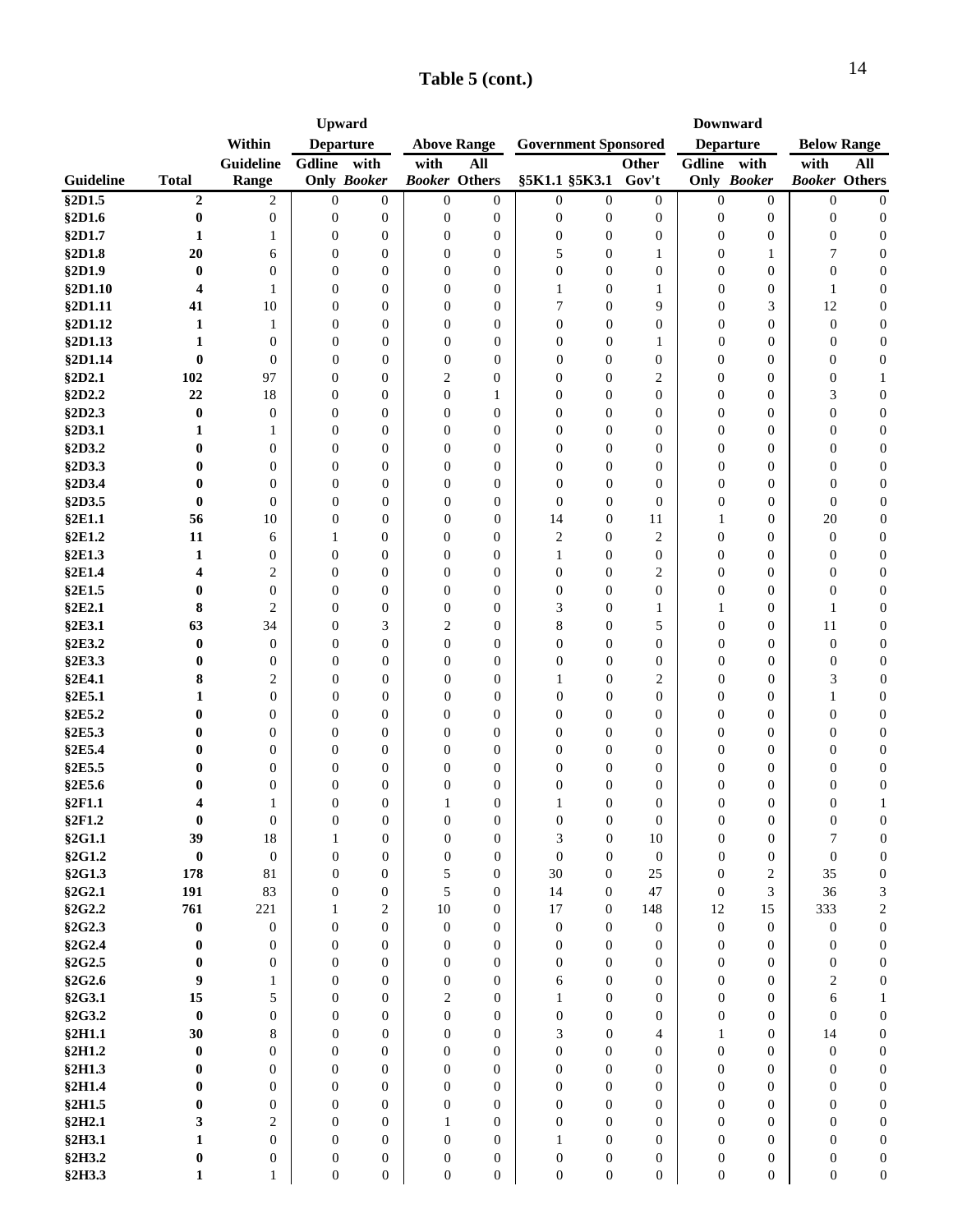|           |                         |                  | <b>Upward</b>    |                    |                      |                    | <b>Government Sponsored</b> |                  | <b>Downward</b>  |                  |                    |                      |                  |
|-----------|-------------------------|------------------|------------------|--------------------|----------------------|--------------------|-----------------------------|------------------|------------------|------------------|--------------------|----------------------|------------------|
|           |                         | Within           | <b>Departure</b> |                    |                      | <b>Above Range</b> |                             |                  |                  | <b>Departure</b> |                    | <b>Below Range</b>   |                  |
|           |                         | Guideline        | Gdline           | with               | with                 | All                |                             |                  | <b>Other</b>     | Gdline with      |                    | with                 | All              |
| Guideline | <b>Total</b>            | Range            |                  | <b>Only Booker</b> | <b>Booker Others</b> |                    |                             | §5K1.1 §5K3.1    | Gov't            |                  | <b>Only Booker</b> | <b>Booker Others</b> |                  |
| §2D1.5    | $\boldsymbol{2}$        | 2                | $\theta$         | $\mathbf{0}$       | $\overline{0}$       | $\overline{0}$     | $\overline{0}$              | $\overline{0}$   | $\boldsymbol{0}$ | $\overline{0}$   | $\boldsymbol{0}$   | $\overline{0}$       | $\boldsymbol{0}$ |
| §2D1.6    | $\bf{0}$                | $\boldsymbol{0}$ | $\boldsymbol{0}$ | $\boldsymbol{0}$   | $\boldsymbol{0}$     | $\boldsymbol{0}$   | $\boldsymbol{0}$            | $\boldsymbol{0}$ | $\boldsymbol{0}$ | $\boldsymbol{0}$ | $\boldsymbol{0}$   | $\boldsymbol{0}$     | $\boldsymbol{0}$ |
| §2D1.7    | 1                       | 1                | $\overline{0}$   | $\mathbf{0}$       | $\boldsymbol{0}$     | $\overline{0}$     | $\boldsymbol{0}$            | $\overline{0}$   | $\boldsymbol{0}$ | $\overline{0}$   | $\boldsymbol{0}$   | $\mathbf{0}$         | $\boldsymbol{0}$ |
| §2D1.8    | 20                      | 6                | $\overline{0}$   | $\overline{0}$     | $\overline{0}$       | $\overline{0}$     | 5                           | $\overline{0}$   | 1                | $\overline{0}$   | 1                  | 7                    | $\boldsymbol{0}$ |
| §2D1.9    | $\bf{0}$                | $\overline{0}$   | $\mathbf{0}$     | $\overline{0}$     | $\overline{0}$       | $\overline{0}$     | $\mathbf{0}$                | $\overline{0}$   | $\boldsymbol{0}$ | $\overline{0}$   | $\boldsymbol{0}$   | $\overline{0}$       | $\boldsymbol{0}$ |
| §2D1.10   | $\overline{\mathbf{4}}$ | 1                | $\boldsymbol{0}$ | $\boldsymbol{0}$   | 0                    | $\boldsymbol{0}$   | 1                           | $\boldsymbol{0}$ | $\mathbf{1}$     | $\overline{0}$   | $\boldsymbol{0}$   | $\mathbf{1}$         | $\boldsymbol{0}$ |
| §2D1.11   | 41                      | 10               | $\boldsymbol{0}$ | $\boldsymbol{0}$   | $\boldsymbol{0}$     | $\boldsymbol{0}$   | 7                           | $\boldsymbol{0}$ | 9                | $\boldsymbol{0}$ | 3                  | 12                   | $\boldsymbol{0}$ |
| §2D1.12   | $\mathbf{1}$            | 1                | $\boldsymbol{0}$ | $\overline{0}$     | $\boldsymbol{0}$     | $\overline{0}$     | $\boldsymbol{0}$            | $\boldsymbol{0}$ | $\boldsymbol{0}$ | $\boldsymbol{0}$ | $\boldsymbol{0}$   | $\boldsymbol{0}$     | $\mathbf{0}$     |
| \$2D1.13  | 1                       | $\mathbf{0}$     | 0                | $\overline{0}$     | $\boldsymbol{0}$     | $\boldsymbol{0}$   | $\boldsymbol{0}$            | $\boldsymbol{0}$ | 1                | $\boldsymbol{0}$ | $\boldsymbol{0}$   | $\boldsymbol{0}$     | $\boldsymbol{0}$ |
| \$2D1.14  | $\bf{0}$                | $\mathbf{0}$     | $\boldsymbol{0}$ | $\mathbf{0}$       | $\boldsymbol{0}$     | $\overline{0}$     | $\overline{0}$              | $\overline{0}$   | $\boldsymbol{0}$ | $\mathbf{0}$     | $\boldsymbol{0}$   | $\mathbf{0}$         | $\mathbf{0}$     |
| §2D2.1    | 102                     | 97               | $\boldsymbol{0}$ | $\mathbf{0}$       | 2                    | $\boldsymbol{0}$   | $\boldsymbol{0}$            | $\boldsymbol{0}$ | 2                | $\boldsymbol{0}$ | $\boldsymbol{0}$   | $\boldsymbol{0}$     | $\mathbf{1}$     |
| §2D2.2    | 22                      | 18               | $\boldsymbol{0}$ | $\overline{0}$     | $\boldsymbol{0}$     | 1                  | $\boldsymbol{0}$            | $\boldsymbol{0}$ | $\boldsymbol{0}$ | $\boldsymbol{0}$ | $\boldsymbol{0}$   | 3                    | $\boldsymbol{0}$ |
| §2D2.3    | $\bf{0}$                | $\mathbf{0}$     | $\mathbf{0}$     | $\overline{0}$     | $\overline{0}$       | $\overline{0}$     | $\mathbf{0}$                | $\overline{0}$   | $\boldsymbol{0}$ | $\mathbf{0}$     | $\boldsymbol{0}$   | $\overline{0}$       | $\boldsymbol{0}$ |
| §2D3.1    | 1                       | 1                | $\overline{0}$   | $\overline{0}$     | $\overline{0}$       | $\overline{0}$     | $\mathbf{0}$                | $\overline{0}$   | $\boldsymbol{0}$ | $\mathbf{0}$     | $\boldsymbol{0}$   | $\overline{0}$       | $\boldsymbol{0}$ |
| §2D3.2    | $\bf{0}$                | $\overline{0}$   | $\mathbf{0}$     | $\overline{0}$     | $\overline{0}$       | $\overline{0}$     | $\Omega$                    | $\overline{0}$   | $\boldsymbol{0}$ | $\mathbf{0}$     | $\boldsymbol{0}$   | $\overline{0}$       | $\boldsymbol{0}$ |
| §2D3.3    | $\bf{0}$                | $\overline{0}$   | $\mathbf{0}$     | $\mathbf{0}$       | $\overline{0}$       | $\boldsymbol{0}$   | $\mathbf{0}$                | $\boldsymbol{0}$ | $\boldsymbol{0}$ | $\overline{0}$   | $\boldsymbol{0}$   | $\overline{0}$       | $\mathbf{0}$     |
| §2D3.4    | $\bf{0}$                | $\overline{0}$   | $\boldsymbol{0}$ | $\mathbf{0}$       | $\boldsymbol{0}$     | $\boldsymbol{0}$   | $\mathbf{0}$                | $\boldsymbol{0}$ | $\boldsymbol{0}$ | $\boldsymbol{0}$ | $\boldsymbol{0}$   | $\boldsymbol{0}$     | $\boldsymbol{0}$ |
| §2D3.5    | $\bf{0}$                | $\mathbf{0}$     | $\boldsymbol{0}$ | $\mathbf{0}$       | $\boldsymbol{0}$     | $\overline{0}$     | $\mathbf{0}$                | $\overline{0}$   | $\overline{0}$   | $\boldsymbol{0}$ | $\boldsymbol{0}$   | $\overline{0}$       | $\mathbf{0}$     |
| §2E1.1    | 56                      | 10               | $\boldsymbol{0}$ | $\mathbf{0}$       | $\boldsymbol{0}$     | $\overline{0}$     | 14                          | $\boldsymbol{0}$ | 11               | 1                | $\boldsymbol{0}$   | 20                   | $\mathbf{0}$     |
| §2E1.2    | 11                      | 6                | 1                | $\mathbf{0}$       | $\boldsymbol{0}$     | $\overline{0}$     | $\overline{c}$              | $\overline{0}$   | 2                | $\boldsymbol{0}$ | $\boldsymbol{0}$   | $\boldsymbol{0}$     | $\mathbf{0}$     |
| §2E1.3    | 1                       | $\overline{0}$   | $\boldsymbol{0}$ | $\mathbf{0}$       | $\boldsymbol{0}$     | $\overline{0}$     | 1                           | $\boldsymbol{0}$ | $\boldsymbol{0}$ | $\boldsymbol{0}$ | $\boldsymbol{0}$   | $\boldsymbol{0}$     | $\boldsymbol{0}$ |
| §2E1.4    | $\overline{\mathbf{4}}$ | $\overline{c}$   | $\overline{0}$   | $\mathbf{0}$       | $\boldsymbol{0}$     | $\overline{0}$     | $\boldsymbol{0}$            | $\boldsymbol{0}$ | 2                | $\boldsymbol{0}$ | $\boldsymbol{0}$   | $\boldsymbol{0}$     | $\boldsymbol{0}$ |
| §2E1.5    | $\bf{0}$                | $\mathbf{0}$     | $\mathbf{0}$     | $\overline{0}$     | $\overline{0}$       | $\overline{0}$     | $\mathbf{0}$                | $\overline{0}$   | $\boldsymbol{0}$ | $\boldsymbol{0}$ | $\boldsymbol{0}$   | $\overline{0}$       | $\boldsymbol{0}$ |
| §2E2.1    | 8                       | $\overline{2}$   | $\mathbf{0}$     | $\boldsymbol{0}$   | $\boldsymbol{0}$     | $\overline{0}$     | 3                           | $\boldsymbol{0}$ | 1                | $\mathbf{1}$     | $\boldsymbol{0}$   | 1                    | $\boldsymbol{0}$ |
| §2E3.1    | 63                      | 34               | $\mathbf{0}$     | 3                  | 2                    | $\overline{0}$     | 8                           | $\overline{0}$   | 5                | $\overline{0}$   | $\boldsymbol{0}$   | 11                   | $\boldsymbol{0}$ |
| §2E3.2    | $\bf{0}$                | $\mathbf{0}$     | $\boldsymbol{0}$ | $\overline{0}$     | $\overline{0}$       | $\boldsymbol{0}$   | $\mathbf{0}$                | $\boldsymbol{0}$ | $\boldsymbol{0}$ | $\boldsymbol{0}$ | $\boldsymbol{0}$   | $\boldsymbol{0}$     | $\mathbf{0}$     |
| §2E3.3    | $\bf{0}$                | $\boldsymbol{0}$ | $\boldsymbol{0}$ | $\boldsymbol{0}$   | $\boldsymbol{0}$     | $\boldsymbol{0}$   | $\boldsymbol{0}$            | $\boldsymbol{0}$ | $\boldsymbol{0}$ | $\boldsymbol{0}$ | $\boldsymbol{0}$   | $\boldsymbol{0}$     | $\boldsymbol{0}$ |
| §2E4.1    | 8                       | 2                | $\boldsymbol{0}$ | $\mathbf{0}$       | $\boldsymbol{0}$     | $\boldsymbol{0}$   | 1                           | $\boldsymbol{0}$ | $\overline{c}$   | $\boldsymbol{0}$ | $\boldsymbol{0}$   | 3                    | $\boldsymbol{0}$ |
| §2E5.1    | 1                       | $\overline{0}$   | $\boldsymbol{0}$ | $\boldsymbol{0}$   | $\boldsymbol{0}$     | $\boldsymbol{0}$   | $\boldsymbol{0}$            | $\boldsymbol{0}$ | $\boldsymbol{0}$ | $\boldsymbol{0}$ | $\boldsymbol{0}$   | 1                    | $\mathbf{0}$     |
| §2E5.2    | $\bf{0}$                | $\overline{0}$   | $\overline{0}$   | $\mathbf{0}$       | $\boldsymbol{0}$     | $\overline{0}$     | $\overline{0}$              | $\boldsymbol{0}$ | $\boldsymbol{0}$ | $\mathbf{0}$     | $\boldsymbol{0}$   | $\boldsymbol{0}$     | $\mathbf{0}$     |
| §2E5.3    | 0                       | $\mathbf{0}$     | $\overline{0}$   | $\mathbf{0}$       | $\boldsymbol{0}$     | $\overline{0}$     | $\boldsymbol{0}$            | $\boldsymbol{0}$ | $\boldsymbol{0}$ | $\mathbf{0}$     | $\mathbf{0}$       | $\boldsymbol{0}$     | $\boldsymbol{0}$ |
| §2E5.4    | $\bf{0}$                | $\overline{0}$   | $\boldsymbol{0}$ | $\overline{0}$     | $\boldsymbol{0}$     | $\boldsymbol{0}$   | $\boldsymbol{0}$            | $\boldsymbol{0}$ | $\boldsymbol{0}$ | $\boldsymbol{0}$ | $\boldsymbol{0}$   | $\boldsymbol{0}$     | $\boldsymbol{0}$ |
| §2E5.5    | $\bf{0}$                | $\mathbf{0}$     | $\overline{0}$   | $\mathbf{0}$       | $\overline{0}$       | $\overline{0}$     | $\mathbf{0}$                | $\overline{0}$   | $\boldsymbol{0}$ | $\overline{0}$   | $\boldsymbol{0}$   | $\overline{0}$       | $\boldsymbol{0}$ |
| §2E5.6    | $\bf{0}$                | $\overline{0}$   | $\overline{0}$   | $\overline{0}$     | $\overline{0}$       | $\overline{0}$     | $\overline{0}$              | $\boldsymbol{0}$ | $\boldsymbol{0}$ | $\boldsymbol{0}$ | $\boldsymbol{0}$   | $\mathbf{0}$         | $\boldsymbol{0}$ |
| §2F1.1    | $\overline{\mathbf{4}}$ | 1                | $\Omega$         | $\theta$           | 1                    | $\overline{0}$     | $\mathbf{1}$                | $\overline{0}$   | $\overline{0}$   | $\overline{0}$   | $\mathbf{0}$       | $\overline{0}$       | $\mathbf{1}$     |
| §2F1.2    | $\bf{0}$                | $\mathbf{0}$     | 0                | 0                  | 0                    | 0                  | 0                           | 0                | $\theta$         | $\mathbf{0}$     | $\theta$           | $\boldsymbol{0}$     | $\theta$         |
| §2G1.1    | 39                      | $18\,$           | $\mathbf{1}$     | $\boldsymbol{0}$   | $\boldsymbol{0}$     | $\boldsymbol{0}$   | 3                           | $\boldsymbol{0}$ | $10\,$           | $\mathbf{0}$     | $\boldsymbol{0}$   | $\tau$               | $\boldsymbol{0}$ |
| §2G1.2    | $\bf{0}$                | $\mathbf{0}$     | $\boldsymbol{0}$ | $\overline{0}$     | $\boldsymbol{0}$     | $\overline{0}$     | $\overline{0}$              | $\boldsymbol{0}$ | $\boldsymbol{0}$ | $\mathbf{0}$     | $\boldsymbol{0}$   | $\boldsymbol{0}$     | $\boldsymbol{0}$ |
| §2G1.3    | 178                     | 81               | $\boldsymbol{0}$ | $\overline{0}$     | 5                    | $\overline{0}$     | 30                          | $\boldsymbol{0}$ | 25               | $\boldsymbol{0}$ | $\mathfrak{2}$     | 35                   | $\boldsymbol{0}$ |
| §2G2.1    | 191                     | 83               | $\overline{0}$   | $\theta$           | 5                    | $\Omega$           | 14                          | $\overline{0}$   | 47               | $\overline{0}$   | 3                  | 36                   | 3                |
| §2G2.2    | 761                     | 221              | $\mathbf{1}$     | $\overline{2}$     | 10                   | $\overline{0}$     | 17                          | $\overline{0}$   | 148              | 12               | 15                 | 333                  | $\sqrt{2}$       |
| §2G2.3    | $\boldsymbol{0}$        | $\boldsymbol{0}$ | $\boldsymbol{0}$ | $\mathbf{0}$       | $\boldsymbol{0}$     | $\overline{0}$     | $\boldsymbol{0}$            | $\overline{0}$   | $\boldsymbol{0}$ | $\mathbf{0}$     | $\boldsymbol{0}$   | $\mathbf{0}$         | $\boldsymbol{0}$ |
| §2G2.4    | $\pmb{0}$               | $\overline{0}$   | $\overline{0}$   | $\theta$           | $\boldsymbol{0}$     | $\overline{0}$     | $\boldsymbol{0}$            | $\overline{0}$   | $\boldsymbol{0}$ | $\theta$         | $\boldsymbol{0}$   | $\mathbf{0}$         | $\boldsymbol{0}$ |
| §2G2.5    | $\bf{0}$                | $\overline{0}$   | $\overline{0}$   | $\overline{0}$     | $\overline{0}$       | $\overline{0}$     | $\mathbf{0}$                | $\overline{0}$   | $\boldsymbol{0}$ | $\overline{0}$   | $\boldsymbol{0}$   | $\boldsymbol{0}$     | $\boldsymbol{0}$ |
| §2G2.6    | 9                       | $\mathbf{1}$     | $\mathbf{0}$     | $\Omega$           | $\overline{0}$       | $\theta$           | 6                           | $\Omega$         | $\overline{0}$   | $\Omega$         | $\overline{0}$     | 2                    | $\boldsymbol{0}$ |
| §2G3.1    | 15                      | 5                | $\mathbf{0}$     | $\overline{0}$     | $\overline{c}$       | $\overline{0}$     | $\mathbf{1}$                | $\overline{0}$   | $\overline{0}$   | $\mathbf{0}$     | $\boldsymbol{0}$   | 6                    | $\mathbf{1}$     |
| §2G3.2    | $\pmb{0}$               | $\overline{0}$   | $\boldsymbol{0}$ | $\overline{0}$     | $\boldsymbol{0}$     | $\overline{0}$     | $\boldsymbol{0}$            | $\mathbf{0}$     | $\boldsymbol{0}$ | $\mathbf{0}$     | $\boldsymbol{0}$   | $\overline{0}$       | $\boldsymbol{0}$ |
| §2H1.1    | 30                      | 8                | $\boldsymbol{0}$ | $\overline{0}$     | $\boldsymbol{0}$     | $\overline{0}$     | 3                           | $\mathbf{0}$     | $\overline{4}$   | $\mathbf{1}$     | $\mathbf{0}$       | 14                   | $\boldsymbol{0}$ |
| §2H1.2    | $\pmb{0}$               | $\overline{0}$   | $\boldsymbol{0}$ | $\mathbf{0}$       | $\boldsymbol{0}$     | $\overline{0}$     | $\boldsymbol{0}$            | $\boldsymbol{0}$ | $\boldsymbol{0}$ | $\boldsymbol{0}$ | $\boldsymbol{0}$   | $\boldsymbol{0}$     | $\boldsymbol{0}$ |
| §2H1.3    | $\bf{0}$                | $\mathbf{0}$     | $\overline{0}$   | $\mathbf{0}$       | $\overline{0}$       | $\overline{0}$     | $\overline{0}$              | $\overline{0}$   | $\boldsymbol{0}$ | $\mathbf{0}$     | $\mathbf{0}$       | $\mathbf{0}$         | $\boldsymbol{0}$ |
| §2H1.4    | $\bf{0}$                | $\mathbf{0}$     | $\boldsymbol{0}$ | $\mathbf{0}$       | $\boldsymbol{0}$     | $\overline{0}$     | $\boldsymbol{0}$            | $\overline{0}$   | $\boldsymbol{0}$ | $\mathbf{0}$     | $\boldsymbol{0}$   | $\overline{0}$       | $\boldsymbol{0}$ |
| §2H1.5    | $\bf{0}$                | $\theta$         | $\boldsymbol{0}$ | $\overline{0}$     | 0                    | $\overline{0}$     | $\boldsymbol{0}$            | $\overline{0}$   | $\boldsymbol{0}$ | $\mathbf{0}$     | $\boldsymbol{0}$   | $\overline{0}$       | $\boldsymbol{0}$ |
| §2H2.1    | 3                       | $\overline{c}$   | $\mathbf{0}$     | $\overline{0}$     | 1                    | $\overline{0}$     | $\mathbf{0}$                | $\overline{0}$   | $\boldsymbol{0}$ | $\mathbf{0}$     | $\boldsymbol{0}$   | $\overline{0}$       | $\boldsymbol{0}$ |
| §2H3.1    | 1                       | $\overline{0}$   | $\overline{0}$   | $\overline{0}$     | $\overline{0}$       | $\overline{0}$     | $\mathbf{1}$                | $\overline{0}$   | $\boldsymbol{0}$ | $\mathbf{0}$     | $\boldsymbol{0}$   | $\overline{0}$       | $\boldsymbol{0}$ |
| §2H3.2    | $\boldsymbol{0}$        | $\overline{0}$   | $\boldsymbol{0}$ | $\overline{0}$     | $\overline{0}$       | $\overline{0}$     | $\overline{0}$              | $\mathbf{0}$     | $\boldsymbol{0}$ | $\overline{0}$   | $\boldsymbol{0}$   | $\overline{0}$       | $\boldsymbol{0}$ |
|           |                         |                  |                  |                    |                      |                    |                             |                  |                  | $\mathbf{0}$     |                    | $\overline{0}$       | $\boldsymbol{0}$ |
| §2H3.3    | $\mathbf{1}$            | $\mathbf{1}$     | $\boldsymbol{0}$ | $\boldsymbol{0}$   | $\overline{0}$       | $\boldsymbol{0}$   | $\mathbf{0}$                | $\boldsymbol{0}$ | $\boldsymbol{0}$ |                  | $\mathbf{0}$       |                      |                  |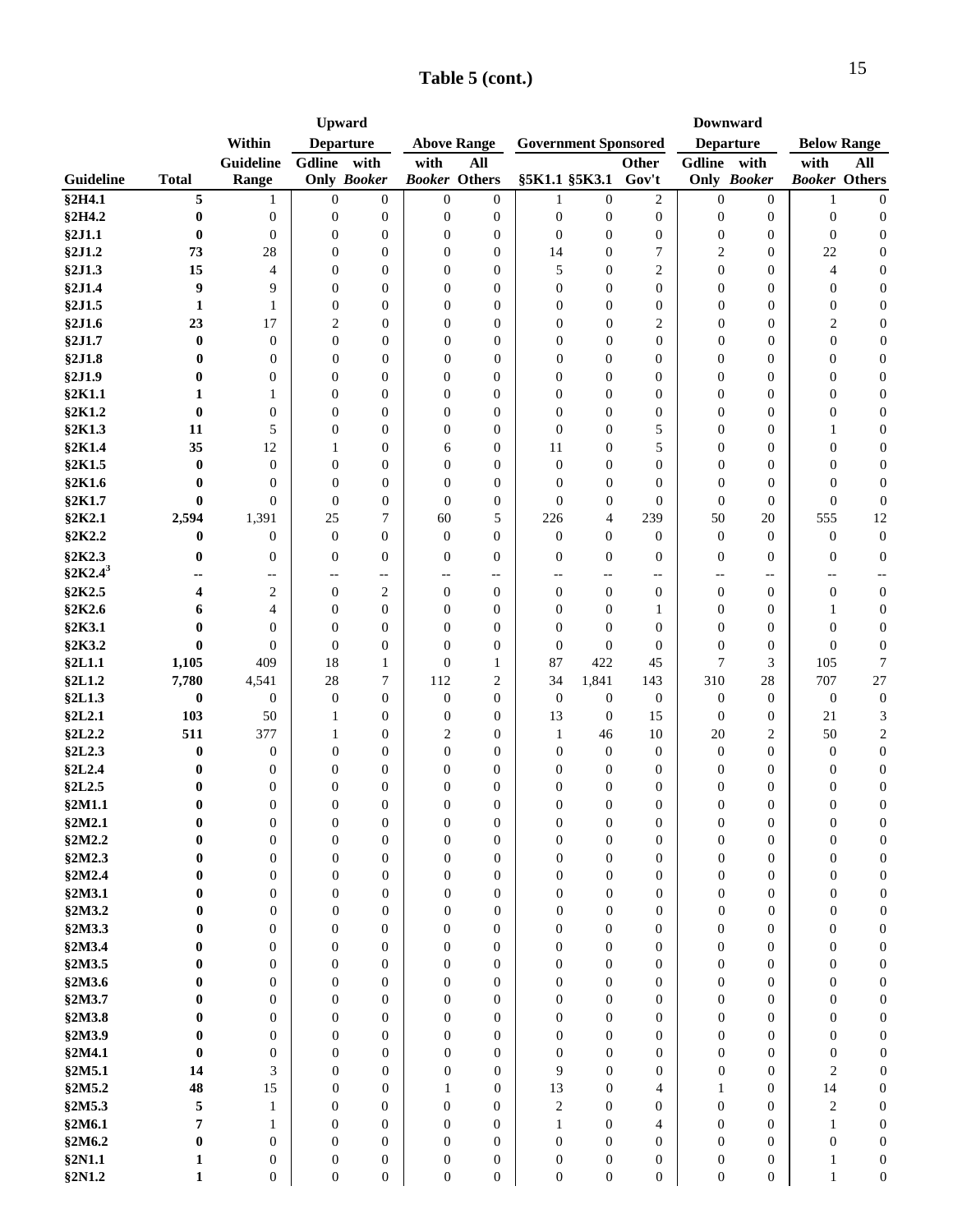|              |                  |                          |                  | <b>Upward</b>      |                  |                      |                  |                             |                  |                  | <b>Downward</b>    |                          |                      |
|--------------|------------------|--------------------------|------------------|--------------------|------------------|----------------------|------------------|-----------------------------|------------------|------------------|--------------------|--------------------------|----------------------|
|              |                  | Within                   |                  | <b>Departure</b>   |                  | <b>Above Range</b>   |                  | <b>Government Sponsored</b> |                  |                  | <b>Departure</b>   |                          | <b>Below Range</b>   |
|              |                  | Guideline                | Gdline           | with               | with             | <b>All</b>           |                  |                             | Other            | Gdline with      |                    | with                     | All                  |
| Guideline    | <b>Total</b>     | Range                    |                  | <b>Only Booker</b> |                  | <b>Booker</b> Others |                  | §5K1.1 §5K3.1               | Gov't            |                  | <b>Only Booker</b> |                          | <b>Booker Others</b> |
| §2H4.1       | 5                | 1                        | $\overline{0}$   | $\overline{0}$     | $\overline{0}$   | $\mathbf{0}$         | 1                | $\mathbf{0}$                | $\mathfrak{2}$   | $\overline{0}$   | $\mathbf{0}$       | 1                        | $\boldsymbol{0}$     |
| §2H4.2       | $\bf{0}$         | $\boldsymbol{0}$         | $\boldsymbol{0}$ | $\boldsymbol{0}$   | $\boldsymbol{0}$ | $\boldsymbol{0}$     | $\boldsymbol{0}$ | $\boldsymbol{0}$            | $\boldsymbol{0}$ | $\boldsymbol{0}$ | $\boldsymbol{0}$   | $\boldsymbol{0}$         | $\boldsymbol{0}$     |
| §2J1.1       | $\bf{0}$         | $\boldsymbol{0}$         | $\overline{0}$   | $\overline{0}$     | $\mathbf{0}$     | $\mathbf{0}$         | $\mathbf{0}$     | $\mathbf{0}$                | $\boldsymbol{0}$ | $\boldsymbol{0}$ | $\boldsymbol{0}$   | $\overline{0}$           | $\boldsymbol{0}$     |
|              |                  |                          |                  |                    |                  |                      |                  |                             |                  |                  |                    |                          |                      |
| §2J1.2       | 73               | 28                       | $\overline{0}$   | $\overline{0}$     | $\mathbf{0}$     | $\mathbf{0}$         | 14               | $\mathbf{0}$                | $\overline{7}$   | $\overline{c}$   | $\boldsymbol{0}$   | 22                       | $\boldsymbol{0}$     |
| §2J1.3       | 15               | 4                        | $\overline{0}$   | $\overline{0}$     | $\mathbf{0}$     | $\mathbf{0}$         | 5                | $\mathbf{0}$                | $\overline{2}$   | $\overline{0}$   | $\mathbf{0}$       | $\overline{4}$           | $\boldsymbol{0}$     |
| §2J1.4       | 9                | 9                        | $\mathbf{0}$     | $\boldsymbol{0}$   | $\mathbf{0}$     | $\mathbf{0}$         | $\mathbf{0}$     | $\overline{0}$              | $\mathbf{0}$     | 0                | $\mathbf{0}$       | $\boldsymbol{0}$         | $\boldsymbol{0}$     |
| §2J1.5       | $\mathbf{1}$     | 1                        | $\boldsymbol{0}$ | $\boldsymbol{0}$   | $\boldsymbol{0}$ | $\mathbf{0}$         | $\mathbf{0}$     | $\overline{0}$              | $\boldsymbol{0}$ | $\overline{0}$   | $\boldsymbol{0}$   | $\boldsymbol{0}$         | $\boldsymbol{0}$     |
| §2J1.6       | 23               | 17                       | $\mathfrak{2}$   | $\overline{0}$     | $\boldsymbol{0}$ | $\mathbf{0}$         | $\boldsymbol{0}$ | $\overline{0}$              | $\overline{2}$   | $\boldsymbol{0}$ | $\boldsymbol{0}$   | $\mathfrak{2}$           | $\boldsymbol{0}$     |
| §2J1.7       | $\bf{0}$         | $\boldsymbol{0}$         | $\boldsymbol{0}$ | $\boldsymbol{0}$   | $\boldsymbol{0}$ | $\mathbf{0}$         | $\boldsymbol{0}$ | $\overline{0}$              | $\mathbf{0}$     | $\overline{0}$   | $\boldsymbol{0}$   | $\boldsymbol{0}$         | $\boldsymbol{0}$     |
| §2J1.8       | $\bf{0}$         | $\overline{0}$           | $\boldsymbol{0}$ | $\mathbf{0}$       | $\mathbf{0}$     | $\mathbf{0}$         | $\theta$         | $\mathbf{0}$                | $\overline{0}$   | $\overline{0}$   | $\overline{0}$     | $\overline{0}$           | $\boldsymbol{0}$     |
| §2J1.9       | 0                | $\overline{0}$           | $\boldsymbol{0}$ | $\overline{0}$     | $\overline{0}$   | $\mathbf{0}$         | $\overline{0}$   | $\mathbf{0}$                | $\boldsymbol{0}$ | $\overline{0}$   | $\overline{0}$     | $\overline{0}$           | $\boldsymbol{0}$     |
| §2K1.1       | 1                | 1                        | $\overline{0}$   | $\overline{0}$     | $\overline{0}$   | $\mathbf{0}$         | $\theta$         | $\mathbf{0}$                | $\boldsymbol{0}$ | $\Omega$         | $\boldsymbol{0}$   | $\overline{0}$           | $\boldsymbol{0}$     |
| §2K1.2       | $\bf{0}$         | $\mathbf{0}$             | $\overline{0}$   | $\overline{0}$     | $\theta$         | $\mathbf{0}$         | $\theta$         | $\mathbf{0}$                | $\bf{0}$         | $\overline{0}$   | $\theta$           | $\overline{0}$           | $\boldsymbol{0}$     |
| §2K1.3       | 11               | 5                        | $\overline{0}$   | $\overline{0}$     | $\overline{0}$   | $\mathbf{0}$         | $\overline{0}$   | $\mathbf{0}$                | 5                | $\Omega$         | $\overline{0}$     | 1                        | $\boldsymbol{0}$     |
| §2K1.4       | 35               | 12                       | 1                | $\overline{0}$     | 6                | $\overline{0}$       | 11               | $\theta$                    | 5                | $\theta$         | $\overline{0}$     | $\mathbf{0}$             | $\boldsymbol{0}$     |
| §2K1.5       | $\bf{0}$         | $\mathbf{0}$             | $\mathbf{0}$     | $\overline{0}$     | $\mathbf{0}$     | $\mathbf{0}$         | $\boldsymbol{0}$ | $\mathbf{0}$                | $\overline{0}$   | $\mathbf{0}$     | $\mathbf{0}$       | $\mathbf{0}$             | $\boldsymbol{0}$     |
| §2K1.6       | $\bf{0}$         | $\mathbf{0}$             | $\boldsymbol{0}$ | $\overline{0}$     | $\overline{0}$   | $\mathbf{0}$         | $\mathbf{0}$     | $\overline{0}$              | $\mathbf{0}$     | $\mathbf{0}$     | $\mathbf{0}$       | $\boldsymbol{0}$         | $\boldsymbol{0}$     |
| §2K1.7       | $\bf{0}$         | $\mathbf{0}$             | $\boldsymbol{0}$ | $\boldsymbol{0}$   | $\boldsymbol{0}$ | $\mathbf{0}$         | $\overline{0}$   | $\boldsymbol{0}$            | $\overline{0}$   | $\mathbf{0}$     | $\mathbf{0}$       | $\boldsymbol{0}$         | $\boldsymbol{0}$     |
| §2K2.1       | 2,594            | 1,391                    | 25               | 7                  | 60               | 5                    | 226              | 4                           | 239              | 50               | 20                 | 555                      | 12                   |
| §2K2.2       | $\bf{0}$         | $\mathbf{0}$             | $\boldsymbol{0}$ | $\overline{0}$     | $\boldsymbol{0}$ | $\mathbf{0}$         | $\boldsymbol{0}$ | $\mathbf{0}$                | $\theta$         | $\overline{0}$   | $\theta$           | $\boldsymbol{0}$         | $\mathbf{0}$         |
|              |                  |                          |                  |                    |                  |                      |                  |                             |                  |                  |                    |                          |                      |
| §2K2.3       | 0                | $\boldsymbol{0}$         | $\boldsymbol{0}$ | $\overline{0}$     | $\boldsymbol{0}$ | $\mathbf{0}$         | $\boldsymbol{0}$ | $\theta$                    | $\boldsymbol{0}$ | $\boldsymbol{0}$ | $\mathbf{0}$       | $\boldsymbol{0}$         | $\boldsymbol{0}$     |
| $\S 2K2.4^3$ |                  | $\overline{\phantom{a}}$ | --               | $\sim$ $\sim$      | --               | $- -$                | $-$              | $-$                         | $\overline{a}$   | $-$              | $-$                | $\overline{\phantom{a}}$ | $- -$                |
| §2K2.5       | 4                | $\overline{c}$           | $\boldsymbol{0}$ | 2                  | $\boldsymbol{0}$ | $\mathbf{0}$         | $\overline{0}$   | $\mathbf{0}$                | $\boldsymbol{0}$ | $\mathbf{0}$     | $\overline{0}$     | $\boldsymbol{0}$         | $\boldsymbol{0}$     |
| §2K2.6       | 6                | 4                        | $\boldsymbol{0}$ | $\overline{0}$     | $\boldsymbol{0}$ | $\mathbf{0}$         | $\theta$         | $\mathbf{0}$                | 1                | $\mathbf{0}$     | $\boldsymbol{0}$   | 1                        | $\boldsymbol{0}$     |
| §2K3.1       | $\bf{0}$         | $\mathbf{0}$             | $\overline{0}$   | $\overline{0}$     | $\overline{0}$   | $\mathbf{0}$         | $\overline{0}$   | $\mathbf{0}$                | $\boldsymbol{0}$ | $\theta$         | $\boldsymbol{0}$   | $\overline{0}$           | $\boldsymbol{0}$     |
| §2K3.2       | $\bf{0}$         | $\mathbf{0}$             | $\overline{0}$   | $\overline{0}$     | $\overline{0}$   | $\overline{0}$       | $\overline{0}$   | $\overline{0}$              | $\overline{0}$   | $\overline{0}$   | $\boldsymbol{0}$   | $\overline{0}$           | $\boldsymbol{0}$     |
| §2L1.1       | 1,105            | 409                      | 18               | $\mathbf{1}$       | $\overline{0}$   | $\mathbf{1}$         | 87               | 422                         | 45               | 7                | 3                  | 105                      | $\tau$               |
| §2L1.2       | 7,780            | 4,541                    | 28               | $\tau$             | 112              | $\mathfrak{2}$       | 34               | 1,841                       | 143              | 310              | 28                 | 707                      | 27                   |
| \$2L1.3      | $\bf{0}$         | $\boldsymbol{0}$         | $\boldsymbol{0}$ | $\boldsymbol{0}$   | $\boldsymbol{0}$ | $\mathbf{0}$         | $\boldsymbol{0}$ | $\mathbf{0}$                | $\boldsymbol{0}$ | $\mathbf{0}$     | $\boldsymbol{0}$   | $\boldsymbol{0}$         | $\boldsymbol{0}$     |
| §2L2.1       | 103              | 50                       | 1                | $\boldsymbol{0}$   | $\boldsymbol{0}$ | $\mathbf{0}$         | 13               | $\boldsymbol{0}$            | 15               | $\overline{0}$   | $\boldsymbol{0}$   | 21                       | 3                    |
| \$2L2.2      | 511              | 377                      | 1                | $\boldsymbol{0}$   | $\mathfrak{2}$   | $\mathbf{0}$         | 1                | 46                          | 10               | 20               | $\mathfrak{2}$     | 50                       | $\boldsymbol{2}$     |
| \$2L2.3      | $\bf{0}$         | $\boldsymbol{0}$         | $\boldsymbol{0}$ | $\boldsymbol{0}$   | $\boldsymbol{0}$ | $\mathbf{0}$         | $\boldsymbol{0}$ | $\boldsymbol{0}$            | $\boldsymbol{0}$ | $\boldsymbol{0}$ | $\overline{0}$     | $\boldsymbol{0}$         | $\boldsymbol{0}$     |
| \$2L2.4      | 0                | $\overline{0}$           | $\boldsymbol{0}$ | $\overline{0}$     | $\mathbf{0}$     | $\mathbf{0}$         | $\overline{0}$   | $\mathbf{0}$                | $\boldsymbol{0}$ | $\mathbf{0}$     | $\mathbf{0}$       | $\theta$                 | $\boldsymbol{0}$     |
| §2L2.5       | 0                | $\overline{0}$           | $\boldsymbol{0}$ | $\overline{0}$     | $\mathbf{0}$     | $\mathbf{0}$         | $\overline{0}$   | $\overline{0}$              | $\boldsymbol{0}$ | $\overline{0}$   | $\theta$           | $\overline{0}$           | $\boldsymbol{0}$     |
| §2M1.1       | $\bf{0}$         | $\overline{0}$           | $\overline{0}$   | $\overline{0}$     | $\overline{0}$   | $\theta$             | $\theta$         | $\mathbf{0}$                | $\overline{0}$   | $\overline{0}$   | $\overline{0}$     | $\overline{0}$           | $\boldsymbol{0}$     |
| §2M2.1       | $\boldsymbol{0}$ | $\boldsymbol{0}$         | $\boldsymbol{0}$ | 0                  | $\overline{0}$   | $\boldsymbol{0}$     | $\overline{0}$   | $\mathbf{0}$                | $\overline{0}$   | $\mathbf{0}$     | $\boldsymbol{0}$   | 0                        | $\boldsymbol{0}$     |
| §2M2.2       | $\bf{0}$         | $\boldsymbol{0}$         | $\boldsymbol{0}$ | $\overline{0}$     | $\overline{0}$   | $\theta$             | $\theta$         | $\theta$                    | $\mathbf{0}$     | $\overline{0}$   | $\overline{0}$     | $\mathbf{0}$             | $\boldsymbol{0}$     |
| §2M2.3       | $\bf{0}$         | $\mathbf{0}$             | $\overline{0}$   | $\overline{0}$     | $\mathbf{0}$     | $\theta$             | $\mathbf{0}$     | $\theta$                    | $\mathbf{0}$     | $\overline{0}$   | $\overline{0}$     | $\mathbf{0}$             | $\boldsymbol{0}$     |
| §2M2.4       | $\bf{0}$         | $\mathbf{0}$             | $\boldsymbol{0}$ | $\boldsymbol{0}$   | $\boldsymbol{0}$ | $\theta$             | $\boldsymbol{0}$ | $\boldsymbol{0}$            | $\mathbf{0}$     | $\overline{0}$   | $\boldsymbol{0}$   | $\boldsymbol{0}$         | $\boldsymbol{0}$     |
| §2M3.1       | 0                | 0                        | $\boldsymbol{0}$ | $\boldsymbol{0}$   | $\boldsymbol{0}$ | $\mathbf{0}$         | $\boldsymbol{0}$ | $\boldsymbol{0}$            | $\mathbf{0}$     | $\overline{0}$   | $\boldsymbol{0}$   | $\boldsymbol{0}$         | $\boldsymbol{0}$     |
|              |                  |                          |                  |                    | $\boldsymbol{0}$ | $\mathbf{0}$         |                  |                             |                  |                  |                    |                          |                      |
| §2M3.2       | 0                | $\boldsymbol{0}$         | $\boldsymbol{0}$ | $\boldsymbol{0}$   |                  |                      | $\boldsymbol{0}$ | $\boldsymbol{0}$            | $\mathbf{0}$     | $\boldsymbol{0}$ | $\boldsymbol{0}$   | $\boldsymbol{0}$         | $\boldsymbol{0}$     |
| §2M3.3       | $\bf{0}$         | $\boldsymbol{0}$         | $\boldsymbol{0}$ | $\boldsymbol{0}$   | $\boldsymbol{0}$ | $\boldsymbol{0}$     | $\boldsymbol{0}$ | $\mathbf{0}$                | $\boldsymbol{0}$ | $\overline{0}$   | $\boldsymbol{0}$   | $\boldsymbol{0}$         | $\boldsymbol{0}$     |
| §2M3.4       | 0                | $\mathbf{0}$             | $\boldsymbol{0}$ | $\overline{0}$     | $\boldsymbol{0}$ | $\theta$             | $\boldsymbol{0}$ | $\mathbf{0}$                | $\boldsymbol{0}$ | $\overline{0}$   | $\boldsymbol{0}$   | $\overline{0}$           | $\boldsymbol{0}$     |
| §2M3.5       | 0                | $\boldsymbol{0}$         | $\boldsymbol{0}$ | $\overline{0}$     | $\boldsymbol{0}$ | $\mathbf{0}$         | $\boldsymbol{0}$ | $\mathbf{0}$                | $\mathbf{0}$     | $\overline{0}$   | $\boldsymbol{0}$   | $\overline{0}$           | $\boldsymbol{0}$     |
| §2M3.6       | $\bf{0}$         | $\mathbf{0}$             | $\boldsymbol{0}$ | $\boldsymbol{0}$   | $\boldsymbol{0}$ | $\mathbf{0}$         | $\overline{0}$   | $\theta$                    | $\mathbf{0}$     | $\overline{0}$   | $\boldsymbol{0}$   | $\overline{0}$           | $\boldsymbol{0}$     |
| §2M3.7       | 0                | 0                        | $\boldsymbol{0}$ | $\boldsymbol{0}$   | $\boldsymbol{0}$ | $\overline{0}$       | $\boldsymbol{0}$ | $\theta$                    | $\overline{0}$   | $\overline{0}$   | 0                  | $\mathbf{0}$             | $\boldsymbol{0}$     |
| §2M3.8       | $\bf{0}$         | 0                        | $\boldsymbol{0}$ | $\boldsymbol{0}$   | $\mathbf{0}$     | $\theta$             | $\mathbf{0}$     | $\theta$                    | $\mathbf{0}$     | $\Omega$         | $\overline{0}$     | $\mathbf{0}$             | $\boldsymbol{0}$     |
| §2M3.9       | $\bf{0}$         | $\mathbf{0}$             | $\mathbf{0}$     | $\overline{0}$     | $\mathbf{0}$     | $\theta$             | $\mathbf{0}$     | $\mathbf{0}$                | $\mathbf{0}$     | $\overline{0}$   | $\overline{0}$     | $\mathbf{0}$             | $\boldsymbol{0}$     |
| §2M4.1       | $\bf{0}$         | $\boldsymbol{0}$         | $\boldsymbol{0}$ | $\boldsymbol{0}$   | $\boldsymbol{0}$ | $\mathbf{0}$         | $\boldsymbol{0}$ | $\boldsymbol{0}$            | $\mathbf{0}$     | $\overline{0}$   | $\boldsymbol{0}$   | $\boldsymbol{0}$         | $\boldsymbol{0}$     |
| §2M5.1       | 14               | 3                        | $\boldsymbol{0}$ | $\boldsymbol{0}$   | $\boldsymbol{0}$ | $\mathbf{0}$         | 9                | $\boldsymbol{0}$            | $\theta$         | $\overline{0}$   | $\overline{0}$     | $\mathfrak{2}$           | $\boldsymbol{0}$     |
| §2M5.2       | 48               | 15                       | $\boldsymbol{0}$ | $\boldsymbol{0}$   | 1                | $\mathbf{0}$         | 13               | $\boldsymbol{0}$            | 4                | 1                | $\overline{0}$     | 14                       | $\boldsymbol{0}$     |
| §2M5.3       | 5                | $\mathbf{1}$             | $\boldsymbol{0}$ | $\boldsymbol{0}$   | $\boldsymbol{0}$ | $\mathbf{0}$         | $\boldsymbol{2}$ | $\mathbf{0}$                | $\boldsymbol{0}$ | $\overline{0}$   | $\overline{0}$     | $\boldsymbol{2}$         | $\boldsymbol{0}$     |
| §2M6.1       | 7                | 1                        | $\boldsymbol{0}$ | $\overline{0}$     | $\boldsymbol{0}$ | $\mathbf{0}$         | $\mathbf{1}$     | $\mathbf{0}$                | 4                | $\overline{0}$   | $\mathbf{0}$       | $\mathbf{1}$             | $\boldsymbol{0}$     |
| §2M6.2       | $\boldsymbol{0}$ | $\boldsymbol{0}$         | $\boldsymbol{0}$ | $\overline{0}$     | $\boldsymbol{0}$ | $\mathbf{0}$         | $\boldsymbol{0}$ | $\mathbf{0}$                | $\boldsymbol{0}$ | $\overline{0}$   | $\boldsymbol{0}$   | $\boldsymbol{0}$         | $\boldsymbol{0}$     |
| §2N1.1       | 1                | $\boldsymbol{0}$         | $\boldsymbol{0}$ | $\boldsymbol{0}$   | $\boldsymbol{0}$ | $\boldsymbol{0}$     | $\boldsymbol{0}$ | $\boldsymbol{0}$            | $\boldsymbol{0}$ | $\boldsymbol{0}$ | $\boldsymbol{0}$   | 1                        | $\boldsymbol{0}$     |
| §2N1.2       | $\mathbf{1}$     | $\overline{0}$           | $\boldsymbol{0}$ | $\boldsymbol{0}$   | $\boldsymbol{0}$ | $\overline{0}$       | $\boldsymbol{0}$ | $\mathbf{0}$                | $\overline{0}$   | $\overline{0}$   | $\overline{0}$     |                          | $\boldsymbol{0}$     |
|              |                  |                          |                  |                    |                  |                      |                  |                             |                  |                  |                    | $\mathbf{1}$             |                      |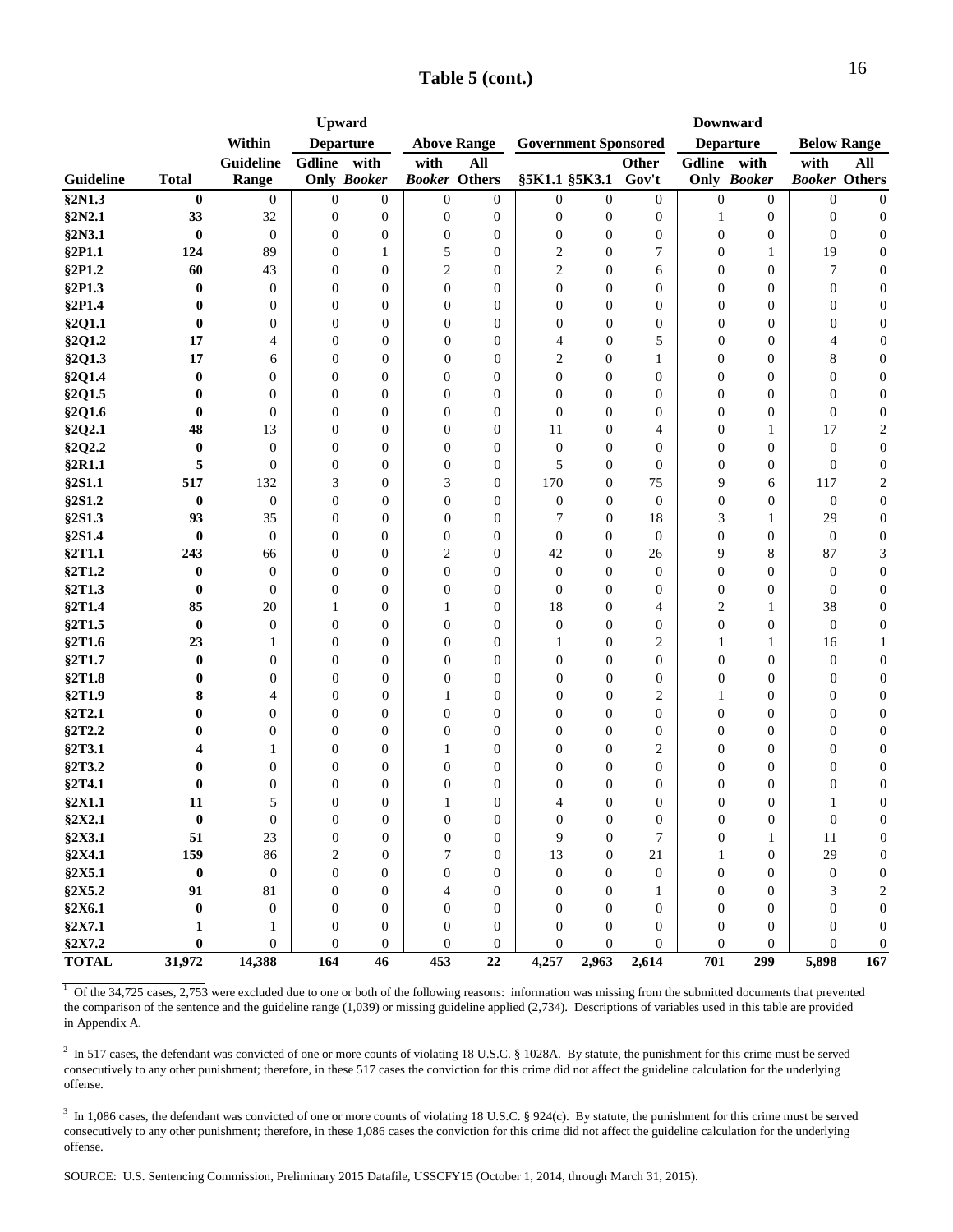| Table 5 (cont.) |  |
|-----------------|--|
|-----------------|--|

|              |                  |                  |                  | <b>Upward</b>      |                      |                    |                  |                             |                  |                  | <b>Downward</b>  |                      |                    |
|--------------|------------------|------------------|------------------|--------------------|----------------------|--------------------|------------------|-----------------------------|------------------|------------------|------------------|----------------------|--------------------|
|              |                  | Within           |                  | <b>Departure</b>   |                      | <b>Above Range</b> |                  | <b>Government Sponsored</b> |                  | <b>Departure</b> |                  |                      | <b>Below Range</b> |
|              |                  | Guideline        | Gdline           | with               | with                 | All                |                  |                             | <b>Other</b>     | Gdline           | with             | with                 | All                |
| Guideline    | <b>Total</b>     | Range            |                  | <b>Only Booker</b> | <b>Booker Others</b> |                    |                  | §5K1.1 §5K3.1               | Gov't            |                  | Only Booker      | <b>Booker Others</b> |                    |
| §2N1.3       | $\bf{0}$         | $\boldsymbol{0}$ | $\boldsymbol{0}$ | 0                  | $\mathbf{0}$         | $\overline{0}$     | $\boldsymbol{0}$ | $\mathbf{0}$                | $\boldsymbol{0}$ | $\boldsymbol{0}$ | $\theta$         | $\boldsymbol{0}$     | $\boldsymbol{0}$   |
| §2N2.1       | 33               | 32               | $\boldsymbol{0}$ | $\boldsymbol{0}$   | $\boldsymbol{0}$     | $\boldsymbol{0}$   | $\boldsymbol{0}$ | $\boldsymbol{0}$            | $\boldsymbol{0}$ | 1                | $\boldsymbol{0}$ | 0                    | $\boldsymbol{0}$   |
| §2N3.1       | $\bf{0}$         | $\boldsymbol{0}$ | $\boldsymbol{0}$ | $\boldsymbol{0}$   | $\boldsymbol{0}$     | $\boldsymbol{0}$   | $\boldsymbol{0}$ | $\boldsymbol{0}$            | $\boldsymbol{0}$ | $\boldsymbol{0}$ | $\boldsymbol{0}$ | $\boldsymbol{0}$     | $\boldsymbol{0}$   |
| §2P1.1       | 124              | 89               | $\boldsymbol{0}$ | 1                  | 5                    | $\mathbf{0}$       | 2                | $\boldsymbol{0}$            | $\tau$           | $\boldsymbol{0}$ | 1                | 19                   | $\boldsymbol{0}$   |
| §2P1.2       | 60               | 43               | $\boldsymbol{0}$ | $\overline{0}$     | $\overline{c}$       | $\mathbf{0}$       | $\boldsymbol{2}$ | $\mathbf{0}$                | 6                | $\boldsymbol{0}$ | $\boldsymbol{0}$ | $\tau$               | $\boldsymbol{0}$   |
| §2P1.3       | $\bf{0}$         | $\boldsymbol{0}$ | $\mathbf{0}$     | $\overline{0}$     | $\overline{0}$       | $\theta$           | $\boldsymbol{0}$ | $\mathbf{0}$                | $\boldsymbol{0}$ | $\boldsymbol{0}$ | $\boldsymbol{0}$ | $\boldsymbol{0}$     | $\boldsymbol{0}$   |
| §2P1.4       | $\bf{0}$         | 0                | $\mathbf{0}$     | $\overline{0}$     | $\mathbf{0}$         | $\theta$           | $\mathbf{0}$     | $\mathbf{0}$                | $\boldsymbol{0}$ | $\overline{0}$   | $\boldsymbol{0}$ | $\boldsymbol{0}$     | $\boldsymbol{0}$   |
| §2Q1.1       | $\bf{0}$         | 0                | $\mathbf{0}$     | $\overline{0}$     | $\mathbf{0}$         | $\theta$           | $\boldsymbol{0}$ | $\overline{0}$              | $\boldsymbol{0}$ | $\overline{0}$   | $\boldsymbol{0}$ | $\boldsymbol{0}$     | $\boldsymbol{0}$   |
| §2Q1.2       | 17               | 4                | $\mathbf{0}$     | $\boldsymbol{0}$   | $\overline{0}$       | $\mathbf{0}$       | 4                | $\mathbf{0}$                | 5                | $\overline{0}$   | $\boldsymbol{0}$ | 4                    | $\boldsymbol{0}$   |
| §2Q1.3       | 17               | 6                | $\mathbf{0}$     | $\mathbf{0}$       | $\overline{0}$       | $\mathbf{0}$       | 2                | $\overline{0}$              | $\mathbf{1}$     | $\mathbf{0}$     | $\overline{0}$   | 8                    | $\boldsymbol{0}$   |
| §2Q1.4       | $\bf{0}$         | $\overline{0}$   | 0                | $\boldsymbol{0}$   | $\mathbf{0}$         | $\boldsymbol{0}$   | $\theta$         | $\boldsymbol{0}$            | $\boldsymbol{0}$ | $\boldsymbol{0}$ | $\boldsymbol{0}$ | $\boldsymbol{0}$     | $\boldsymbol{0}$   |
| §2Q1.5       | $\bf{0}$         | $\mathbf{0}$     | $\boldsymbol{0}$ | $\boldsymbol{0}$   | $\boldsymbol{0}$     | $\mathbf{0}$       | $\overline{0}$   | $\boldsymbol{0}$            | $\boldsymbol{0}$ | $\boldsymbol{0}$ | $\boldsymbol{0}$ | $\boldsymbol{0}$     | $\boldsymbol{0}$   |
| §2Q1.6       | $\bf{0}$         | $\mathbf{0}$     | $\boldsymbol{0}$ | $\boldsymbol{0}$   | $\boldsymbol{0}$     | $\boldsymbol{0}$   | $\overline{0}$   | $\mathbf{0}$                | $\boldsymbol{0}$ | $\boldsymbol{0}$ | $\boldsymbol{0}$ | $\boldsymbol{0}$     | $\boldsymbol{0}$   |
| §2Q2.1       | 48               | 13               | $\boldsymbol{0}$ | $\boldsymbol{0}$   | $\boldsymbol{0}$     | $\boldsymbol{0}$   | 11               | $\boldsymbol{0}$            | 4                | $\boldsymbol{0}$ | 1                | 17                   | $\boldsymbol{2}$   |
| §2Q2.2       | $\bf{0}$         | $\overline{0}$   | $\boldsymbol{0}$ | $\overline{0}$     | $\mathbf{0}$         | $\theta$           | $\boldsymbol{0}$ | $\mathbf{0}$                | $\mathbf{0}$     | $\overline{0}$   | $\boldsymbol{0}$ | $\boldsymbol{0}$     | $\boldsymbol{0}$   |
| §2R1.1       | 5                | $\overline{0}$   | $\boldsymbol{0}$ | $\overline{0}$     | $\mathbf{0}$         | $\mathbf{0}$       | 5                | $\mathbf{0}$                | $\mathbf{0}$     | $\boldsymbol{0}$ | $\boldsymbol{0}$ | $\boldsymbol{0}$     | $\boldsymbol{0}$   |
| §2S1.1       | 517              | 132              | 3                | $\overline{0}$     | 3                    | $\theta$           | 170              | $\mathbf{0}$                | 75               | 9                | 6                | 117                  | 2                  |
| §2S1.2       | $\bf{0}$         | $\boldsymbol{0}$ | $\mathbf{0}$     | $\overline{0}$     | $\mathbf{0}$         | $\overline{0}$     | $\mathbf{0}$     | $\mathbf{0}$                | $\mathbf{0}$     | $\boldsymbol{0}$ | $\boldsymbol{0}$ | $\boldsymbol{0}$     | $\boldsymbol{0}$   |
| §2S1.3       | 93               | 35               | $\mathbf{0}$     | $\overline{0}$     | $\mathbf{0}$         | $\mathbf{0}$       | 7                | $\mathbf{0}$                | 18               | 3                | 1                | 29                   | $\boldsymbol{0}$   |
| §2S1.4       | $\bf{0}$         | $\mathbf{0}$     | $\mathbf{0}$     | $\overline{0}$     | $\mathbf{0}$         | $\mathbf{0}$       | $\theta$         | $\mathbf{0}$                | $\theta$         | $\overline{0}$   | $\theta$         | $\boldsymbol{0}$     | $\boldsymbol{0}$   |
| §2T1.1       | 243              | 66               | $\mathbf{0}$     | $\boldsymbol{0}$   | 2                    | $\mathbf{0}$       | 42               | $\bf{0}$                    | 26               | 9                | 8                | 87                   | 3                  |
| §2T1.2       | $\bf{0}$         | $\boldsymbol{0}$ | $\boldsymbol{0}$ | $\boldsymbol{0}$   | $\boldsymbol{0}$     | $\mathbf{0}$       | $\boldsymbol{0}$ | $\mathbf{0}$                | $\boldsymbol{0}$ | $\boldsymbol{0}$ | $\boldsymbol{0}$ | $\mathbf{0}$         | $\boldsymbol{0}$   |
| §2T1.3       | $\bf{0}$         | $\boldsymbol{0}$ | $\boldsymbol{0}$ | $\boldsymbol{0}$   | $\boldsymbol{0}$     | $\boldsymbol{0}$   | $\mathbf{0}$     | $\mathbf{0}$                | $\mathbf{0}$     | $\boldsymbol{0}$ | $\boldsymbol{0}$ | $\boldsymbol{0}$     | $\boldsymbol{0}$   |
| §2T1.4       | 85               | 20               | 1                | $\boldsymbol{0}$   | 1                    | $\boldsymbol{0}$   | 18               | $\boldsymbol{0}$            | 4                | 2                | 1                | 38                   | $\boldsymbol{0}$   |
| §2T1.5       | $\bf{0}$         | $\mathbf{0}$     | $\boldsymbol{0}$ | $\overline{0}$     | $\mathbf{0}$         | $\mathbf{0}$       | $\boldsymbol{0}$ | $\mathbf{0}$                | $\boldsymbol{0}$ | $\boldsymbol{0}$ | $\boldsymbol{0}$ | $\boldsymbol{0}$     | $\boldsymbol{0}$   |
| §2T1.6       | 23               | 1                | $\mathbf{0}$     | $\overline{0}$     | $\theta$             | $\mathbf{0}$       | 1                | $\mathbf{0}$                | $\overline{2}$   | 1                | 1                | 16                   | $\mathbf{1}$       |
| §2T1.7       | $\bf{0}$         | $\boldsymbol{0}$ | $\mathbf{0}$     | $\overline{0}$     | $\mathbf{0}$         | $\theta$           | $\mathbf{0}$     | $\mathbf{0}$                | $\boldsymbol{0}$ | $\overline{0}$   | $\boldsymbol{0}$ | $\boldsymbol{0}$     | $\boldsymbol{0}$   |
| §2T1.8       | 0                | $\boldsymbol{0}$ | $\mathbf{0}$     | $\overline{0}$     | $\mathbf{0}$         | $\theta$           | $\mathbf{0}$     | $\mathbf{0}$                | $\bf{0}$         | 0                | $\boldsymbol{0}$ | $\boldsymbol{0}$     | $\boldsymbol{0}$   |
| §2T1.9       | 8                | 4                | $\mathbf{0}$     | $\boldsymbol{0}$   | 1                    | $\mathbf{0}$       | $\overline{0}$   | $\mathbf{0}$                | $\overline{c}$   | 1                | $\boldsymbol{0}$ | $\boldsymbol{0}$     | $\boldsymbol{0}$   |
| §2T2.1       | 0                | $\mathbf{0}$     | $\boldsymbol{0}$ | $\boldsymbol{0}$   | $\mathbf{0}$         | $\mathbf{0}$       | $\mathbf{0}$     | $\mathbf{0}$                | $\mathbf{0}$     | $\mathbf{0}$     | $\mathbf{0}$     | $\overline{0}$       | $\boldsymbol{0}$   |
| §2T2.2       | 0                | $\boldsymbol{0}$ | $\overline{0}$   | $\boldsymbol{0}$   | $\mathbf{0}$         | $\boldsymbol{0}$   | $\theta$         | $\boldsymbol{0}$            | $\boldsymbol{0}$ | $\boldsymbol{0}$ | $\mathbf{0}$     | $\boldsymbol{0}$     | $\boldsymbol{0}$   |
| §2T3.1       | 4                | 1                | $\boldsymbol{0}$ | $\boldsymbol{0}$   | 1                    | $\mathbf{0}$       | $\overline{0}$   | $\boldsymbol{0}$            | $\overline{2}$   | $\boldsymbol{0}$ | $\mathbf{0}$     | $\boldsymbol{0}$     | $\boldsymbol{0}$   |
| §2T3.2       | 0                | $\boldsymbol{0}$ | $\boldsymbol{0}$ | $\boldsymbol{0}$   | $\boldsymbol{0}$     | $\boldsymbol{0}$   | $\mathbf{0}$     | $\boldsymbol{0}$            | $\boldsymbol{0}$ | $\boldsymbol{0}$ | $\boldsymbol{0}$ | $\boldsymbol{0}$     | $\boldsymbol{0}$   |
| §2T4.1       | $\bf{0}$         | 0                | $\boldsymbol{0}$ | $\boldsymbol{0}$   | $\boldsymbol{0}$     | $\boldsymbol{0}$   | $\boldsymbol{0}$ | $\boldsymbol{0}$            | $\boldsymbol{0}$ | $\boldsymbol{0}$ | $\boldsymbol{0}$ | $\boldsymbol{0}$     | $\boldsymbol{0}$   |
| §2X1.1       | 11               | 5                | $\mathbf{0}$     | $\overline{0}$     | $\mathbf{1}$         | $\mathbf{0}$       | 4                | $\mathbf{0}$                | $\mathbf{0}$     | $\overline{0}$   | $\overline{0}$   | $\mathbf{1}$         | $\boldsymbol{0}$   |
| §2X2.1       | $\pmb{0}$        | $\boldsymbol{0}$ | $\boldsymbol{0}$ | $\boldsymbol{0}$   | $\boldsymbol{0}$     | $\mathbf{0}$       | $\mathbf{0}$     | $\boldsymbol{0}$            | $\boldsymbol{0}$ | $\boldsymbol{0}$ | $\mathbf{0}$     | $\boldsymbol{0}$     | $\boldsymbol{0}$   |
| §2X3.1       | 51               | 23               | $\boldsymbol{0}$ | $\overline{0}$     | $\boldsymbol{0}$     | $\mathbf{0}$       | 9                | $\mathbf{0}$                | 7                | 0                | 1                | 11                   | $\boldsymbol{0}$   |
| §2X4.1       | 159              | 86               | 2                | $\boldsymbol{0}$   | 7                    | $\mathbf{0}$       | 13               | $\mathbf{0}$                | 21               | 1                | $\mathbf{0}$     | 29                   | $\boldsymbol{0}$   |
| §2X5.1       | $\boldsymbol{0}$ | $\boldsymbol{0}$ | $\mathbf{0}$     | $\overline{0}$     | $\mathbf{0}$         | $\mathbf{0}$       | $\boldsymbol{0}$ | $\Omega$                    | $\mathbf{0}$     | $\overline{0}$   | $\mathbf{0}$     | $\boldsymbol{0}$     | $\boldsymbol{0}$   |
| §2X5.2       | 91               | 81               | $\mathbf{0}$     | $\overline{0}$     | 4                    | $\mathbf{0}$       | $\mathbf{0}$     | $\mathbf{0}$                | 1                | $\mathbf{0}$     | $\overline{0}$   | 3                    | $\boldsymbol{2}$   |
| §2X6.1       | $\bf{0}$         | $\boldsymbol{0}$ | $\mathbf{0}$     | 0                  | $\mathbf{0}$         | $\mathbf{0}$       | $\theta$         | $\mathbf{0}$                | $\boldsymbol{0}$ | $\mathbf{0}$     | $\mathbf{0}$     | $\overline{0}$       | $\boldsymbol{0}$   |
| §2X7.1       | 1                | 1                | $\boldsymbol{0}$ | $\boldsymbol{0}$   | $\boldsymbol{0}$     | $\boldsymbol{0}$   | $\theta$         | $\boldsymbol{0}$            | $\boldsymbol{0}$ | $\boldsymbol{0}$ | $\mathbf{0}$     | $\boldsymbol{0}$     | $\boldsymbol{0}$   |
| §2X7.2       | $\bf{0}$         | $\overline{0}$   | $\boldsymbol{0}$ | $\boldsymbol{0}$   | $\mathbf{0}$         | $\boldsymbol{0}$   | 0                | $\mathbf{0}$                | $\overline{0}$   | $\boldsymbol{0}$ | $\overline{0}$   | $\mathbf{0}$         | $\boldsymbol{0}$   |
| <b>TOTAL</b> | 31,972           | 14,388           | 164              | 46                 | 453                  | 22                 | 4,257            | 2,963                       | 2,614            | 701              | 299              | 5,898                | 167                |

 $1$  Of the 34,725 cases, 2,753 were excluded due to one or both of the following reasons: information was missing from the submitted documents that prevented the comparison of the sentence and the guideline range (1,039) or missing guideline applied (2,734). Descriptions of variables used in this table are provided in Appendix A.

 $^2$  In 517 cases, the defendant was convicted of one or more counts of violating 18 U.S.C. § 1028A. By statute, the punishment for this crime must be served consecutively to any other punishment; therefore, in these 517 cases the conviction for this crime did not affect the guideline calculation for the underlying offense.

 $3 \text{ In } 1,086 \text{ cases, the defendant was convicted of one or more counts of violating 18 U.S.C. § 924(c). By statue, the punishment for this crime must be served.}$ consecutively to any other punishment; therefore, in these 1,086 cases the conviction for this crime did not affect the guideline calculation for the underlying offense.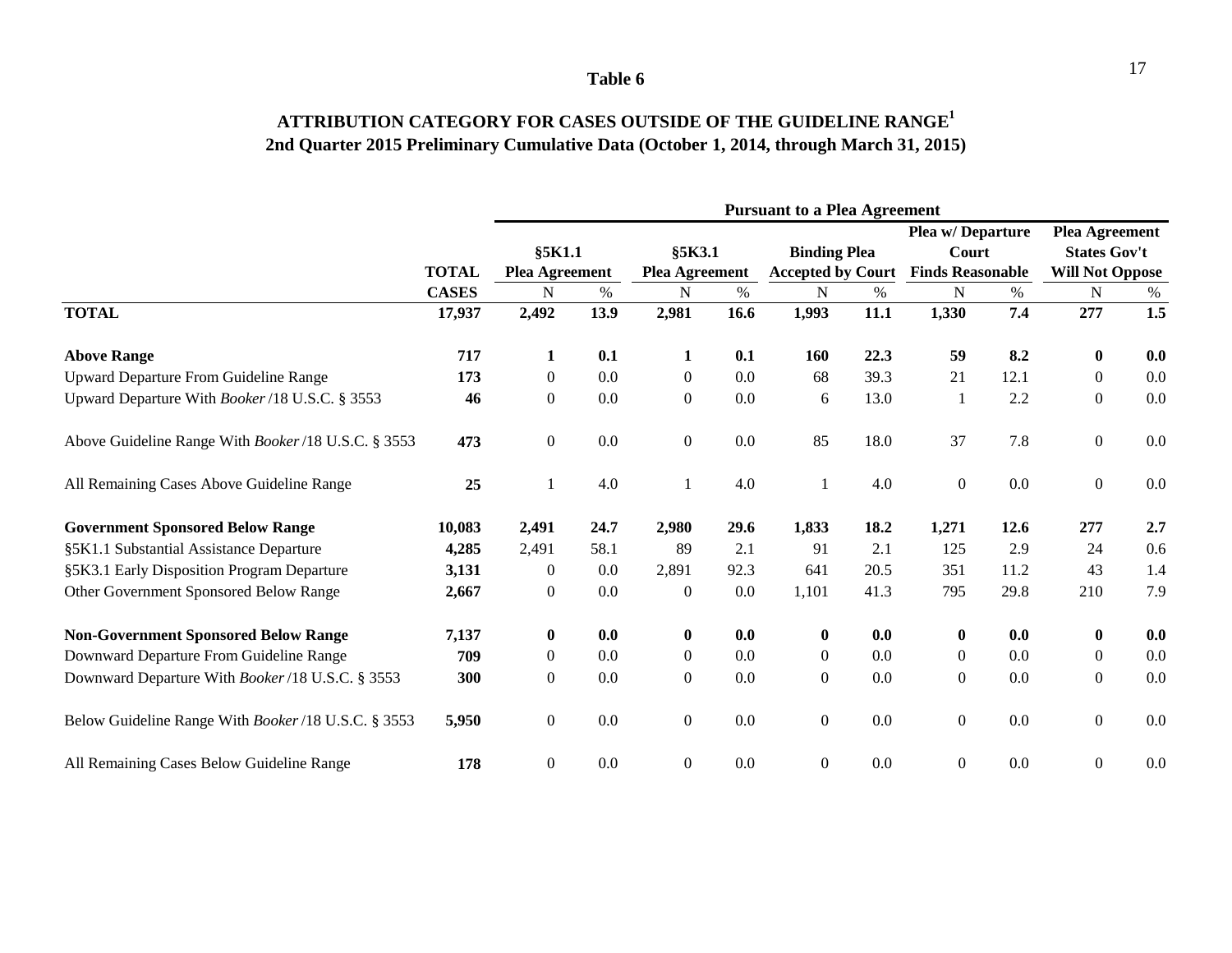### **ATTRIBUTION CATEGORY FOR CASES OUTSIDE OF THE GUIDELINE RANGE1 2nd Quarter 2015 Preliminary Cumulative Data (October 1, 2014, through March 31, 2015)**

|                                                    |              | <b>Pursuant to a Plea Agreement</b> |      |                       |      |                          |      |                         |      |                        |     |  |  |
|----------------------------------------------------|--------------|-------------------------------------|------|-----------------------|------|--------------------------|------|-------------------------|------|------------------------|-----|--|--|
|                                                    |              |                                     |      |                       |      |                          |      | Plea w/Departure        |      | <b>Plea Agreement</b>  |     |  |  |
|                                                    |              | §5K1.1                              |      | §5K3.1                |      | <b>Binding Plea</b>      |      | Court                   |      | <b>States Gov't</b>    |     |  |  |
|                                                    | <b>TOTAL</b> | <b>Plea Agreement</b>               |      | <b>Plea Agreement</b> |      | <b>Accepted by Court</b> |      | <b>Finds Reasonable</b> |      | <b>Will Not Oppose</b> |     |  |  |
|                                                    | <b>CASES</b> | N                                   | %    | N                     | $\%$ | N                        | %    | N                       | $\%$ | $\mathbf N$            | %   |  |  |
| <b>TOTAL</b>                                       | 17,937       | 2,492                               | 13.9 | 2,981                 | 16.6 | 1,993                    | 11.1 | 1,330                   | 7,4  | 277                    | 1.5 |  |  |
| <b>Above Range</b>                                 | 717          | $\mathbf{1}$                        | 0.1  | $\mathbf{1}$          | 0.1  | <b>160</b>               | 22.3 | 59                      | 8.2  | $\bf{0}$               | 0.0 |  |  |
| Upward Departure From Guideline Range              | 173          | $\boldsymbol{0}$                    | 0.0  | $\boldsymbol{0}$      | 0.0  | 68                       | 39.3 | 21                      | 12.1 | $\boldsymbol{0}$       | 0.0 |  |  |
| Upward Departure With Booker/18 U.S.C. § 3553      | 46           | $\boldsymbol{0}$                    | 0.0  | $\boldsymbol{0}$      | 0.0  | 6                        | 13.0 | $\mathbf{1}$            | 2.2  | $\boldsymbol{0}$       | 0.0 |  |  |
| Above Guideline Range With Booker/18 U.S.C. § 3553 | 473          | $\overline{0}$                      | 0.0  | $\overline{0}$        | 0.0  | 85                       | 18.0 | 37                      | 7.8  | $\overline{0}$         | 0.0 |  |  |
| All Remaining Cases Above Guideline Range          | 25           | 1                                   | 4.0  | $\mathbf{1}$          | 4.0  | $\mathbf{1}$             | 4.0  | $\overline{0}$          | 0.0  | $\boldsymbol{0}$       | 0.0 |  |  |
| <b>Government Sponsored Below Range</b>            | 10,083       | 2,491                               | 24.7 | 2,980                 | 29.6 | 1,833                    | 18.2 | 1,271                   | 12.6 | 277                    | 2.7 |  |  |
| §5K1.1 Substantial Assistance Departure            | 4,285        | 2,491                               | 58.1 | 89                    | 2.1  | 91                       | 2.1  | 125                     | 2.9  | 24                     | 0.6 |  |  |
| §5K3.1 Early Disposition Program Departure         | 3,131        | 0                                   | 0.0  | 2,891                 | 92.3 | 641                      | 20.5 | 351                     | 11.2 | 43                     | 1.4 |  |  |
| Other Government Sponsored Below Range             | 2,667        | $\overline{0}$                      | 0.0  | $\boldsymbol{0}$      | 0.0  | 1,101                    | 41.3 | 795                     | 29.8 | 210                    | 7.9 |  |  |
| <b>Non-Government Sponsored Below Range</b>        | 7,137        | $\bf{0}$                            | 0.0  | $\bf{0}$              | 0.0  | $\bf{0}$                 | 0.0  | $\mathbf{0}$            | 0.0  | $\bf{0}$               | 0.0 |  |  |
| Downward Departure From Guideline Range            | 709          | $\overline{0}$                      | 0.0  | $\boldsymbol{0}$      | 0.0  | $\mathbf{0}$             | 0.0  | $\overline{0}$          | 0.0  | $\mathbf{0}$           | 0.0 |  |  |
| Downward Departure With Booker/18 U.S.C. § 3553    | 300          | $\overline{0}$                      | 0.0  | $\overline{0}$        | 0.0  | $\boldsymbol{0}$         | 0.0  | $\mathbf{0}$            | 0.0  | $\boldsymbol{0}$       | 0.0 |  |  |
| Below Guideline Range With Booker/18 U.S.C. § 3553 | 5,950        | $\overline{0}$                      | 0.0  | $\boldsymbol{0}$      | 0.0  | $\boldsymbol{0}$         | 0.0  | $\overline{0}$          | 0.0  | $\boldsymbol{0}$       | 0.0 |  |  |
| All Remaining Cases Below Guideline Range          | 178          | $\overline{0}$                      | 0.0  | $\overline{0}$        | 0.0  | $\boldsymbol{0}$         | 0.0  | $\overline{0}$          | 0.0  | $\overline{0}$         | 0.0 |  |  |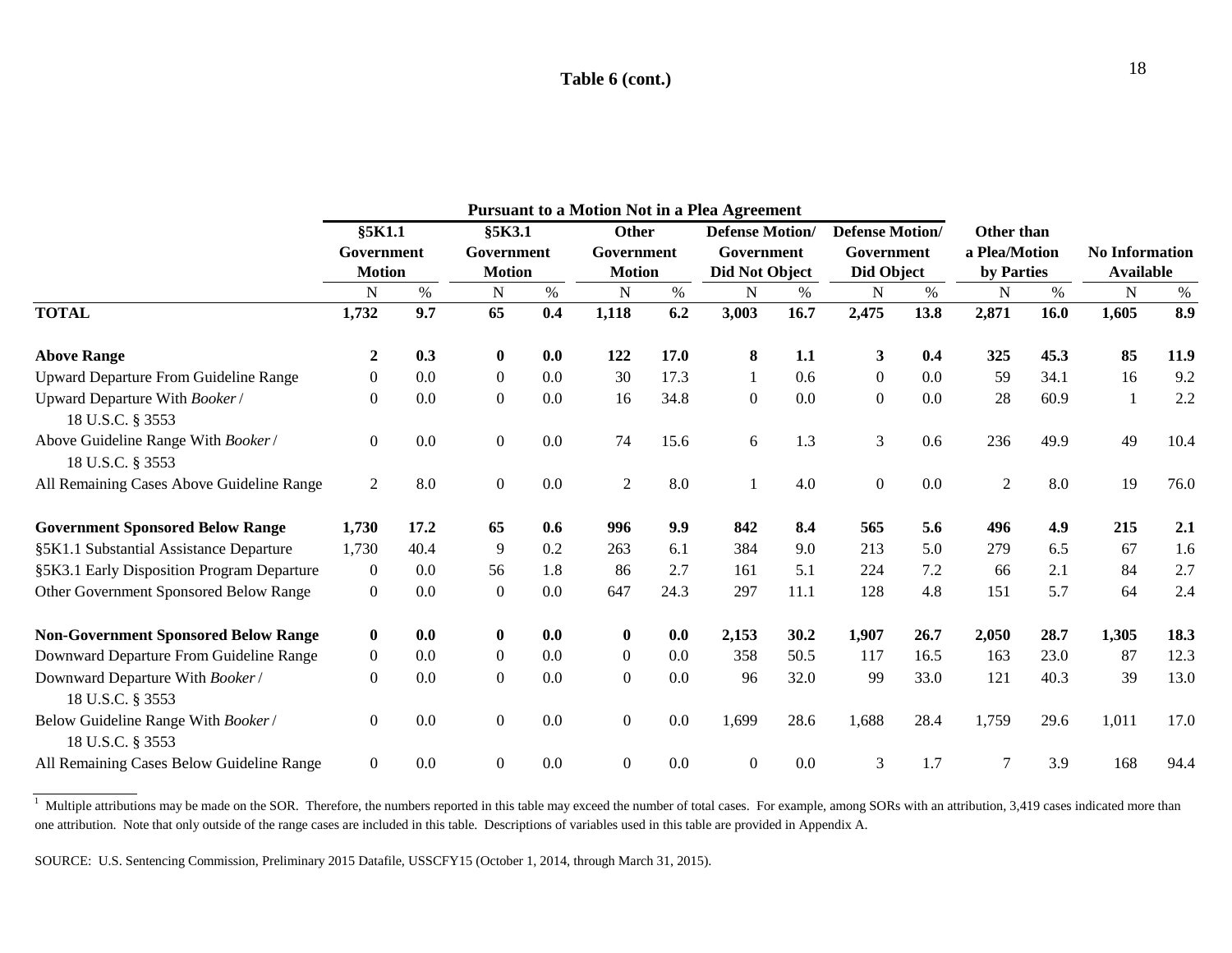### **Table 6 (cont.)**

|                                                        |                |      |                  |         |                  |      | <b>Pursuant to a Motion Not in a Plea Agreement</b> |      |                        |      |                |      |                       |      |
|--------------------------------------------------------|----------------|------|------------------|---------|------------------|------|-----------------------------------------------------|------|------------------------|------|----------------|------|-----------------------|------|
|                                                        | §5K1.1         |      | §5K3.1           |         | Other            |      | <b>Defense Motion/</b>                              |      | <b>Defense Motion/</b> |      | Other than     |      |                       |      |
|                                                        | Government     |      | Government       |         | Government       |      | Government                                          |      | Government             |      | a Plea/Motion  |      | <b>No Information</b> |      |
|                                                        | <b>Motion</b>  |      | <b>Motion</b>    |         | <b>Motion</b>    |      | Did Not Object                                      |      | Did Object             |      | by Parties     |      | <b>Available</b>      |      |
|                                                        | N              | $\%$ | N                | $\%$    | N                | $\%$ | N                                                   | $\%$ | N                      | $\%$ | N              | %    | N                     | $\%$ |
| <b>TOTAL</b>                                           | 1,732          | 9.7  | 65               | 0.4     | 1,118            | 6.2  | 3,003                                               | 16.7 | 2,475                  | 13.8 | 2,871          | 16.0 | 1,605                 | 8.9  |
| <b>Above Range</b>                                     | 2              | 0.3  | 0                | 0.0     | 122              | 17.0 | 8                                                   | 1.1  | $\mathbf{3}$           | 0.4  | 325            | 45.3 | 85                    | 11.9 |
| Upward Departure From Guideline Range                  | $\overline{0}$ | 0.0  | $\boldsymbol{0}$ | 0.0     | 30               | 17.3 | 1                                                   | 0.6  | $\boldsymbol{0}$       | 0.0  | 59             | 34.1 | 16                    | 9.2  |
| Upward Departure With Booker/<br>18 U.S.C. § 3553      | $\overline{0}$ | 0.0  | $\boldsymbol{0}$ | 0.0     | 16               | 34.8 | $\boldsymbol{0}$                                    | 0.0  | $\boldsymbol{0}$       | 0.0  | 28             | 60.9 | -1                    | 2.2  |
| Above Guideline Range With Booker/<br>18 U.S.C. § 3553 | $\overline{0}$ | 0.0  | $\boldsymbol{0}$ | 0.0     | 74               | 15.6 | 6                                                   | 1.3  | $\mathfrak{Z}$         | 0.6  | 236            | 49.9 | 49                    | 10.4 |
| All Remaining Cases Above Guideline Range              | $\overline{2}$ | 8.0  | $\boldsymbol{0}$ | $0.0\,$ | $\overline{2}$   | 8.0  |                                                     | 4.0  | $\boldsymbol{0}$       | 0.0  | $\overline{2}$ | 8.0  | 19                    | 76.0 |
| <b>Government Sponsored Below Range</b>                | 1,730          | 17.2 | 65               | 0.6     | 996              | 9.9  | 842                                                 | 8.4  | 565                    | 5.6  | 496            | 4.9  | 215                   | 2.1  |
| §5K1.1 Substantial Assistance Departure                | 1,730          | 40.4 | 9                | 0.2     | 263              | 6.1  | 384                                                 | 9.0  | 213                    | 5.0  | 279            | 6.5  | 67                    | 1.6  |
| §5K3.1 Early Disposition Program Departure             | $\overline{0}$ | 0.0  | 56               | 1.8     | 86               | 2.7  | 161                                                 | 5.1  | 224                    | 7.2  | 66             | 2.1  | 84                    | 2.7  |
| Other Government Sponsored Below Range                 | $\overline{0}$ | 0.0  | $\overline{0}$   | 0.0     | 647              | 24.3 | 297                                                 | 11.1 | 128                    | 4.8  | 151            | 5.7  | 64                    | 2.4  |
| <b>Non-Government Sponsored Below Range</b>            | $\bf{0}$       | 0.0  | $\bf{0}$         | 0.0     | $\bf{0}$         | 0.0  | 2,153                                               | 30.2 | 1,907                  | 26.7 | 2,050          | 28.7 | 1,305                 | 18.3 |
| Downward Departure From Guideline Range                | $\overline{0}$ | 0.0  | 0                | 0.0     | $\boldsymbol{0}$ | 0.0  | 358                                                 | 50.5 | 117                    | 16.5 | 163            | 23.0 | 87                    | 12.3 |
| Downward Departure With Booker/<br>18 U.S.C. § 3553    | $\Omega$       | 0.0  | $\overline{0}$   | 0.0     | $\boldsymbol{0}$ | 0.0  | 96                                                  | 32.0 | 99                     | 33.0 | 121            | 40.3 | 39                    | 13.0 |
| Below Guideline Range With Booker/<br>18 U.S.C. § 3553 | $\overline{0}$ | 0.0  | $\boldsymbol{0}$ | 0.0     | $\boldsymbol{0}$ | 0.0  | 1,699                                               | 28.6 | 1,688                  | 28.4 | 1,759          | 29.6 | 1,011                 | 17.0 |
| All Remaining Cases Below Guideline Range              | $\overline{0}$ | 0.0  | $\theta$         | 0.0     | $\overline{0}$   | 0.0  | $\overline{0}$                                      | 0.0  | 3                      | 1.7  | 7              | 3.9  | 168                   | 94.4 |

 $<sup>1</sup>$  Multiple attributions may be made on the SOR. Therefore, the numbers reported in this table may exceed the number of total cases. For example, among SORs with an attribution, 3,419 cases indicated more than</sup> one attribution. Note that only outside of the range cases are included in this table. Descriptions of variables used in this table are provided in Appendix A.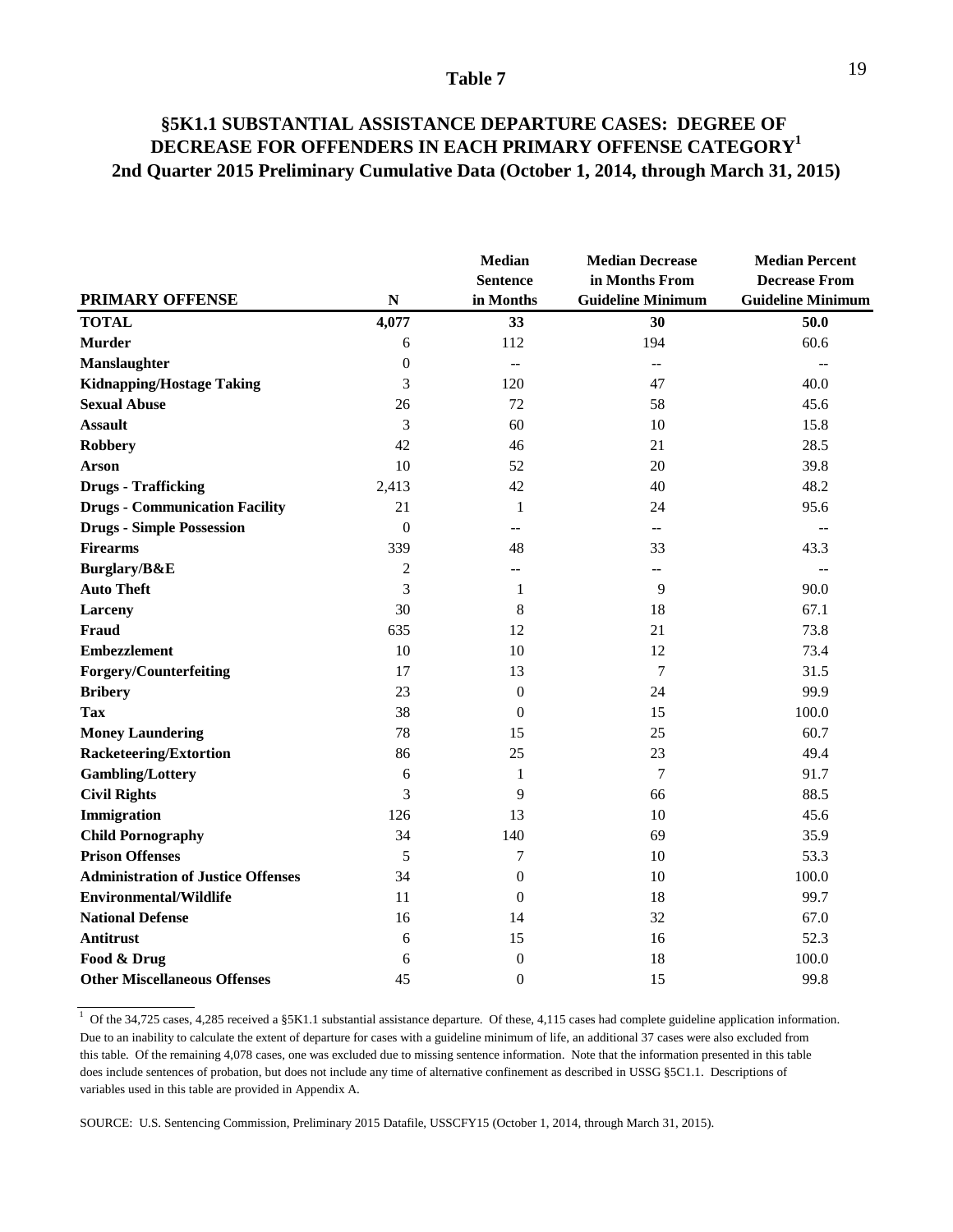### **§5K1.1 SUBSTANTIAL ASSISTANCE DEPARTURE CASES: DEGREE OF DECREASE FOR OFFENDERS IN EACH PRIMARY OFFENSE CATEGORY1 2nd Quarter 2015 Preliminary Cumulative Data (October 1, 2014, through March 31, 2015)**

|                                           |                  | Median<br><b>Sentence</b> | <b>Median Decrease</b><br>in Months From | <b>Median Percent</b><br><b>Decrease From</b> |
|-------------------------------------------|------------------|---------------------------|------------------------------------------|-----------------------------------------------|
| <b>PRIMARY OFFENSE</b>                    | ${\bf N}$        | in Months                 | <b>Guideline Minimum</b>                 | <b>Guideline Minimum</b>                      |
| <b>TOTAL</b>                              | 4,077            | 33                        | 30                                       | 50.0                                          |
| <b>Murder</b>                             | 6                | 112                       | 194                                      | 60.6                                          |
| Manslaughter                              | $\boldsymbol{0}$ | $\overline{\phantom{a}}$  | $-$                                      |                                               |
| <b>Kidnapping/Hostage Taking</b>          | 3                | 120                       | 47                                       | 40.0                                          |
| <b>Sexual Abuse</b>                       | 26               | 72                        | 58                                       | 45.6                                          |
| <b>Assault</b>                            | 3                | 60                        | 10                                       | 15.8                                          |
| <b>Robbery</b>                            | 42               | 46                        | 21                                       | 28.5                                          |
| <b>Arson</b>                              | 10               | 52                        | 20                                       | 39.8                                          |
| <b>Drugs - Trafficking</b>                | 2,413            | 42                        | 40                                       | 48.2                                          |
| <b>Drugs - Communication Facility</b>     | 21               | $\mathbf{1}$              | 24                                       | 95.6                                          |
| <b>Drugs - Simple Possession</b>          | $\mathbf{0}$     | $-$                       | $-$                                      | $\overline{a}$                                |
| <b>Firearms</b>                           | 339              | 48                        | 33                                       | 43.3                                          |
| Burglary/B&E                              | $\overline{c}$   | --                        | --                                       | $\overline{a}$                                |
| <b>Auto Theft</b>                         | 3                | $\mathbf{1}$              | 9                                        | 90.0                                          |
| Larceny                                   | 30               | 8                         | 18                                       | 67.1                                          |
| <b>Fraud</b>                              | 635              | 12                        | 21                                       | 73.8                                          |
| <b>Embezzlement</b>                       | 10               | 10                        | 12                                       | 73.4                                          |
| <b>Forgery/Counterfeiting</b>             | 17               | 13                        | 7                                        | 31.5                                          |
| <b>Bribery</b>                            | 23               | $\mathbf{0}$              | 24                                       | 99.9                                          |
| <b>Tax</b>                                | 38               | $\theta$                  | 15                                       | 100.0                                         |
| <b>Money Laundering</b>                   | 78               | 15                        | 25                                       | 60.7                                          |
| <b>Racketeering/Extortion</b>             | 86               | 25                        | 23                                       | 49.4                                          |
| <b>Gambling/Lottery</b>                   | 6                | 1                         | $\tau$                                   | 91.7                                          |
| <b>Civil Rights</b>                       | 3                | 9                         | 66                                       | 88.5                                          |
| Immigration                               | 126              | 13                        | 10                                       | 45.6                                          |
| <b>Child Pornography</b>                  | 34               | 140                       | 69                                       | 35.9                                          |
| <b>Prison Offenses</b>                    | 5                | 7                         | 10                                       | 53.3                                          |
| <b>Administration of Justice Offenses</b> | 34               | $\mathbf{0}$              | 10                                       | 100.0                                         |
| <b>Environmental/Wildlife</b>             | 11               | $\theta$                  | 18                                       | 99.7                                          |
| <b>National Defense</b>                   | 16               | 14                        | 32                                       | 67.0                                          |
| Antitrust                                 | 6                | 15                        | 16                                       | 52.3                                          |
| Food & Drug                               | 6                | $\boldsymbol{0}$          | 18                                       | 100.0                                         |
| <b>Other Miscellaneous Offenses</b>       | 45               | $\theta$                  | 15                                       | 99.8                                          |

<sup>&</sup>lt;sup>1</sup> Of the 34,725 cases, 4,285 received a §5K1.1 substantial assistance departure. Of these, 4,115 cases had complete guideline application information. Due to an inability to calculate the extent of departure for cases with a guideline minimum of life, an additional 37 cases were also excluded from this table. Of the remaining 4,078 cases, one was excluded due to missing sentence information. Note that the information presented in this table does include sentences of probation, but does not include any time of alternative confinement as described in USSG §5C1.1. Descriptions of variables used in this table are provided in Appendix A.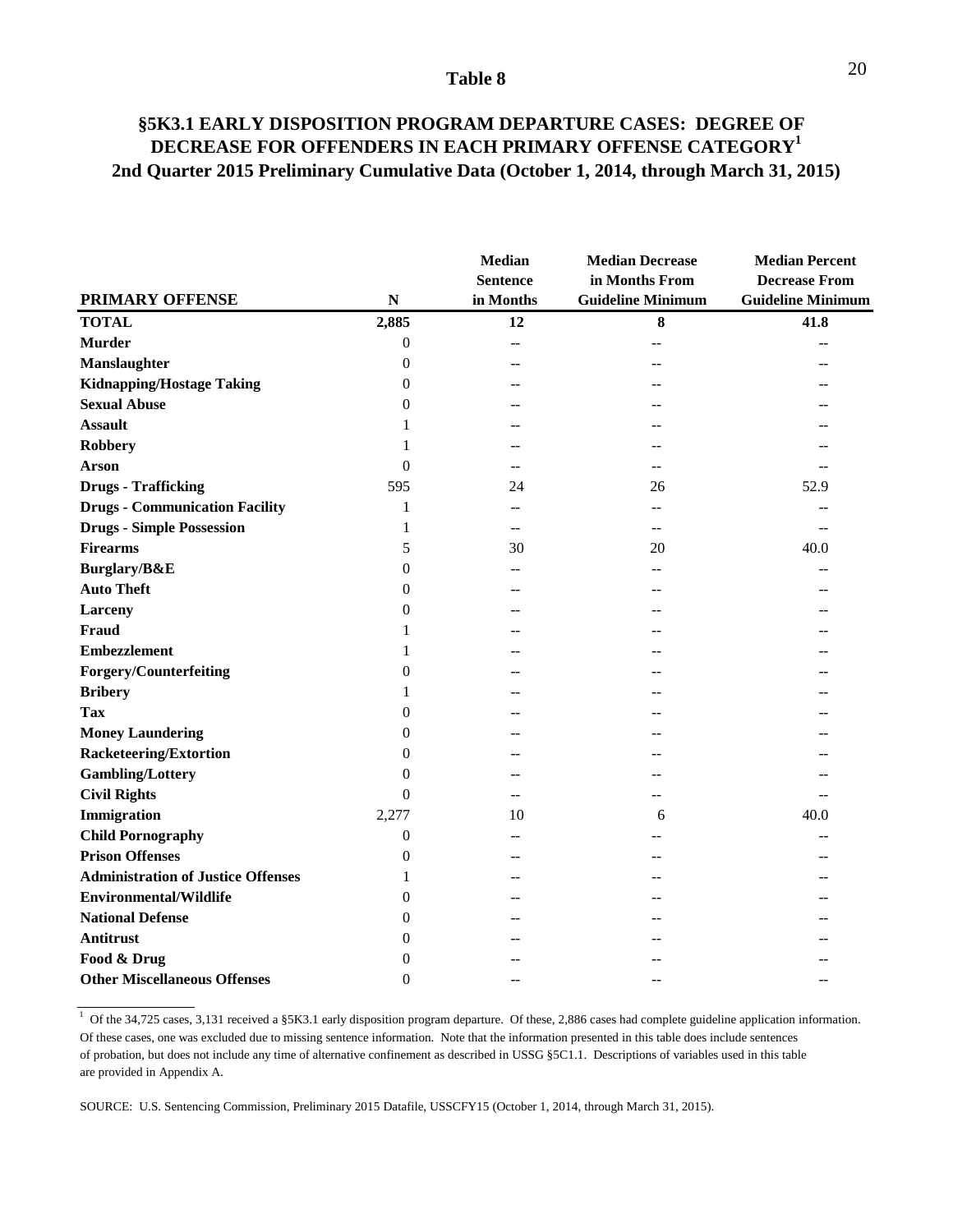### **§5K3.1 EARLY DISPOSITION PROGRAM DEPARTURE CASES: DEGREE OF DECREASE FOR OFFENDERS IN EACH PRIMARY OFFENSE CATEGORY1 2nd Quarter 2015 Preliminary Cumulative Data (October 1, 2014, through March 31, 2015)**

|                                           |                  | <b>Median</b><br><b>Sentence</b> | <b>Median Decrease</b><br>in Months From | <b>Median Percent</b><br><b>Decrease From</b> |
|-------------------------------------------|------------------|----------------------------------|------------------------------------------|-----------------------------------------------|
| <b>PRIMARY OFFENSE</b>                    | ${\bf N}$        | in Months                        | <b>Guideline Minimum</b>                 | <b>Guideline Minimum</b>                      |
| <b>TOTAL</b>                              | 2,885            | 12                               | $\bf 8$                                  | 41.8                                          |
| <b>Murder</b>                             | $\boldsymbol{0}$ |                                  |                                          |                                               |
| Manslaughter                              | $\overline{0}$   | $-$                              |                                          |                                               |
| <b>Kidnapping/Hostage Taking</b>          | 0                |                                  |                                          |                                               |
| <b>Sexual Abuse</b>                       | 0                |                                  |                                          |                                               |
| <b>Assault</b>                            | 1                |                                  |                                          |                                               |
| <b>Robbery</b>                            | 1                |                                  |                                          |                                               |
| <b>Arson</b>                              | $\overline{0}$   | $\overline{a}$                   |                                          |                                               |
| <b>Drugs - Trafficking</b>                | 595              | 24                               | 26                                       | 52.9                                          |
| <b>Drugs - Communication Facility</b>     | $\mathbf{1}$     | $-$                              |                                          |                                               |
| <b>Drugs - Simple Possession</b>          | 1                | $\qquad \qquad -$                | --                                       | $\overline{a}$                                |
| <b>Firearms</b>                           | 5                | 30                               | 20                                       | 40.0                                          |
| Burglary/B&E                              | $\overline{0}$   |                                  |                                          |                                               |
| <b>Auto Theft</b>                         | 0                | --                               |                                          |                                               |
| Larceny                                   | 0                |                                  |                                          |                                               |
| Fraud                                     | 1                |                                  |                                          |                                               |
| <b>Embezzlement</b>                       | 1                |                                  |                                          |                                               |
| <b>Forgery/Counterfeiting</b>             | $\boldsymbol{0}$ |                                  |                                          |                                               |
| <b>Bribery</b>                            | 1                |                                  |                                          |                                               |
| Tax                                       | $\overline{0}$   |                                  |                                          |                                               |
| <b>Money Laundering</b>                   | $\boldsymbol{0}$ |                                  |                                          |                                               |
| <b>Racketeering/Extortion</b>             | 0                |                                  |                                          |                                               |
| <b>Gambling/Lottery</b>                   | $\overline{0}$   |                                  |                                          |                                               |
| <b>Civil Rights</b>                       | 0                | $-$                              |                                          |                                               |
| Immigration                               | 2,277            | 10                               | 6                                        | 40.0                                          |
| <b>Child Pornography</b>                  | $\overline{0}$   |                                  |                                          |                                               |
| <b>Prison Offenses</b>                    | $\overline{0}$   |                                  |                                          |                                               |
| <b>Administration of Justice Offenses</b> | 1                |                                  |                                          |                                               |
| <b>Environmental/Wildlife</b>             | 0                |                                  |                                          |                                               |
| <b>National Defense</b>                   | $\theta$         |                                  |                                          |                                               |
| Antitrust                                 | 0                |                                  |                                          |                                               |
| Food & Drug                               | 0                |                                  |                                          |                                               |
| <b>Other Miscellaneous Offenses</b>       | $\theta$         |                                  |                                          |                                               |

<sup>1</sup> Of the 34,725 cases, 3,131 received a §5K3.1 early disposition program departure. Of these, 2,886 cases had complete guideline application information. Of these cases, one was excluded due to missing sentence information. Note that the information presented in this table does include sentences of probation, but does not include any time of alternative confinement as described in USSG §5C1.1. Descriptions of variables used in this table are provided in Appendix A.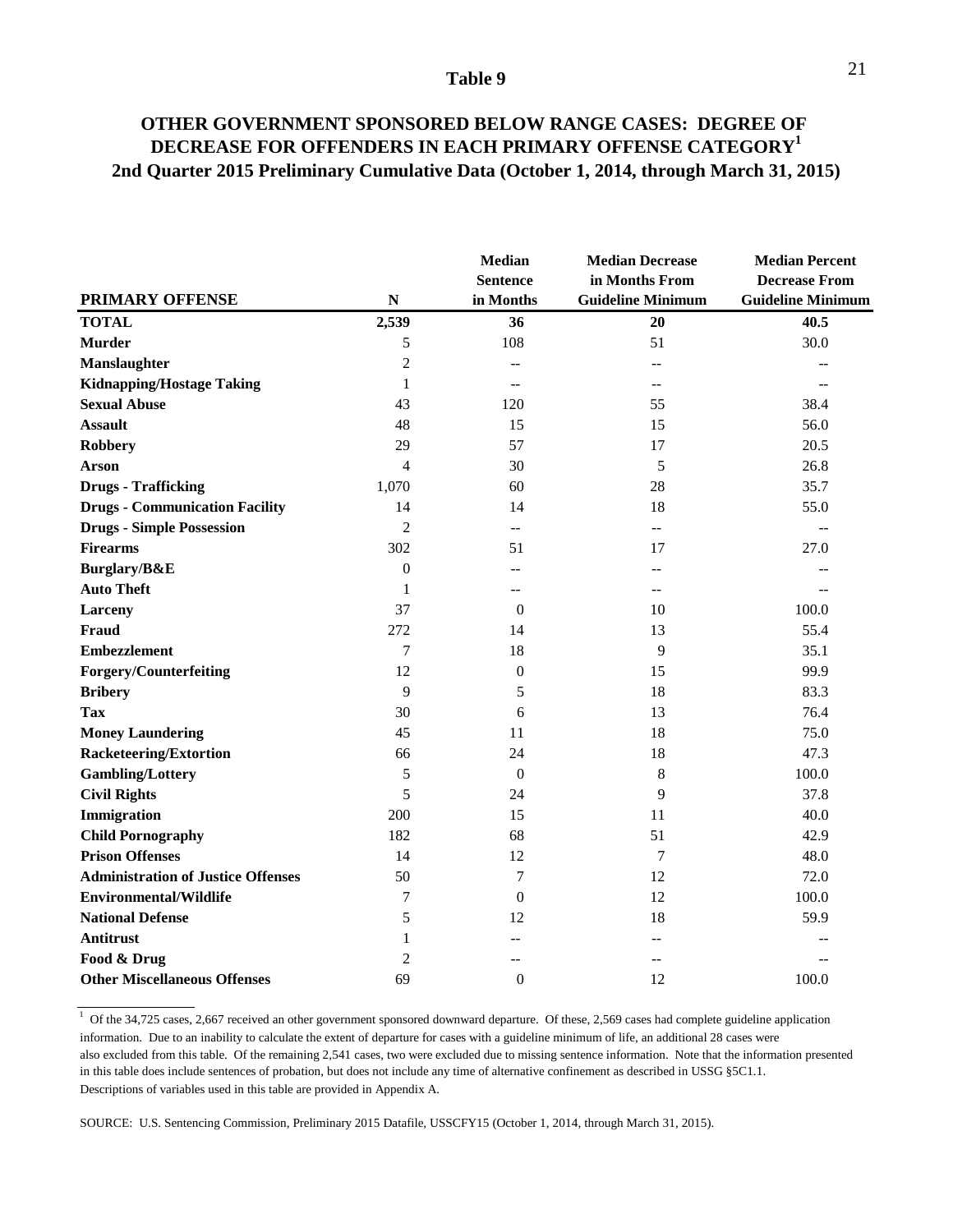### **OTHER GOVERNMENT SPONSORED BELOW RANGE CASES: DEGREE OF DECREASE FOR OFFENDERS IN EACH PRIMARY OFFENSE CATEGORY1 2nd Quarter 2015 Preliminary Cumulative Data (October 1, 2014, through March 31, 2015)**

|                                           |                  | <b>Median</b><br><b>Sentence</b>              | <b>Median Decrease</b><br>in Months From | <b>Median Percent</b><br><b>Decrease From</b> |  |
|-------------------------------------------|------------------|-----------------------------------------------|------------------------------------------|-----------------------------------------------|--|
| <b>PRIMARY OFFENSE</b>                    | ${\bf N}$        | in Months                                     | <b>Guideline Minimum</b>                 | <b>Guideline Minimum</b>                      |  |
| <b>TOTAL</b>                              | 2,539            | 36                                            | 20                                       | 40.5                                          |  |
| <b>Murder</b>                             | 5                | 108                                           | 51                                       | 30.0                                          |  |
| Manslaughter                              | $\overline{c}$   | --                                            |                                          |                                               |  |
| <b>Kidnapping/Hostage Taking</b>          | $\mathbf{1}$     | $\mathord{\hspace{1pt}\text{--}\hspace{1pt}}$ | $-$                                      |                                               |  |
| <b>Sexual Abuse</b>                       | 43               | 120                                           | 55                                       | 38.4                                          |  |
| <b>Assault</b>                            | 48               | 15                                            | 15                                       | 56.0                                          |  |
| <b>Robbery</b>                            | 29               | 57                                            | 17                                       | 20.5                                          |  |
| <b>Arson</b>                              | $\overline{4}$   | 30                                            | 5                                        | 26.8                                          |  |
| <b>Drugs - Trafficking</b>                | 1,070            | 60                                            | 28                                       | 35.7                                          |  |
| <b>Drugs - Communication Facility</b>     | 14               | 14                                            | 18                                       | 55.0                                          |  |
| <b>Drugs - Simple Possession</b>          | $\overline{c}$   | $\overline{a}$                                | $-$                                      | $-$                                           |  |
| <b>Firearms</b>                           | 302              | 51                                            | 17                                       | 27.0                                          |  |
| Burglary/B&E                              | $\boldsymbol{0}$ | $-$                                           |                                          |                                               |  |
| <b>Auto Theft</b>                         | 1                | $- -$                                         | --                                       |                                               |  |
| Larceny                                   | 37               | $\theta$                                      | 10                                       | 100.0                                         |  |
| <b>Fraud</b>                              | 272              | 14                                            | 13                                       | 55.4                                          |  |
| <b>Embezzlement</b>                       | $\overline{7}$   | 18                                            | 9                                        | 35.1                                          |  |
| <b>Forgery/Counterfeiting</b>             | 12               | $\boldsymbol{0}$                              | 15                                       | 99.9                                          |  |
| <b>Bribery</b>                            | 9                | 5                                             | 18                                       | 83.3                                          |  |
| <b>Tax</b>                                | 30               | 6                                             | 13                                       | 76.4                                          |  |
| <b>Money Laundering</b>                   | 45               | 11                                            | 18                                       | 75.0                                          |  |
| <b>Racketeering/Extortion</b>             | 66               | 24                                            | 18                                       | 47.3                                          |  |
| <b>Gambling/Lottery</b>                   | 5                | $\mathbf{0}$                                  | $\,8\,$                                  | 100.0                                         |  |
| <b>Civil Rights</b>                       | 5                | 24                                            | 9                                        | 37.8                                          |  |
| Immigration                               | 200              | 15                                            | 11                                       | 40.0                                          |  |
| <b>Child Pornography</b>                  | 182              | 68                                            | 51                                       | 42.9                                          |  |
| <b>Prison Offenses</b>                    | 14               | 12                                            | 7                                        | 48.0                                          |  |
| <b>Administration of Justice Offenses</b> | 50               | 7                                             | 12                                       | 72.0                                          |  |
| <b>Environmental/Wildlife</b>             | 7                | $\theta$                                      | 12                                       | 100.0                                         |  |
| <b>National Defense</b>                   | 5                | 12                                            | 18                                       | 59.9                                          |  |
| <b>Antitrust</b>                          | 1                | $-$                                           | --                                       |                                               |  |
| Food & Drug                               | $\overline{2}$   |                                               | --                                       |                                               |  |
| <b>Other Miscellaneous Offenses</b>       | 69               | $\overline{0}$                                | 12                                       | 100.0                                         |  |

<sup>&</sup>lt;sup>1</sup> Of the 34,725 cases, 2,667 received an other government sponsored downward departure. Of these, 2,569 cases had complete guideline application information. Due to an inability to calculate the extent of departure for cases with a guideline minimum of life, an additional 28 cases were also excluded from this table. Of the remaining 2,541 cases, two were excluded due to missing sentence information. Note that the information presented in this table does include sentences of probation, but does not include any time of alternative confinement as described in USSG §5C1.1. Descriptions of variables used in this table are provided in Appendix A.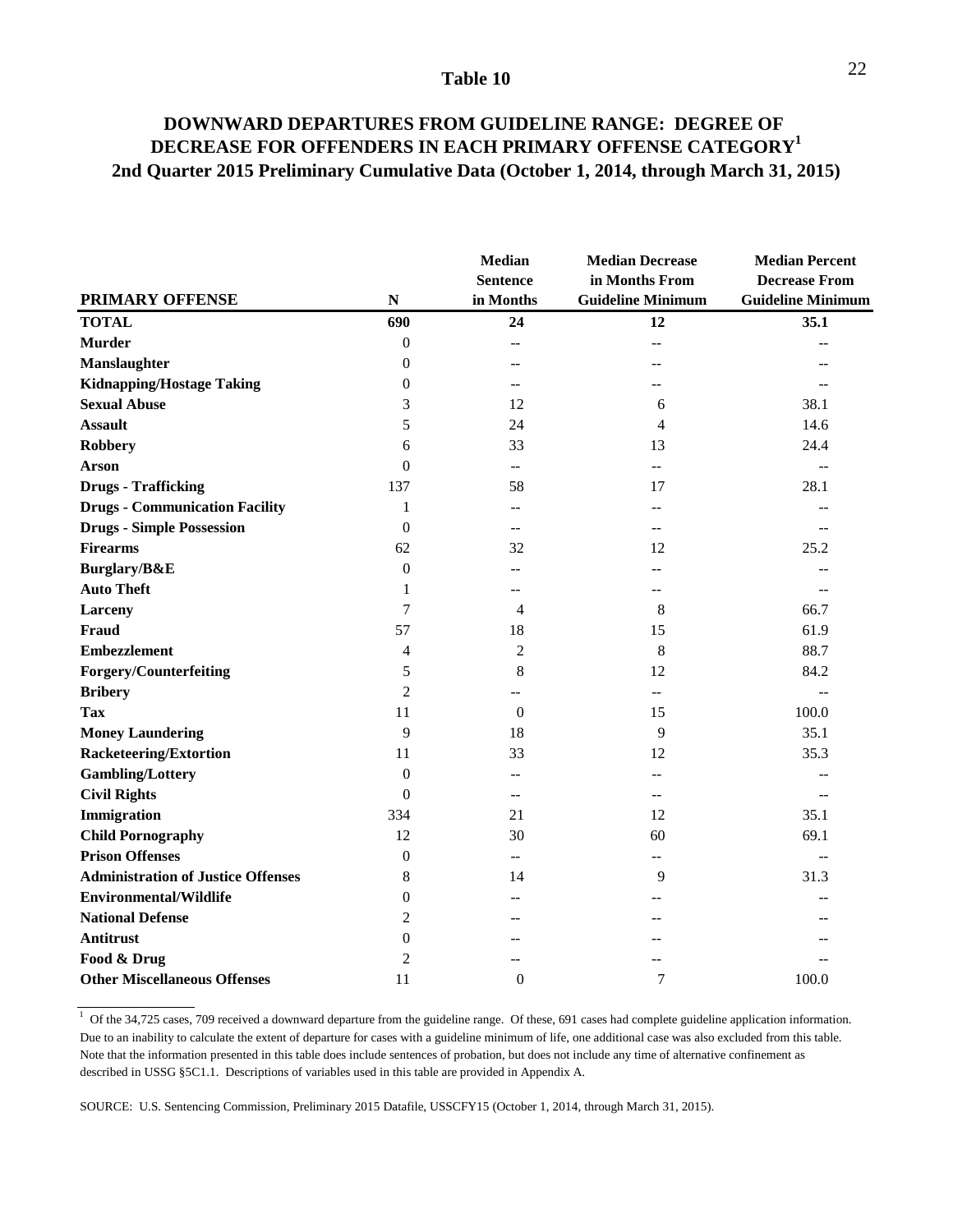### **DOWNWARD DEPARTURES FROM GUIDELINE RANGE: DEGREE OF DECREASE FOR OFFENDERS IN EACH PRIMARY OFFENSE CATEGORY1 2nd Quarter 2015 Preliminary Cumulative Data (October 1, 2014, through March 31, 2015)**

|                                           |                  | <b>Median</b><br><b>Sentence</b> | <b>Median Decrease</b><br>in Months From | <b>Median Percent</b><br><b>Decrease From</b> |  |
|-------------------------------------------|------------------|----------------------------------|------------------------------------------|-----------------------------------------------|--|
| <b>PRIMARY OFFENSE</b>                    | ${\bf N}$        | in Months                        | <b>Guideline Minimum</b>                 | <b>Guideline Minimum</b>                      |  |
| <b>TOTAL</b>                              | 690              | 24                               | 12                                       | 35.1                                          |  |
| <b>Murder</b>                             | $\boldsymbol{0}$ | $-$                              |                                          |                                               |  |
| <b>Manslaughter</b>                       | $\Omega$         |                                  |                                          |                                               |  |
| <b>Kidnapping/Hostage Taking</b>          | $\overline{0}$   | $-$                              |                                          |                                               |  |
| <b>Sexual Abuse</b>                       | 3                | 12                               | 6                                        | 38.1                                          |  |
| <b>Assault</b>                            | 5                | 24                               | 4                                        | 14.6                                          |  |
| <b>Robbery</b>                            | 6                | 33                               | 13                                       | 24.4                                          |  |
| <b>Arson</b>                              | $\theta$         | $\overline{a}$                   | $-$                                      | $\overline{a}$                                |  |
| <b>Drugs - Trafficking</b>                | 137              | 58                               | 17                                       | 28.1                                          |  |
| <b>Drugs - Communication Facility</b>     | $\mathbf{1}$     | $-$                              | $-$                                      | $-$                                           |  |
| <b>Drugs - Simple Possession</b>          | $\boldsymbol{0}$ | $-$                              | --                                       | --                                            |  |
| <b>Firearms</b>                           | 62               | 32                               | 12                                       | 25.2                                          |  |
| Burglary/B&E                              | $\theta$         | $-$                              |                                          |                                               |  |
| <b>Auto Theft</b>                         | 1                | $- -$                            | --                                       |                                               |  |
| <b>Larceny</b>                            | 7                | 4                                | 8                                        | 66.7                                          |  |
| <b>Fraud</b>                              | 57               | 18                               | 15                                       | 61.9                                          |  |
| <b>Embezzlement</b>                       | 4                | $\overline{2}$                   | 8                                        | 88.7                                          |  |
| <b>Forgery/Counterfeiting</b>             | 5                | 8                                | 12                                       | 84.2                                          |  |
| <b>Bribery</b>                            | $\overline{2}$   |                                  |                                          | $\overline{a}$                                |  |
| <b>Tax</b>                                | 11               | $\overline{0}$                   | 15                                       | 100.0                                         |  |
| <b>Money Laundering</b>                   | 9                | 18                               | 9                                        | 35.1                                          |  |
| <b>Racketeering/Extortion</b>             | 11               | 33                               | 12                                       | 35.3                                          |  |
| <b>Gambling/Lottery</b>                   | $\boldsymbol{0}$ | $-$                              |                                          |                                               |  |
| <b>Civil Rights</b>                       | 0                | $-$                              | $-$                                      |                                               |  |
| Immigration                               | 334              | 21                               | 12                                       | 35.1                                          |  |
| <b>Child Pornography</b>                  | 12               | 30                               | 60                                       | 69.1                                          |  |
| <b>Prison Offenses</b>                    | $\boldsymbol{0}$ | $\overline{a}$                   | $- -$                                    | $\overline{a}$                                |  |
| <b>Administration of Justice Offenses</b> | 8                | 14                               | 9                                        | 31.3                                          |  |
| <b>Environmental/Wildlife</b>             | $\overline{0}$   | --                               |                                          |                                               |  |
| <b>National Defense</b>                   | $\overline{2}$   | $\overline{a}$                   |                                          |                                               |  |
| Antitrust                                 | $\overline{0}$   |                                  |                                          |                                               |  |
| Food & Drug                               | 2                |                                  |                                          |                                               |  |
| <b>Other Miscellaneous Offenses</b>       | 11               | $\theta$                         | $\overline{7}$                           | 100.0                                         |  |

 $1$  Of the 34,725 cases, 709 received a downward departure from the guideline range. Of these, 691 cases had complete guideline application information. Due to an inability to calculate the extent of departure for cases with a guideline minimum of life, one additional case was also excluded from this table. Note that the information presented in this table does include sentences of probation, but does not include any time of alternative confinement as described in USSG §5C1.1. Descriptions of variables used in this table are provided in Appendix A.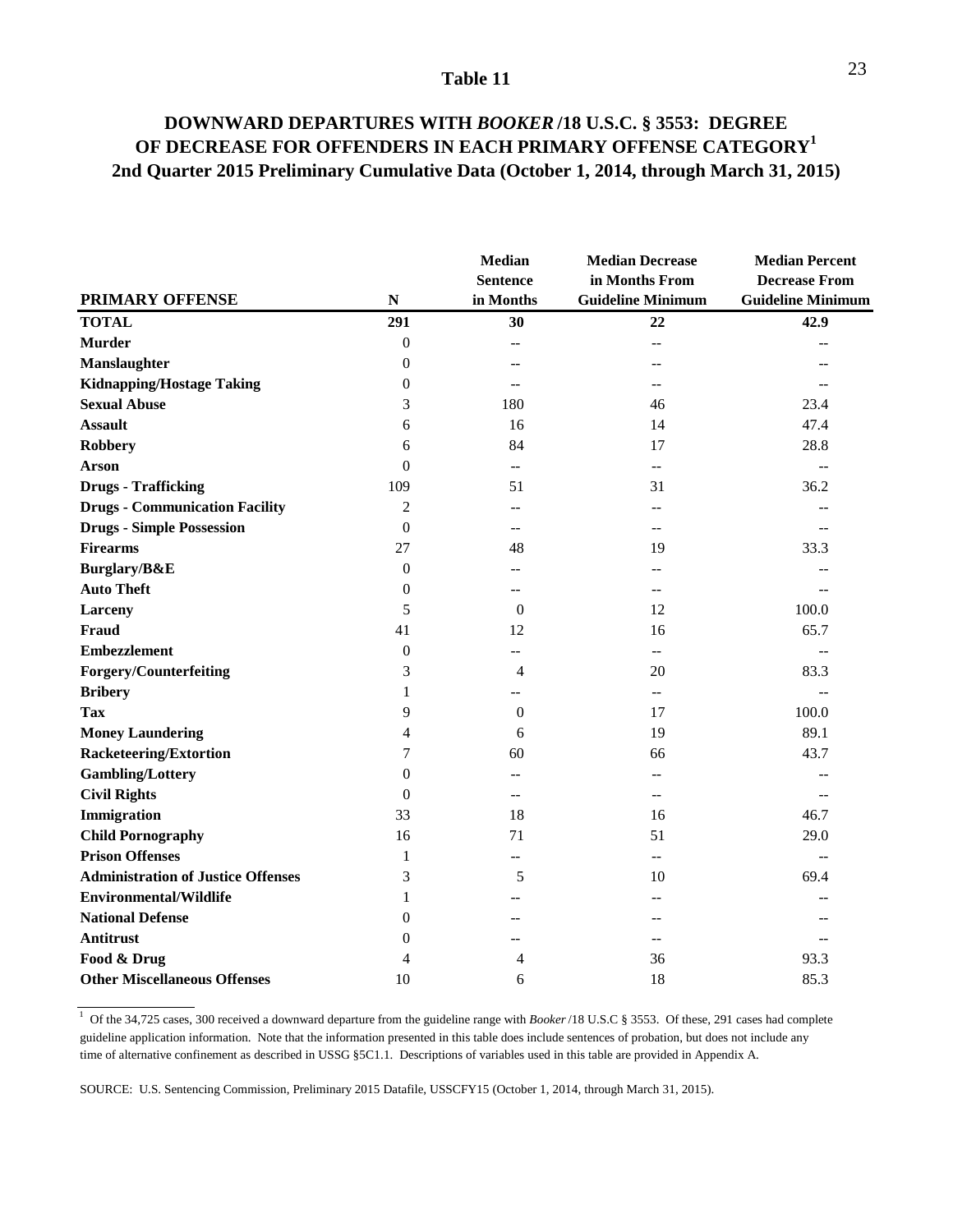### **DOWNWARD DEPARTURES WITH** *BOOKER* **/18 U.S.C. § 3553: DEGREE OF DECREASE FOR OFFENDERS IN EACH PRIMARY OFFENSE CATEGORY1 2nd Quarter 2015 Preliminary Cumulative Data (October 1, 2014, through March 31, 2015)**

|                                           |                  | <b>Median</b><br><b>Sentence</b>              | <b>Median Decrease</b><br>in Months From | <b>Median Percent</b><br><b>Decrease From</b> |
|-------------------------------------------|------------------|-----------------------------------------------|------------------------------------------|-----------------------------------------------|
| <b>PRIMARY OFFENSE</b>                    | $\mathbf N$      | in Months                                     | <b>Guideline Minimum</b>                 | <b>Guideline Minimum</b>                      |
| <b>TOTAL</b>                              | 291              | 30                                            | 22                                       | 42.9                                          |
| <b>Murder</b>                             | $\boldsymbol{0}$ | $-$                                           | $-$                                      |                                               |
| Manslaughter                              | $\boldsymbol{0}$ | $-$                                           |                                          |                                               |
| <b>Kidnapping/Hostage Taking</b>          | $\boldsymbol{0}$ | $\mathord{\hspace{1pt}\text{--}\hspace{1pt}}$ | $-$                                      |                                               |
| <b>Sexual Abuse</b>                       | 3                | 180                                           | 46                                       | 23.4                                          |
| <b>Assault</b>                            | 6                | 16                                            | 14                                       | 47.4                                          |
| <b>Robbery</b>                            | 6                | 84                                            | 17                                       | 28.8                                          |
| <b>Arson</b>                              | $\theta$         | $\overline{a}$                                | $-$                                      | $-$                                           |
| <b>Drugs - Trafficking</b>                | 109              | 51                                            | 31                                       | 36.2                                          |
| <b>Drugs - Communication Facility</b>     | $\overline{c}$   | $-$                                           |                                          |                                               |
| <b>Drugs - Simple Possession</b>          | $\mathbf{0}$     | $-$                                           | $-$                                      |                                               |
| <b>Firearms</b>                           | 27               | 48                                            | 19                                       | 33.3                                          |
| Burglary/B&E                              | $\theta$         | $-$                                           |                                          |                                               |
| <b>Auto Theft</b>                         | $\boldsymbol{0}$ | $\overline{a}$                                | $\overline{a}$                           |                                               |
| <b>Larceny</b>                            | 5                | $\theta$                                      | 12                                       | 100.0                                         |
| <b>Fraud</b>                              | 41               | 12                                            | 16                                       | 65.7                                          |
| <b>Embezzlement</b>                       | $\boldsymbol{0}$ | $\overline{a}$                                | $\overline{a}$                           |                                               |
| <b>Forgery/Counterfeiting</b>             | 3                | $\overline{4}$                                | 20                                       | 83.3                                          |
| <b>Bribery</b>                            | 1                |                                               | $- -$                                    |                                               |
| <b>Tax</b>                                | 9                | $\boldsymbol{0}$                              | 17                                       | 100.0                                         |
| <b>Money Laundering</b>                   | 4                | 6                                             | 19                                       | 89.1                                          |
| <b>Racketeering/Extortion</b>             | 7                | 60                                            | 66                                       | 43.7                                          |
| <b>Gambling/Lottery</b>                   | $\theta$         | $-$                                           |                                          |                                               |
| <b>Civil Rights</b>                       | $\overline{0}$   | $-$                                           | $-$                                      |                                               |
| Immigration                               | 33               | 18                                            | 16                                       | 46.7                                          |
| <b>Child Pornography</b>                  | 16               | 71                                            | 51                                       | 29.0                                          |
| <b>Prison Offenses</b>                    | 1                | $-$                                           | $- -$                                    | $-$                                           |
| <b>Administration of Justice Offenses</b> | 3                | 5                                             | 10                                       | 69.4                                          |
| <b>Environmental/Wildlife</b>             | 1                |                                               |                                          |                                               |
| <b>National Defense</b>                   | $\theta$         |                                               |                                          |                                               |
| Antitrust                                 | $\boldsymbol{0}$ | --                                            | --                                       | $\overline{a}$                                |
| Food & Drug                               | 4                | 4                                             | 36                                       | 93.3                                          |
| <b>Other Miscellaneous Offenses</b>       | 10               | 6                                             | 18                                       | 85.3                                          |

1 Of the 34,725 cases, 300 received a downward departure from the guideline range with *Booker*/18 U.S.C § 3553. Of these, 291 cases had complete guideline application information. Note that the information presented in this table does include sentences of probation, but does not include any time of alternative confinement as described in USSG §5C1.1. Descriptions of variables used in this table are provided in Appendix A.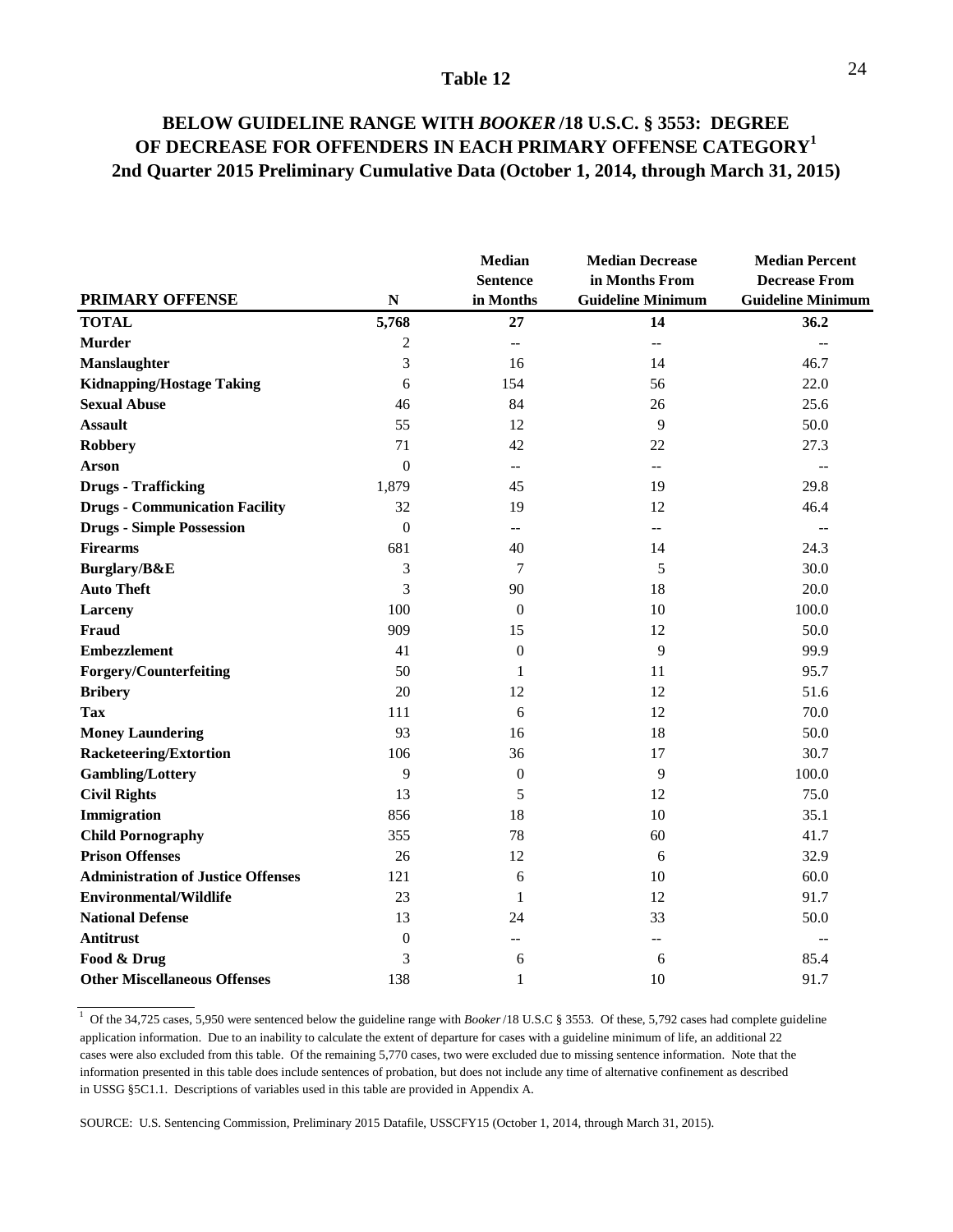### **BELOW GUIDELINE RANGE WITH** *BOOKER* **/18 U.S.C. § 3553: DEGREE OF DECREASE FOR OFFENDERS IN EACH PRIMARY OFFENSE CATEGORY1 2nd Quarter 2015 Preliminary Cumulative Data (October 1, 2014, through March 31, 2015)**

|                                           |                  | <b>Median</b><br><b>Sentence</b> | <b>Median Decrease</b><br>in Months From | <b>Median Percent</b><br><b>Decrease From</b> |  |
|-------------------------------------------|------------------|----------------------------------|------------------------------------------|-----------------------------------------------|--|
| <b>PRIMARY OFFENSE</b>                    | ${\bf N}$        | in Months                        | <b>Guideline Minimum</b>                 | <b>Guideline Minimum</b>                      |  |
| <b>TOTAL</b>                              | 5,768            | 27                               | 14                                       | 36.2                                          |  |
| <b>Murder</b>                             | $\overline{c}$   | $\overline{a}$                   | $\overline{\phantom{0}}$                 | $\overline{\phantom{a}}$                      |  |
| <b>Manslaughter</b>                       | 3                | 16                               | 14                                       | 46.7                                          |  |
| <b>Kidnapping/Hostage Taking</b>          | 6                | 154                              | 56                                       | 22.0                                          |  |
| <b>Sexual Abuse</b>                       | 46               | 84                               | 26                                       | 25.6                                          |  |
| <b>Assault</b>                            | 55               | 12                               | 9                                        | 50.0                                          |  |
| <b>Robbery</b>                            | 71               | 42                               | 22                                       | 27.3                                          |  |
| <b>Arson</b>                              | $\mathbf{0}$     | $\overline{a}$                   | --                                       | $-$                                           |  |
| <b>Drugs - Trafficking</b>                | 1,879            | 45                               | 19                                       | 29.8                                          |  |
| <b>Drugs - Communication Facility</b>     | 32               | 19                               | 12                                       | 46.4                                          |  |
| <b>Drugs - Simple Possession</b>          | $\mathbf{0}$     | $\overline{\phantom{a}}$         | $-$                                      | $-$                                           |  |
| <b>Firearms</b>                           | 681              | 40                               | 14                                       | 24.3                                          |  |
| Burglary/B&E                              | 3                | $\tau$                           | 5                                        | 30.0                                          |  |
| <b>Auto Theft</b>                         | 3                | 90                               | 18                                       | 20.0                                          |  |
| Larceny                                   | 100              | $\mathbf{0}$                     | 10                                       | 100.0                                         |  |
| <b>Fraud</b>                              | 909              | 15                               | 12                                       | 50.0                                          |  |
| <b>Embezzlement</b>                       | 41               | $\boldsymbol{0}$                 | 9                                        | 99.9                                          |  |
| <b>Forgery/Counterfeiting</b>             | 50               | 1                                | 11                                       | 95.7                                          |  |
| <b>Bribery</b>                            | 20               | 12                               | 12                                       | 51.6                                          |  |
| <b>Tax</b>                                | 111              | 6                                | 12                                       | 70.0                                          |  |
| <b>Money Laundering</b>                   | 93               | 16                               | 18                                       | 50.0                                          |  |
| <b>Racketeering/Extortion</b>             | 106              | 36                               | 17                                       | 30.7                                          |  |
| <b>Gambling/Lottery</b>                   | 9                | $\boldsymbol{0}$                 | 9                                        | 100.0                                         |  |
| <b>Civil Rights</b>                       | 13               | 5                                | 12                                       | 75.0                                          |  |
| Immigration                               | 856              | 18                               | 10                                       | 35.1                                          |  |
| <b>Child Pornography</b>                  | 355              | 78                               | 60                                       | 41.7                                          |  |
| <b>Prison Offenses</b>                    | 26               | 12                               | 6                                        | 32.9                                          |  |
| <b>Administration of Justice Offenses</b> | 121              | 6                                | 10                                       | 60.0                                          |  |
| <b>Environmental/Wildlife</b>             | 23               | 1                                | 12                                       | 91.7                                          |  |
| <b>National Defense</b>                   | 13               | 24                               | 33                                       | 50.0                                          |  |
| <b>Antitrust</b>                          | $\boldsymbol{0}$ | $\overline{a}$                   | --                                       | $\overline{a}$                                |  |
| Food & Drug                               | 3                | 6                                | 6                                        | 85.4                                          |  |
| <b>Other Miscellaneous Offenses</b>       | 138              | 1                                | 10                                       | 91.7                                          |  |

<sup>1</sup> Of the 34,725 cases, 5,950 were sentenced below the guideline range with *Booker*/18 U.S.C § 3553. Of these, 5,792 cases had complete guideline application information. Due to an inability to calculate the extent of departure for cases with a guideline minimum of life, an additional 22 cases were also excluded from this table. Of the remaining 5,770 cases, two were excluded due to missing sentence information. Note that the information presented in this table does include sentences of probation, but does not include any time of alternative confinement as described in USSG §5C1.1. Descriptions of variables used in this table are provided in Appendix A.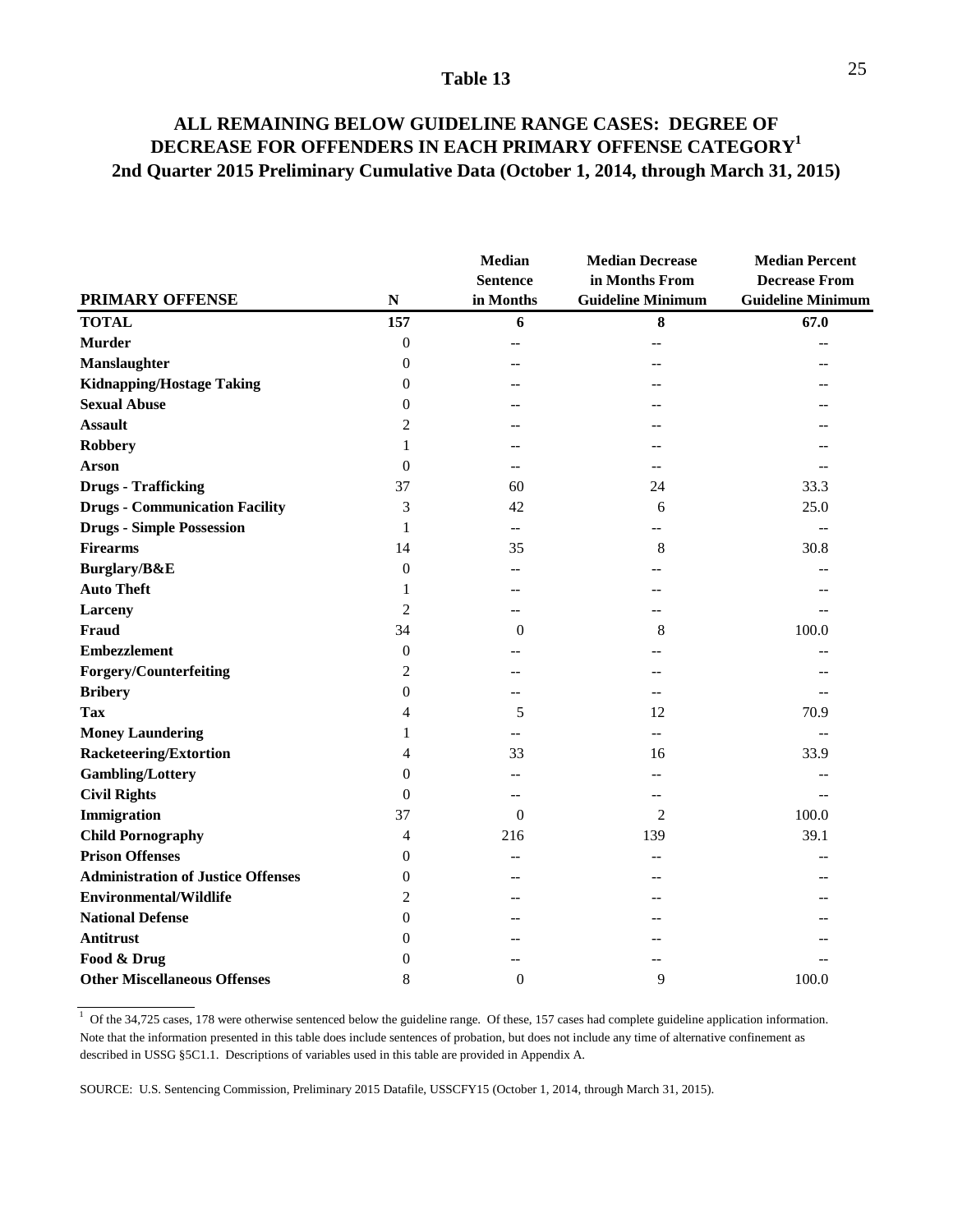### **ALL REMAINING BELOW GUIDELINE RANGE CASES: DEGREE OF DECREASE FOR OFFENDERS IN EACH PRIMARY OFFENSE CATEGORY1 2nd Quarter 2015 Preliminary Cumulative Data (October 1, 2014, through March 31, 2015)**

|                                           |                  | Median<br><b>Sentence</b> | <b>Median Decrease</b><br>in Months From | <b>Median Percent</b><br><b>Decrease From</b> |
|-------------------------------------------|------------------|---------------------------|------------------------------------------|-----------------------------------------------|
| <b>PRIMARY OFFENSE</b>                    | $\mathbf N$      | in Months                 | <b>Guideline Minimum</b>                 | <b>Guideline Minimum</b>                      |
| <b>TOTAL</b>                              | 157              | 6                         | 8                                        | 67.0                                          |
| <b>Murder</b>                             | $\boldsymbol{0}$ | $-$                       |                                          |                                               |
| Manslaughter                              | $\theta$         | --                        |                                          |                                               |
| <b>Kidnapping/Hostage Taking</b>          | $\boldsymbol{0}$ |                           |                                          |                                               |
| <b>Sexual Abuse</b>                       | $\theta$         |                           |                                          |                                               |
| <b>Assault</b>                            | $\overline{2}$   |                           |                                          |                                               |
| <b>Robbery</b>                            | 1                |                           |                                          |                                               |
| <b>Arson</b>                              | $\theta$         | $-$                       |                                          |                                               |
| <b>Drugs - Trafficking</b>                | 37               | 60                        | 24                                       | 33.3                                          |
| <b>Drugs - Communication Facility</b>     | 3                | 42                        | 6                                        | 25.0                                          |
| <b>Drugs - Simple Possession</b>          | 1                | --                        |                                          |                                               |
| <b>Firearms</b>                           | 14               | 35                        | 8                                        | 30.8                                          |
| Burglary/B&E                              | $\boldsymbol{0}$ | $-1$                      |                                          |                                               |
| <b>Auto Theft</b>                         | 1                | --                        |                                          |                                               |
| <b>Larceny</b>                            | $\overline{2}$   | $-$                       |                                          |                                               |
| <b>Fraud</b>                              | 34               | $\theta$                  | 8                                        | 100.0                                         |
| <b>Embezzlement</b>                       | $\boldsymbol{0}$ | --                        |                                          |                                               |
| <b>Forgery/Counterfeiting</b>             | 2                | $-1$                      |                                          |                                               |
| <b>Bribery</b>                            | $\overline{0}$   | --                        |                                          |                                               |
| <b>Tax</b>                                | 4                | 5                         | 12                                       | 70.9                                          |
| <b>Money Laundering</b>                   | 1                |                           | $-$                                      |                                               |
| <b>Racketeering/Extortion</b>             | 4                | 33                        | 16                                       | 33.9                                          |
| <b>Gambling/Lottery</b>                   | 0                |                           |                                          |                                               |
| <b>Civil Rights</b>                       | $\theta$         | $-$                       |                                          |                                               |
| Immigration                               | 37               | $\Omega$                  | 2                                        | 100.0                                         |
| <b>Child Pornography</b>                  | 4                | 216                       | 139                                      | 39.1                                          |
| <b>Prison Offenses</b>                    | $\boldsymbol{0}$ | $-$                       |                                          |                                               |
| <b>Administration of Justice Offenses</b> | $\theta$         | $-$                       |                                          |                                               |
| <b>Environmental/Wildlife</b>             | $\overline{2}$   | $-$                       |                                          |                                               |
| <b>National Defense</b>                   | $\overline{0}$   |                           |                                          |                                               |
| Antitrust                                 | $\overline{0}$   |                           |                                          |                                               |
| Food & Drug                               | $\theta$         |                           |                                          |                                               |
| <b>Other Miscellaneous Offenses</b>       | 8                | $\Omega$                  | 9                                        | 100.0                                         |

<sup>1</sup> Of the 34,725 cases, 178 were otherwise sentenced below the guideline range. Of these, 157 cases had complete guideline application information. Note that the information presented in this table does include sentences of probation, but does not include any time of alternative confinement as described in USSG §5C1.1. Descriptions of variables used in this table are provided in Appendix A.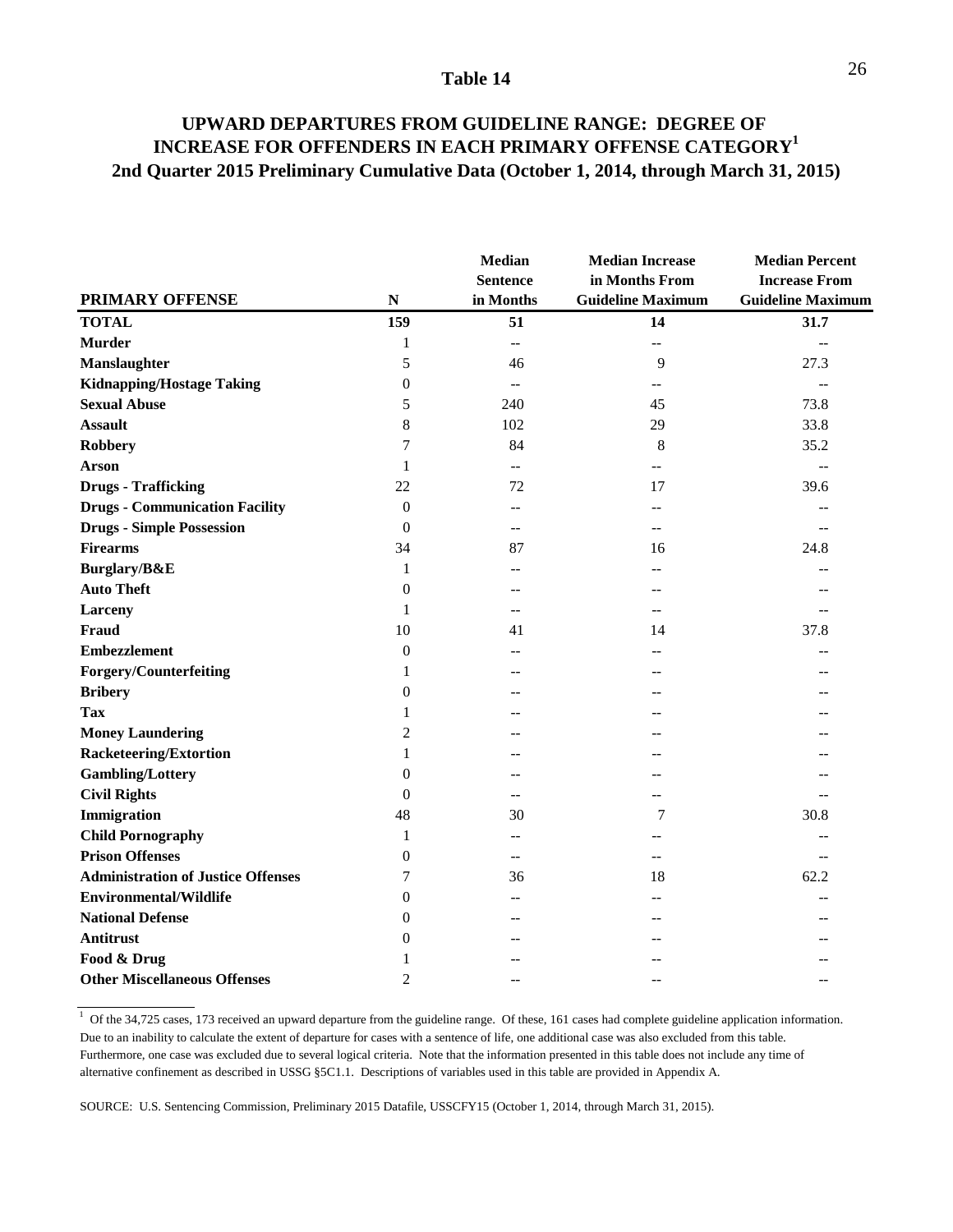### **UPWARD DEPARTURES FROM GUIDELINE RANGE: DEGREE OF INCREASE FOR OFFENDERS IN EACH PRIMARY OFFENSE CATEGORY1 2nd Quarter 2015 Preliminary Cumulative Data (October 1, 2014, through March 31, 2015)**

|                                           |                  | <b>Median</b><br><b>Sentence</b> | <b>Median Increase</b><br>in Months From | <b>Median Percent</b><br><b>Increase From</b> |
|-------------------------------------------|------------------|----------------------------------|------------------------------------------|-----------------------------------------------|
| <b>PRIMARY OFFENSE</b>                    | ${\bf N}$        | in Months                        | <b>Guideline Maximum</b>                 | <b>Guideline Maximum</b>                      |
| <b>TOTAL</b>                              | 159              | 51                               | 14                                       | 31.7                                          |
| <b>Murder</b>                             | 1                | $\overline{\phantom{a}}$         | $\overline{a}$                           | $-$                                           |
| Manslaughter                              | 5                | 46                               | 9                                        | 27.3                                          |
| <b>Kidnapping/Hostage Taking</b>          | 0                | $\overline{\phantom{a}}$         | --                                       | $-$                                           |
| <b>Sexual Abuse</b>                       | 5                | 240                              | 45                                       | 73.8                                          |
| <b>Assault</b>                            | 8                | 102                              | 29                                       | 33.8                                          |
| <b>Robbery</b>                            | 7                | 84                               | 8                                        | 35.2                                          |
| <b>Arson</b>                              | 1                | $-$                              |                                          | $\overline{a}$                                |
| <b>Drugs - Trafficking</b>                | 22               | 72                               | 17                                       | 39.6                                          |
| <b>Drugs - Communication Facility</b>     | $\theta$         | $-$                              | $-$                                      | --                                            |
| <b>Drugs - Simple Possession</b>          | $\theta$         | $\overline{a}$                   |                                          | $-$                                           |
| <b>Firearms</b>                           | 34               | 87                               | 16                                       | 24.8                                          |
| Burglary/B&E                              | 1                | --                               |                                          |                                               |
| <b>Auto Theft</b>                         | $\theta$         | --                               |                                          |                                               |
| <b>Larceny</b>                            | 1                | $-$                              | $-$                                      |                                               |
| <b>Fraud</b>                              | 10               | 41                               | 14                                       | 37.8                                          |
| <b>Embezzlement</b>                       | $\boldsymbol{0}$ | $-1$                             |                                          |                                               |
| <b>Forgery/Counterfeiting</b>             | 1                | --                               |                                          |                                               |
| <b>Bribery</b>                            | $\overline{0}$   |                                  |                                          |                                               |
| <b>Tax</b>                                | 1                |                                  |                                          |                                               |
| <b>Money Laundering</b>                   | $\overline{c}$   | $-1$                             |                                          |                                               |
| <b>Racketeering/Extortion</b>             | 1                |                                  |                                          |                                               |
| <b>Gambling/Lottery</b>                   | 0                | --                               |                                          |                                               |
| <b>Civil Rights</b>                       | $\theta$         | --                               |                                          |                                               |
| Immigration                               | 48               | 30                               | 7                                        | 30.8                                          |
| <b>Child Pornography</b>                  | 1                | $\overline{a}$                   |                                          |                                               |
| <b>Prison Offenses</b>                    | 0                | $-$                              |                                          | $-$                                           |
| <b>Administration of Justice Offenses</b> | 7                | 36                               | 18                                       | 62.2                                          |
| <b>Environmental/Wildlife</b>             | $\overline{0}$   | $-$                              |                                          |                                               |
| <b>National Defense</b>                   | $\overline{0}$   |                                  |                                          |                                               |
| Antitrust                                 | 0                |                                  |                                          |                                               |
| Food & Drug                               | 1                |                                  |                                          |                                               |
| <b>Other Miscellaneous Offenses</b>       | $\overline{c}$   |                                  |                                          | $-1$                                          |

 $1$  Of the 34,725 cases, 173 received an upward departure from the guideline range. Of these, 161 cases had complete guideline application information. Due to an inability to calculate the extent of departure for cases with a sentence of life, one additional case was also excluded from this table. Furthermore, one case was excluded due to several logical criteria. Note that the information presented in this table does not include any time of alternative confinement as described in USSG §5C1.1. Descriptions of variables used in this table are provided in Appendix A.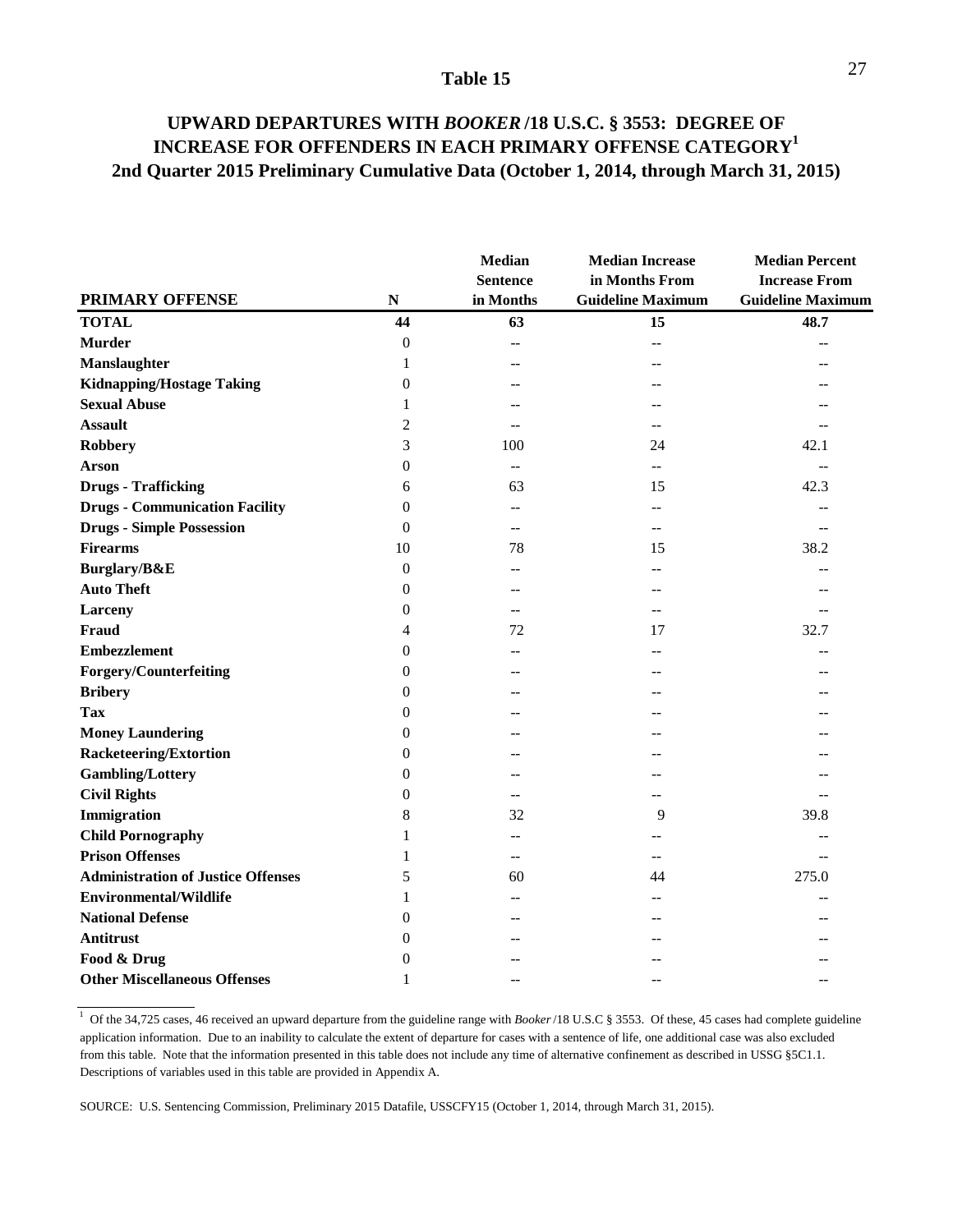### **UPWARD DEPARTURES WITH** *BOOKER* **/18 U.S.C. § 3553: DEGREE OF INCREASE FOR OFFENDERS IN EACH PRIMARY OFFENSE CATEGORY1 2nd Quarter 2015 Preliminary Cumulative Data (October 1, 2014, through March 31, 2015)**

| <b>PRIMARY OFFENSE</b>                    | ${\bf N}$        | <b>Median</b><br><b>Sentence</b><br>in Months | <b>Median Increase</b><br>in Months From<br><b>Guideline Maximum</b> | <b>Median Percent</b><br><b>Increase From</b><br><b>Guideline Maximum</b> |
|-------------------------------------------|------------------|-----------------------------------------------|----------------------------------------------------------------------|---------------------------------------------------------------------------|
| <b>TOTAL</b>                              | 44               | 63                                            | 15                                                                   | 48.7                                                                      |
| <b>Murder</b>                             | $\theta$         | $\overline{\phantom{0}}$                      | $-$                                                                  |                                                                           |
| Manslaughter                              | 1                | --                                            |                                                                      |                                                                           |
| <b>Kidnapping/Hostage Taking</b>          | $\Omega$         | --                                            |                                                                      |                                                                           |
| <b>Sexual Abuse</b>                       |                  |                                               |                                                                      |                                                                           |
| <b>Assault</b>                            | 2                | $\overline{a}$                                |                                                                      |                                                                           |
| <b>Robbery</b>                            | 3                | 100                                           | 24                                                                   | 42.1                                                                      |
| <b>Arson</b>                              | $\overline{0}$   | --                                            |                                                                      | $-$                                                                       |
| <b>Drugs - Trafficking</b>                | 6                | 63                                            | 15                                                                   | 42.3                                                                      |
| <b>Drugs - Communication Facility</b>     | $\overline{0}$   | --                                            |                                                                      | $-$                                                                       |
| <b>Drugs - Simple Possession</b>          | $\overline{0}$   | $\overline{a}$                                | $-$                                                                  | $-$                                                                       |
| <b>Firearms</b>                           | 10               | 78                                            | 15                                                                   | 38.2                                                                      |
| Burglary/B&E                              | $\boldsymbol{0}$ | $-1$                                          |                                                                      |                                                                           |
| <b>Auto Theft</b>                         | $\overline{0}$   | --                                            |                                                                      |                                                                           |
| <b>Larceny</b>                            | $\overline{0}$   | --                                            | --                                                                   |                                                                           |
| <b>Fraud</b>                              | 4                | 72                                            | 17                                                                   | 32.7                                                                      |
| <b>Embezzlement</b>                       | $\overline{0}$   | $-$                                           |                                                                      |                                                                           |
| <b>Forgery/Counterfeiting</b>             | 0                | --                                            |                                                                      |                                                                           |
| <b>Bribery</b>                            | $\Omega$         |                                               |                                                                      |                                                                           |
| <b>Tax</b>                                | 0                | --                                            |                                                                      |                                                                           |
| <b>Money Laundering</b>                   | 0                |                                               |                                                                      |                                                                           |
| <b>Racketeering/Extortion</b>             | 0                |                                               |                                                                      |                                                                           |
| <b>Gambling/Lottery</b>                   | 0                | --                                            |                                                                      |                                                                           |
| <b>Civil Rights</b>                       | 0                | $-$                                           |                                                                      |                                                                           |
| Immigration                               | 8                | 32                                            | 9                                                                    | 39.8                                                                      |
| <b>Child Pornography</b>                  | 1                | $-$                                           |                                                                      |                                                                           |
| <b>Prison Offenses</b>                    |                  | $-$                                           |                                                                      |                                                                           |
| <b>Administration of Justice Offenses</b> | 5                | 60                                            | 44                                                                   | 275.0                                                                     |
| <b>Environmental/Wildlife</b>             | 1                | $-$                                           |                                                                      |                                                                           |
| <b>National Defense</b>                   | 0                | --                                            |                                                                      |                                                                           |
| Antitrust                                 | 0                |                                               |                                                                      |                                                                           |
| Food & Drug                               | 0                |                                               |                                                                      |                                                                           |
| <b>Other Miscellaneous Offenses</b>       | 1                |                                               |                                                                      |                                                                           |

<sup>1</sup> Of the 34,725 cases, 46 received an upward departure from the guideline range with *Booker*/18 U.S.C § 3553. Of these, 45 cases had complete guideline application information. Due to an inability to calculate the extent of departure for cases with a sentence of life, one additional case was also excluded from this table. Note that the information presented in this table does not include any time of alternative confinement as described in USSG §5C1.1. Descriptions of variables used in this table are provided in Appendix A.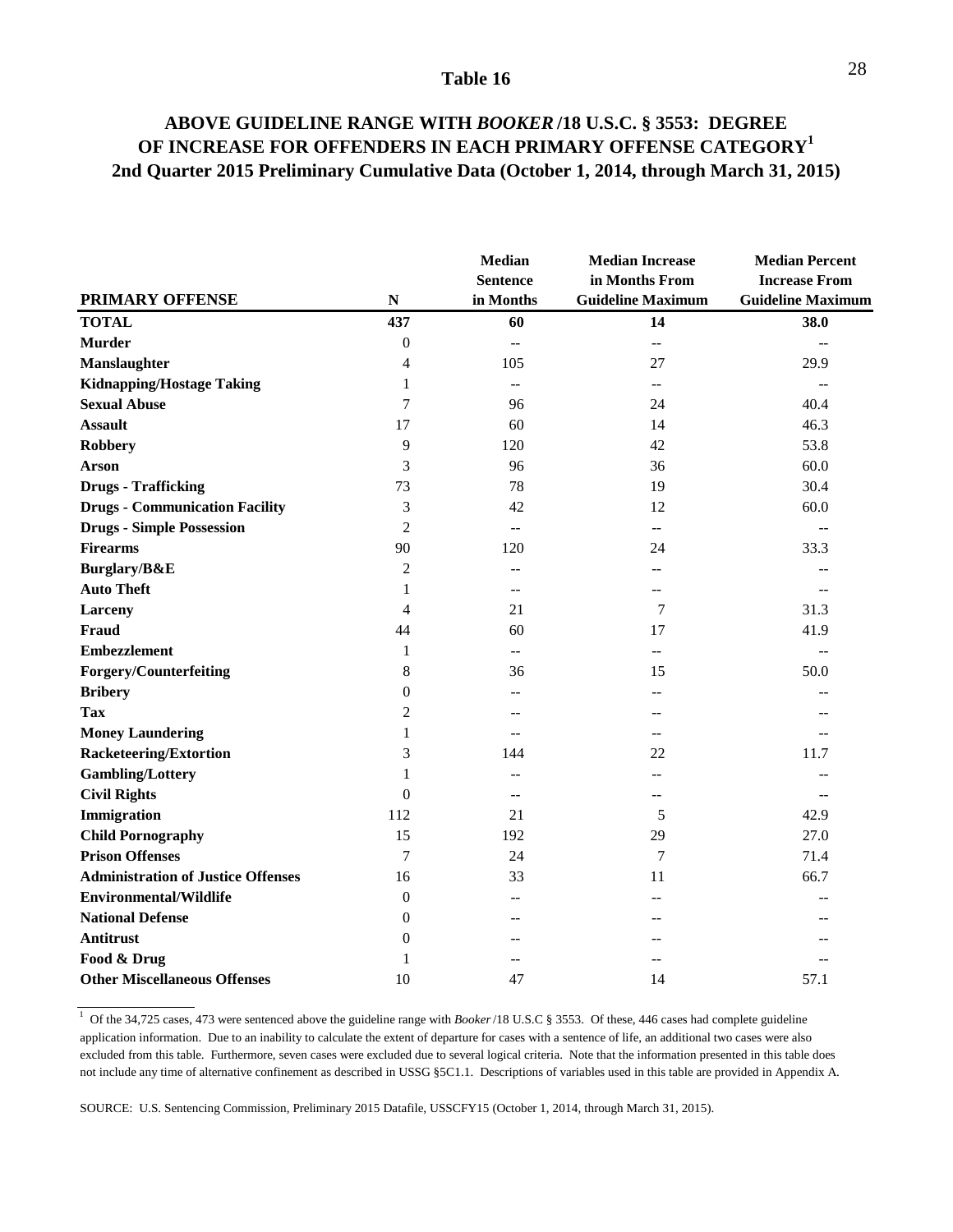### **ABOVE GUIDELINE RANGE WITH** *BOOKER* **/18 U.S.C. § 3553: DEGREE OF INCREASE FOR OFFENDERS IN EACH PRIMARY OFFENSE CATEGORY1 2nd Quarter 2015 Preliminary Cumulative Data (October 1, 2014, through March 31, 2015)**

|                                           |                  | <b>Median</b><br><b>Sentence</b> | <b>Median Increase</b><br>in Months From      | <b>Median Percent</b><br><b>Increase From</b> |
|-------------------------------------------|------------------|----------------------------------|-----------------------------------------------|-----------------------------------------------|
| <b>PRIMARY OFFENSE</b>                    | ${\bf N}$        | in Months                        | <b>Guideline Maximum</b>                      | <b>Guideline Maximum</b>                      |
| <b>TOTAL</b>                              | 437              | 60                               | 14                                            | 38.0                                          |
| <b>Murder</b>                             | $\boldsymbol{0}$ | $\overline{a}$                   | $\overline{a}$                                | $\sim$                                        |
| Manslaughter                              | 4                | 105                              | 27                                            | 29.9                                          |
| <b>Kidnapping/Hostage Taking</b>          | 1                | $\overline{\phantom{a}}$         | $\mathord{\hspace{1pt}\text{--}\hspace{1pt}}$ | $-$                                           |
| <b>Sexual Abuse</b>                       | 7                | 96                               | 24                                            | 40.4                                          |
| <b>Assault</b>                            | 17               | 60                               | 14                                            | 46.3                                          |
| <b>Robbery</b>                            | 9                | 120                              | 42                                            | 53.8                                          |
| <b>Arson</b>                              | 3                | 96                               | 36                                            | 60.0                                          |
| <b>Drugs - Trafficking</b>                | 73               | 78                               | 19                                            | 30.4                                          |
| <b>Drugs - Communication Facility</b>     | 3                | 42                               | 12                                            | 60.0                                          |
| <b>Drugs - Simple Possession</b>          | $\overline{2}$   | $\overline{a}$                   | $-$                                           | $\overline{a}$                                |
| <b>Firearms</b>                           | 90               | 120                              | 24                                            | 33.3                                          |
| Burglary/B&E                              | 2                | $-$                              |                                               |                                               |
| <b>Auto Theft</b>                         | 1                | $-$                              | --                                            |                                               |
| <b>Larceny</b>                            | 4                | 21                               | 7                                             | 31.3                                          |
| <b>Fraud</b>                              | 44               | 60                               | 17                                            | 41.9                                          |
| <b>Embezzlement</b>                       | 1                | $-$                              | $-$                                           | $\overline{\phantom{a}}$                      |
| <b>Forgery/Counterfeiting</b>             | 8                | 36                               | 15                                            | 50.0                                          |
| <b>Bribery</b>                            | $\overline{0}$   | --                               |                                               |                                               |
| <b>Tax</b>                                | $\overline{c}$   | $-$                              |                                               |                                               |
| <b>Money Laundering</b>                   | 1                | $-$                              | $-$                                           |                                               |
| <b>Racketeering/Extortion</b>             | 3                | 144                              | 22                                            | 11.7                                          |
| <b>Gambling/Lottery</b>                   | 1                | $-$                              |                                               |                                               |
| <b>Civil Rights</b>                       | $\mathbf{0}$     | $-$                              |                                               |                                               |
| Immigration                               | 112              | 21                               | 5                                             | 42.9                                          |
| <b>Child Pornography</b>                  | 15               | 192                              | 29                                            | 27.0                                          |
| <b>Prison Offenses</b>                    | 7                | 24                               | 7                                             | 71.4                                          |
| <b>Administration of Justice Offenses</b> | 16               | 33                               | 11                                            | 66.7                                          |
| <b>Environmental/Wildlife</b>             | $\overline{0}$   | $-$                              |                                               | $\sim$                                        |
| <b>National Defense</b>                   | $\overline{0}$   | $-$                              |                                               |                                               |
| Antitrust                                 | $\overline{0}$   | --                               |                                               |                                               |
| Food & Drug                               | 1                | --                               |                                               |                                               |
| <b>Other Miscellaneous Offenses</b>       | 10               | 47                               | 14                                            | 57.1                                          |

1 Of the 34,725 cases, 473 were sentenced above the guideline range with *Booker*/18 U.S.C § 3553. Of these, 446 cases had complete guideline application information. Due to an inability to calculate the extent of departure for cases with a sentence of life, an additional two cases were also excluded from this table. Furthermore, seven cases were excluded due to several logical criteria. Note that the information presented in this table does not include any time of alternative confinement as described in USSG §5C1.1. Descriptions of variables used in this table are provided in Appendix A.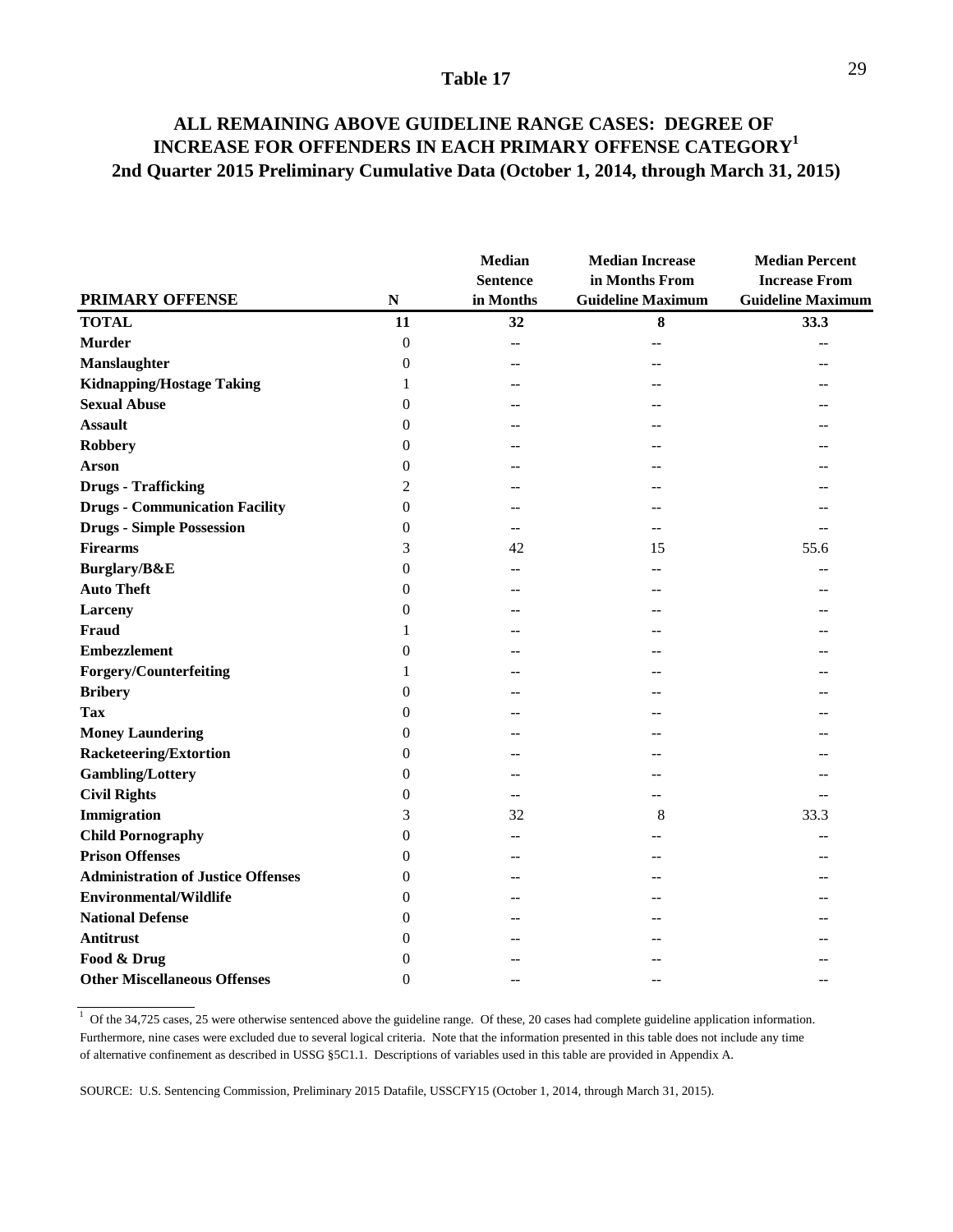### **ALL REMAINING ABOVE GUIDELINE RANGE CASES: DEGREE OF INCREASE FOR OFFENDERS IN EACH PRIMARY OFFENSE CATEGORY1 2nd Quarter 2015 Preliminary Cumulative Data (October 1, 2014, through March 31, 2015)**

|                                           |                  | <b>Median</b><br><b>Sentence</b> | <b>Median Increase</b><br>in Months From | <b>Median Percent</b><br><b>Increase From</b> |
|-------------------------------------------|------------------|----------------------------------|------------------------------------------|-----------------------------------------------|
| <b>PRIMARY OFFENSE</b>                    | ${\bf N}$        | in Months                        | <b>Guideline Maximum</b>                 | <b>Guideline Maximum</b>                      |
| <b>TOTAL</b>                              | 11               | 32                               | ${\bf 8}$                                | 33.3                                          |
| <b>Murder</b>                             | $\boldsymbol{0}$ | $-$                              |                                          |                                               |
| <b>Manslaughter</b>                       | $\theta$         |                                  |                                          |                                               |
| <b>Kidnapping/Hostage Taking</b>          | 1                | $-$                              |                                          |                                               |
| <b>Sexual Abuse</b>                       | $\overline{0}$   |                                  |                                          |                                               |
| <b>Assault</b>                            | $\overline{0}$   | --                               |                                          |                                               |
| <b>Robbery</b>                            | 0                |                                  |                                          |                                               |
| <b>Arson</b>                              | $\overline{0}$   |                                  |                                          |                                               |
| <b>Drugs - Trafficking</b>                | 2                |                                  |                                          |                                               |
| <b>Drugs - Communication Facility</b>     | $\boldsymbol{0}$ | $-$                              |                                          |                                               |
| <b>Drugs - Simple Possession</b>          | 0                | --                               |                                          | $-$                                           |
| <b>Firearms</b>                           | 3                | 42                               | 15                                       | 55.6                                          |
| Burglary/B&E                              | $\overline{0}$   | $-$                              |                                          |                                               |
| <b>Auto Theft</b>                         | 0                | --                               |                                          |                                               |
| Larceny                                   | 0                | --                               |                                          |                                               |
| <b>Fraud</b>                              | 1                |                                  |                                          |                                               |
| <b>Embezzlement</b>                       | $\overline{0}$   |                                  |                                          |                                               |
| Forgery/Counterfeiting                    | 1                |                                  |                                          |                                               |
| <b>Bribery</b>                            | $\overline{0}$   |                                  |                                          |                                               |
| <b>Tax</b>                                | 0                |                                  |                                          |                                               |
| <b>Money Laundering</b>                   | 0                | --                               |                                          |                                               |
| <b>Racketeering/Extortion</b>             | 0                | --                               |                                          |                                               |
| <b>Gambling/Lottery</b>                   | 0                |                                  |                                          |                                               |
| <b>Civil Rights</b>                       | 0                | $-$                              |                                          |                                               |
| <b>Immigration</b>                        | 3                | 32                               | 8                                        | 33.3                                          |
| <b>Child Pornography</b>                  | $\overline{0}$   | --                               |                                          |                                               |
| <b>Prison Offenses</b>                    | 0                |                                  |                                          |                                               |
| <b>Administration of Justice Offenses</b> | $\theta$         |                                  |                                          |                                               |
| <b>Environmental/Wildlife</b>             | 0                | --                               |                                          |                                               |
| <b>National Defense</b>                   | $\overline{0}$   |                                  |                                          |                                               |
| Antitrust                                 | 0                |                                  |                                          |                                               |
| Food & Drug                               | 0                |                                  |                                          |                                               |
| <b>Other Miscellaneous Offenses</b>       | $\theta$         |                                  |                                          |                                               |

 $1$  Of the 34,725 cases, 25 were otherwise sentenced above the guideline range. Of these, 20 cases had complete guideline application information. Furthermore, nine cases were excluded due to several logical criteria. Note that the information presented in this table does not include any time of alternative confinement as described in USSG §5C1.1. Descriptions of variables used in this table are provided in Appendix A.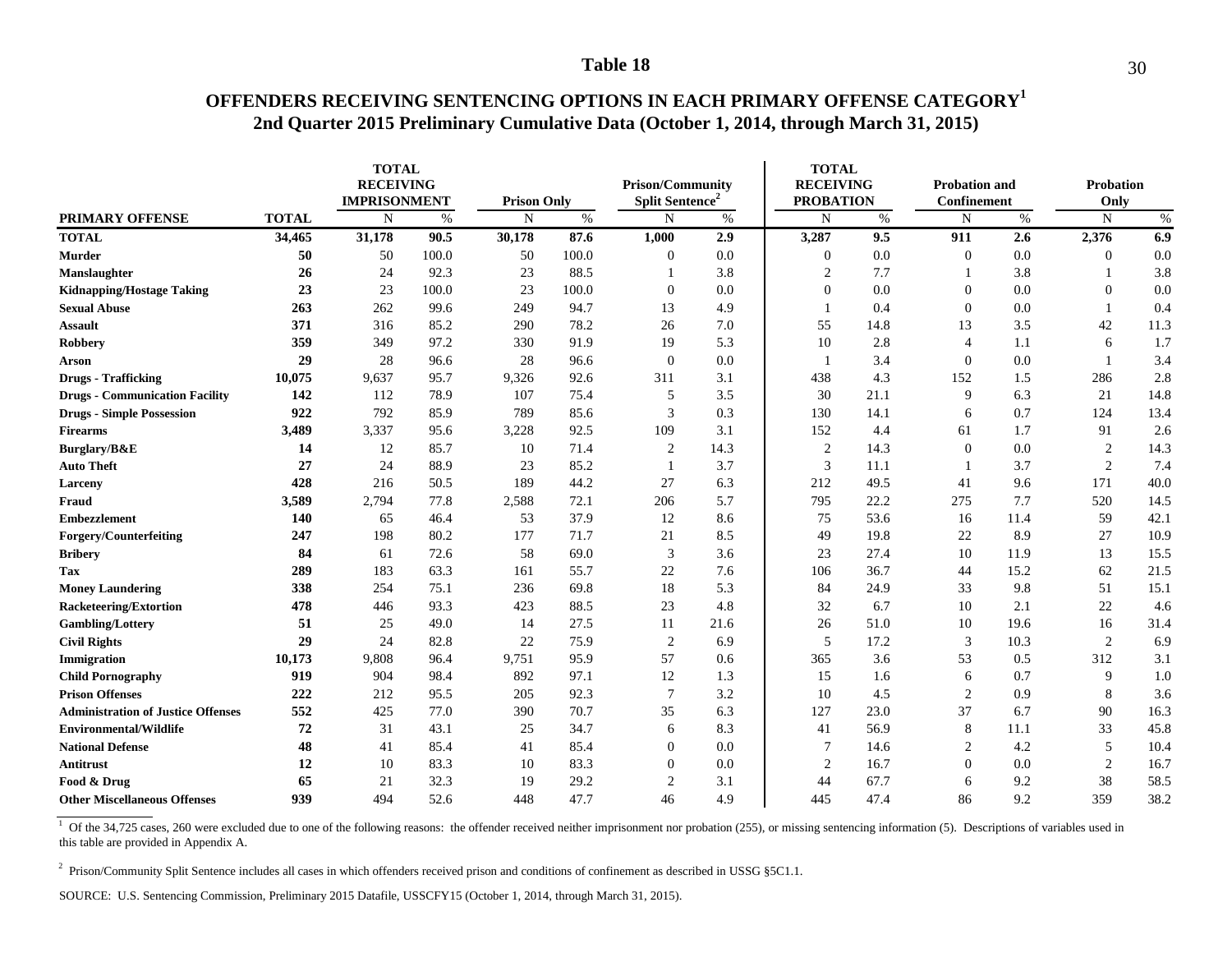### **OFFENDERS RECEIVING SENTENCING OPTIONS IN EACH PRIMARY OFFENSE CATEGORY1 2nd Quarter 2015 Preliminary Cumulative Data (October 1, 2014, through March 31, 2015)**

|                                           |              |        | <b>TOTAL</b><br><b>RECEIVING</b><br><b>IMPRISONMENT</b><br><b>Prison Only</b> |             |       | <b>Prison/Community</b><br><b>Split Sentence</b> |      | <b>TOTAL</b><br><b>RECEIVING</b><br><b>PROBATION</b> |      | <b>Probation and</b><br><b>Confinement</b> |      | <b>Probation</b><br>Only |      |
|-------------------------------------------|--------------|--------|-------------------------------------------------------------------------------|-------------|-------|--------------------------------------------------|------|------------------------------------------------------|------|--------------------------------------------|------|--------------------------|------|
| <b>PRIMARY OFFENSE</b>                    | <b>TOTAL</b> | N      | $\%$                                                                          | $\mathbf N$ | $\%$  | N                                                | $\%$ | $\mathbf N$                                          | $\%$ | $\mathbf N$                                | $\%$ | $\mathbf N$              | $\%$ |
| <b>TOTAL</b>                              | 34,465       | 31,178 | 90.5                                                                          | 30,178      | 87.6  | 1,000                                            | 2.9  | 3,287                                                | 9.5  | 911                                        | 2.6  | 2,376                    | 6.9  |
| Murder                                    | 50           | 50     | 100.0                                                                         | 50          | 100.0 | $\mathbf{0}$                                     | 0.0  | $\mathbf{0}$                                         | 0.0  | $\boldsymbol{0}$                           | 0.0  | $\boldsymbol{0}$         | 0.0  |
| Manslaughter                              | 26           | 24     | 92.3                                                                          | 23          | 88.5  |                                                  | 3.8  | 2                                                    | 7.7  |                                            | 3.8  |                          | 3.8  |
| <b>Kidnapping/Hostage Taking</b>          | 23           | 23     | 100.0                                                                         | 23          | 100.0 | $\theta$                                         | 0.0  | $\theta$                                             | 0.0  | $\overline{0}$                             | 0.0  | $\boldsymbol{0}$         | 0.0  |
| <b>Sexual Abuse</b>                       | 263          | 262    | 99.6                                                                          | 249         | 94.7  | 13                                               | 4.9  | -1                                                   | 0.4  | $\boldsymbol{0}$                           | 0.0  | -1                       | 0.4  |
| <b>Assault</b>                            | 371          | 316    | 85.2                                                                          | 290         | 78.2  | 26                                               | 7.0  | 55                                                   | 14.8 | 13                                         | 3.5  | 42                       | 11.3 |
| <b>Robbery</b>                            | 359          | 349    | 97.2                                                                          | 330         | 91.9  | 19                                               | 5.3  | 10                                                   | 2.8  | 4                                          | 1.1  | 6                        | 1.7  |
| Arson                                     | 29           | 28     | 96.6                                                                          | 28          | 96.6  | $\theta$                                         | 0.0  | -1                                                   | 3.4  | $\overline{0}$                             | 0.0  | -1                       | 3.4  |
| <b>Drugs - Trafficking</b>                | 10,075       | 9,637  | 95.7                                                                          | 9,326       | 92.6  | 311                                              | 3.1  | 438                                                  | 4.3  | 152                                        | 1.5  | 286                      | 2.8  |
| <b>Drugs - Communication Facility</b>     | 142          | 112    | 78.9                                                                          | 107         | 75.4  | 5                                                | 3.5  | 30                                                   | 21.1 | 9                                          | 6.3  | 21                       | 14.8 |
| <b>Drugs - Simple Possession</b>          | 922          | 792    | 85.9                                                                          | 789         | 85.6  | 3                                                | 0.3  | 130                                                  | 14.1 | 6                                          | 0.7  | 124                      | 13.4 |
| <b>Firearms</b>                           | 3,489        | 3,337  | 95.6                                                                          | 3,228       | 92.5  | 109                                              | 3.1  | 152                                                  | 4.4  | 61                                         | 1.7  | 91                       | 2.6  |
| Burglary/B&E                              | 14           | 12     | 85.7                                                                          | 10          | 71.4  | $\overline{2}$                                   | 14.3 | 2                                                    | 14.3 | $\Omega$                                   | 0.0  | $\overline{c}$           | 14.3 |
| <b>Auto Theft</b>                         | 27           | 24     | 88.9                                                                          | 23          | 85.2  | $\mathbf{1}$                                     | 3.7  | 3                                                    | 11.1 |                                            | 3.7  | $\sqrt{2}$               | 7.4  |
| Larceny                                   | 428          | 216    | 50.5                                                                          | 189         | 44.2  | 27                                               | 6.3  | 212                                                  | 49.5 | 41                                         | 9.6  | 171                      | 40.0 |
| Fraud                                     | 3,589        | 2,794  | 77.8                                                                          | 2,588       | 72.1  | 206                                              | 5.7  | 795                                                  | 22.2 | 275                                        | 7.7  | 520                      | 14.5 |
| <b>Embezzlement</b>                       | 140          | 65     | 46.4                                                                          | 53          | 37.9  | 12                                               | 8.6  | 75                                                   | 53.6 | 16                                         | 11.4 | 59                       | 42.1 |
| Forgery/Counterfeiting                    | 247          | 198    | 80.2                                                                          | 177         | 71.7  | 21                                               | 8.5  | 49                                                   | 19.8 | 22                                         | 8.9  | 27                       | 10.9 |
| <b>Bribery</b>                            | 84           | 61     | 72.6                                                                          | 58          | 69.0  | 3                                                | 3.6  | 23                                                   | 27.4 | 10                                         | 11.9 | 13                       | 15.5 |
| Tax                                       | 289          | 183    | 63.3                                                                          | 161         | 55.7  | 22                                               | 7.6  | 106                                                  | 36.7 | 44                                         | 15.2 | 62                       | 21.5 |
| <b>Money Laundering</b>                   | 338          | 254    | 75.1                                                                          | 236         | 69.8  | 18                                               | 5.3  | 84                                                   | 24.9 | 33                                         | 9.8  | 51                       | 15.1 |
| <b>Racketeering/Extortion</b>             | 478          | 446    | 93.3                                                                          | 423         | 88.5  | 23                                               | 4.8  | 32                                                   | 6.7  | 10                                         | 2.1  | 22                       | 4.6  |
| Gambling/Lottery                          | 51           | 25     | 49.0                                                                          | 14          | 27.5  | 11                                               | 21.6 | 26                                                   | 51.0 | 10                                         | 19.6 | 16                       | 31.4 |
| <b>Civil Rights</b>                       | 29           | 24     | 82.8                                                                          | 22          | 75.9  | $\overline{c}$                                   | 6.9  | 5                                                    | 17.2 | 3                                          | 10.3 | 2                        | 6.9  |
| Immigration                               | 10,173       | 9,808  | 96.4                                                                          | 9,751       | 95.9  | 57                                               | 0.6  | 365                                                  | 3.6  | 53                                         | 0.5  | 312                      | 3.1  |
| <b>Child Pornography</b>                  | 919          | 904    | 98.4                                                                          | 892         | 97.1  | 12                                               | 1.3  | 15                                                   | 1.6  | 6                                          | 0.7  | 9                        | 1.0  |
| <b>Prison Offenses</b>                    | 222          | 212    | 95.5                                                                          | 205         | 92.3  | $\tau$                                           | 3.2  | 10                                                   | 4.5  | $\overline{2}$                             | 0.9  | 8                        | 3.6  |
| <b>Administration of Justice Offenses</b> | 552          | 425    | 77.0                                                                          | 390         | 70.7  | 35                                               | 6.3  | 127                                                  | 23.0 | 37                                         | 6.7  | 90                       | 16.3 |
| <b>Environmental/Wildlife</b>             | 72           | 31     | 43.1                                                                          | 25          | 34.7  | 6                                                | 8.3  | 41                                                   | 56.9 | 8                                          | 11.1 | 33                       | 45.8 |
| <b>National Defense</b>                   | 48           | 41     | 85.4                                                                          | 41          | 85.4  | $\theta$                                         | 0.0  | $\overline{7}$                                       | 14.6 | $\overline{c}$                             | 4.2  | 5                        | 10.4 |
| Antitrust                                 | 12           | 10     | 83.3                                                                          | 10          | 83.3  | $\theta$                                         | 0.0  | $\overline{2}$                                       | 16.7 | $\Omega$                                   | 0.0  | $\sqrt{2}$               | 16.7 |
| Food & Drug                               | 65           | 21     | 32.3                                                                          | 19          | 29.2  | $\overline{2}$                                   | 3.1  | 44                                                   | 67.7 | 6                                          | 9.2  | 38                       | 58.5 |
| <b>Other Miscellaneous Offenses</b>       | 939          | 494    | 52.6                                                                          | 448         | 47.7  | 46                                               | 4.9  | 445                                                  | 47.4 | 86                                         | 9.2  | 359                      | 38.2 |

<sup>1</sup> Of the 34,725 cases, 260 were excluded due to one of the following reasons: the offender received neither imprisonment nor probation (255), or missing sentencing information (5). Descriptions of variables used in this table are provided in Appendix A.

<sup>2</sup> Prison/Community Split Sentence includes all cases in which offenders received prison and conditions of confinement as described in USSG §5C1.1.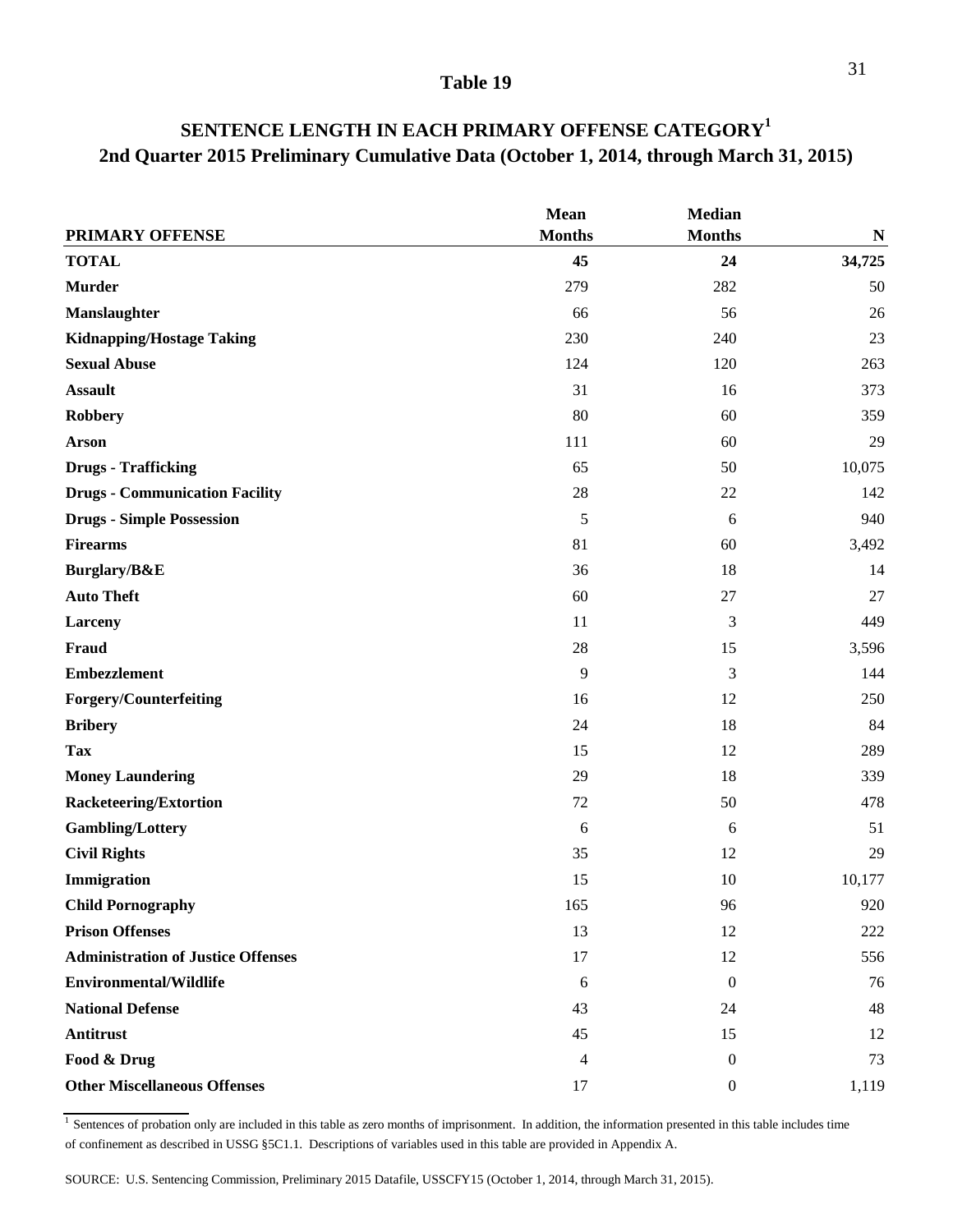|                                           | Mean          | Median           |           |
|-------------------------------------------|---------------|------------------|-----------|
| PRIMARY OFFENSE                           | <b>Months</b> | <b>Months</b>    | ${\bf N}$ |
| <b>TOTAL</b>                              | 45            | 24               | 34,725    |
| <b>Murder</b>                             | 279           | 282              | 50        |
| Manslaughter                              | 66            | 56               | 26        |
| <b>Kidnapping/Hostage Taking</b>          | 230           | 240              | 23        |
| <b>Sexual Abuse</b>                       | 124           | 120              | 263       |
| <b>Assault</b>                            | 31            | 16               | 373       |
| <b>Robbery</b>                            | 80            | 60               | 359       |
| <b>Arson</b>                              | 111           | 60               | 29        |
| <b>Drugs - Trafficking</b>                | 65            | 50               | 10,075    |
| <b>Drugs - Communication Facility</b>     | 28            | 22               | 142       |
| <b>Drugs - Simple Possession</b>          | 5             | 6                | 940       |
| <b>Firearms</b>                           | 81            | 60               | 3,492     |
| Burglary/B&E                              | 36            | 18               | 14        |
| <b>Auto Theft</b>                         | 60            | $27\,$           | 27        |
| Larceny                                   | 11            | 3                | 449       |
| Fraud                                     | 28            | 15               | 3,596     |
| <b>Embezzlement</b>                       | 9             | 3                | 144       |
| Forgery/Counterfeiting                    | 16            | 12               | 250       |
| <b>Bribery</b>                            | 24            | 18               | 84        |
| <b>Tax</b>                                | 15            | 12               | 289       |
| <b>Money Laundering</b>                   | 29            | 18               | 339       |
| <b>Racketeering/Extortion</b>             | 72            | 50               | 478       |
| <b>Gambling/Lottery</b>                   | 6             | 6                | 51        |
| <b>Civil Rights</b>                       | 35            | 12               | 29        |
| Immigration                               | 15            | 10               | 10,177    |
| <b>Child Pornography</b>                  | 165           | 96               | 920       |
| <b>Prison Offenses</b>                    | 13            | 12               | 222       |
| <b>Administration of Justice Offenses</b> | 17            | 12               | 556       |
| <b>Environmental/Wildlife</b>             | 6             | $\boldsymbol{0}$ | 76        |
| <b>National Defense</b>                   | 43            | 24               | 48        |
| <b>Antitrust</b>                          | 45            | 15               | 12        |
| Food & Drug                               | 4             | $\overline{0}$   | 73        |
| <b>Other Miscellaneous Offenses</b>       | 17            | $\boldsymbol{0}$ | 1,119     |

### **SENTENCE LENGTH IN EACH PRIMARY OFFENSE CATEGORY<sup>1</sup> 2nd Quarter 2015 Preliminary Cumulative Data (October 1, 2014, through March 31, 2015)**

 $\frac{1}{1}$  Sentences of probation only are included in this table as zero months of imprisonment. In addition, the information presented in this table includes time of confinement as described in USSG §5C1.1. Descriptions of variables used in this table are provided in Appendix A.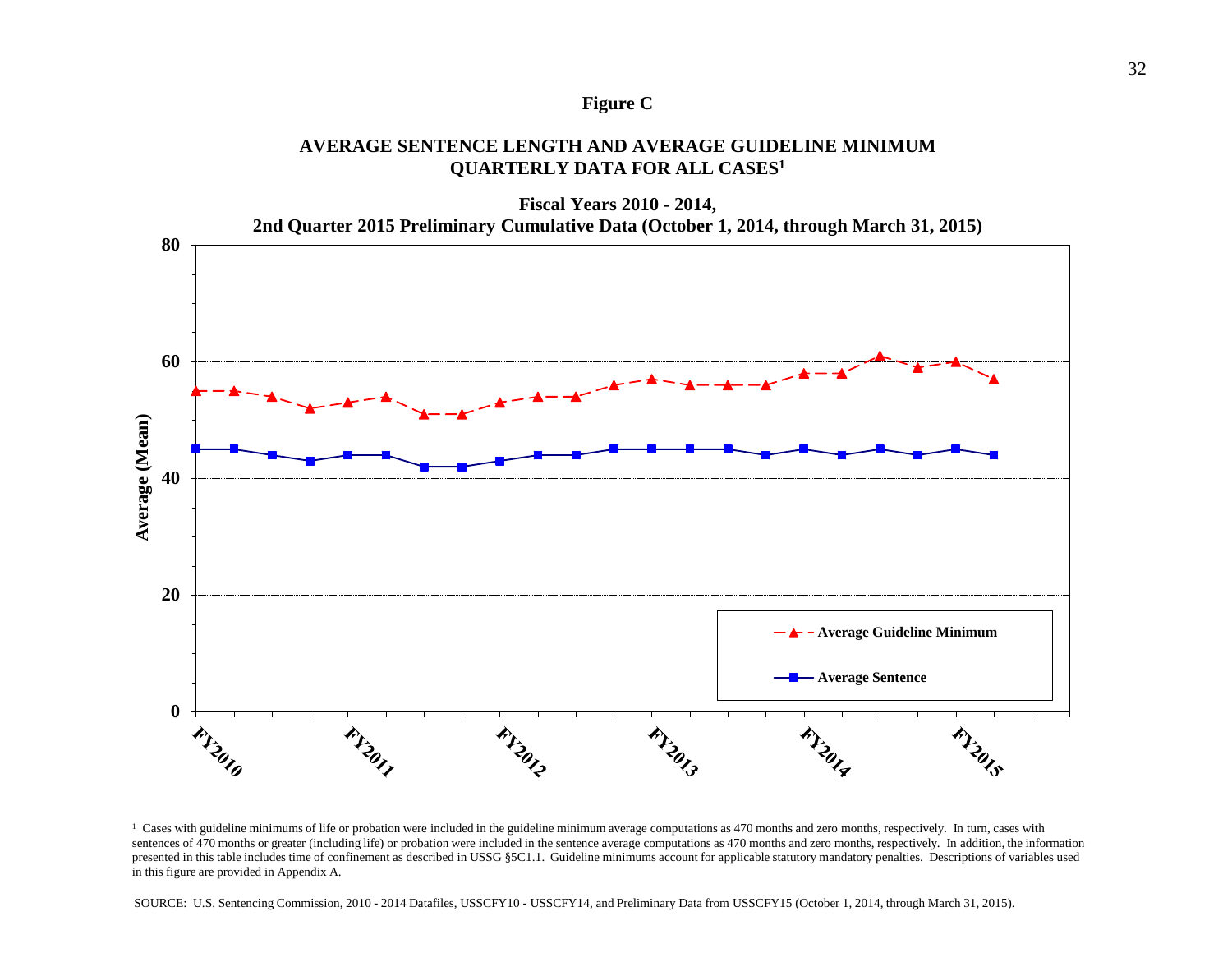### **Figure C**

### **AVERAGE SENTENCE LENGTH AND AVERAGE GUIDELINE MINIMUM QUARTERLY DATA FOR ALL CASES1**



<sup>&</sup>lt;sup>1</sup> Cases with guideline minimums of life or probation were included in the guideline minimum average computations as 470 months and zero months, respectively. In turn, cases with sentences of 470 months or greater (including life) or probation were included in the sentence average computations as 470 months and zero months, respectively. In addition, the information presented in this table includes time of confinement as described in USSG §5C1.1. Guideline minimums account for applicable statutory mandatory penalties. Descriptions of variables used in this figure are provided in Appendix A.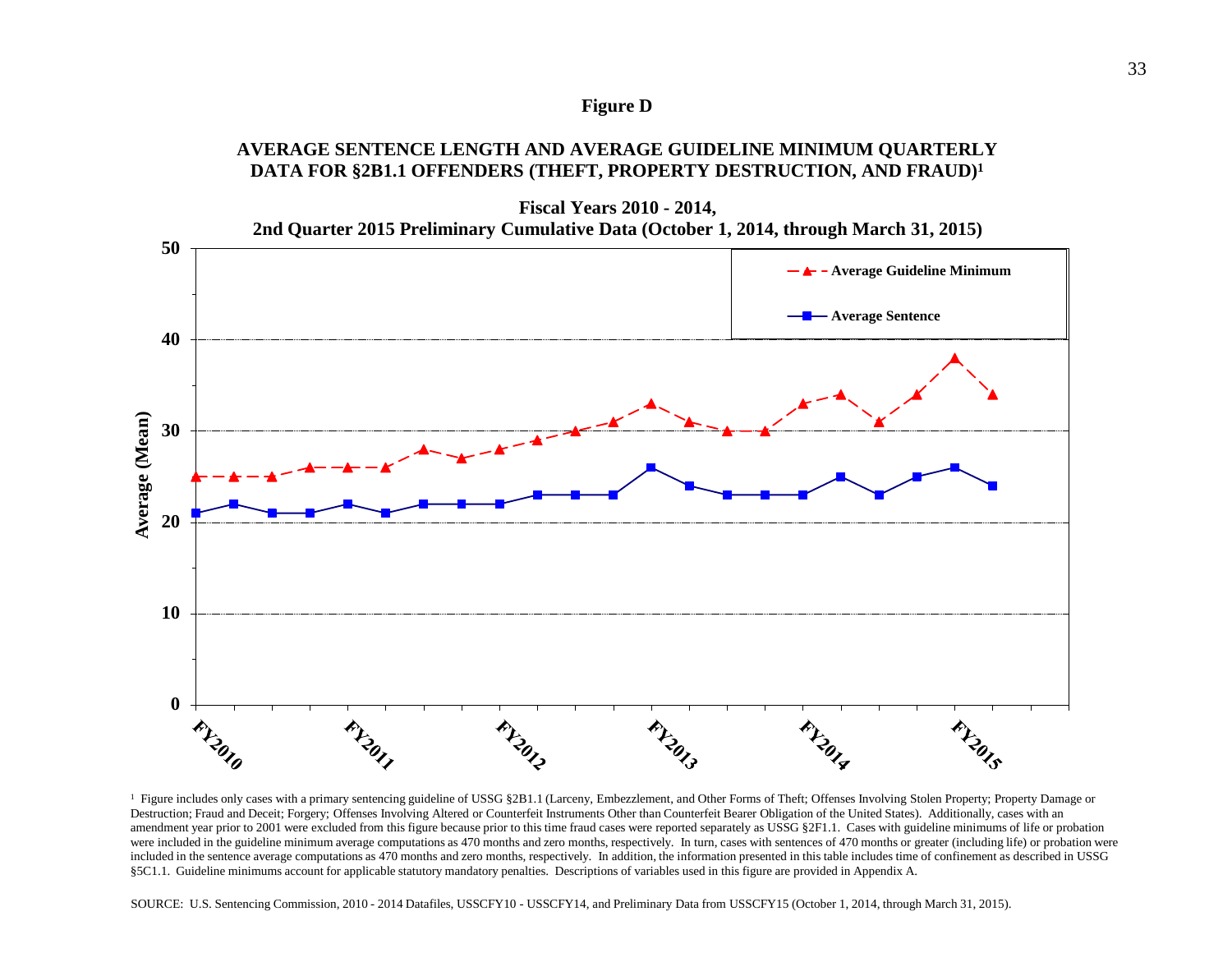### **Figure D**

### **AVERAGE SENTENCE LENGTH AND AVERAGE GUIDELINE MINIMUM QUARTERLY DATA FOR §2B1.1 OFFENDERS (THEFT, PROPERTY DESTRUCTION, AND FRAUD)1**



<sup>1</sup> Figure includes only cases with a primary sentencing guideline of USSG §2B1.1 (Larceny, Embezzlement, and Other Forms of Theft; Offenses Involving Stolen Property; Property Damage or Destruction; Fraud and Deceit; Forgery; Offenses Involving Altered or Counterfeit Instruments Other than Counterfeit Bearer Obligation of the United States). Additionally, cases with an amendment year prior to 2001 were excluded from this figure because prior to this time fraud cases were reported separately as USSG §2F1.1. Cases with guideline minimums of life or probation were included in the guideline minimum average computations as 470 months and zero months, respectively. In turn, cases with sentences of 470 months or greater (including life) or probation were included in the sentence average computations as 470 months and zero months, respectively. In addition, the information presented in this table includes time of confinement as described in USSG §5C1.1. Guideline minimums account for applicable statutory mandatory penalties. Descriptions of variables used in this figure are provided in Appendix A.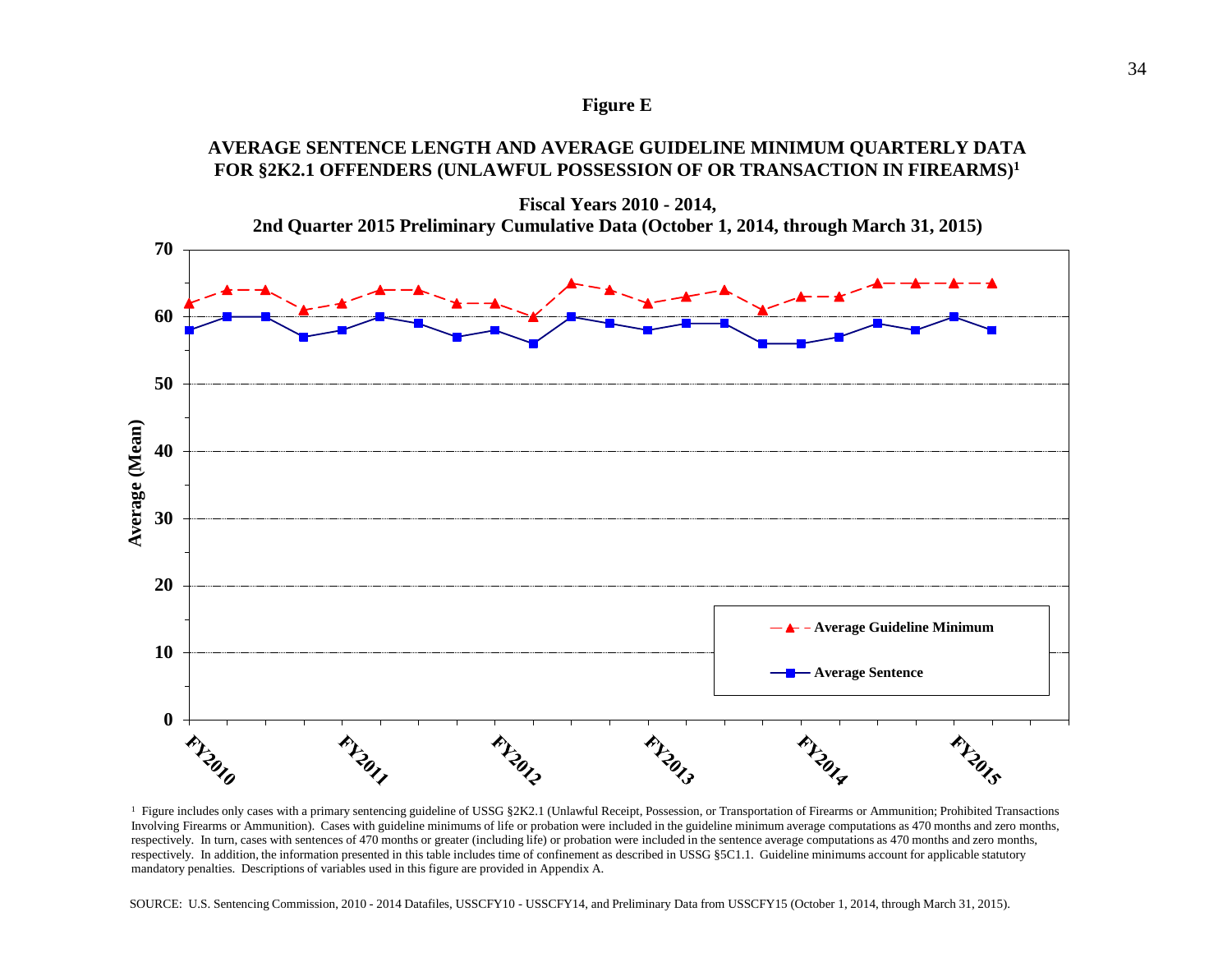#### **Figure E**

### **AVERAGE SENTENCE LENGTH AND AVERAGE GUIDELINE MINIMUM QUARTERLY DATA FOR §2K2.1 OFFENDERS (UNLAWFUL POSSESSION OF OR TRANSACTION IN FIREARMS)1**



<sup>1</sup> Figure includes only cases with a primary sentencing guideline of USSG §2K2.1 (Unlawful Receipt, Possession, or Transportation of Firearms or Ammunition; Prohibited Transactions Involving Firearms or Ammunition). Cases with guideline minimums of life or probation were included in the guideline minimum average computations as 470 months and zero months, respectively. In turn, cases with sentences of 470 months or greater (including life) or probation were included in the sentence average computations as 470 months and zero months, respectively. In addition, the information presented in this table includes time of confinement as described in USSG §5C1.1. Guideline minimums account for applicable statutory mandatory penalties. Descriptions of variables used in this figure are provided in Appendix A.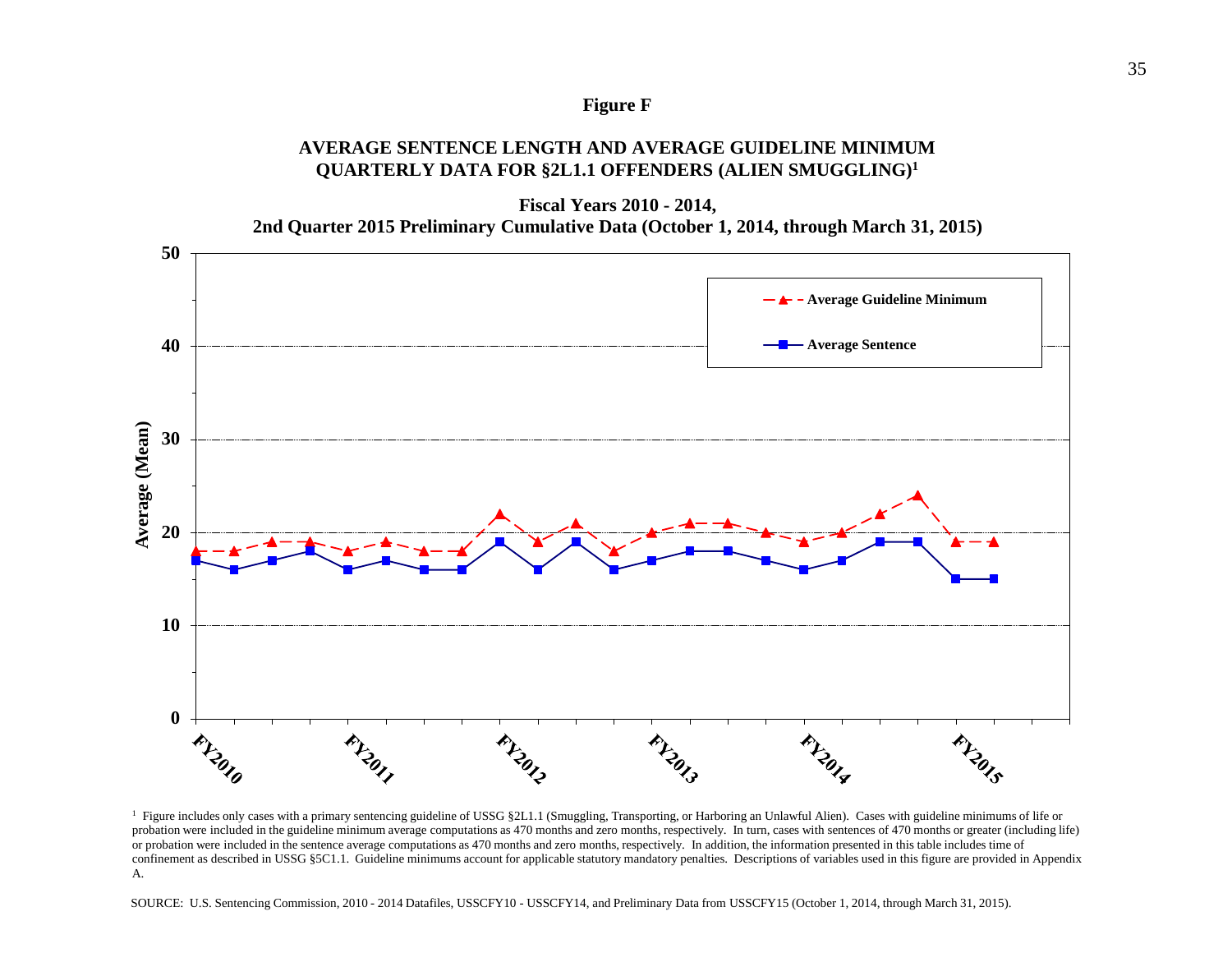#### **Figure F**

### **AVERAGE SENTENCE LENGTH AND AVERAGE GUIDELINE MINIMUM QUARTERLY DATA FOR §2L1.1 OFFENDERS (ALIEN SMUGGLING)1**

**Fiscal Years 2010 - 2014,**

**2nd Quarter 2015 Preliminary Cumulative Data (October 1, 2014, through March 31, 2015)**



<sup>1</sup> Figure includes only cases with a primary sentencing guideline of USSG §2L1.1 (Smuggling, Transporting, or Harboring an Unlawful Alien). Cases with guideline minimums of life or probation were included in the guideline minimum average computations as 470 months and zero months, respectively. In turn, cases with sentences of 470 months or greater (including life) or probation were included in the sentence average computations as 470 months and zero months, respectively. In addition, the information presented in this table includes time of confinement as described in USSG §5C1.1. Guideline minimums account for applicable statutory mandatory penalties. Descriptions of variables used in this figure are provided in Appendix A.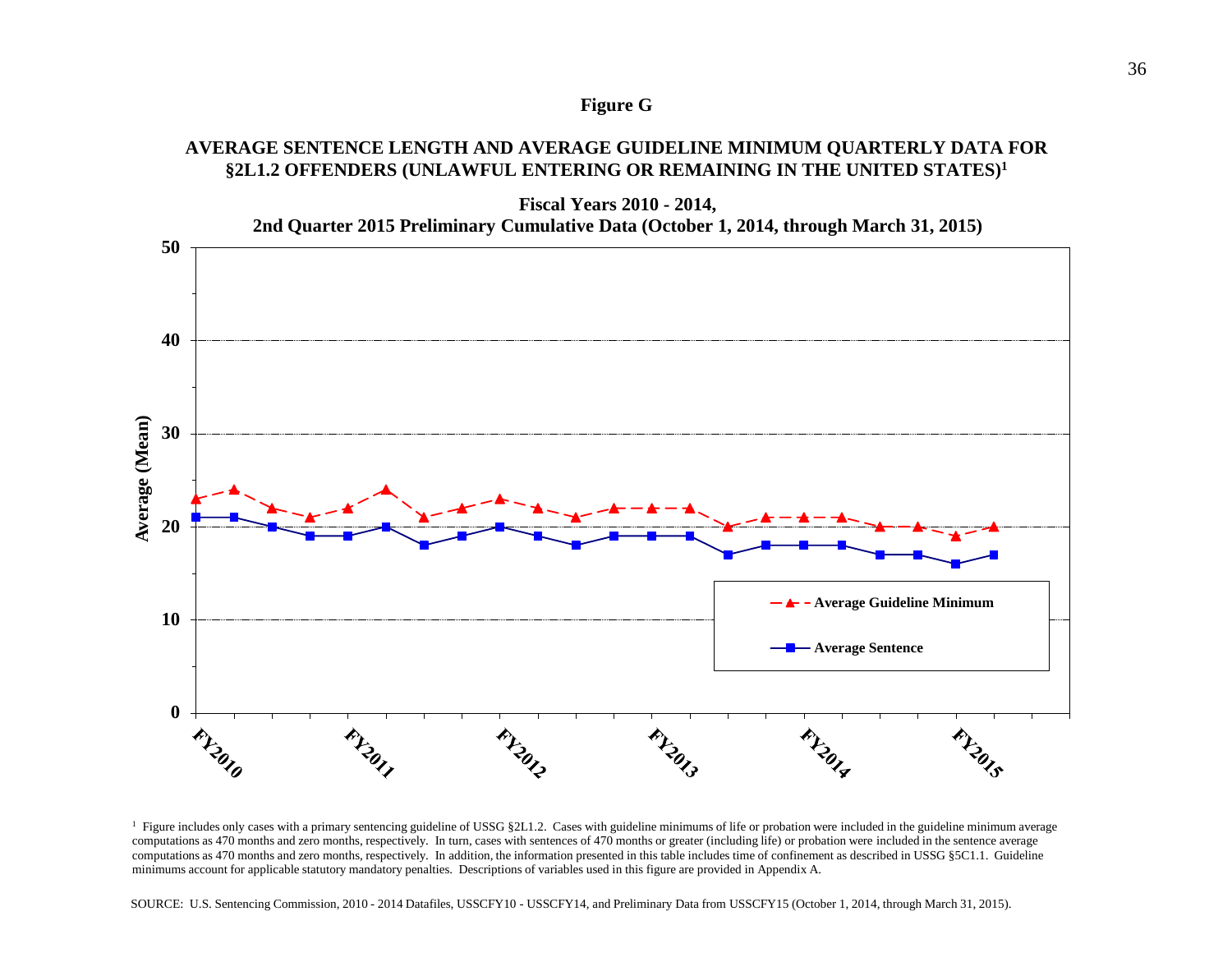#### **Figure G**

### **AVERAGE SENTENCE LENGTH AND AVERAGE GUIDELINE MINIMUM QUARTERLY DATA FOR §2L1.2 OFFENDERS (UNLAWFUL ENTERING OR REMAINING IN THE UNITED STATES)1**



<sup>&</sup>lt;sup>1</sup> Figure includes only cases with a primary sentencing guideline of USSG §2L1.2. Cases with guideline minimums of life or probation were included in the guideline minimum average computations as 470 months and zero months, respectively. In turn, cases with sentences of 470 months or greater (including life) or probation were included in the sentence average computations as 470 months and zero months, respectively. In addition, the information presented in this table includes time of confinement as described in USSG §5C1.1. Guideline minimums account for applicable statutory mandatory penalties. Descriptions of variables used in this figure are provided in Appendix A.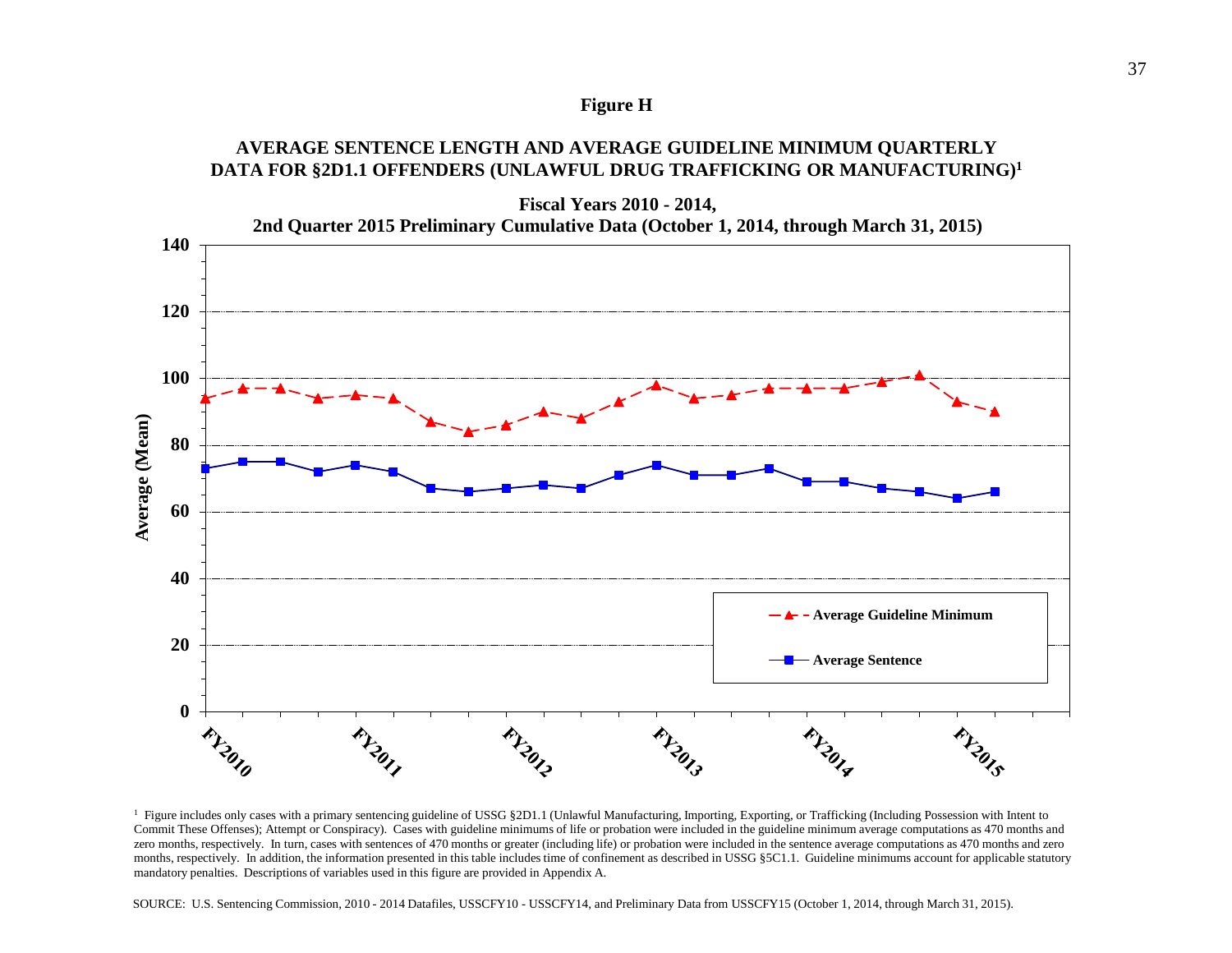#### **Figure H**

### **AVERAGE SENTENCE LENGTH AND AVERAGE GUIDELINE MINIMUM QUARTERLY DATA FOR §2D1.1 OFFENDERS (UNLAWFUL DRUG TRAFFICKING OR MANUFACTURING)1**



<sup>1</sup> Figure includes only cases with a primary sentencing guideline of USSG §2D1.1 (Unlawful Manufacturing, Importing, Exporting, or Trafficking (Including Possession with Intent to Commit These Offenses); Attempt or Conspiracy). Cases with guideline minimums of life or probation were included in the guideline minimum average computations as 470 months and zero months, respectively. In turn, cases with sentences of 470 months or greater (including life) or probation were included in the sentence average computations as 470 months and zero months, respectively. In addition, the information presented in this table includes time of confinement as described in USSG §5C1.1. Guideline minimums account for applicable statutory mandatory penalties. Descriptions of variables used in this figure are provided in Appendix A.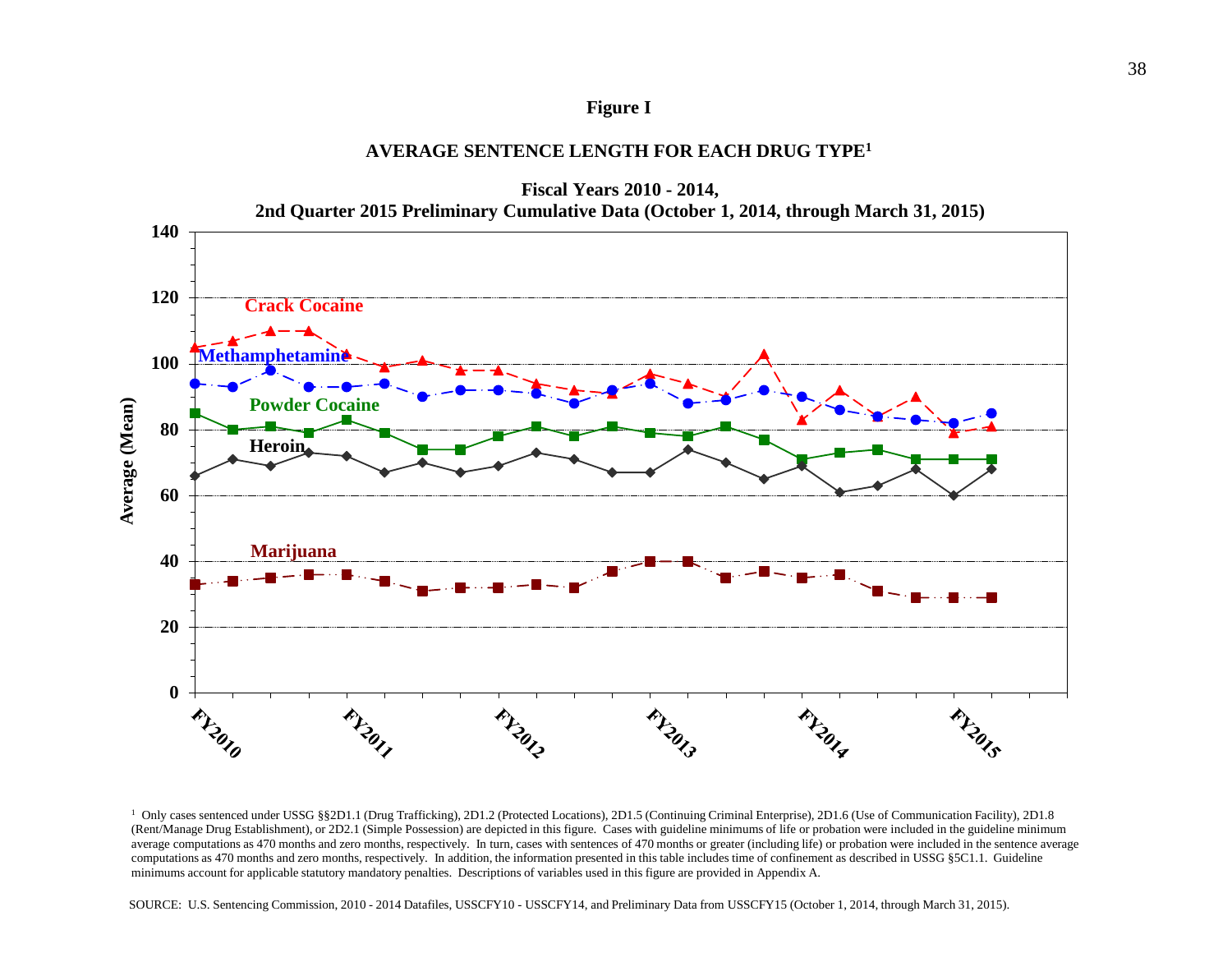#### **Figure I**

### **AVERAGE SENTENCE LENGTH FOR EACH DRUG TYPE1**



<sup>&</sup>lt;sup>1</sup> Only cases sentenced under USSG §§2D1.1 (Drug Trafficking), 2D1.2 (Protected Locations), 2D1.5 (Continuing Criminal Enterprise), 2D1.6 (Use of Communication Facility), 2D1.8 (Rent/Manage Drug Establishment), or 2D2.1 (Simple Possession) are depicted in this figure. Cases with guideline minimums of life or probation were included in the guideline minimum average computations as 470 months and zero months, respectively. In turn, cases with sentences of 470 months or greater (including life) or probation were included in the sentence average computations as 470 months and zero months, respectively. In addition, the information presented in this table includes time of confinement as described in USSG §5C1.1. Guideline minimums account for applicable statutory mandatory penalties. Descriptions of variables used in this figure are provided in Appendix A.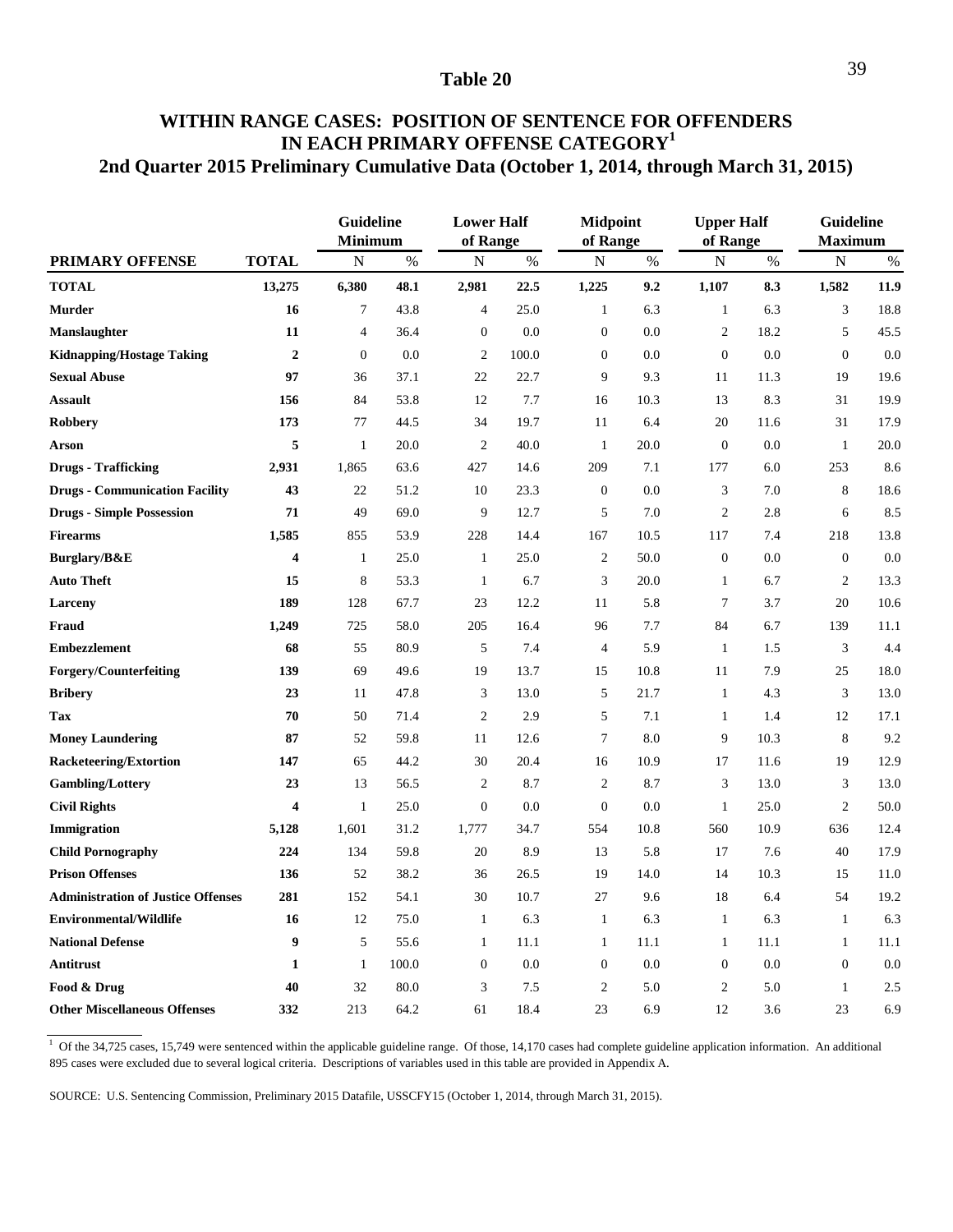### **2nd Quarter 2015 Preliminary Cumulative Data (October 1, 2014, through March 31, 2015) WITHIN RANGE CASES: POSITION OF SENTENCE FOR OFFENDERS IN EACH PRIMARY OFFENSE CATEGORY<sup>1</sup>**

|                                           |                         | Guideline<br><b>Minimum</b> |       | <b>Lower Half</b><br>of Range |       | <b>Midpoint</b><br>of Range |      | <b>Upper Half</b><br>of Range |      | <b>Guideline</b><br><b>Maximum</b> |      |
|-------------------------------------------|-------------------------|-----------------------------|-------|-------------------------------|-------|-----------------------------|------|-------------------------------|------|------------------------------------|------|
| PRIMARY OFFENSE                           | <b>TOTAL</b>            | $\mathbf N$                 | $\%$  | $\mathbf N$                   | $\%$  | ${\bf N}$                   | $\%$ | ${\bf N}$                     | $\%$ | ${\bf N}$                          | $\%$ |
| <b>TOTAL</b>                              | 13,275                  | 6,380                       | 48.1  | 2,981                         | 22.5  | 1,225                       | 9.2  | 1,107                         | 8.3  | 1,582                              | 11.9 |
| <b>Murder</b>                             | 16                      | 7                           | 43.8  | $\overline{4}$                | 25.0  | $\mathbf{1}$                | 6.3  | $\mathbf{1}$                  | 6.3  | $\mathfrak{Z}$                     | 18.8 |
| <b>Manslaughter</b>                       | 11                      | $\overline{4}$              | 36.4  | $\boldsymbol{0}$              | 0.0   | $\boldsymbol{0}$            | 0.0  | $\overline{2}$                | 18.2 | $\sqrt{5}$                         | 45.5 |
| <b>Kidnapping/Hostage Taking</b>          | $\overline{2}$          | $\mathbf{0}$                | 0.0   | $\overline{2}$                | 100.0 | $\boldsymbol{0}$            | 0.0  | $\boldsymbol{0}$              | 0.0  | $\mathbf{0}$                       | 0.0  |
| <b>Sexual Abuse</b>                       | 97                      | 36                          | 37.1  | 22                            | 22.7  | 9                           | 9.3  | 11                            | 11.3 | 19                                 | 19.6 |
| <b>Assault</b>                            | 156                     | 84                          | 53.8  | 12                            | 7.7   | 16                          | 10.3 | 13                            | 8.3  | 31                                 | 19.9 |
| Robbery                                   | 173                     | 77                          | 44.5  | 34                            | 19.7  | 11                          | 6.4  | 20                            | 11.6 | 31                                 | 17.9 |
| <b>Arson</b>                              | 5                       | $\mathbf{1}$                | 20.0  | $\overline{2}$                | 40.0  | $\mathbf{1}$                | 20.0 | $\boldsymbol{0}$              | 0.0  | $\mathbf{1}$                       | 20.0 |
| <b>Drugs</b> - Trafficking                | 2,931                   | 1,865                       | 63.6  | 427                           | 14.6  | 209                         | 7.1  | 177                           | 6.0  | 253                                | 8.6  |
| <b>Drugs - Communication Facility</b>     | 43                      | $22\,$                      | 51.2  | 10                            | 23.3  | $\boldsymbol{0}$            | 0.0  | $\mathfrak z$                 | 7.0  | 8                                  | 18.6 |
| <b>Drugs - Simple Possession</b>          | 71                      | 49                          | 69.0  | 9                             | 12.7  | 5                           | 7.0  | $\overline{2}$                | 2.8  | 6                                  | 8.5  |
| <b>Firearms</b>                           | 1,585                   | 855                         | 53.9  | 228                           | 14.4  | 167                         | 10.5 | 117                           | 7.4  | 218                                | 13.8 |
| Burglary/B&E                              | $\overline{\mathbf{4}}$ | $\mathbf{1}$                | 25.0  | $\mathbf{1}$                  | 25.0  | $\overline{c}$              | 50.0 | $\mathbf{0}$                  | 0.0  | $\overline{0}$                     | 0.0  |
| <b>Auto Theft</b>                         | 15                      | $\,$ 8 $\,$                 | 53.3  | $\mathbf{1}$                  | 6.7   | $\mathfrak{Z}$              | 20.0 | $\mathbf{1}$                  | 6.7  | $\mathbf{2}$                       | 13.3 |
| Larceny                                   | 189                     | 128                         | 67.7  | 23                            | 12.2  | 11                          | 5.8  | $\boldsymbol{7}$              | 3.7  | $20\,$                             | 10.6 |
| Fraud                                     | 1,249                   | 725                         | 58.0  | 205                           | 16.4  | 96                          | 7.7  | 84                            | 6.7  | 139                                | 11.1 |
| <b>Embezzlement</b>                       | 68                      | 55                          | 80.9  | 5                             | 7.4   | $\overline{4}$              | 5.9  | $\mathbf{1}$                  | 1.5  | 3                                  | 4.4  |
| <b>Forgery/Counterfeiting</b>             | 139                     | 69                          | 49.6  | 19                            | 13.7  | 15                          | 10.8 | 11                            | 7.9  | 25                                 | 18.0 |
| <b>Bribery</b>                            | 23                      | 11                          | 47.8  | 3                             | 13.0  | 5                           | 21.7 | $\mathbf{1}$                  | 4.3  | $\mathfrak 3$                      | 13.0 |
| Tax                                       | 70                      | 50                          | 71.4  | $\overline{c}$                | 2.9   | $\sqrt{5}$                  | 7.1  | $\mathbf{1}$                  | 1.4  | 12                                 | 17.1 |
| <b>Money Laundering</b>                   | 87                      | 52                          | 59.8  | 11                            | 12.6  | $\overline{7}$              | 8.0  | 9                             | 10.3 | 8                                  | 9.2  |
| <b>Racketeering/Extortion</b>             | 147                     | 65                          | 44.2  | 30                            | 20.4  | 16                          | 10.9 | 17                            | 11.6 | 19                                 | 12.9 |
| <b>Gambling/Lottery</b>                   | 23                      | 13                          | 56.5  | 2                             | 8.7   | $\overline{2}$              | 8.7  | 3                             | 13.0 | 3                                  | 13.0 |
| <b>Civil Rights</b>                       | $\overline{\mathbf{4}}$ | $\mathbf{1}$                | 25.0  | $\mathbf{0}$                  | 0.0   | $\mathbf{0}$                | 0.0  | $\mathbf{1}$                  | 25.0 | $\overline{2}$                     | 50.0 |
| Immigration                               | 5,128                   | 1,601                       | 31.2  | 1,777                         | 34.7  | 554                         | 10.8 | 560                           | 10.9 | 636                                | 12.4 |
| <b>Child Pornography</b>                  | 224                     | 134                         | 59.8  | 20                            | 8.9   | 13                          | 5.8  | 17                            | 7.6  | 40                                 | 17.9 |
| <b>Prison Offenses</b>                    | 136                     | 52                          | 38.2  | 36                            | 26.5  | 19                          | 14.0 | 14                            | 10.3 | 15                                 | 11.0 |
| <b>Administration of Justice Offenses</b> | 281                     | 152                         | 54.1  | 30                            | 10.7  | 27                          | 9.6  | 18                            | 6.4  | 54                                 | 19.2 |
| <b>Environmental/Wildlife</b>             | 16                      | 12                          | 75.0  | $\mathbf{1}$                  | 6.3   | $\mathbf{1}$                | 6.3  | $\mathbf{1}$                  | 6.3  | $\mathbf{1}$                       | 6.3  |
| <b>National Defense</b>                   | 9                       | 5                           | 55.6  | $\mathbf{1}$                  | 11.1  | $\mathbf{1}$                | 11.1 | $\mathbf{1}$                  | 11.1 | $\mathbf{1}$                       | 11.1 |
| Antitrust                                 | $\mathbf{1}$            | $\mathbf{1}$                | 100.0 | $\boldsymbol{0}$              | 0.0   | $\boldsymbol{0}$            | 0.0  | $\boldsymbol{0}$              | 0.0  | $\boldsymbol{0}$                   | 0.0  |
| Food & Drug                               | 40                      | 32                          | 80.0  | 3                             | 7.5   | $\overline{2}$              | 5.0  | $\overline{2}$                | 5.0  | $\mathbf{1}$                       | 2.5  |
| <b>Other Miscellaneous Offenses</b>       | 332                     | 213                         | 64.2  | 61                            | 18.4  | 23                          | 6.9  | 12                            | 3.6  | 23                                 | 6.9  |

 $1$  Of the 34,725 cases, 15,749 were sentenced within the applicable guideline range. Of those, 14,170 cases had complete guideline application information. An additional 895 cases were excluded due to several logical criteria. Descriptions of variables used in this table are provided in Appendix A.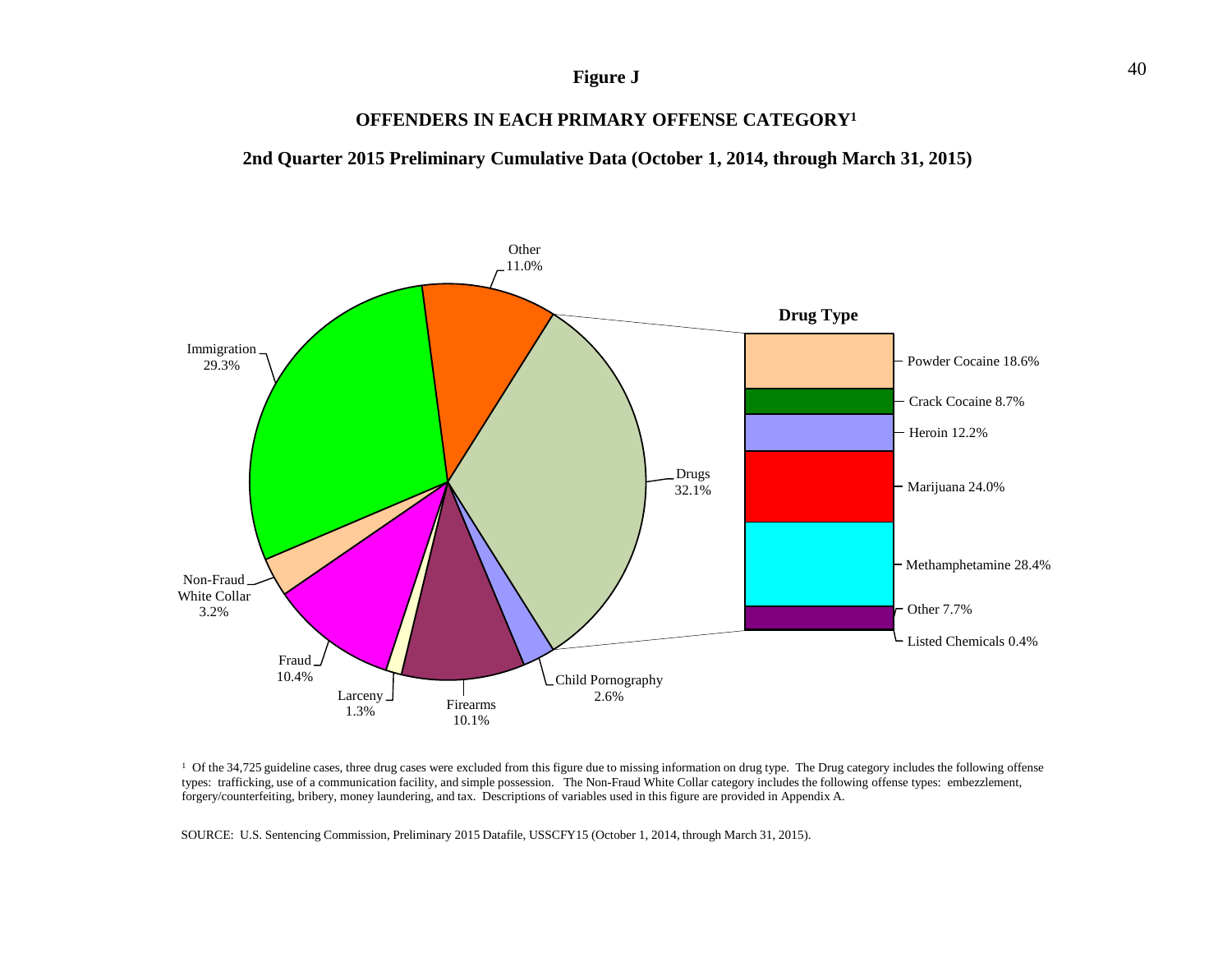### **Figure J**

### **OFFENDERS IN EACH PRIMARY OFFENSE CATEGORY1**

**2nd Quarter 2015 Preliminary Cumulative Data (October 1, 2014, through March 31, 2015)**



<sup>1</sup> Of the 34,725 guideline cases, three drug cases were excluded from this figure due to missing information on drug type. The Drug category includes the following offense types: trafficking, use of a communication facility, and simple possession. The Non-Fraud White Collar category includes the following offense types: embezzlement, forgery/counterfeiting, bribery, money laundering, and tax. Descriptions of variables used in this figure are provided in Appendix A.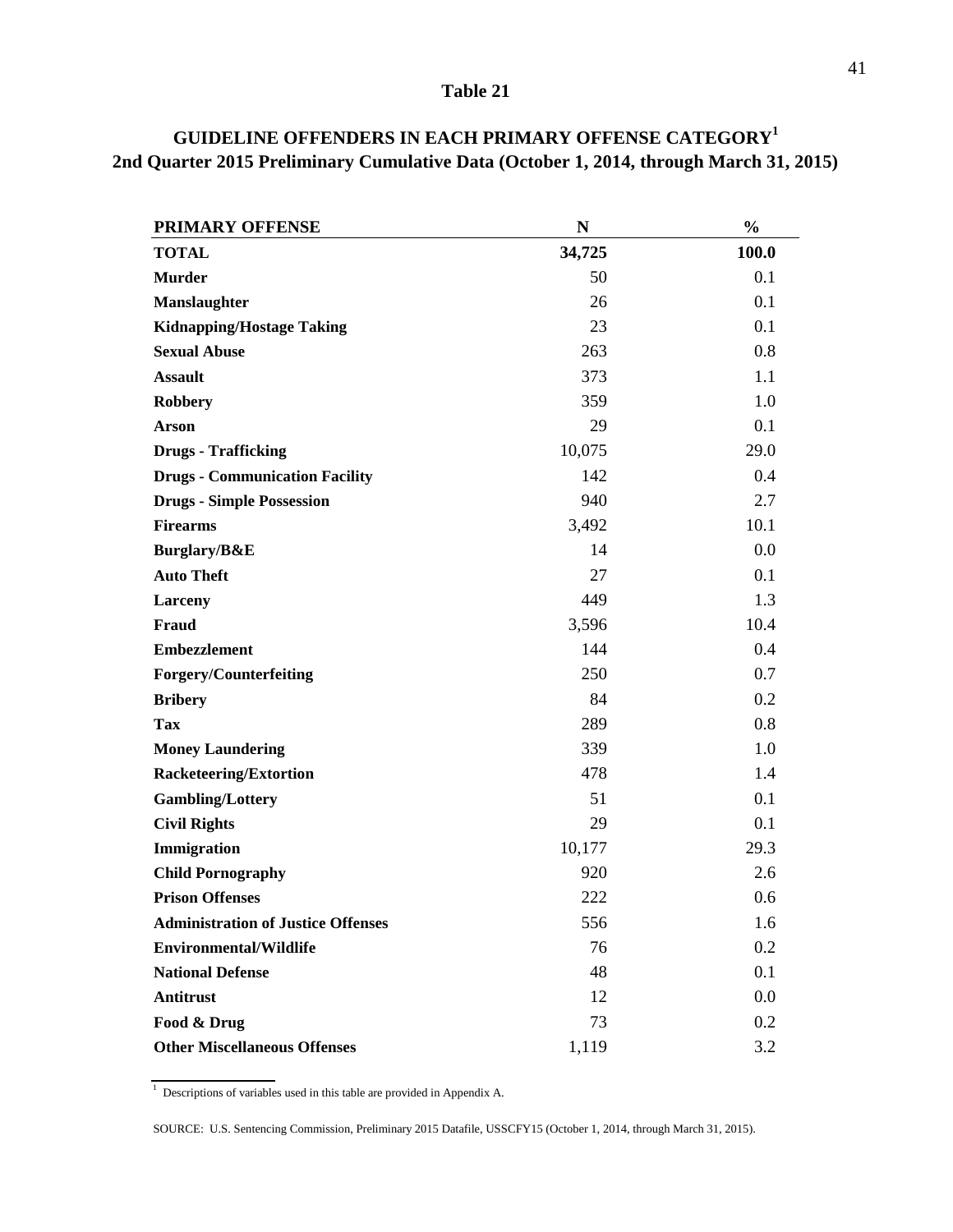| <b>PRIMARY OFFENSE</b>                    | N      | $\frac{0}{0}$ |
|-------------------------------------------|--------|---------------|
| <b>TOTAL</b>                              | 34,725 | 100.0         |
| <b>Murder</b>                             | 50     | 0.1           |
| <b>Manslaughter</b>                       | 26     | 0.1           |
| <b>Kidnapping/Hostage Taking</b>          | 23     | 0.1           |
| <b>Sexual Abuse</b>                       | 263    | 0.8           |
| <b>Assault</b>                            | 373    | 1.1           |
| <b>Robbery</b>                            | 359    | 1.0           |
| <b>Arson</b>                              | 29     | 0.1           |
| <b>Drugs - Trafficking</b>                | 10,075 | 29.0          |
| <b>Drugs - Communication Facility</b>     | 142    | 0.4           |
| <b>Drugs - Simple Possession</b>          | 940    | 2.7           |
| <b>Firearms</b>                           | 3,492  | 10.1          |
| Burglary/B&E                              | 14     | 0.0           |
| <b>Auto Theft</b>                         | 27     | 0.1           |
| Larceny                                   | 449    | 1.3           |
| Fraud                                     | 3,596  | 10.4          |
| <b>Embezzlement</b>                       | 144    | 0.4           |
| <b>Forgery/Counterfeiting</b>             | 250    | 0.7           |
| <b>Bribery</b>                            | 84     | 0.2           |
| <b>Tax</b>                                | 289    | 0.8           |
| <b>Money Laundering</b>                   | 339    | 1.0           |
| <b>Racketeering/Extortion</b>             | 478    | 1.4           |
| <b>Gambling/Lottery</b>                   | 51     | 0.1           |
| <b>Civil Rights</b>                       | 29     | 0.1           |
| Immigration                               | 10,177 | 29.3          |
| <b>Child Pornography</b>                  | 920    | 2.6           |
| <b>Prison Offenses</b>                    | 222    | 0.6           |
| <b>Administration of Justice Offenses</b> | 556    | 1.6           |
| <b>Environmental/Wildlife</b>             | 76     | 0.2           |
| <b>National Defense</b>                   | 48     | 0.1           |
| <b>Antitrust</b>                          | 12     | 0.0           |
| Food & Drug                               | 73     | 0.2           |
| <b>Other Miscellaneous Offenses</b>       | 1,119  | 3.2           |

### **2nd Quarter 2015 Preliminary Cumulative Data (October 1, 2014, through March 31, 2015) GUIDELINE OFFENDERS IN EACH PRIMARY OFFENSE CATEGORY1**

<sup>&</sup>lt;sup>1</sup> Descriptions of variables used in this table are provided in Appendix A.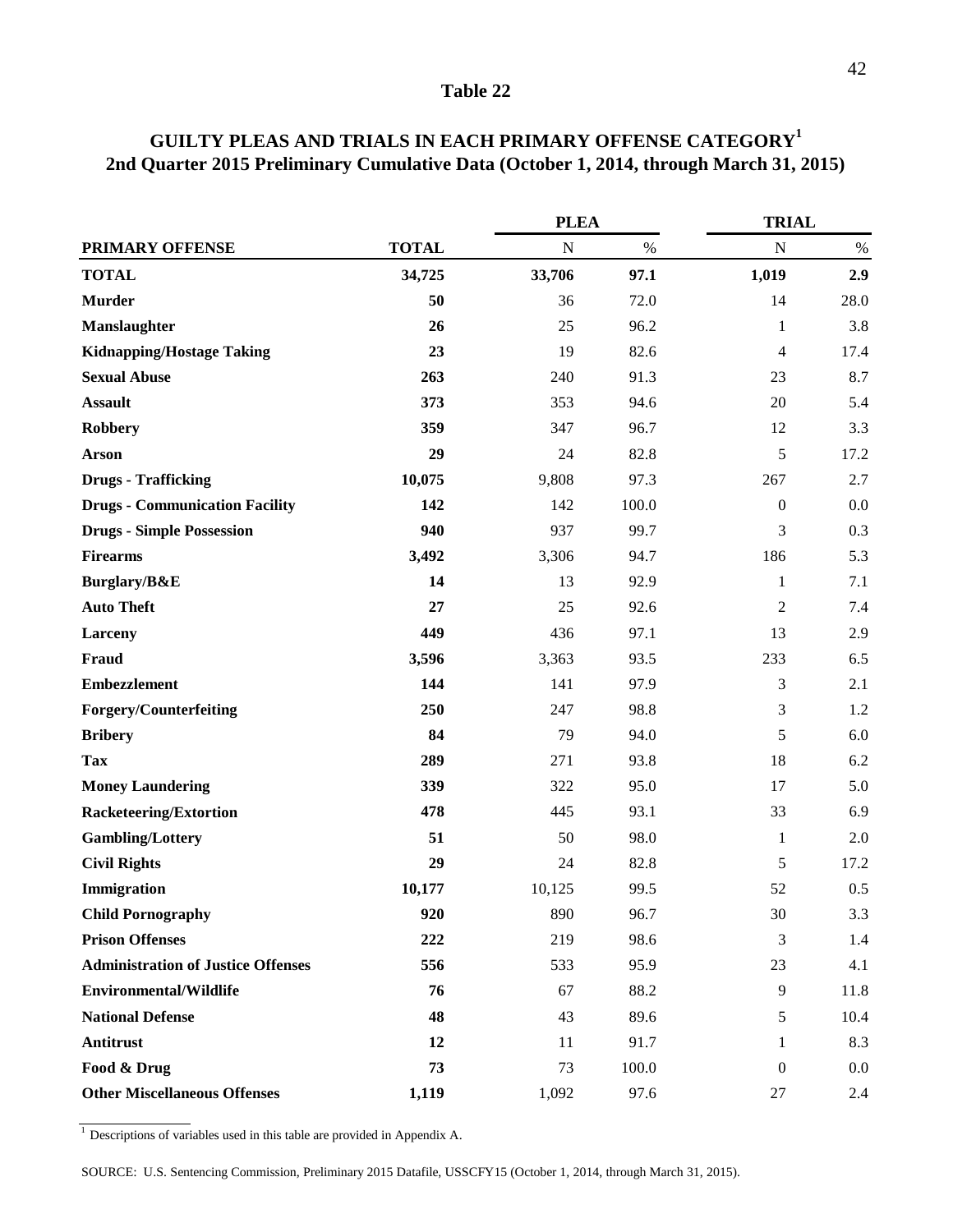|                                           |              | <b>PLEA</b> |       | <b>TRIAL</b>     |      |  |
|-------------------------------------------|--------------|-------------|-------|------------------|------|--|
| PRIMARY OFFENSE                           | <b>TOTAL</b> | $\mathbf N$ | $\%$  | $\mathbf N$      | $\%$ |  |
| <b>TOTAL</b>                              | 34,725       | 33,706      | 97.1  | 1,019            | 2.9  |  |
| <b>Murder</b>                             | 50           | 36          | 72.0  | 14               | 28.0 |  |
| Manslaughter                              | 26           | 25          | 96.2  | 1                | 3.8  |  |
| <b>Kidnapping/Hostage Taking</b>          | 23           | 19          | 82.6  | 4                | 17.4 |  |
| <b>Sexual Abuse</b>                       | 263          | 240         | 91.3  | 23               | 8.7  |  |
| <b>Assault</b>                            | 373          | 353         | 94.6  | 20               | 5.4  |  |
| Robbery                                   | 359          | 347         | 96.7  | 12               | 3.3  |  |
| <b>Arson</b>                              | 29           | 24          | 82.8  | 5                | 17.2 |  |
| <b>Drugs - Trafficking</b>                | 10,075       | 9,808       | 97.3  | 267              | 2.7  |  |
| <b>Drugs - Communication Facility</b>     | 142          | 142         | 100.0 | $\boldsymbol{0}$ | 0.0  |  |
| <b>Drugs - Simple Possession</b>          | 940          | 937         | 99.7  | 3                | 0.3  |  |
| <b>Firearms</b>                           | 3,492        | 3,306       | 94.7  | 186              | 5.3  |  |
| Burglary/B&E                              | 14           | 13          | 92.9  | 1                | 7.1  |  |
| <b>Auto Theft</b>                         | 27           | 25          | 92.6  | $\overline{2}$   | 7.4  |  |
| Larceny                                   | 449          | 436         | 97.1  | 13               | 2.9  |  |
| Fraud                                     | 3,596        | 3,363       | 93.5  | 233              | 6.5  |  |
| <b>Embezzlement</b>                       | 144          | 141         | 97.9  | 3                | 2.1  |  |
| Forgery/Counterfeiting                    | 250          | 247         | 98.8  | 3                | 1.2  |  |
| <b>Bribery</b>                            | 84           | 79          | 94.0  | 5                | 6.0  |  |
| <b>Tax</b>                                | 289          | 271         | 93.8  | 18               | 6.2  |  |
| <b>Money Laundering</b>                   | 339          | 322         | 95.0  | 17               | 5.0  |  |
| <b>Racketeering/Extortion</b>             | 478          | 445         | 93.1  | 33               | 6.9  |  |
| <b>Gambling/Lottery</b>                   | 51           | 50          | 98.0  | 1                | 2.0  |  |
| <b>Civil Rights</b>                       | 29           | 24          | 82.8  | 5                | 17.2 |  |
| Immigration                               | 10,177       | 10,125      | 99.5  | 52               | 0.5  |  |
| <b>Child Pornography</b>                  | 920          | 890         | 96.7  | $30\,$           | 3.3  |  |
| <b>Prison Offenses</b>                    | 222          | 219         | 98.6  | 3                | 1.4  |  |
| <b>Administration of Justice Offenses</b> | 556          | 533         | 95.9  | 23               | 4.1  |  |
| <b>Environmental/Wildlife</b>             | 76           | 67          | 88.2  | $\overline{9}$   | 11.8 |  |
| <b>National Defense</b>                   | 48           | 43          | 89.6  | 5                | 10.4 |  |
| <b>Antitrust</b>                          | 12           | 11          | 91.7  | 1                | 8.3  |  |
| Food & Drug                               | 73           | 73          | 100.0 | $\boldsymbol{0}$ | 0.0  |  |
| <b>Other Miscellaneous Offenses</b>       | 1,119        | 1,092       | 97.6  | $27\,$           | 2.4  |  |

### **GUILTY PLEAS AND TRIALS IN EACH PRIMARY OFFENSE CATEGORY1 2nd Quarter 2015 Preliminary Cumulative Data (October 1, 2014, through March 31, 2015)**

 $\frac{1}{1}$  Descriptions of variables used in this table are provided in Appendix A.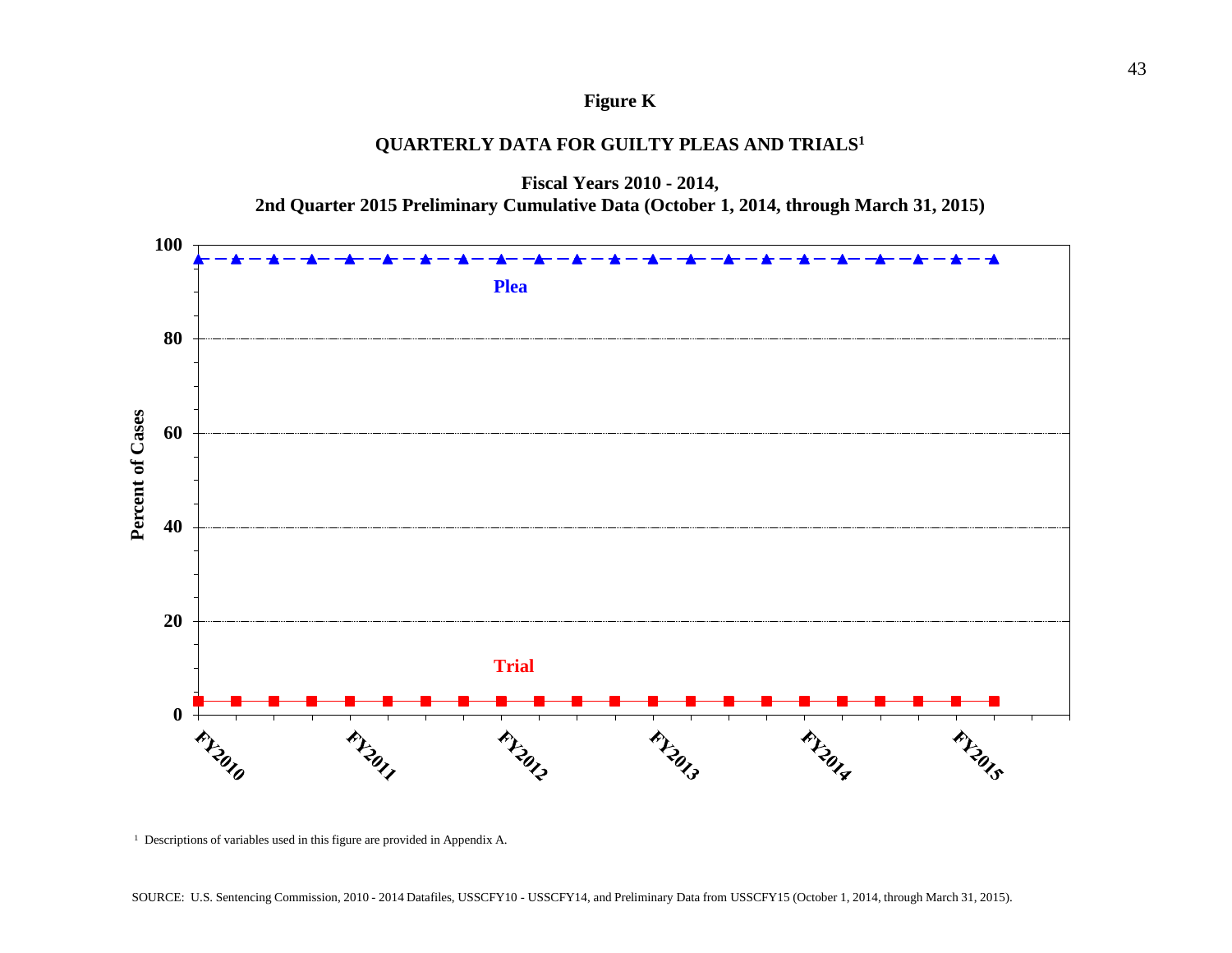### **Figure K**

### **QUARTERLY DATA FOR GUILTY PLEAS AND TRIALS1**



**Fiscal Years 2010 - 2014,**

<sup>&</sup>lt;sup>1</sup> Descriptions of variables used in this figure are provided in Appendix A.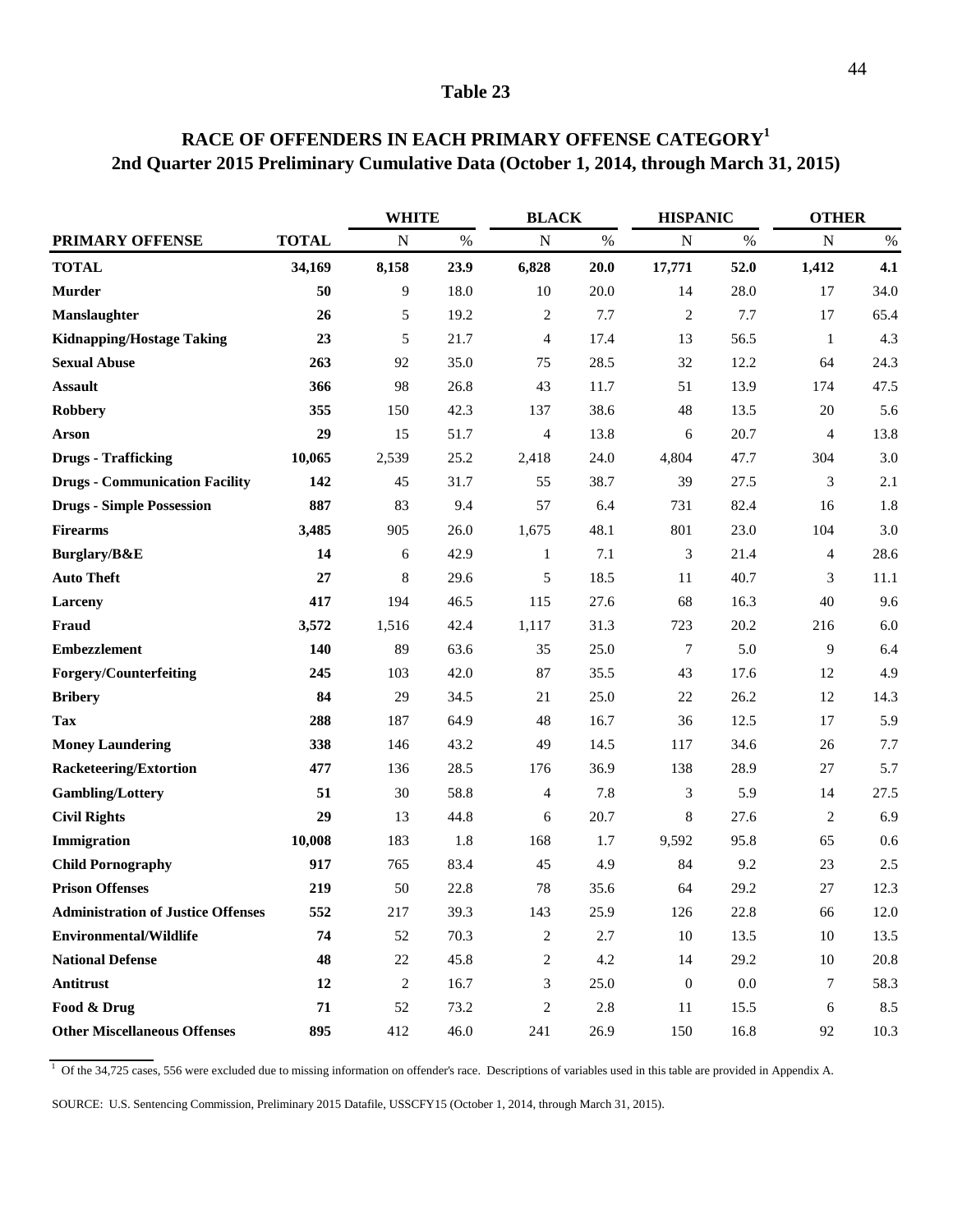|                                           |              | <b>WHITE</b>   |      |                  | <b>BLACK</b> |                  | <b>HISPANIC</b> |                | <b>OTHER</b> |  |
|-------------------------------------------|--------------|----------------|------|------------------|--------------|------------------|-----------------|----------------|--------------|--|
| <b>PRIMARY OFFENSE</b>                    | <b>TOTAL</b> | N              | $\%$ | N                | $\%$         | N                | $\%$            | $\mathbf N$    | $\%$         |  |
| <b>TOTAL</b>                              | 34,169       | 8,158          | 23.9 | 6,828            | 20.0         | 17,771           | 52.0            | 1,412          | 4.1          |  |
| <b>Murder</b>                             | 50           | $\overline{9}$ | 18.0 | 10               | 20.0         | 14               | 28.0            | 17             | 34.0         |  |
| Manslaughter                              | 26           | 5              | 19.2 | 2                | 7.7          | $\overline{2}$   | 7.7             | 17             | 65.4         |  |
| <b>Kidnapping/Hostage Taking</b>          | 23           | 5              | 21.7 | $\overline{4}$   | 17.4         | 13               | 56.5            | 1              | 4.3          |  |
| <b>Sexual Abuse</b>                       | 263          | 92             | 35.0 | 75               | 28.5         | 32               | 12.2            | 64             | 24.3         |  |
| <b>Assault</b>                            | 366          | 98             | 26.8 | 43               | 11.7         | 51               | 13.9            | 174            | 47.5         |  |
| <b>Robbery</b>                            | 355          | 150            | 42.3 | 137              | 38.6         | 48               | 13.5            | 20             | 5.6          |  |
| Arson                                     | 29           | 15             | 51.7 | $\overline{4}$   | 13.8         | 6                | 20.7            | $\overline{4}$ | 13.8         |  |
| <b>Drugs - Trafficking</b>                | 10,065       | 2,539          | 25.2 | 2,418            | 24.0         | 4,804            | 47.7            | 304            | 3.0          |  |
| <b>Drugs - Communication Facility</b>     | 142          | 45             | 31.7 | 55               | 38.7         | 39               | 27.5            | 3              | 2.1          |  |
| <b>Drugs - Simple Possession</b>          | 887          | 83             | 9.4  | 57               | 6.4          | 731              | 82.4            | 16             | 1.8          |  |
| <b>Firearms</b>                           | 3,485        | 905            | 26.0 | 1,675            | 48.1         | 801              | 23.0            | 104            | 3.0          |  |
| Burglary/B&E                              | 14           | 6              | 42.9 | $\mathbf{1}$     | 7.1          | $\mathfrak{Z}$   | 21.4            | 4              | 28.6         |  |
| <b>Auto Theft</b>                         | 27           | 8              | 29.6 | 5                | 18.5         | 11               | 40.7            | 3              | $11.1\,$     |  |
| Larceny                                   | 417          | 194            | 46.5 | 115              | 27.6         | 68               | 16.3            | 40             | 9.6          |  |
| Fraud                                     | 3,572        | 1,516          | 42.4 | 1,117            | 31.3         | 723              | 20.2            | 216            | $6.0\,$      |  |
| <b>Embezzlement</b>                       | 140          | 89             | 63.6 | 35               | 25.0         | $\tau$           | 5.0             | 9              | 6.4          |  |
| Forgery/Counterfeiting                    | 245          | 103            | 42.0 | 87               | 35.5         | 43               | 17.6            | 12             | 4.9          |  |
| <b>Bribery</b>                            | 84           | 29             | 34.5 | 21               | 25.0         | 22               | 26.2            | 12             | 14.3         |  |
| <b>Tax</b>                                | 288          | 187            | 64.9 | 48               | 16.7         | 36               | 12.5            | 17             | 5.9          |  |
| <b>Money Laundering</b>                   | 338          | 146            | 43.2 | 49               | 14.5         | 117              | 34.6            | 26             | $7.7\,$      |  |
| <b>Racketeering/Extortion</b>             | 477          | 136            | 28.5 | 176              | 36.9         | 138              | 28.9            | 27             | 5.7          |  |
| <b>Gambling/Lottery</b>                   | 51           | 30             | 58.8 | 4                | 7.8          | 3                | 5.9             | 14             | 27.5         |  |
| <b>Civil Rights</b>                       | 29           | 13             | 44.8 | 6                | 20.7         | $\,$ 8 $\,$      | 27.6            | $\overline{c}$ | 6.9          |  |
| Immigration                               | 10,008       | 183            | 1.8  | 168              | 1.7          | 9,592            | 95.8            | 65             | 0.6          |  |
| <b>Child Pornography</b>                  | 917          | 765            | 83.4 | 45               | 4.9          | 84               | 9.2             | 23             | 2.5          |  |
| <b>Prison Offenses</b>                    | 219          | 50             | 22.8 | 78               | 35.6         | 64               | 29.2            | 27             | 12.3         |  |
| <b>Administration of Justice Offenses</b> | 552          | 217            | 39.3 | 143              | 25.9         | 126              | 22.8            | 66             | 12.0         |  |
| <b>Environmental/Wildlife</b>             | 74           | 52             | 70.3 | $\overline{c}$   | 2.7          | $10\,$           | 13.5            | 10             | 13.5         |  |
| <b>National Defense</b>                   | 48           | 22             | 45.8 | $\boldsymbol{2}$ | 4.2          | 14               | 29.2            | 10             | 20.8         |  |
| Antitrust                                 | 12           | $\sqrt{2}$     | 16.7 | 3                | 25.0         | $\boldsymbol{0}$ | $0.0\,$         | 7              | 58.3         |  |
| Food & Drug                               | 71           | 52             | 73.2 | $\overline{c}$   | $2.8\,$      | 11               | 15.5            | 6              | 8.5          |  |
| <b>Other Miscellaneous Offenses</b>       | 895          | 412            | 46.0 | 241              | 26.9         | 150              | 16.8            | 92             | 10.3         |  |

### **RACE OF OFFENDERS IN EACH PRIMARY OFFENSE CATEGORY1 2nd Quarter 2015 Preliminary Cumulative Data (October 1, 2014, through March 31, 2015)**

<sup>1</sup> Of the 34,725 cases, 556 were excluded due to missing information on offender's race. Descriptions of variables used in this table are provided in Appendix A.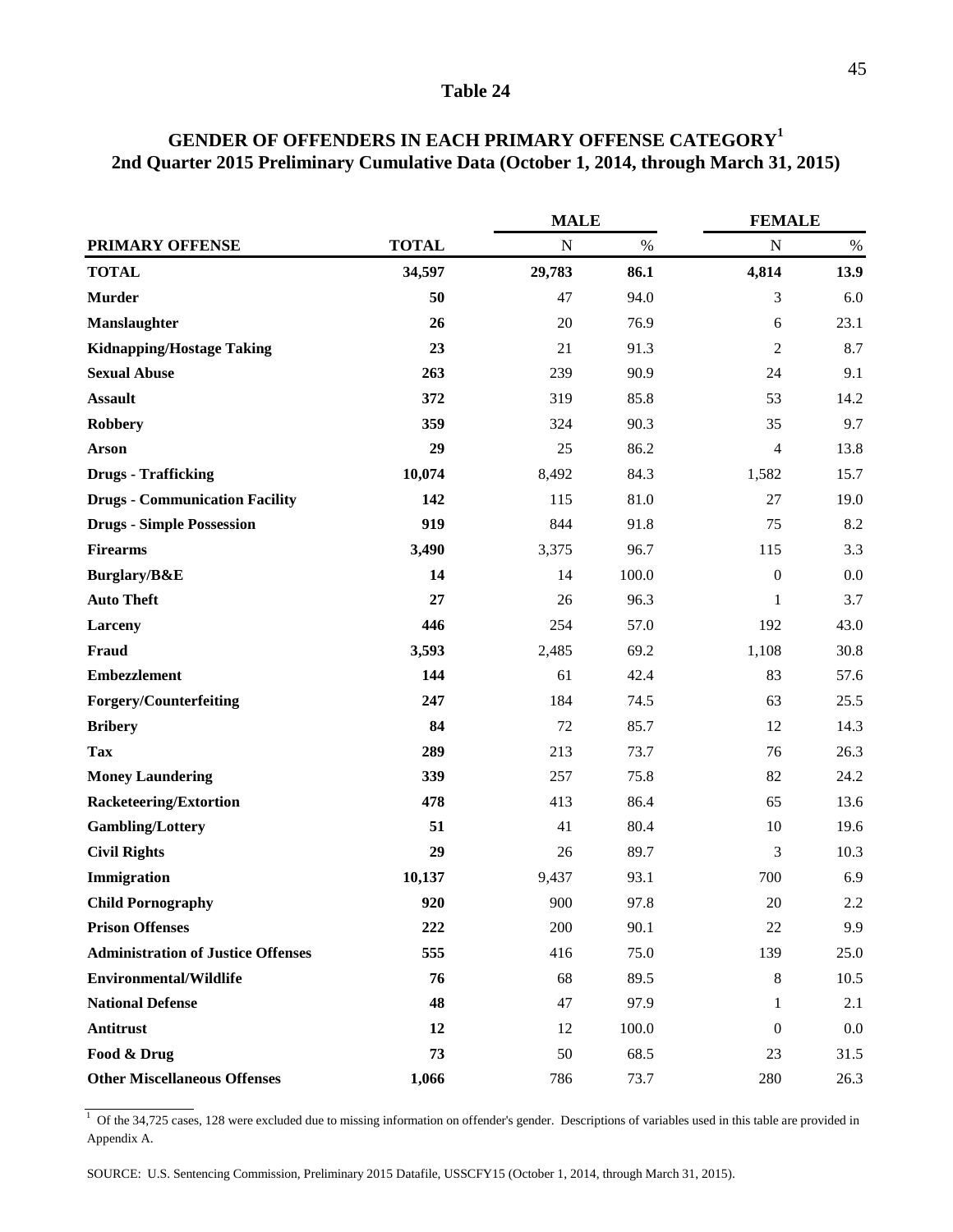|                                           |              | <b>MALE</b> |       | <b>FEMALE</b>    |      |
|-------------------------------------------|--------------|-------------|-------|------------------|------|
| PRIMARY OFFENSE                           | <b>TOTAL</b> | ${\bf N}$   | $\%$  | ${\bf N}$        | $\%$ |
| <b>TOTAL</b>                              | 34,597       | 29,783      | 86.1  | 4,814            | 13.9 |
| <b>Murder</b>                             | 50           | 47          | 94.0  | 3                | 6.0  |
| Manslaughter                              | 26           | 20          | 76.9  | 6                | 23.1 |
| <b>Kidnapping/Hostage Taking</b>          | 23           | 21          | 91.3  | $\overline{c}$   | 8.7  |
| <b>Sexual Abuse</b>                       | 263          | 239         | 90.9  | 24               | 9.1  |
| <b>Assault</b>                            | 372          | 319         | 85.8  | 53               | 14.2 |
| <b>Robbery</b>                            | 359          | 324         | 90.3  | 35               | 9.7  |
| <b>Arson</b>                              | 29           | 25          | 86.2  | 4                | 13.8 |
| <b>Drugs - Trafficking</b>                | 10,074       | 8,492       | 84.3  | 1,582            | 15.7 |
| <b>Drugs - Communication Facility</b>     | 142          | 115         | 81.0  | 27               | 19.0 |
| <b>Drugs - Simple Possession</b>          | 919          | 844         | 91.8  | 75               | 8.2  |
| <b>Firearms</b>                           | 3,490        | 3,375       | 96.7  | 115              | 3.3  |
| Burglary/B&E                              | 14           | 14          | 100.0 | $\boldsymbol{0}$ | 0.0  |
| <b>Auto Theft</b>                         | 27           | 26          | 96.3  | 1                | 3.7  |
| Larceny                                   | 446          | 254         | 57.0  | 192              | 43.0 |
| Fraud                                     | 3,593        | 2,485       | 69.2  | 1,108            | 30.8 |
| <b>Embezzlement</b>                       | 144          | 61          | 42.4  | 83               | 57.6 |
| <b>Forgery/Counterfeiting</b>             | 247          | 184         | 74.5  | 63               | 25.5 |
| <b>Bribery</b>                            | 84           | 72          | 85.7  | 12               | 14.3 |
| <b>Tax</b>                                | 289          | 213         | 73.7  | 76               | 26.3 |
| <b>Money Laundering</b>                   | 339          | 257         | 75.8  | 82               | 24.2 |
| <b>Racketeering/Extortion</b>             | 478          | 413         | 86.4  | 65               | 13.6 |
| <b>Gambling/Lottery</b>                   | 51           | 41          | 80.4  | 10               | 19.6 |
| <b>Civil Rights</b>                       | 29           | 26          | 89.7  | 3                | 10.3 |
| Immigration                               | 10,137       | 9,437       | 93.1  | 700              | 6.9  |
| <b>Child Pornography</b>                  | 920          | 900         | 97.8  | 20               | 2.2  |
| <b>Prison Offenses</b>                    | 222          | 200         | 90.1  | 22               | 9.9  |
| <b>Administration of Justice Offenses</b> | 555          | 416         | 75.0  | 139              | 25.0 |
| <b>Environmental/Wildlife</b>             | 76           | 68          | 89.5  | 8                | 10.5 |
| <b>National Defense</b>                   | 48           | 47          | 97.9  | 1                | 2.1  |
| <b>Antitrust</b>                          | 12           | 12          | 100.0 | $\boldsymbol{0}$ | 0.0  |
| Food & Drug                               | 73           | 50          | 68.5  | 23               | 31.5 |
| <b>Other Miscellaneous Offenses</b>       | 1,066        | 786         | 73.7  | 280              | 26.3 |

### **GENDER OF OFFENDERS IN EACH PRIMARY OFFENSE CATEGORY1 2nd Quarter 2015 Preliminary Cumulative Data (October 1, 2014, through March 31, 2015)**

 $1$  Of the 34,725 cases, 128 were excluded due to missing information on offender's gender. Descriptions of variables used in this table are provided in Appendix A.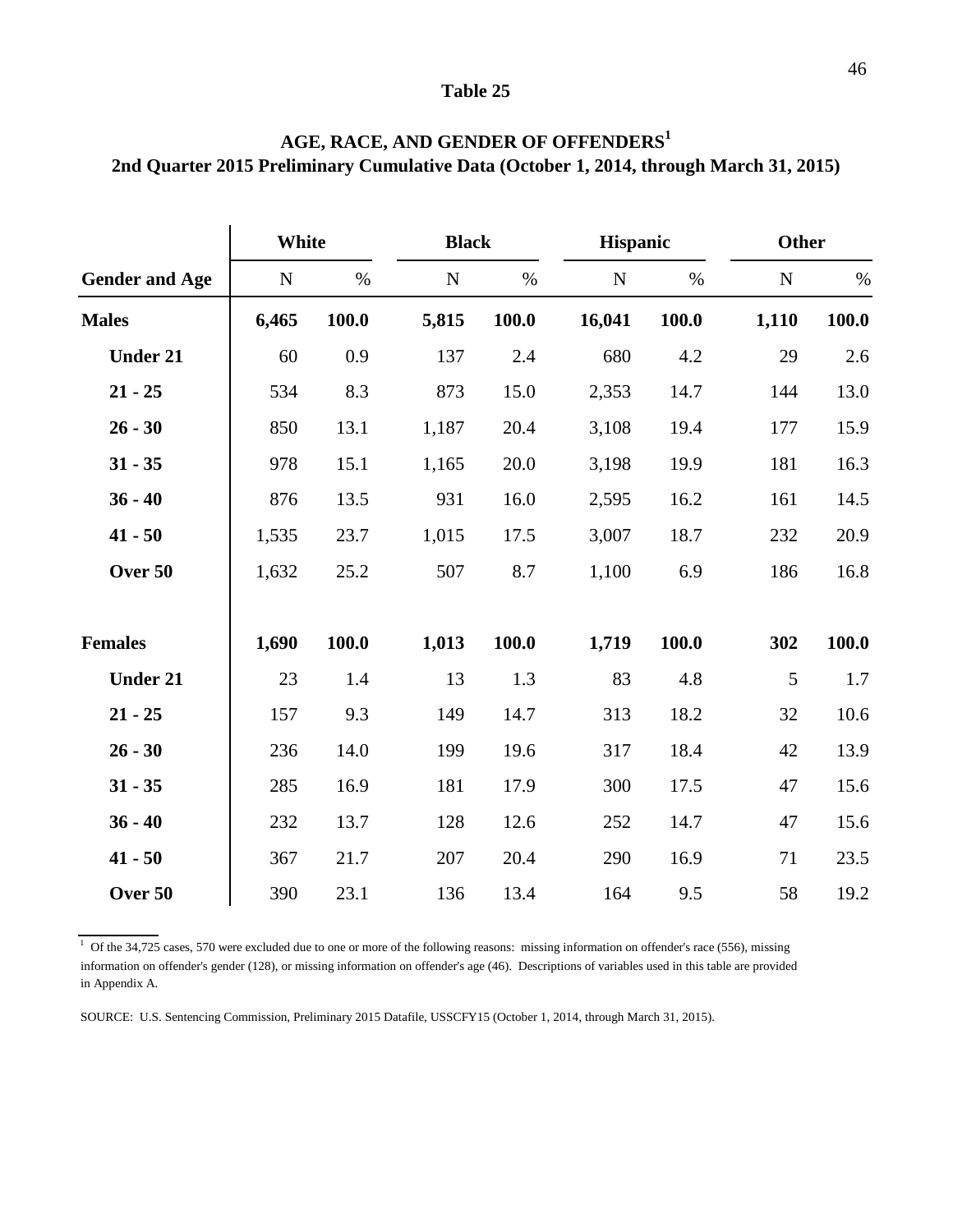|                       | White     |       | <b>Black</b> |       | <b>Hispanic</b> |       | <b>Other</b> |       |
|-----------------------|-----------|-------|--------------|-------|-----------------|-------|--------------|-------|
| <b>Gender and Age</b> | ${\bf N}$ | $\%$  | ${\bf N}$    | $\%$  | ${\bf N}$       | $\%$  | $\mathbf N$  | $\%$  |
| <b>Males</b>          | 6,465     | 100.0 | 5,815        | 100.0 | 16,041          | 100.0 | 1,110        | 100.0 |
| <b>Under 21</b>       | 60        | 0.9   | 137          | 2.4   | 680             | 4.2   | 29           | 2.6   |
| $21 - 25$             | 534       | 8.3   | 873          | 15.0  | 2,353           | 14.7  | 144          | 13.0  |
| $26 - 30$             | 850       | 13.1  | 1,187        | 20.4  | 3,108           | 19.4  | 177          | 15.9  |
| $31 - 35$             | 978       | 15.1  | 1,165        | 20.0  | 3,198           | 19.9  | 181          | 16.3  |
| $36 - 40$             | 876       | 13.5  | 931          | 16.0  | 2,595           | 16.2  | 161          | 14.5  |
| $41 - 50$             | 1,535     | 23.7  | 1,015        | 17.5  | 3,007           | 18.7  | 232          | 20.9  |
| Over 50               | 1,632     | 25.2  | 507          | 8.7   | 1,100           | 6.9   | 186          | 16.8  |
| <b>Females</b>        | 1,690     | 100.0 | 1,013        | 100.0 | 1,719           | 100.0 | 302          | 100.0 |
| <b>Under 21</b>       | 23        | 1.4   | 13           | 1.3   | 83              | 4.8   | 5            | 1.7   |
| $21 - 25$             | 157       | 9.3   | 149          | 14.7  | 313             | 18.2  | 32           | 10.6  |
| $26 - 30$             | 236       | 14.0  | 199          | 19.6  | 317             | 18.4  | 42           | 13.9  |
| $31 - 35$             | 285       | 16.9  | 181          | 17.9  | 300             | 17.5  | 47           | 15.6  |
| $36 - 40$             | 232       | 13.7  | 128          | 12.6  | 252             | 14.7  | 47           | 15.6  |
| $41 - 50$             | 367       | 21.7  | 207          | 20.4  | 290             | 16.9  | 71           | 23.5  |
| Over 50               | 390       | 23.1  | 136          | 13.4  | 164             | 9.5   | 58           | 19.2  |

### **AGE, RACE, AND GENDER OF OFFENDERS<sup>1</sup> 2nd Quarter 2015 Preliminary Cumulative Data (October 1, 2014, through March 31, 2015)**

<sup>1</sup> Of the 34,725 cases, 570 were excluded due to one or more of the following reasons: missing information on offender's race (556), missing information on offender's gender (128), or missing information on offender's age (46). Descriptions of variables used in this table are provided in Appendix A.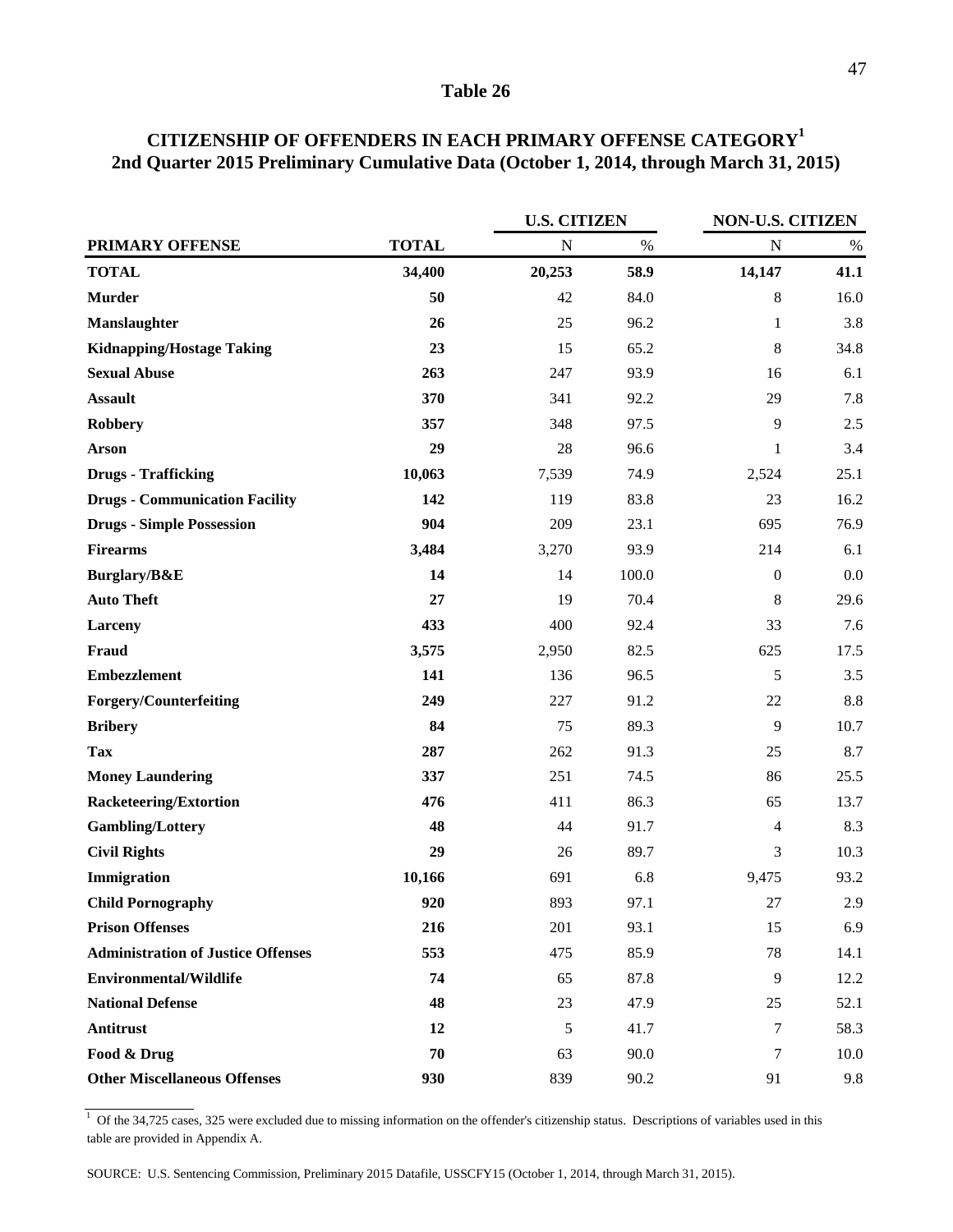|                                           |              | <b>U.S. CITIZEN</b> |       | NON-U.S. CITIZEN |      |  |
|-------------------------------------------|--------------|---------------------|-------|------------------|------|--|
| <b>PRIMARY OFFENSE</b>                    | <b>TOTAL</b> | $\mathbf N$         | $\%$  | $\mathbf N$      | $\%$ |  |
| <b>TOTAL</b>                              | 34,400       | 20,253              | 58.9  | 14,147           | 41.1 |  |
| <b>Murder</b>                             | 50           | 42                  | 84.0  | 8                | 16.0 |  |
| Manslaughter                              | 26           | 25                  | 96.2  | $\mathbf{1}$     | 3.8  |  |
| <b>Kidnapping/Hostage Taking</b>          | 23           | 15                  | 65.2  | 8                | 34.8 |  |
| <b>Sexual Abuse</b>                       | 263          | 247                 | 93.9  | 16               | 6.1  |  |
| <b>Assault</b>                            | 370          | 341                 | 92.2  | 29               | 7.8  |  |
| <b>Robbery</b>                            | 357          | 348                 | 97.5  | 9                | 2.5  |  |
| <b>Arson</b>                              | 29           | 28                  | 96.6  | 1                | 3.4  |  |
| <b>Drugs - Trafficking</b>                | 10,063       | 7,539               | 74.9  | 2,524            | 25.1 |  |
| <b>Drugs - Communication Facility</b>     | 142          | 119                 | 83.8  | 23               | 16.2 |  |
| <b>Drugs - Simple Possession</b>          | 904          | 209                 | 23.1  | 695              | 76.9 |  |
| <b>Firearms</b>                           | 3,484        | 3,270               | 93.9  | 214              | 6.1  |  |
| Burglary/B&E                              | 14           | 14                  | 100.0 | $\boldsymbol{0}$ | 0.0  |  |
| <b>Auto Theft</b>                         | 27           | 19                  | 70.4  | 8                | 29.6 |  |
| Larceny                                   | 433          | 400                 | 92.4  | 33               | 7.6  |  |
| Fraud                                     | 3,575        | 2,950               | 82.5  | 625              | 17.5 |  |
| <b>Embezzlement</b>                       | 141          | 136                 | 96.5  | 5                | 3.5  |  |
| <b>Forgery/Counterfeiting</b>             | 249          | 227                 | 91.2  | 22               | 8.8  |  |
| <b>Bribery</b>                            | 84           | 75                  | 89.3  | 9                | 10.7 |  |
| <b>Tax</b>                                | 287          | 262                 | 91.3  | 25               | 8.7  |  |
| <b>Money Laundering</b>                   | 337          | 251                 | 74.5  | 86               | 25.5 |  |
| <b>Racketeering/Extortion</b>             | 476          | 411                 | 86.3  | 65               | 13.7 |  |
| <b>Gambling/Lottery</b>                   | 48           | 44                  | 91.7  | 4                | 8.3  |  |
| <b>Civil Rights</b>                       | 29           | 26                  | 89.7  | 3                | 10.3 |  |
| Immigration                               | 10,166       | 691                 | 6.8   | 9,475            | 93.2 |  |
| <b>Child Pornography</b>                  | 920          | 893                 | 97.1  | 27               | 2.9  |  |
| <b>Prison Offenses</b>                    | 216          | 201                 | 93.1  | 15               | 6.9  |  |
| <b>Administration of Justice Offenses</b> | 553          | 475                 | 85.9  | 78               | 14.1 |  |
| <b>Environmental/Wildlife</b>             | 74           | 65                  | 87.8  | 9                | 12.2 |  |
| <b>National Defense</b>                   | 48           | 23                  | 47.9  | 25               | 52.1 |  |
| <b>Antitrust</b>                          | 12           | 5                   | 41.7  | 7                | 58.3 |  |
| Food & Drug                               | 70           | 63                  | 90.0  | 7                | 10.0 |  |
| <b>Other Miscellaneous Offenses</b>       | 930          | 839                 | 90.2  | 91               | 9.8  |  |

### **CITIZENSHIP OF OFFENDERS IN EACH PRIMARY OFFENSE CATEGORY1 2nd Quarter 2015 Preliminary Cumulative Data (October 1, 2014, through March 31, 2015)**

 $1$  Of the 34,725 cases, 325 were excluded due to missing information on the offender's citizenship status. Descriptions of variables used in this table are provided in Appendix A.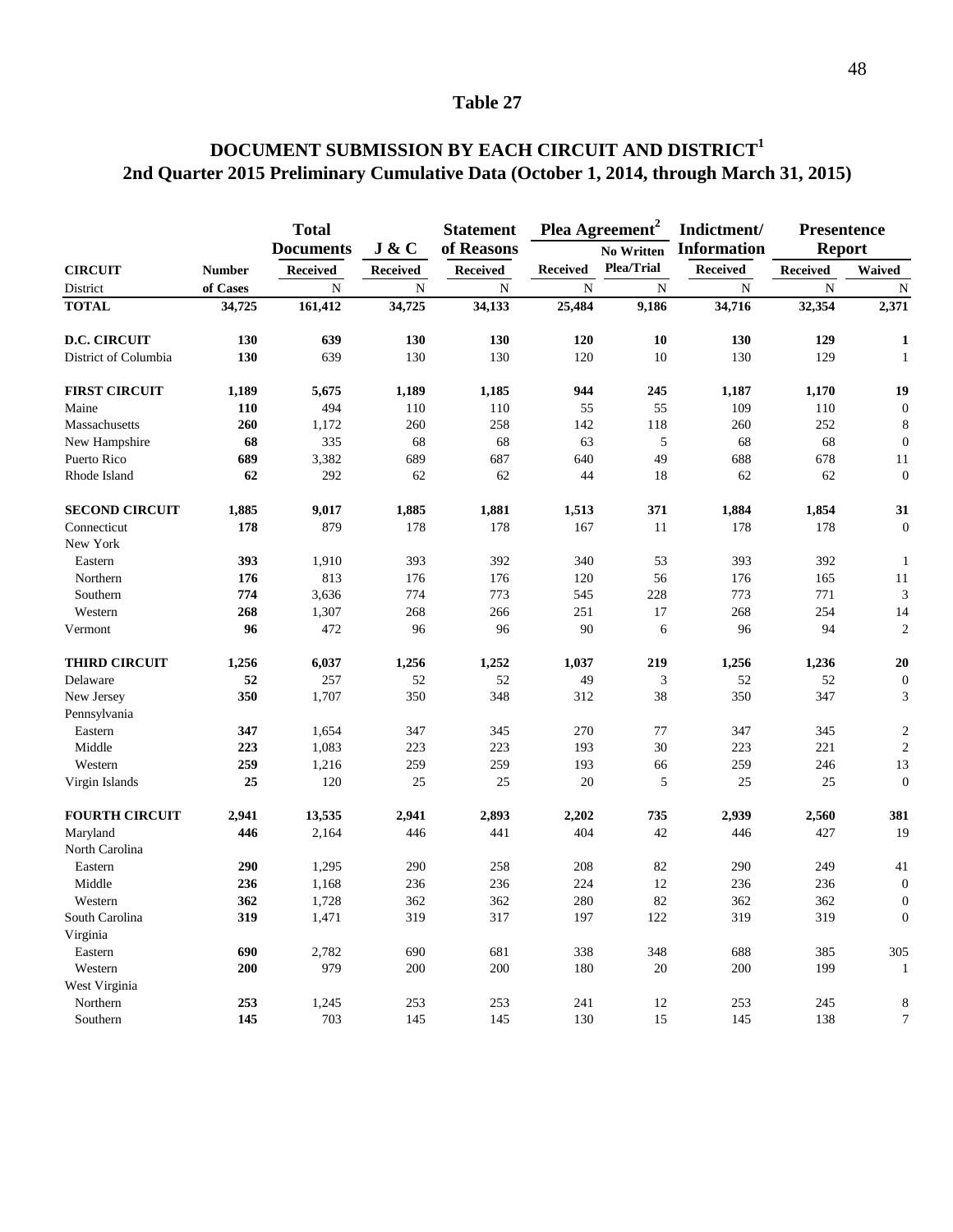### **2nd Quarter 2015 Preliminary Cumulative Data (October 1, 2014, through March 31, 2015) DOCUMENT SUBMISSION BY EACH CIRCUIT AND DISTRICT<sup>1</sup>**

|                            |               | <b>Total</b>     |                 | <b>Statement</b> |                 | Plea Agreement <sup>2</sup> | Indictment/        | <b>Presentence</b> |                  |
|----------------------------|---------------|------------------|-----------------|------------------|-----------------|-----------------------------|--------------------|--------------------|------------------|
|                            |               | <b>Documents</b> | J & C           | of Reasons       |                 | <b>No Written</b>           | <b>Information</b> | <b>Report</b>      |                  |
| <b>CIRCUIT</b>             | <b>Number</b> | <b>Received</b>  | <b>Received</b> | <b>Received</b>  | <b>Received</b> | <b>Plea/Trial</b>           | <b>Received</b>    | <b>Received</b>    | Waived           |
| District                   | of Cases      | N                | N               | $\mathbf N$      | N               | N                           | $\mathbf N$        | N                  | N                |
| <b>TOTAL</b>               | 34,725        | 161,412          | 34,725          | 34,133           | 25,484          | 9,186                       | 34,716             | 32,354             | 2,371            |
| <b>D.C. CIRCUIT</b>        | 130           | 639              | 130             | 130              | 120             | 10                          | 130                | 129                | $\mathbf{1}$     |
| District of Columbia       | 130           | 639              | 130             | 130              | 120             | 10                          | 130                | 129                | $\mathbf{1}$     |
| <b>FIRST CIRCUIT</b>       | 1,189         | 5,675            | 1,189           | 1,185            | 944             | 245                         | 1,187              | 1,170              | 19               |
| Maine                      | 110           | 494              | 110             | 110              | 55              | 55                          | 109                | 110                | $\boldsymbol{0}$ |
| Massachusetts              | 260           | 1,172            | 260             | 258              | 142             | 118                         | 260                | 252                | 8                |
| New Hampshire              | 68            | 335              | 68              | 68               | 63              | 5                           | 68                 | 68                 | $\overline{0}$   |
| Puerto Rico                | 689           | 3,382            | 689             | 687              | 640             | 49                          | 688                | 678                | 11               |
| Rhode Island               | 62            | 292              | 62              | 62               | 44              | 18                          | 62                 | 62                 | $\boldsymbol{0}$ |
| <b>SECOND CIRCUIT</b>      | 1,885         | 9,017            | 1,885           | 1,881            | 1,513           | 371                         | 1,884              | 1,854              | 31               |
| Connecticut                | 178           | 879              | 178             | 178              | 167             | 11                          | 178                | 178                | $\boldsymbol{0}$ |
| New York                   |               |                  |                 |                  |                 |                             |                    |                    |                  |
| Eastern                    | 393           | 1,910            | 393             | 392              | 340             | 53                          | 393                | 392                | 1                |
| Northern                   | 176           | 813              | 176             | 176              | 120             | 56                          | 176                | 165                | 11               |
| Southern                   | 774           | 3,636            | 774             | 773              | 545             | 228                         | 773                | 771                | 3                |
| Western                    | 268           | 1,307            | 268             | 266              | 251             | 17                          | 268                | 254                | 14               |
| Vermont                    | 96            | 472              | 96              | 96               | 90              | 6                           | 96                 | 94                 | $\overline{2}$   |
| <b>THIRD CIRCUIT</b>       | 1,256         | 6,037            | 1,256           | 1,252            | 1,037           | 219                         | 1,256              | 1,236              | 20               |
| Delaware                   | 52            | 257              | 52              | 52               | 49              | 3                           | 52                 | 52                 | $\boldsymbol{0}$ |
| New Jersey<br>Pennsylvania | 350           | 1,707            | 350             | 348              | 312             | 38                          | 350                | 347                | 3                |
| Eastern                    | 347           | 1,654            | 347             | 345              | 270             | 77                          | 347                | 345                | $\overline{2}$   |
| Middle                     | 223           | 1,083            | 223             | 223              | 193             | 30                          | 223                | 221                | $\overline{c}$   |
| Western                    | 259           | 1,216            | 259             | 259              | 193             | 66                          | 259                | 246                | 13               |
| Virgin Islands             | 25            | 120              | 25              | 25               | 20              | 5                           | 25                 | 25                 | $\overline{0}$   |
| <b>FOURTH CIRCUIT</b>      | 2,941         | 13,535           | 2,941           | 2,893            | 2,202           | 735                         | 2,939              | 2,560              | 381              |
| Maryland                   | 446           | 2,164            | 446             | 441              | 404             | 42                          | 446                | 427                | 19               |
| North Carolina             |               |                  |                 |                  |                 |                             |                    |                    |                  |
| Eastern                    | 290           | 1,295            | 290             | 258              | 208             | 82                          | 290                | 249                | 41               |
| Middle                     | 236           | 1,168            | 236             | 236              | 224             | 12                          | 236                | 236                | $\overline{0}$   |
| Western                    | 362           | 1,728            | 362             | 362              | 280             | 82                          | 362                | 362                | $\boldsymbol{0}$ |
| South Carolina             | 319           | 1,471            | 319             | 317              | 197             | 122                         | 319                | 319                | $\overline{0}$   |
| Virginia                   |               |                  |                 |                  |                 |                             |                    |                    |                  |
| Eastern                    | 690           | 2,782            | 690             | 681              | 338             | 348                         | 688                | 385                | 305              |
| Western                    | 200           | 979              | 200             | 200              | 180             | 20                          | 200                | 199                | $\mathbf{1}$     |
| West Virginia              |               |                  |                 |                  |                 |                             |                    |                    |                  |
| Northern                   | 253           | 1,245            | 253             | 253              | 241             | 12                          | 253                | 245                | 8                |
| Southern                   | 145           | 703              | 145             | 145              | 130             | 15                          | 145                | 138                | $\overline{7}$   |
|                            |               |                  |                 |                  |                 |                             |                    |                    |                  |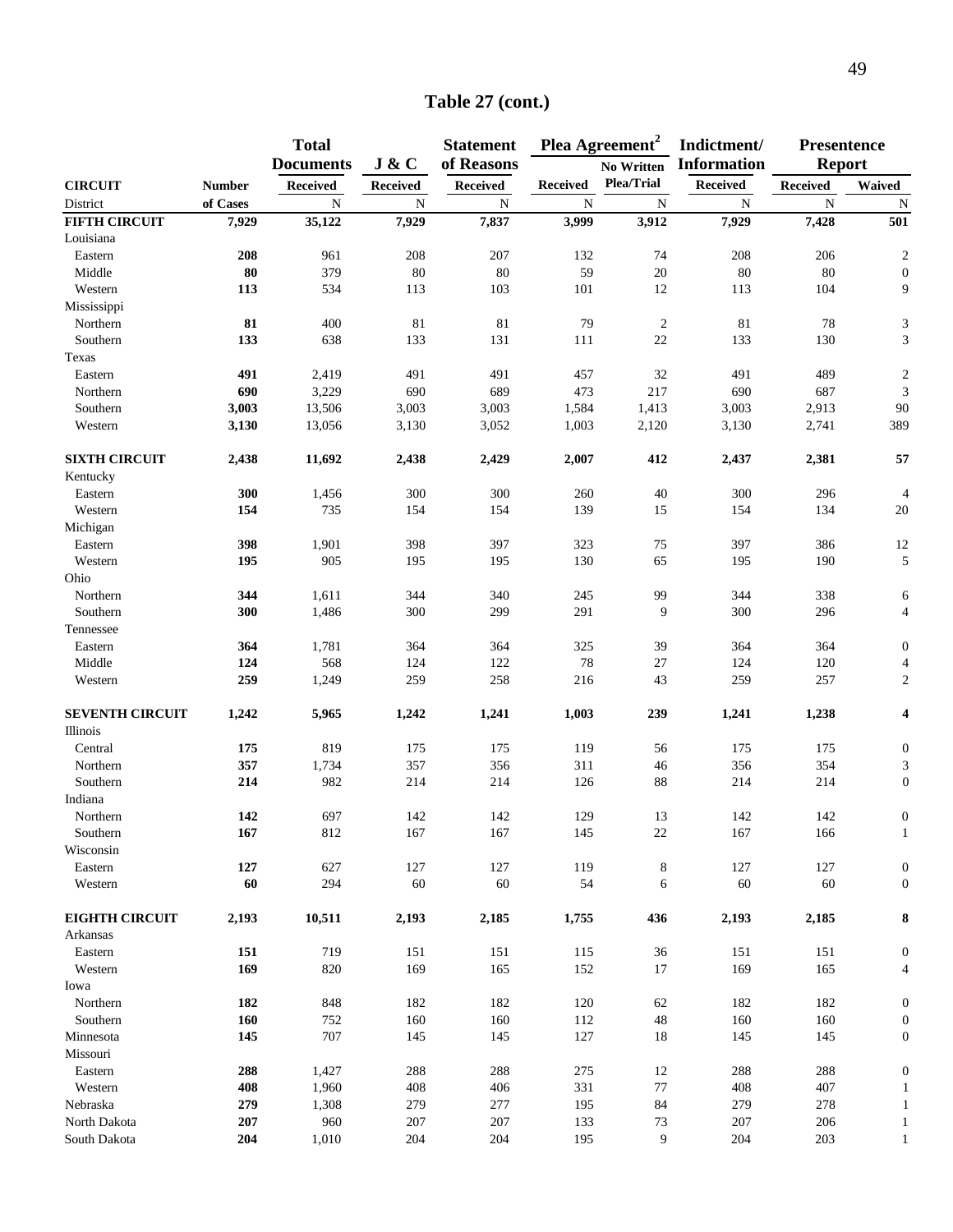|                        |               | <b>Total</b>     |          | <b>Statement</b> |                 | Plea Agreement <sup>2</sup> | Indictment/        | <b>Presentence</b> |                  |
|------------------------|---------------|------------------|----------|------------------|-----------------|-----------------------------|--------------------|--------------------|------------------|
|                        |               | <b>Documents</b> | J & C    | of Reasons       |                 | <b>No Written</b>           | <b>Information</b> | <b>Report</b>      |                  |
| <b>CIRCUIT</b>         | <b>Number</b> | <b>Received</b>  | Received | <b>Received</b>  | <b>Received</b> | <b>Plea/Trial</b>           | Received           | <b>Received</b>    | Waived           |
| District               | of Cases      | $\mathbf N$      | N        | ${\bf N}$        | $\mathbf N$     | $\mathbf N$                 | ${\bf N}$          | $\mathbf N$        | $\mathbf N$      |
| <b>FIFTH CIRCUIT</b>   | 7,929         | 35,122           | 7,929    | 7,837            | 3,999           | 3,912                       | 7,929              | 7,428              | 501              |
| Louisiana              |               |                  |          |                  |                 |                             |                    |                    |                  |
| Eastern                | 208           | 961              | 208      | 207              | 132             | 74                          | 208                | 206                | $\boldsymbol{2}$ |
| Middle                 | 80            | 379              | $80\,$   | 80               | 59              | 20                          | 80                 | $80\,$             | $\boldsymbol{0}$ |
| Western                | 113           | 534              | 113      | 103              | 101             | 12                          | 113                | 104                | 9                |
| Mississippi            |               |                  |          |                  |                 |                             |                    |                    |                  |
| Northern               | 81            | 400              | 81       | 81               | 79              | $\overline{c}$              | 81                 | 78                 | $\mathfrak{Z}$   |
| Southern               | 133           | 638              | 133      | 131              | 111             | 22                          | 133                | 130                | $\sqrt{3}$       |
| Texas                  |               |                  |          |                  |                 |                             |                    |                    |                  |
| Eastern                | 491           | 2,419            | 491      | 491              | 457             | 32                          | 491                | 489                | $\overline{c}$   |
| Northern               | 690           | 3,229            | 690      | 689              | 473             | 217                         | 690                | 687                | 3                |
| Southern               | 3,003         | 13,506           | 3,003    | 3,003            | 1,584           | 1,413                       | 3,003              | 2,913              | $90\,$           |
| Western                | 3,130         | 13,056           | 3,130    | 3,052            | 1,003           | 2,120                       | 3,130              | 2,741              | 389              |
|                        |               |                  |          |                  |                 |                             |                    |                    |                  |
| <b>SIXTH CIRCUIT</b>   | 2,438         | 11,692           | 2,438    | 2,429            | 2,007           | 412                         | 2,437              | 2,381              | 57               |
| Kentucky               |               |                  |          |                  |                 |                             |                    |                    |                  |
| Eastern                | 300           | 1,456            | 300      | 300              | 260             | 40                          | 300                | 296                | $\overline{4}$   |
| Western                | 154           | 735              | 154      | 154              | 139             | 15                          | 154                | 134                | $20\,$           |
| Michigan               |               |                  |          |                  |                 |                             |                    |                    |                  |
| Eastern                | 398           | 1,901            | 398      | 397              | 323             | 75                          | 397                | 386                | 12               |
| Western                | 195           | 905              | 195      | 195              | 130             | 65                          | 195                | 190                | $\sqrt{5}$       |
| Ohio                   |               |                  |          |                  |                 |                             |                    |                    |                  |
| Northern               | 344           | 1,611            | 344      | 340              | 245             | 99                          | 344                | 338                | 6                |
| Southern               | 300           | 1,486            | 300      | 299              | 291             | 9                           | 300                | 296                | $\overline{4}$   |
| Tennessee              |               |                  |          |                  |                 |                             |                    |                    |                  |
| Eastern                | 364           | 1,781            | 364      | 364              | 325             | 39                          | 364                | 364                | $\boldsymbol{0}$ |
| Middle                 | 124           | 568              | 124      | 122              | $78\,$          | $27\,$                      | 124                | 120                | $\overline{4}$   |
| Western                | 259           | 1,249            | 259      | 258              | 216             | 43                          | 259                | 257                | $\sqrt{2}$       |
| <b>SEVENTH CIRCUIT</b> | 1,242         | 5,965            | 1,242    | 1,241            | 1,003           | 239                         | 1,241              | 1,238              | 4                |
| Illinois               |               |                  |          |                  |                 |                             |                    |                    |                  |
| Central                | 175           | 819              | 175      | 175              | 119             | 56                          | 175                | 175                | $\boldsymbol{0}$ |
| Northern               | 357           | 1,734            | 357      | 356              | 311             | 46                          | 356                | 354                | 3                |
| Southern               | 214           | 982              | 214      | 214              | 126             | 88                          | 214                | 214                | $\boldsymbol{0}$ |
| Indiana                |               |                  |          |                  |                 |                             |                    |                    |                  |
| Northern               | 142           | 697              | 142      | 142              | 129             | 13                          | 142                | 142                | $\boldsymbol{0}$ |
| Southern               | 167           | 812              | 167      | 167              | 145             | 22                          | 167                | 166                | $\mathbf{1}$     |
| Wisconsin              |               |                  |          |                  |                 |                             |                    |                    |                  |
| Eastern                | 127           | 627              | 127      | 127              | 119             | 8                           | 127                | 127                | $\boldsymbol{0}$ |
| Western                | 60            | 294              | $60\,$   | 60               | 54              | 6                           | 60                 | 60                 | $\mathbf{0}$     |
| <b>EIGHTH CIRCUIT</b>  | 2,193         | 10,511           | 2,193    | 2,185            | 1,755           | 436                         | 2,193              | 2,185              | 8                |
| Arkansas               |               |                  |          |                  |                 |                             |                    |                    |                  |
| Eastern                | 151           | 719              | 151      | 151              | 115             | 36                          | 151                | 151                | $\mathbf{0}$     |
| Western                | 169           | 820              | 169      | 165              | 152             | 17                          | 169                | 165                | 4                |
| Iowa                   |               |                  |          |                  |                 |                             |                    |                    |                  |
| Northern               | 182           | 848              | 182      | 182              | 120             | 62                          | 182                | 182                | $\boldsymbol{0}$ |
| Southern               | 160           | 752              | 160      | 160              | 112             | $\sqrt{48}$                 | 160                | 160                | $\boldsymbol{0}$ |
| Minnesota              | 145           | 707              | 145      | 145              | 127             | 18                          | 145                | 145                | $\boldsymbol{0}$ |
| Missouri               |               |                  |          |                  |                 |                             |                    |                    |                  |
| Eastern                | 288           | 1,427            | 288      | 288              | 275             | $12\,$                      | 288                | 288                | $\boldsymbol{0}$ |
| Western                | 408           | 1,960            | 408      | 406              | 331             | 77                          | 408                | 407                | 1                |
| Nebraska               | 279           | 1,308            | 279      | 277              | 195             | 84                          | 279                | 278                | $\mathbf{1}$     |
| North Dakota           | 207           | 960              | 207      | 207              |                 | $73\,$                      | 207                | 206                | $\mathbf{1}$     |
| South Dakota           | 204           | 1,010            | 204      | 204              | 133             | 9                           | 204                | 203                | $\mathbf{1}$     |
|                        |               |                  |          |                  | 195             |                             |                    |                    |                  |

### **Table 27 (cont.)**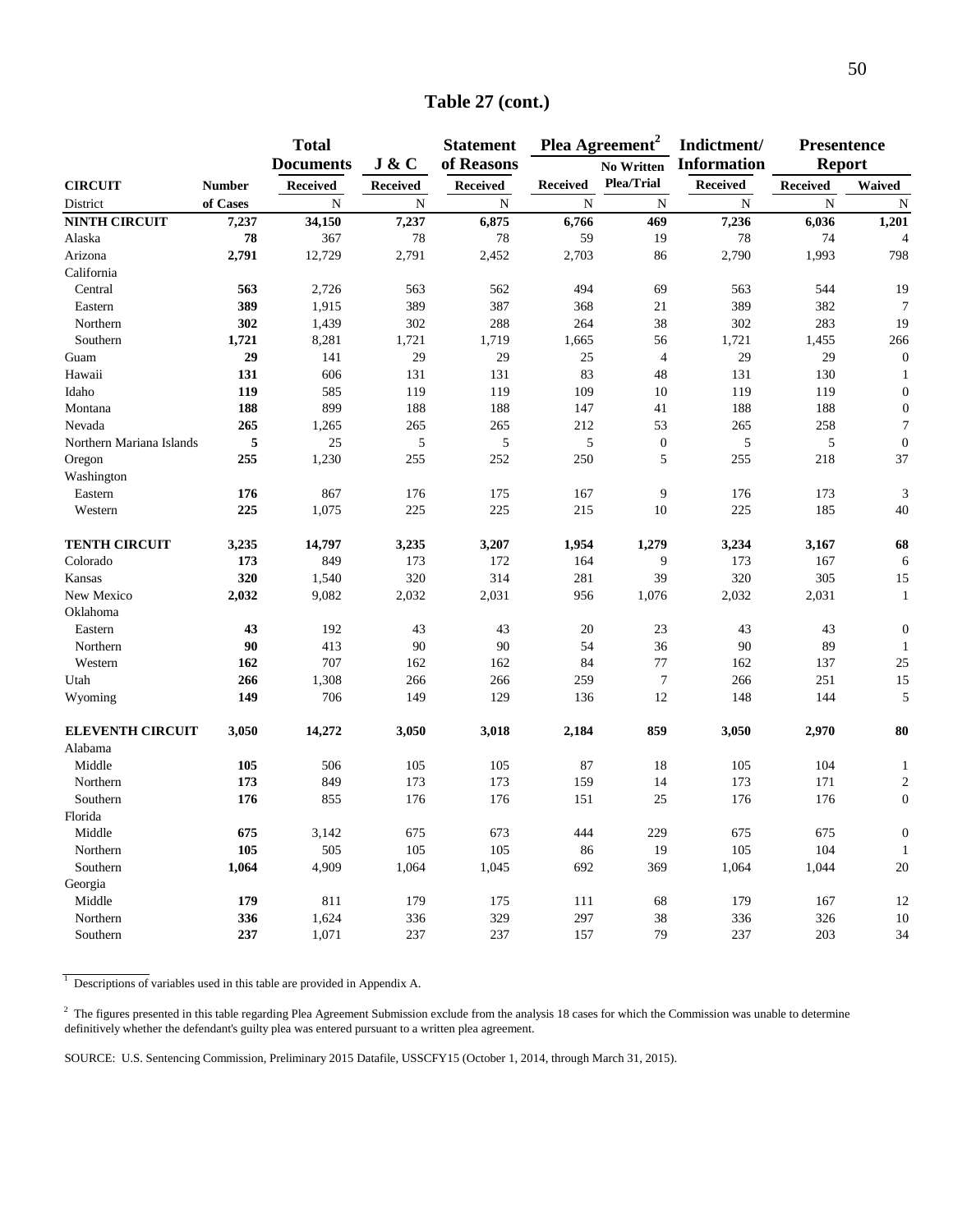|                          |               | <b>Total</b>     |                 | <b>Statement</b> |                 | Plea Agreement <sup>2</sup> | Indictment/        | <b>Presentence</b> |                  |
|--------------------------|---------------|------------------|-----------------|------------------|-----------------|-----------------------------|--------------------|--------------------|------------------|
|                          |               | <b>Documents</b> | J & C           | of Reasons       |                 | <b>No Written</b>           | <b>Information</b> | <b>Report</b>      |                  |
| <b>CIRCUIT</b>           | <b>Number</b> | <b>Received</b>  | <b>Received</b> | <b>Received</b>  | <b>Received</b> | Plea/Trial                  | <b>Received</b>    | <b>Received</b>    | Waived           |
| District                 | of Cases      | N                | N               | $\mathbf N$      | N               | N                           | N                  | N                  | N                |
| <b>NINTH CIRCUIT</b>     | 7,237         | 34,150           | 7,237           | 6,875            | 6,766           | 469                         | 7,236              | 6,036              | 1,201            |
| Alaska                   | 78            | 367              | 78              | 78               | 59              | 19                          | 78                 | 74                 | $\overline{4}$   |
| Arizona                  | 2,791         | 12,729           | 2,791           | 2,452            | 2,703           | 86                          | 2,790              | 1,993              | 798              |
| California               |               |                  |                 |                  |                 |                             |                    |                    |                  |
| Central                  | 563           | 2,726            | 563             | 562              | 494             | 69                          | 563                | 544                | 19               |
| Eastern                  | 389           | 1,915            | 389             | 387              | 368             | 21                          | 389                | 382                | $\tau$           |
| Northern                 | 302           | 1,439            | 302             | 288              | 264             | 38                          | 302                | 283                | 19               |
| Southern                 | 1,721         | 8,281            | 1,721           | 1,719            | 1,665           | 56                          | 1,721              | 1,455              | 266              |
| Guam                     | 29            | 141              | 29              | 29               | 25              | $\overline{4}$              | 29                 | 29                 | $\boldsymbol{0}$ |
| Hawaii                   | 131           | 606              | 131             | 131              | 83              | 48                          | 131                | 130                |                  |
| Idaho                    | 119           | 585              | 119             | 119              | 109             | 10                          | 119                | 119                | $\overline{0}$   |
| Montana                  | 188           | 899              | 188             | 188              | 147             | 41                          | 188                | 188                | $\theta$         |
| Nevada                   | 265           | 1,265            | 265             | 265              | 212             | 53                          | 265                | 258                | $\overline{7}$   |
| Northern Mariana Islands | 5             | 25               | 5               | 5                | 5               | $\boldsymbol{0}$            | 5                  | 5                  | $\overline{0}$   |
| Oregon                   | 255           | 1,230            | 255             | 252              | 250             | 5                           | 255                | 218                | 37               |
| Washington               |               |                  |                 |                  |                 |                             |                    |                    |                  |
| Eastern                  | 176           | 867              | 176             | 175              | 167             | 9                           | 176                | 173                | 3                |
| Western                  | 225           | 1,075            | 225             | 225              | 215             | 10                          | 225                | 185                | 40               |
| <b>TENTH CIRCUIT</b>     | 3,235         | 14,797           | 3,235           | 3,207            | 1,954           | 1,279                       | 3,234              | 3,167              | 68               |
| Colorado                 | 173           | 849              | 173             | 172              | 164             | 9                           | 173                | 167                | 6                |
| Kansas                   | 320           | 1,540            | 320             | 314              | 281             | 39                          | 320                | 305                | 15               |
| New Mexico               | 2,032         | 9,082            | 2,032           | 2,031            | 956             | 1,076                       | 2,032              | 2,031              | $\mathbf{1}$     |
| Oklahoma                 |               |                  |                 |                  |                 |                             |                    |                    |                  |
| Eastern                  | 43            | 192              | 43              | 43               | 20              | 23                          | 43                 | 43                 | $\overline{0}$   |
| Northern                 | 90            | 413              | 90              | 90               | 54              | 36                          | 90                 | 89                 | 1                |
| Western                  | 162           | 707              | 162             | 162              | 84              | 77                          | 162                | 137                | 25               |
| Utah                     | 266           | 1,308            | 266             | 266              | 259             | $\boldsymbol{7}$            | 266                | 251                | 15               |
| Wyoming                  | 149           | 706              | 149             | 129              | 136             | 12                          | 148                | 144                | 5                |
| <b>ELEVENTH CIRCUIT</b>  | 3,050         | 14,272           | 3,050           | 3,018            | 2,184           | 859                         | 3,050              | 2,970              | 80               |
| Alabama                  |               |                  |                 |                  |                 |                             |                    |                    |                  |
| Middle                   | 105           | 506              | 105             | 105              | 87              | 18                          | 105                | 104                | $\mathbf{1}$     |
| Northern                 | 173           | 849              | 173             | 173              | 159             | 14                          | 173                | 171                | $\overline{2}$   |
| Southern                 | 176           | 855              | 176             | 176              | 151             | 25                          | 176                | 176                | $\overline{0}$   |
| Florida                  |               |                  |                 |                  |                 |                             |                    |                    |                  |
| Middle                   | 675           | 3,142            | 675             | 673              | 444             | 229                         | 675                | 675                | $\overline{0}$   |
| Northern                 | 105           | 505              | 105             | 105              | 86              | 19                          | 105                | 104                | $\mathbf{1}$     |
| Southern                 | 1,064         | 4,909            | 1,064           | 1,045            | 692             | 369                         | 1,064              | 1,044              | 20               |
| Georgia                  |               |                  |                 |                  |                 |                             |                    |                    |                  |
| Middle                   | 179           | 811              | 179             | 175              | 111             | 68                          | 179                | 167                | 12               |
| Northern                 | 336           | 1,624            | 336             | 329              | 297             | 38                          | 336                | 326                | 10               |
| Southern                 | 237           | 1,071            | 237             | 237              | 157             | 79                          | 237                | 203                | 34               |

### **Table 27 (cont.)**

<sup>1</sup> Descriptions of variables used in this table are provided in Appendix A.

 $2$  The figures presented in this table regarding Plea Agreement Submission exclude from the analysis 18 cases for which the Commission was unable to determine definitively whether the defendant's guilty plea was entered pursuant to a written plea agreement.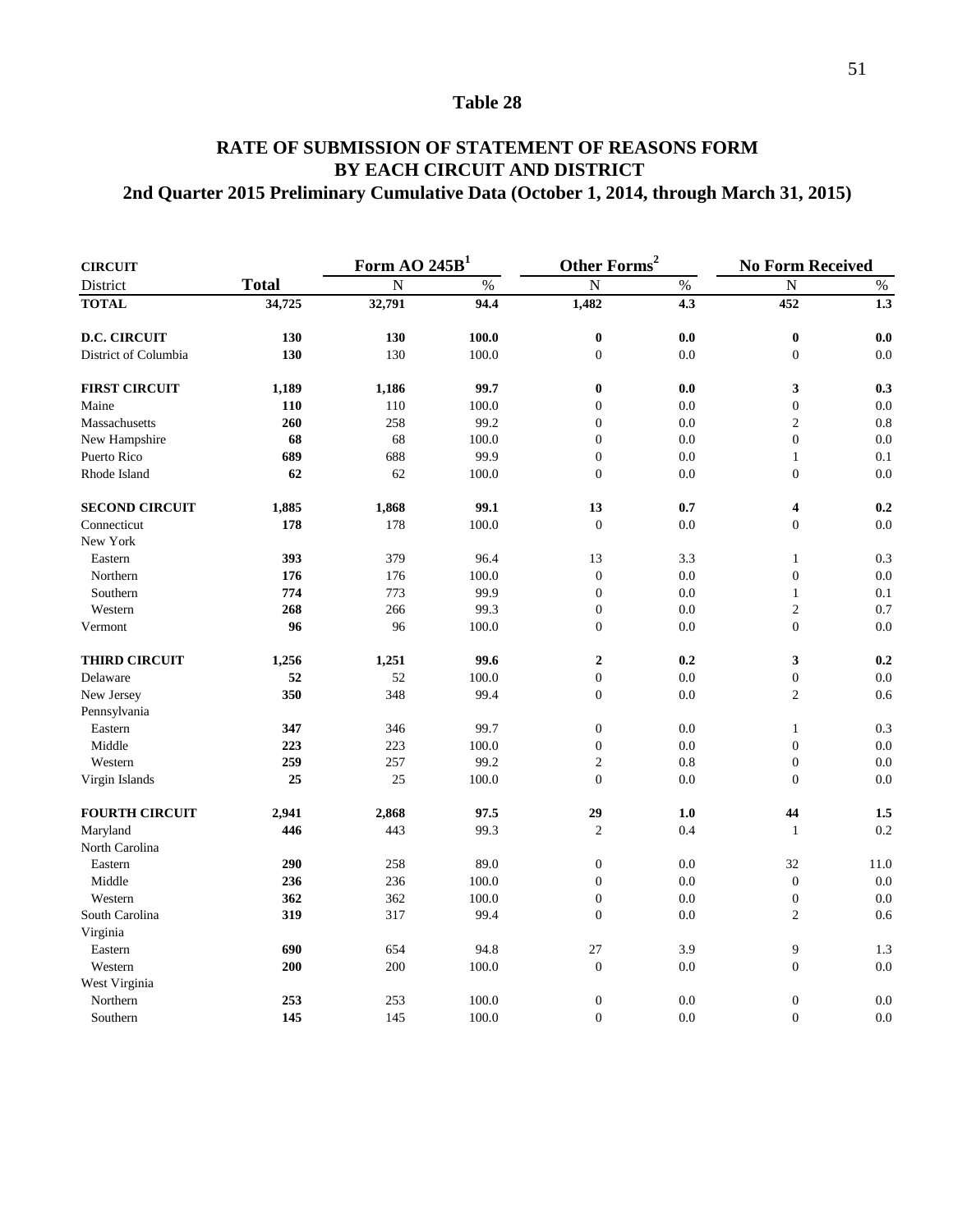### **RATE OF SUBMISSION OF STATEMENT OF REASONS FORM 2nd Quarter 2015 Preliminary Cumulative Data (October 1, 2014, through March 31, 2015) BY EACH CIRCUIT AND DISTRICT**

| <b>CIRCUIT</b>        |              | Form AO $245B1$ |                 | Other Forms <sup>2</sup> |               | <b>No Form Received</b> |      |  |
|-----------------------|--------------|-----------------|-----------------|--------------------------|---------------|-------------------------|------|--|
| District              | <b>Total</b> | $\overline{N}$  | $\overline{\%}$ | $\overline{N}$           | $\frac{0}{6}$ | ${\bf N}$               | $\%$ |  |
| <b>TOTAL</b>          | 34,725       | 32,791          | 94.4            | 1,482                    | 4.3           | 452                     | 1.3  |  |
| <b>D.C. CIRCUIT</b>   | 130          | 130             | 100.0           | $\bf{0}$                 | 0.0           | $\bf{0}$                | 0.0  |  |
| District of Columbia  | 130          | 130             | 100.0           | $\boldsymbol{0}$         | 0.0           | $\boldsymbol{0}$        | 0.0  |  |
| <b>FIRST CIRCUIT</b>  | 1,189        | 1,186           | 99.7            | $\bf{0}$                 | 0.0           | 3                       | 0.3  |  |
| Maine                 | 110          | 110             | 100.0           | $\boldsymbol{0}$         | 0.0           | $\boldsymbol{0}$        | 0.0  |  |
| Massachusetts         | 260          | 258             | 99.2            | $\boldsymbol{0}$         | 0.0           | $\overline{c}$          | 0.8  |  |
| New Hampshire         | 68           | 68              | 100.0           | $\boldsymbol{0}$         | 0.0           | $\boldsymbol{0}$        | 0.0  |  |
| Puerto Rico           | 689          | 688             | 99.9            | $\boldsymbol{0}$         | 0.0           | $\mathbf{1}$            | 0.1  |  |
| Rhode Island          | 62           | 62              | 100.0           | $\overline{0}$           | 0.0           | $\boldsymbol{0}$        | 0.0  |  |
| <b>SECOND CIRCUIT</b> | 1,885        | 1,868           | 99.1            | 13                       | 0.7           | 4                       | 0.2  |  |
| Connecticut           | 178          | 178             | 100.0           | $\boldsymbol{0}$         | 0.0           | $\boldsymbol{0}$        | 0.0  |  |
| New York              |              |                 |                 |                          |               |                         |      |  |
| Eastern               | 393          | 379             | 96.4            | 13                       | 3.3           | $\mathbf{1}$            | 0.3  |  |
| Northern              | 176          | 176             | 100.0           | $\boldsymbol{0}$         | 0.0           | $\boldsymbol{0}$        | 0.0  |  |
| Southern              | 774          | 773             | 99.9            | $\boldsymbol{0}$         | 0.0           | $\mathbf{1}$            | 0.1  |  |
| Western               | 268          | 266             | 99.3            | $\boldsymbol{0}$         | 0.0           | $\overline{c}$          | 0.7  |  |
| Vermont               | 96           | 96              | 100.0           | $\boldsymbol{0}$         | 0.0           | $\boldsymbol{0}$        | 0.0  |  |
| <b>THIRD CIRCUIT</b>  | 1,256        | 1,251           | 99.6            | $\boldsymbol{2}$         | 0.2           | 3                       | 0.2  |  |
| Delaware              | 52           | 52              | 100.0           | $\boldsymbol{0}$         | 0.0           | $\boldsymbol{0}$        | 0.0  |  |
| New Jersey            | 350          | 348             | 99.4            | $\boldsymbol{0}$         | 0.0           | $\overline{c}$          | 0.6  |  |
| Pennsylvania          |              |                 |                 |                          |               |                         |      |  |
| Eastern               | 347          | 346             | 99.7            | $\boldsymbol{0}$         | 0.0           | $\mathbf{1}$            | 0.3  |  |
| Middle                | 223          | 223             | 100.0           | $\boldsymbol{0}$         | 0.0           | $\boldsymbol{0}$        | 0.0  |  |
| Western               | 259          | 257             | 99.2            | $\overline{2}$           | 0.8           | $\boldsymbol{0}$        | 0.0  |  |
| Virgin Islands        | 25           | 25              | 100.0           | $\boldsymbol{0}$         | 0.0           | $\boldsymbol{0}$        | 0.0  |  |
| <b>FOURTH CIRCUIT</b> | 2,941        | 2,868           | 97.5            | 29                       | 1.0           | 44                      | 1.5  |  |
| Maryland              | 446          | 443             | 99.3            | $\overline{c}$           | 0.4           | $\mathbf{1}$            | 0.2  |  |
| North Carolina        |              |                 |                 |                          |               |                         |      |  |
| Eastern               | 290          | 258             | 89.0            | $\boldsymbol{0}$         | 0.0           | 32                      | 11.0 |  |
| Middle                | 236          | 236             | 100.0           | $\overline{0}$           | 0.0           | $\boldsymbol{0}$        | 0.0  |  |
| Western               | 362          | 362             | 100.0           | $\boldsymbol{0}$         | 0.0           | $\boldsymbol{0}$        | 0.0  |  |
| South Carolina        | 319          | 317             | 99.4            | $\boldsymbol{0}$         | 0.0           | $\overline{c}$          | 0.6  |  |
| Virginia              |              |                 |                 |                          |               |                         |      |  |
| Eastern               | 690          | 654             | 94.8            | 27                       | 3.9           | 9                       | 1.3  |  |
| Western               | 200          | 200             | 100.0           | $\mathbf{0}$             | 0.0           | $\boldsymbol{0}$        | 0.0  |  |
| West Virginia         |              |                 |                 |                          |               |                         |      |  |
| Northern              | 253          | 253             | 100.0           | $\boldsymbol{0}$         | 0.0           | $\boldsymbol{0}$        | 0.0  |  |
| Southern              | 145          | 145             | 100.0           | $\mathbf{0}$             | 0.0           | $\mathbf{0}$            | 0.0  |  |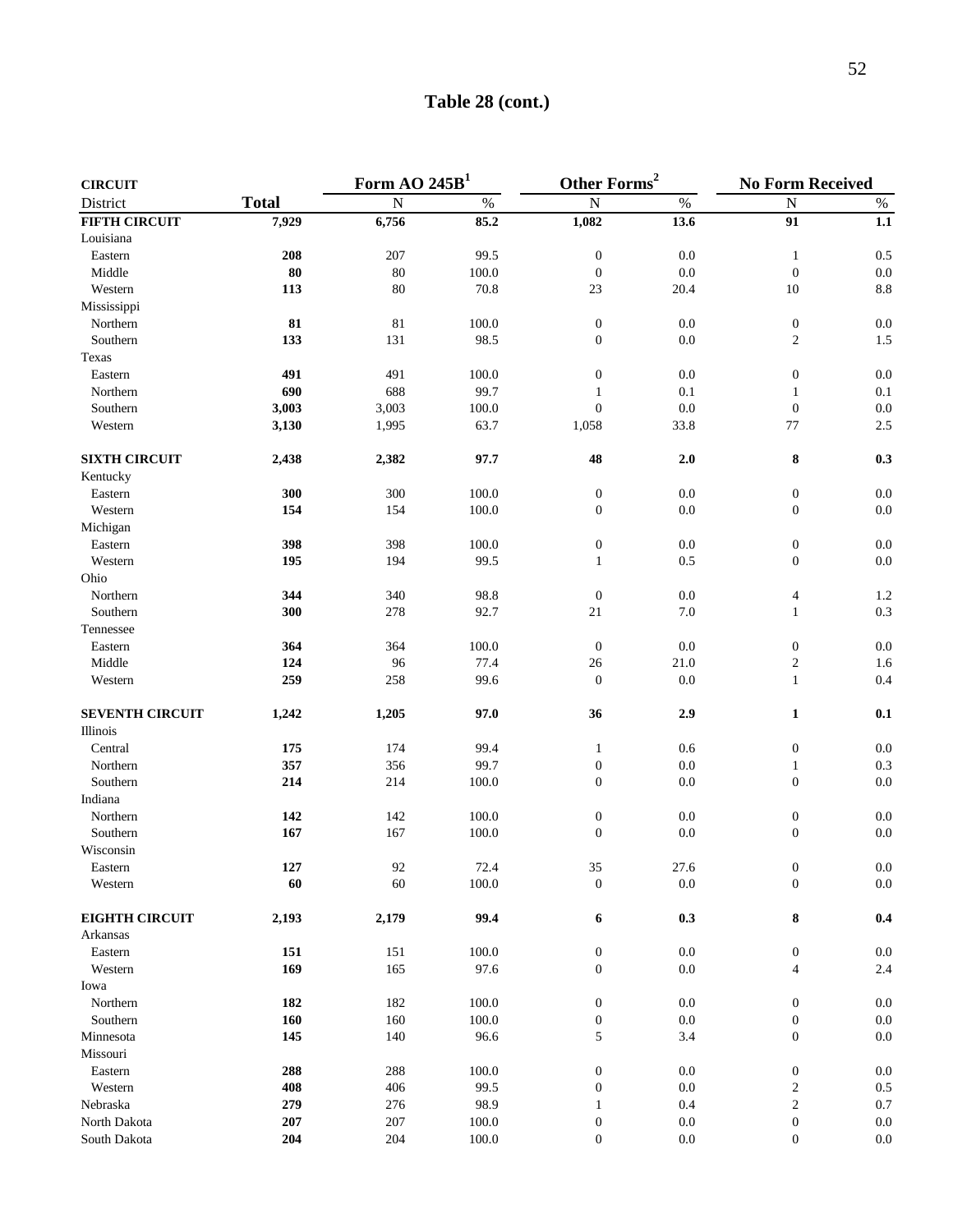### **Table 28 (cont.)**

| <b>CIRCUIT</b>         |              | $\overline{\text{Form } }$ AO 245B <sup>1</sup> |           | Other Forms <sup>2</sup> |         | <b>No Form Received</b> |         |
|------------------------|--------------|-------------------------------------------------|-----------|--------------------------|---------|-------------------------|---------|
| District               | <b>Total</b> | ${\bf N}$                                       | $\%$      | ${\bf N}$                | $\%$    | ${\bf N}$               | $\%$    |
| <b>FIFTH CIRCUIT</b>   | 7,929        | 6,756                                           | 85.2      | 1,082                    | 13.6    | $\overline{91}$         | 1.1     |
| Louisiana              |              |                                                 |           |                          |         |                         |         |
| Eastern                | 208          | 207                                             | 99.5      | $\boldsymbol{0}$         | 0.0     | $\mathbf{1}$            | 0.5     |
| Middle                 | 80           | 80                                              | 100.0     | $\boldsymbol{0}$         | 0.0     | $\boldsymbol{0}$        | $0.0\,$ |
| Western                | 113          | 80                                              | 70.8      | 23                       | 20.4    | 10                      | $8.8\,$ |
| Mississippi            |              |                                                 |           |                          |         |                         |         |
| Northern               | 81           | $81\,$                                          | 100.0     | $\boldsymbol{0}$         | 0.0     | $\boldsymbol{0}$        | 0.0     |
| Southern               | 133          | 131                                             | 98.5      | $\boldsymbol{0}$         | 0.0     | $\overline{c}$          | 1.5     |
| Texas                  |              |                                                 |           |                          |         |                         |         |
| Eastern                | 491          | 491                                             | 100.0     | $\boldsymbol{0}$         | 0.0     | $\boldsymbol{0}$        | $0.0\,$ |
| Northern               | 690          | 688                                             | 99.7      | $\mathbf{1}$             | 0.1     | $\mathbf{1}$            | 0.1     |
| Southern               | 3,003        | 3,003                                           | 100.0     | $\mathbf{0}$             | 0.0     | $\boldsymbol{0}$        | $0.0\,$ |
| Western                | 3,130        | 1,995                                           | 63.7      | 1,058                    | 33.8    | 77                      | $2.5\,$ |
| <b>SIXTH CIRCUIT</b>   | 2,438        | 2,382                                           | 97.7      | 48                       | 2.0     | ${\bf 8}$               | 0.3     |
| Kentucky               |              |                                                 |           |                          |         |                         |         |
| Eastern                | 300          | 300                                             | 100.0     | $\boldsymbol{0}$         | 0.0     | $\boldsymbol{0}$        | 0.0     |
| Western                | 154          | 154                                             | 100.0     | $\boldsymbol{0}$         | 0.0     | $\boldsymbol{0}$        | $0.0\,$ |
| Michigan               |              |                                                 |           |                          |         |                         |         |
| Eastern                | 398          | 398                                             | 100.0     | $\boldsymbol{0}$         | 0.0     | $\boldsymbol{0}$        | 0.0     |
| Western                | 195          | 194                                             | 99.5      | $\mathbf{1}$             | 0.5     | $\boldsymbol{0}$        | $0.0\,$ |
| Ohio                   |              |                                                 |           |                          |         |                         |         |
| Northern               | 344          | 340                                             | 98.8      | $\boldsymbol{0}$         | 0.0     | $\overline{4}$          | 1.2     |
| Southern               | 300          | 278                                             | 92.7      | 21                       | 7.0     | $\mathbf{1}$            | 0.3     |
| Tennessee              |              |                                                 |           |                          |         |                         |         |
| Eastern                | 364          | 364                                             | 100.0     | $\boldsymbol{0}$         | 0.0     | $\boldsymbol{0}$        | $0.0\,$ |
| Middle                 | 124          | 96                                              | 77.4      | 26                       | 21.0    | $\sqrt{2}$              | 1.6     |
| Western                | 259          | 258                                             | 99.6      | $\boldsymbol{0}$         | 0.0     | $\mathbf{1}$            | 0.4     |
| <b>SEVENTH CIRCUIT</b> | 1,242        | 1,205                                           | 97.0      | 36                       | 2.9     | 1                       | 0.1     |
| Illinois               |              |                                                 |           |                          |         |                         |         |
| Central                | 175          | 174                                             | 99.4      | $\mathbf{1}$             | 0.6     | $\boldsymbol{0}$        | $0.0\,$ |
| Northern               | 357          | 356                                             | 99.7      | $\boldsymbol{0}$         | 0.0     | $\mathbf{1}$            | 0.3     |
| Southern               | 214          | 214                                             | 100.0     | $\boldsymbol{0}$         | 0.0     | $\boldsymbol{0}$        | $0.0\,$ |
| Indiana                |              |                                                 |           |                          |         |                         |         |
| Northern               | 142          | 142                                             | 100.0     | $\boldsymbol{0}$         | 0.0     | $\boldsymbol{0}$        | $0.0\,$ |
| Southern               | 167          | 167                                             | 100.0     | $\boldsymbol{0}$         | 0.0     | $\boldsymbol{0}$        | $0.0\,$ |
| Wisconsin              |              |                                                 |           |                          |         |                         |         |
| Eastern                | 127          | 92                                              | 72.4      | 35                       | 27.6    | $\boldsymbol{0}$        | 0.0     |
| Western                | 60           | 60                                              | 100.0     | $\boldsymbol{0}$         | $0.0\,$ | $\boldsymbol{0}$        | $0.0\,$ |
| <b>EIGHTH CIRCUIT</b>  | 2,193        | 2,179                                           | 99.4      | 6                        | 0.3     | ${\bf 8}$               | 0.4     |
| Arkansas               |              |                                                 |           |                          |         |                         |         |
| Eastern                | 151          | 151                                             | 100.0     | $\boldsymbol{0}$         | $0.0\,$ | $\boldsymbol{0}$        | $0.0\,$ |
| Western                | 169          | 165                                             | 97.6      | $\boldsymbol{0}$         | 0.0     | $\overline{4}$          | 2.4     |
| Iowa                   |              |                                                 |           |                          |         |                         |         |
| Northern               | 182          | 182                                             | 100.0     | $\boldsymbol{0}$         | $0.0\,$ | $\boldsymbol{0}$        | $0.0\,$ |
| Southern               | 160          | 160                                             | $100.0\,$ | $\boldsymbol{0}$         | $0.0\,$ | $\boldsymbol{0}$        | $0.0\,$ |
| Minnesota              | 145          | 140                                             | 96.6      | $\mathfrak s$            | 3.4     | $\boldsymbol{0}$        | $0.0\,$ |
| Missouri               |              |                                                 |           |                          |         |                         |         |
| Eastern                | 288          | 288                                             | 100.0     | $\boldsymbol{0}$         | 0.0     | $\boldsymbol{0}$        | $0.0\,$ |
| Western                | 408          | 406                                             | 99.5      | $\boldsymbol{0}$         | 0.0     | $\overline{\mathbf{c}}$ | $0.5\,$ |
| Nebraska               | 279          | 276                                             | 98.9      | $\mathbf{1}$             | 0.4     | $\sqrt{2}$              | $0.7\,$ |
| North Dakota           | 207          | $207\,$                                         | $100.0\,$ | $\boldsymbol{0}$         | $0.0\,$ | $\boldsymbol{0}$        | $0.0\,$ |
| South Dakota           | 204          | 204                                             | 100.0     | $\boldsymbol{0}$         | $0.0\,$ | $\boldsymbol{0}$        | $0.0\,$ |
|                        |              |                                                 |           |                          |         |                         |         |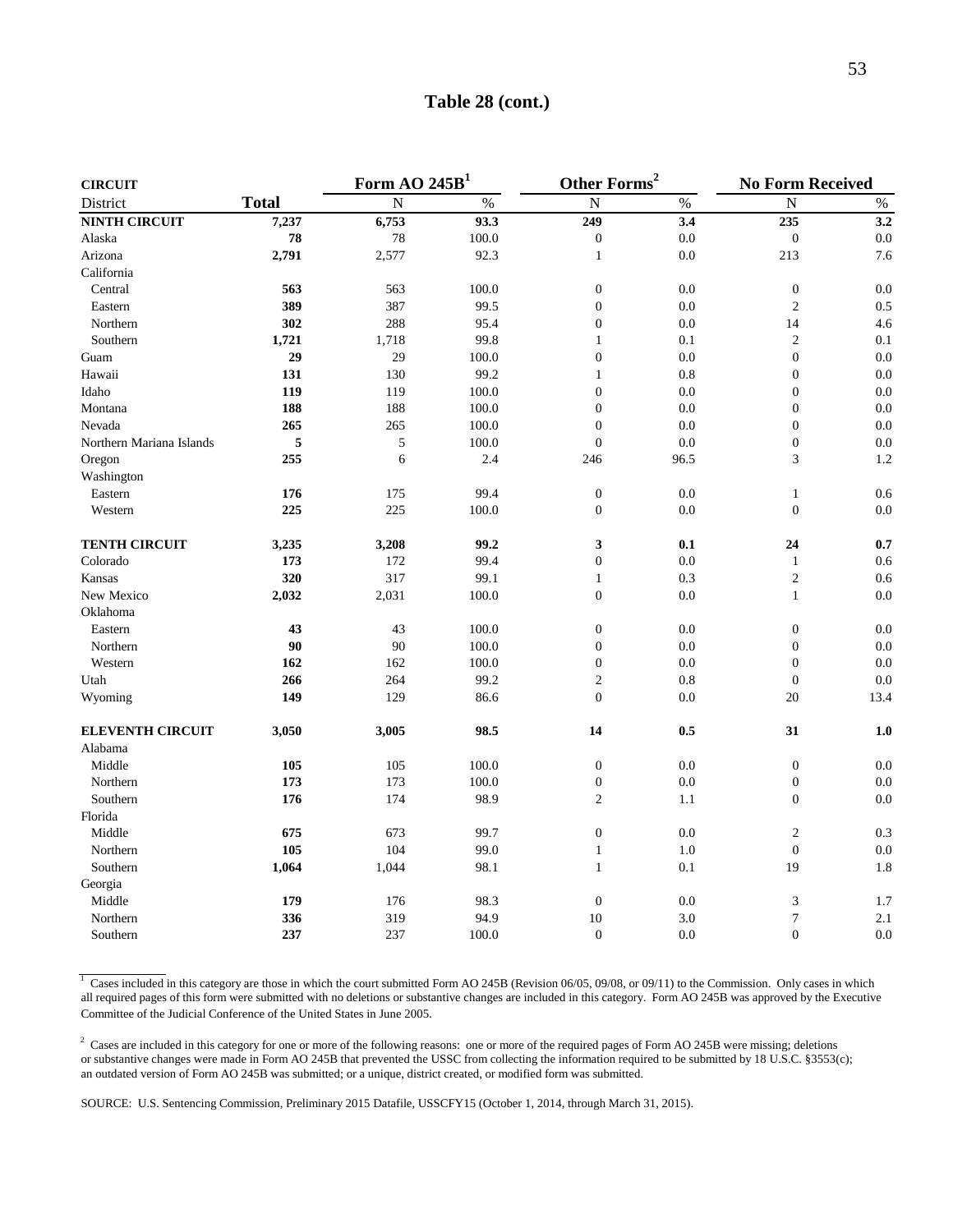| <b>CIRCUIT</b>           |              | Form AO $245B1$ |       | Other Forms <sup>2</sup> |                  | <b>No Form Received</b> |         |
|--------------------------|--------------|-----------------|-------|--------------------------|------------------|-------------------------|---------|
| District                 | <b>Total</b> | $\overline{N}$  | $\%$  | $\overline{N}$           | $\%$             | $\overline{N}$          | $\%$    |
| <b>NINTH CIRCUIT</b>     | 7,237        | 6,753           | 93.3  | 249                      | $\overline{3.4}$ | 235                     | 3.2     |
| Alaska                   | 78           | 78              | 100.0 | $\boldsymbol{0}$         | 0.0              | $\boldsymbol{0}$        | 0.0     |
| Arizona                  | 2,791        | 2,577           | 92.3  | $\mathbf{1}$             | 0.0              | 213                     | 7.6     |
| California               |              |                 |       |                          |                  |                         |         |
| Central                  | 563          | 563             | 100.0 | $\boldsymbol{0}$         | 0.0              | $\boldsymbol{0}$        | 0.0     |
| Eastern                  | 389          | 387             | 99.5  | $\boldsymbol{0}$         | 0.0              | $\overline{c}$          | 0.5     |
| Northern                 | 302          | 288             | 95.4  | $\boldsymbol{0}$         | 0.0              | 14                      | 4.6     |
| Southern                 | 1,721        | 1,718           | 99.8  | $\mathbf{1}$             | 0.1              | $\sqrt{2}$              | 0.1     |
| Guam                     | 29           | 29              | 100.0 | $\overline{0}$           | 0.0              | $\overline{0}$          | 0.0     |
| Hawaii                   | 131          | 130             | 99.2  | $\mathbf{1}$             | 0.8              | $\overline{0}$          | 0.0     |
| Idaho                    | 119          | 119             | 100.0 | $\boldsymbol{0}$         | 0.0              | $\boldsymbol{0}$        | 0.0     |
| Montana                  | 188          | 188             | 100.0 | $\boldsymbol{0}$         | 0.0              | $\boldsymbol{0}$        | $0.0\,$ |
| Nevada                   | 265          | 265             | 100.0 | $\overline{0}$           | 0.0              | $\mathbf{0}$            | 0.0     |
| Northern Mariana Islands | 5            | $\sqrt{5}$      | 100.0 | $\boldsymbol{0}$         | 0.0              | $\boldsymbol{0}$        | 0.0     |
| Oregon                   | 255          | 6               | 2.4   | 246                      | 96.5             | 3                       | 1.2     |
| Washington               |              |                 |       |                          |                  |                         |         |
| Eastern                  | 176          | 175             | 99.4  | $\boldsymbol{0}$         | 0.0              | $\mathbf{1}$            | 0.6     |
| Western                  | 225          | 225             | 100.0 | $\boldsymbol{0}$         | 0.0              | $\mathbf{0}$            | 0.0     |
| <b>TENTH CIRCUIT</b>     | 3,235        | 3,208           | 99.2  | 3                        | 0.1              | 24                      | 0.7     |
| Colorado                 | 173          | 172             | 99.4  | $\overline{0}$           | 0.0              | $\mathbf{1}$            | 0.6     |
| <b>Kansas</b>            | 320          | 317             | 99.1  | $\mathbf{1}$             | 0.3              | $\sqrt{2}$              | 0.6     |
| New Mexico               | 2,032        | 2,031           | 100.0 | $\mathbf{0}$             | 0.0              | $\mathbf{1}$            | 0.0     |
| Oklahoma                 |              |                 |       |                          |                  |                         |         |
| Eastern                  | 43           | 43              | 100.0 | $\boldsymbol{0}$         | 0.0              | $\boldsymbol{0}$        | 0.0     |
| Northern                 | 90           | 90              | 100.0 | $\boldsymbol{0}$         | 0.0              | $\mathbf{0}$            | 0.0     |
| Western                  | 162          | 162             | 100.0 | $\boldsymbol{0}$         | 0.0              | $\mathbf{0}$            | 0.0     |
| Utah                     | 266          | 264             | 99.2  | $\overline{c}$           | 0.8              | $\mathbf{0}$            | 0.0     |
| Wyoming                  | 149          | 129             | 86.6  | $\overline{0}$           | 0.0              | 20                      | 13.4    |
| <b>ELEVENTH CIRCUIT</b>  | 3,050        | 3,005           | 98.5  | 14                       | 0.5              | 31                      | 1.0     |
| Alabama                  |              |                 |       |                          |                  |                         |         |
| Middle                   | 105          | 105             | 100.0 | $\boldsymbol{0}$         | 0.0              | $\boldsymbol{0}$        | $0.0\,$ |
| Northern                 | 173          | 173             | 100.0 | $\boldsymbol{0}$         | 0.0              | $\boldsymbol{0}$        | 0.0     |
| Southern                 | 176          | 174             | 98.9  | $\overline{c}$           | 1.1              | $\Omega$                | 0.0     |
| Florida                  |              |                 |       |                          |                  |                         |         |
| Middle                   | 675          | 673             | 99.7  | $\boldsymbol{0}$         | 0.0              | $\overline{2}$          | 0.3     |
| Northern                 | 105          | 104             | 99.0  | $\mathbf{1}$             | 1.0              | $\mathbf{0}$            | 0.0     |
| Southern                 | 1,064        | 1,044           | 98.1  | $\mathbf{1}$             | 0.1              | 19                      | 1.8     |
| Georgia                  |              |                 |       |                          |                  |                         |         |
| Middle                   | 179          | 176             | 98.3  | $\boldsymbol{0}$         | 0.0              | 3                       | 1.7     |
| Northern                 | 336          | 319             | 94.9  | 10                       | 3.0              | $\overline{7}$          | 2.1     |
| Southern                 | 237          | 237             | 100.0 | $\boldsymbol{0}$         | 0.0              | $\boldsymbol{0}$        | 0.0     |

 $1 \text{ Cass included in this category are those in which the court submitted Form AO 245B (Revision 06/05, 09/08, or 09/11) to the Commission. Only cases in which$ all required pages of this form were submitted with no deletions or substantive changes are included in this category. Form AO 245B was approved by the Executive Committee of the Judicial Conference of the United States in June 2005.

 $^2$  Cases are included in this category for one or more of the following reasons: one or more of the required pages of Form AO 245B were missing; deletions or substantive changes were made in Form AO 245B that prevented the USSC from collecting the information required to be submitted by 18 U.S.C. §3553(c); an outdated version of Form AO 245B was submitted; or a unique, district created, or modified form was submitted.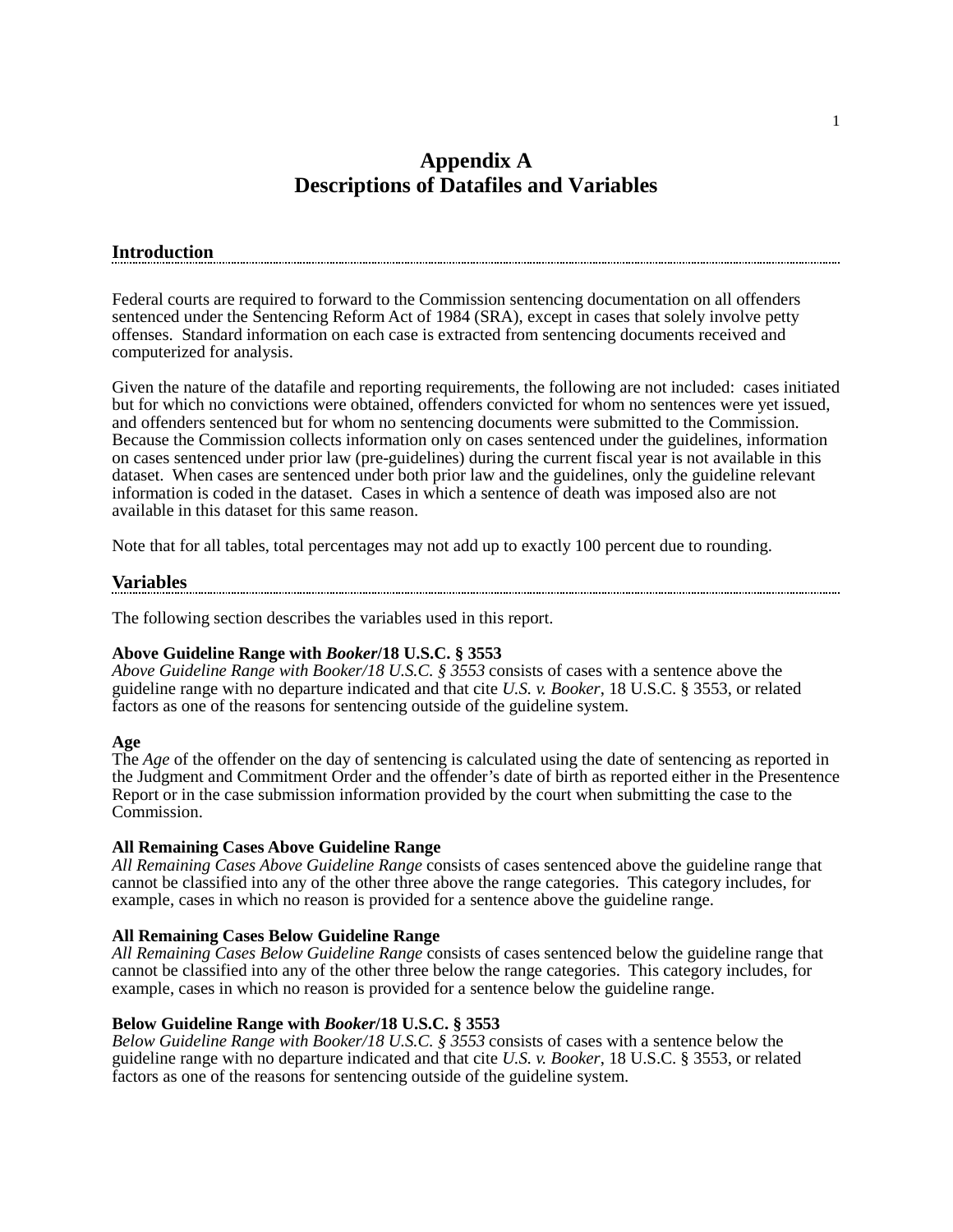### **Appendix A Descriptions of Datafiles and Variables**

#### **Introduction**

Federal courts are required to forward to the Commission sentencing documentation on all offenders sentenced under the Sentencing Reform Act of 1984 (SRA), except in cases that solely involve petty offenses. Standard information on each case is extracted from sentencing documents received and computerized for analysis.

Given the nature of the datafile and reporting requirements, the following are not included: cases initiated but for which no convictions were obtained, offenders convicted for whom no sentences were yet issued, and offenders sentenced but for whom no sentencing documents were submitted to the Commission. Because the Commission collects information only on cases sentenced under the guidelines, information on cases sentenced under prior law (pre-guidelines) during the current fiscal year is not available in this dataset. When cases are sentenced under both prior law and the guidelines, only the guideline relevant information is coded in the dataset. Cases in which a sentence of death was imposed also are not available in this dataset for this same reason.

Note that for all tables, total percentages may not add up to exactly 100 percent due to rounding.

#### **Variables**

The following section describes the variables used in this report.

#### **Above Guideline Range with** *Booker***/18 U.S.C. § 3553**

*Above Guideline Range with Booker/18 U.S.C. § 3553* consists of cases with a sentence above the guideline range with no departure indicated and that cite *U.S. v. Booker*, 18 U.S.C. § 3553, or related factors as one of the reasons for sentencing outside of the guideline system.

#### **Age**

The *Age* of the offender on the day of sentencing is calculated using the date of sentencing as reported in the Judgment and Commitment Order and the offender's date of birth as reported either in the Presentence Report or in the case submission information provided by the court when submitting the case to the Commission.

#### **All Remaining Cases Above Guideline Range**

*All Remaining Cases Above Guideline Range* consists of cases sentenced above the guideline range that cannot be classified into any of the other three above the range categories. This category includes, for example, cases in which no reason is provided for a sentence above the guideline range.

#### **All Remaining Cases Below Guideline Range**

*All Remaining Cases Below Guideline Range* consists of cases sentenced below the guideline range that cannot be classified into any of the other three below the range categories. This category includes, for example, cases in which no reason is provided for a sentence below the guideline range.

#### **Below Guideline Range with** *Booker***/18 U.S.C. § 3553**

*Below Guideline Range with Booker/18 U.S.C. § 3553* consists of cases with a sentence below the guideline range with no departure indicated and that cite *U.S. v. Booker*, 18 U.S.C. § 3553, or related factors as one of the reasons for sentencing outside of the guideline system.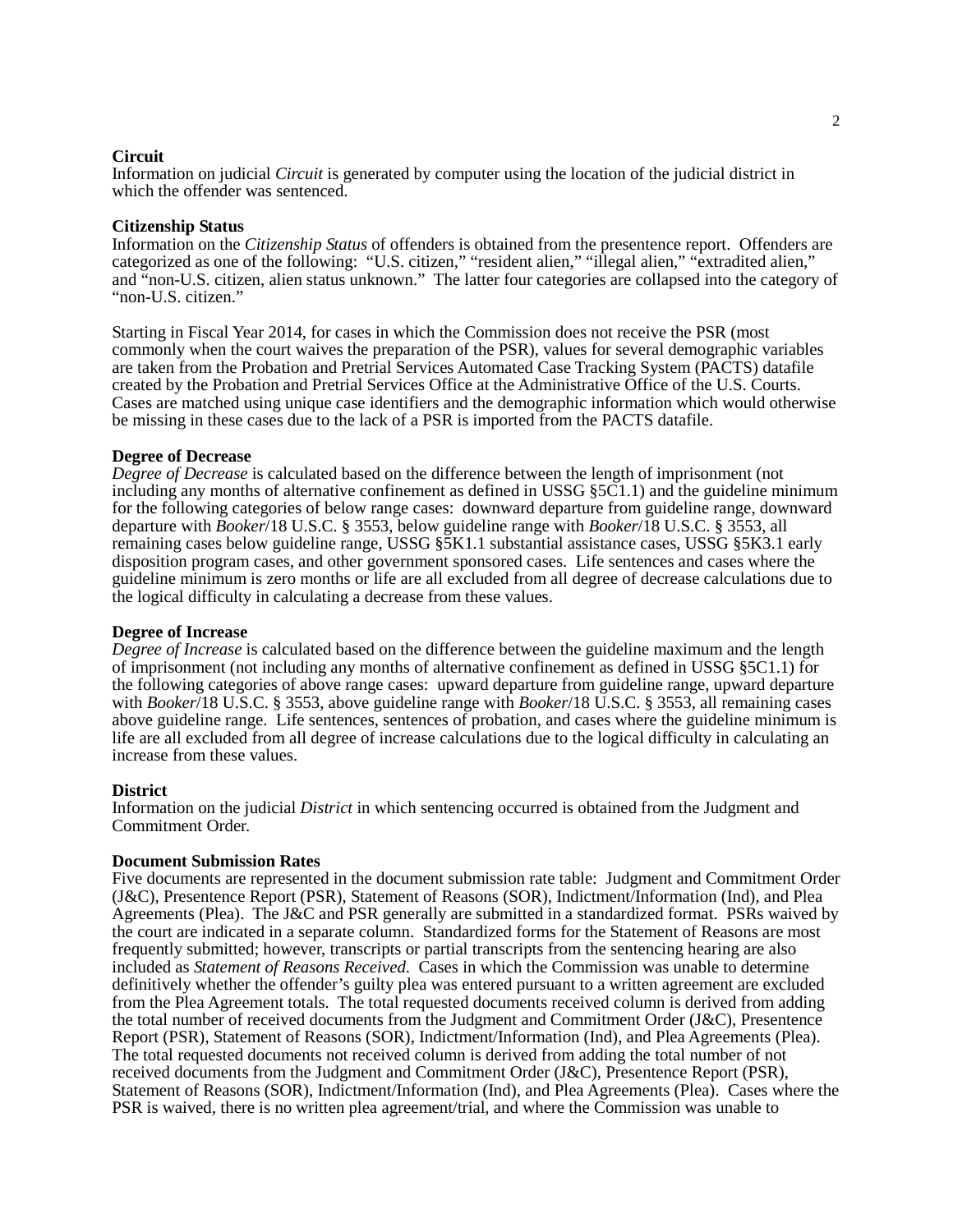#### **Circuit**

Information on judicial *Circuit* is generated by computer using the location of the judicial district in which the offender was sentenced.

#### **Citizenship Status**

Information on the *Citizenship Status* of offenders is obtained from the presentence report. Offenders are categorized as one of the following: "U.S. citizen," "resident alien," "illegal alien," "extradited alien," and "non-U.S. citizen, alien status unknown." The latter four categories are collapsed into the category of "non-U.S. citizen."

Starting in Fiscal Year 2014, for cases in which the Commission does not receive the PSR (most commonly when the court waives the preparation of the PSR), values for several demographic variables are taken from the Probation and Pretrial Services Automated Case Tracking System (PACTS) datafile created by the Probation and Pretrial Services Office at the Administrative Office of the U.S. Courts. Cases are matched using unique case identifiers and the demographic information which would otherwise be missing in these cases due to the lack of a PSR is imported from the PACTS datafile.

#### **Degree of Decrease**

*Degree of Decrease* is calculated based on the difference between the length of imprisonment (not including any months of alternative confinement as defined in USSG  $\S5\overline{C}1.1$ ) and the guideline minimum for the following categories of below range cases: downward departure from guideline range, downward departure with *Booker*/18 U.S.C. § 3553, below guideline range with *Booker*/18 U.S.C. § 3553, all remaining cases below guideline range, USSG §5K1.1 substantial assistance cases, USSG §5K3.1 early disposition program cases, and other government sponsored cases. Life sentences and cases where the guideline minimum is zero months or life are all excluded from all degree of decrease calculations due to the logical difficulty in calculating a decrease from these values.

#### **Degree of Increase**

*Degree of Increase* is calculated based on the difference between the guideline maximum and the length of imprisonment (not including any months of alternative confinement as defined in USSG §5C1.1) for the following categories of above range cases: upward departure from guideline range, upward departure with *Booker*/18 U.S.C. § 3553, above guideline range with *Booker*/18 U.S.C. § 3553, all remaining cases above guideline range. Life sentences, sentences of probation, and cases where the guideline minimum is life are all excluded from all degree of increase calculations due to the logical difficulty in calculating an increase from these values.

#### **District**

Information on the judicial *District* in which sentencing occurred is obtained from the Judgment and Commitment Order.

#### **Document Submission Rates**

Five documents are represented in the document submission rate table: Judgment and Commitment Order (J&C), Presentence Report (PSR), Statement of Reasons (SOR), Indictment/Information (Ind), and Plea Agreements (Plea). The J&C and PSR generally are submitted in a standardized format. PSRs waived by the court are indicated in a separate column. Standardized forms for the Statement of Reasons are most frequently submitted; however, transcripts or partial transcripts from the sentencing hearing are also included as *Statement of Reasons Received*. Cases in which the Commission was unable to determine definitively whether the offender's guilty plea was entered pursuant to a written agreement are excluded from the Plea Agreement totals. The total requested documents received column is derived from adding the total number of received documents from the Judgment and Commitment Order (J&C), Presentence Report (PSR), Statement of Reasons (SOR), Indictment/Information (Ind), and Plea Agreements (Plea). The total requested documents not received column is derived from adding the total number of not received documents from the Judgment and Commitment Order (J&C), Presentence Report (PSR), Statement of Reasons (SOR), Indictment/Information (Ind), and Plea Agreements (Plea). Cases where the PSR is waived, there is no written plea agreement/trial, and where the Commission was unable to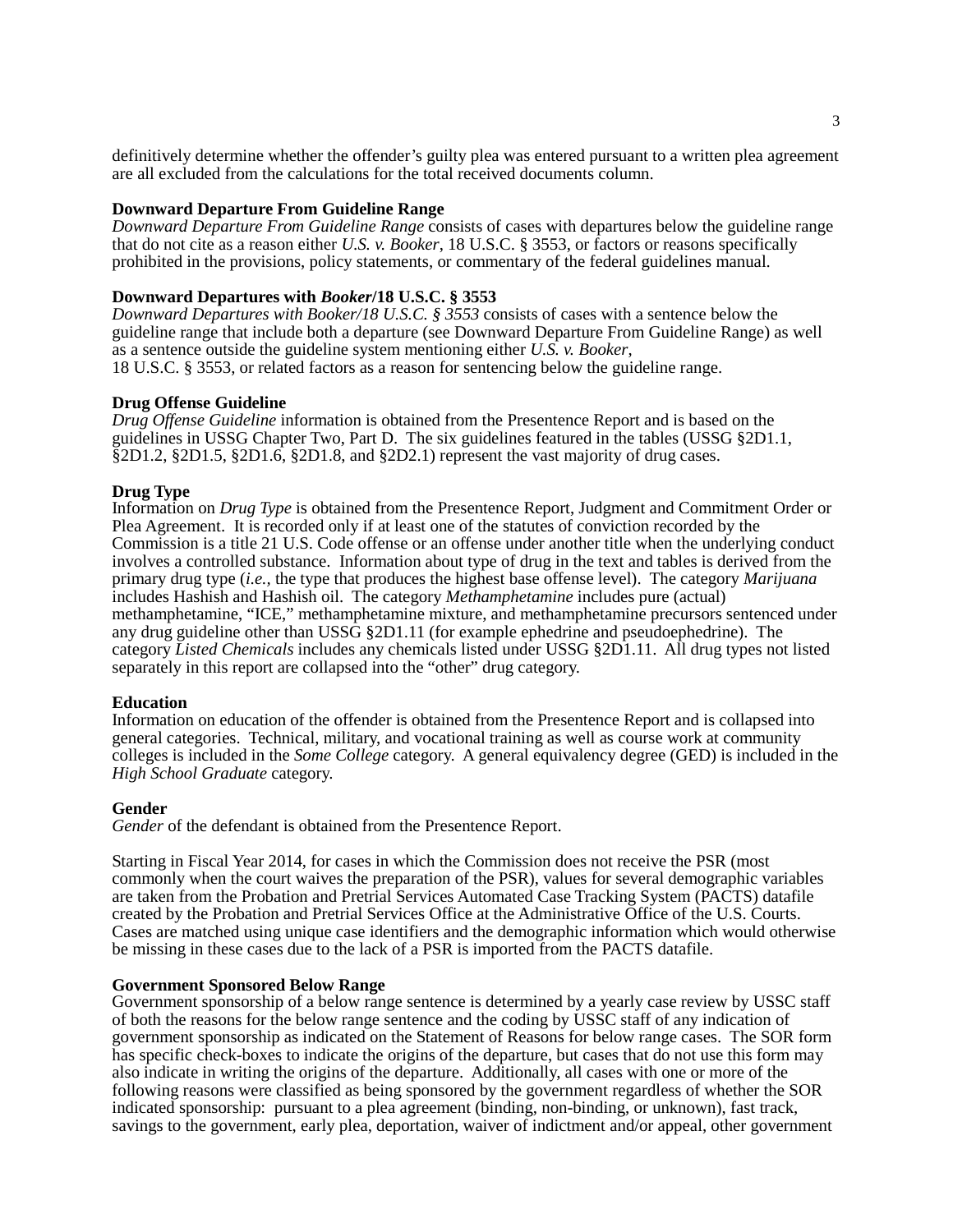definitively determine whether the offender's guilty plea was entered pursuant to a written plea agreement are all excluded from the calculations for the total received documents column.

#### **Downward Departure From Guideline Range**

*Downward Departure From Guideline Range* consists of cases with departures below the guideline range that do not cite as a reason either *U.S. v. Booker*, 18 U.S.C. § 3553, or factors or reasons specifically prohibited in the provisions, policy statements, or commentary of the federal guidelines manual.

#### **Downward Departures with** *Booker***/18 U.S.C. § 3553**

*Downward Departures with Booker/18 U.S.C. § 3553* consists of cases with a sentence below the guideline range that include both a departure (see Downward Departure From Guideline Range) as well as a sentence outside the guideline system mentioning either *U.S. v. Booker*, 18 U.S.C. § 3553, or related factors as a reason for sentencing below the guideline range.

#### **Drug Offense Guideline**

*Drug Offense Guideline* information is obtained from the Presentence Report and is based on the guidelines in USSG Chapter Two, Part D. The six guidelines featured in the tables (USSG §2D1.1, §2D1.2, §2D1.5, §2D1.6, §2D1.8, and §2D2.1) represent the vast majority of drug cases.

#### **Drug Type**

Information on *Drug Type* is obtained from the Presentence Report, Judgment and Commitment Order or Plea Agreement. It is recorded only if at least one of the statutes of conviction recorded by the Commission is a title 21 U.S. Code offense or an offense under another title when the underlying conduct involves a controlled substance. Information about type of drug in the text and tables is derived from the primary drug type (*i.e.,* the type that produces the highest base offense level). The category *Marijuana* includes Hashish and Hashish oil. The category *Methamphetamine* includes pure (actual) methamphetamine, "ICE," methamphetamine mixture, and methamphetamine precursors sentenced under any drug guideline other than USSG §2D1.11 (for example ephedrine and pseudoephedrine). The category *Listed Chemicals* includes any chemicals listed under USSG §2D1.11. All drug types not listed separately in this report are collapsed into the "other" drug category.

#### **Education**

Information on education of the offender is obtained from the Presentence Report and is collapsed into general categories. Technical, military, and vocational training as well as course work at community colleges is included in the *Some College* category. A general equivalency degree (GED) is included in the *High School Graduate* category.

#### **Gender**

*Gender* of the defendant is obtained from the Presentence Report.

Starting in Fiscal Year 2014, for cases in which the Commission does not receive the PSR (most commonly when the court waives the preparation of the PSR), values for several demographic variables are taken from the Probation and Pretrial Services Automated Case Tracking System (PACTS) datafile created by the Probation and Pretrial Services Office at the Administrative Office of the U.S. Courts. Cases are matched using unique case identifiers and the demographic information which would otherwise be missing in these cases due to the lack of a PSR is imported from the PACTS datafile.

#### **Government Sponsored Below Range**

Government sponsorship of a below range sentence is determined by a yearly case review by USSC staff of both the reasons for the below range sentence and the coding by USSC staff of any indication of government sponsorship as indicated on the Statement of Reasons for below range cases. The SOR form has specific check-boxes to indicate the origins of the departure, but cases that do not use this form may also indicate in writing the origins of the departure. Additionally, all cases with one or more of the following reasons were classified as being sponsored by the government regardless of whether the SOR indicated sponsorship: pursuant to a plea agreement (binding, non-binding, or unknown), fast track, savings to the government, early plea, deportation, waiver of indictment and/or appeal, other government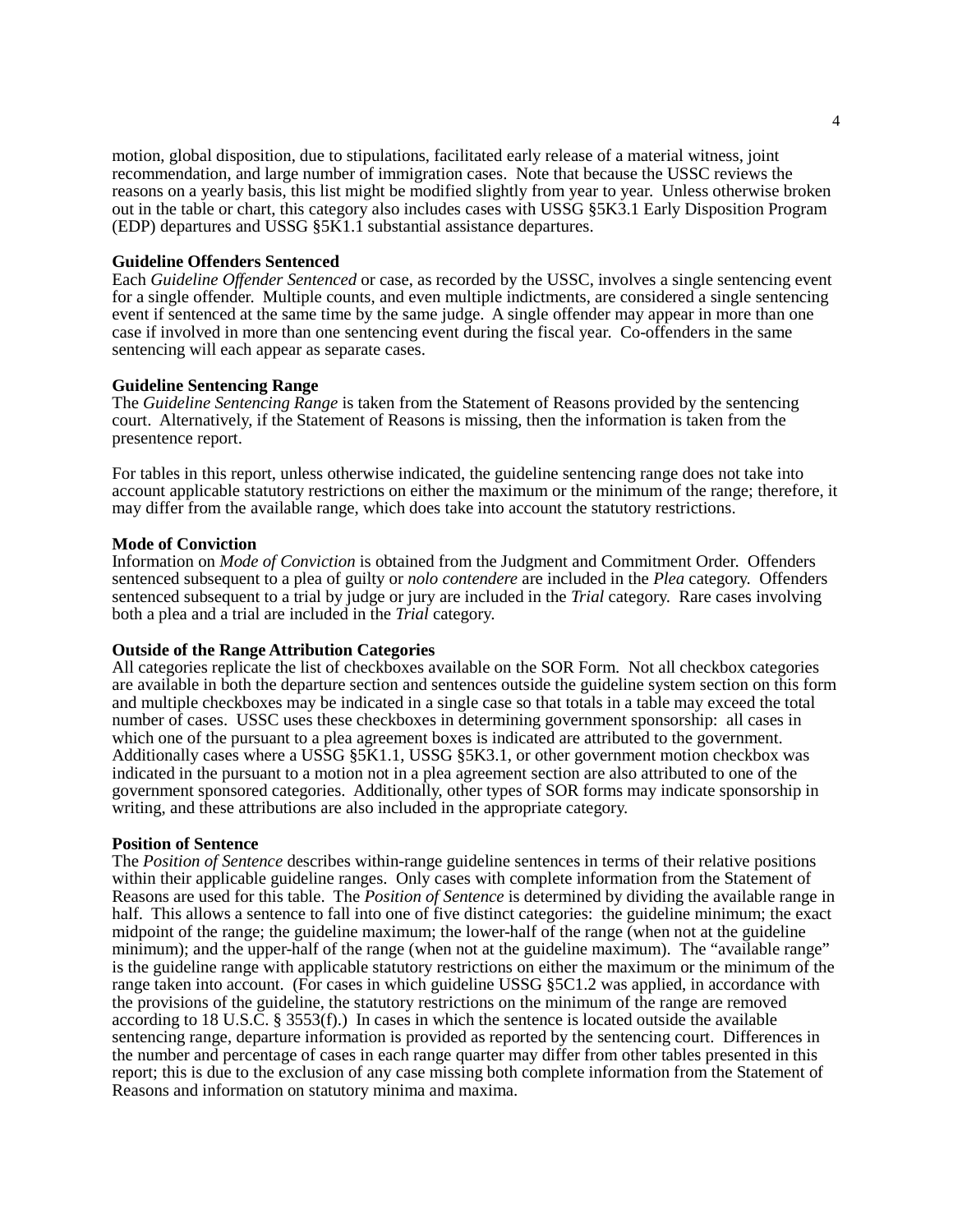motion, global disposition, due to stipulations, facilitated early release of a material witness, joint recommendation, and large number of immigration cases. Note that because the USSC reviews the reasons on a yearly basis, this list might be modified slightly from year to year. Unless otherwise broken out in the table or chart, this category also includes cases with USSG §5K3.1 Early Disposition Program (EDP) departures and USSG §5K1.1 substantial assistance departures.

#### **Guideline Offenders Sentenced**

Each *Guideline Offender Sentenced* or case, as recorded by the USSC, involves a single sentencing event for a single offender. Multiple counts, and even multiple indictments, are considered a single sentencing event if sentenced at the same time by the same judge. A single offender may appear in more than one case if involved in more than one sentencing event during the fiscal year. Co-offenders in the same sentencing will each appear as separate cases.

#### **Guideline Sentencing Range**

The *Guideline Sentencing Range* is taken from the Statement of Reasons provided by the sentencing court. Alternatively, if the Statement of Reasons is missing, then the information is taken from the presentence report.

For tables in this report, unless otherwise indicated, the guideline sentencing range does not take into account applicable statutory restrictions on either the maximum or the minimum of the range; therefore, it may differ from the available range, which does take into account the statutory restrictions.

#### **Mode of Conviction**

Information on *Mode of Conviction* is obtained from the Judgment and Commitment Order. Offenders sentenced subsequent to a plea of guilty or *nolo contendere* are included in the *Plea* category. Offenders sentenced subsequent to a trial by judge or jury are included in the *Trial* category. Rare cases involving both a plea and a trial are included in the *Trial* category.

#### **Outside of the Range Attribution Categories**

All categories replicate the list of checkboxes available on the SOR Form. Not all checkbox categories are available in both the departure section and sentences outside the guideline system section on this form and multiple checkboxes may be indicated in a single case so that totals in a table may exceed the total number of cases. USSC uses these checkboxes in determining government sponsorship: all cases in which one of the pursuant to a plea agreement boxes is indicated are attributed to the government. Additionally cases where a USSG §5K1.1, USSG §5K3.1, or other government motion checkbox was indicated in the pursuant to a motion not in a plea agreement section are also attributed to one of the government sponsored categories. Additionally, other types of SOR forms may indicate sponsorship in writing, and these attributions are also included in the appropriate category.

#### **Position of Sentence**

The *Position of Sentence* describes within-range guideline sentences in terms of their relative positions within their applicable guideline ranges. Only cases with complete information from the Statement of Reasons are used for this table. The *Position of Sentence* is determined by dividing the available range in half. This allows a sentence to fall into one of five distinct categories: the guideline minimum; the exact midpoint of the range; the guideline maximum; the lower-half of the range (when not at the guideline minimum); and the upper-half of the range (when not at the guideline maximum). The "available range" is the guideline range with applicable statutory restrictions on either the maximum or the minimum of the range taken into account. (For cases in which guideline USSG §5C1.2 was applied, in accordance with the provisions of the guideline, the statutory restrictions on the minimum of the range are removed according to 18 U.S.C. § 3553(f).) In cases in which the sentence is located outside the available sentencing range, departure information is provided as reported by the sentencing court. Differences in the number and percentage of cases in each range quarter may differ from other tables presented in this report; this is due to the exclusion of any case missing both complete information from the Statement of Reasons and information on statutory minima and maxima.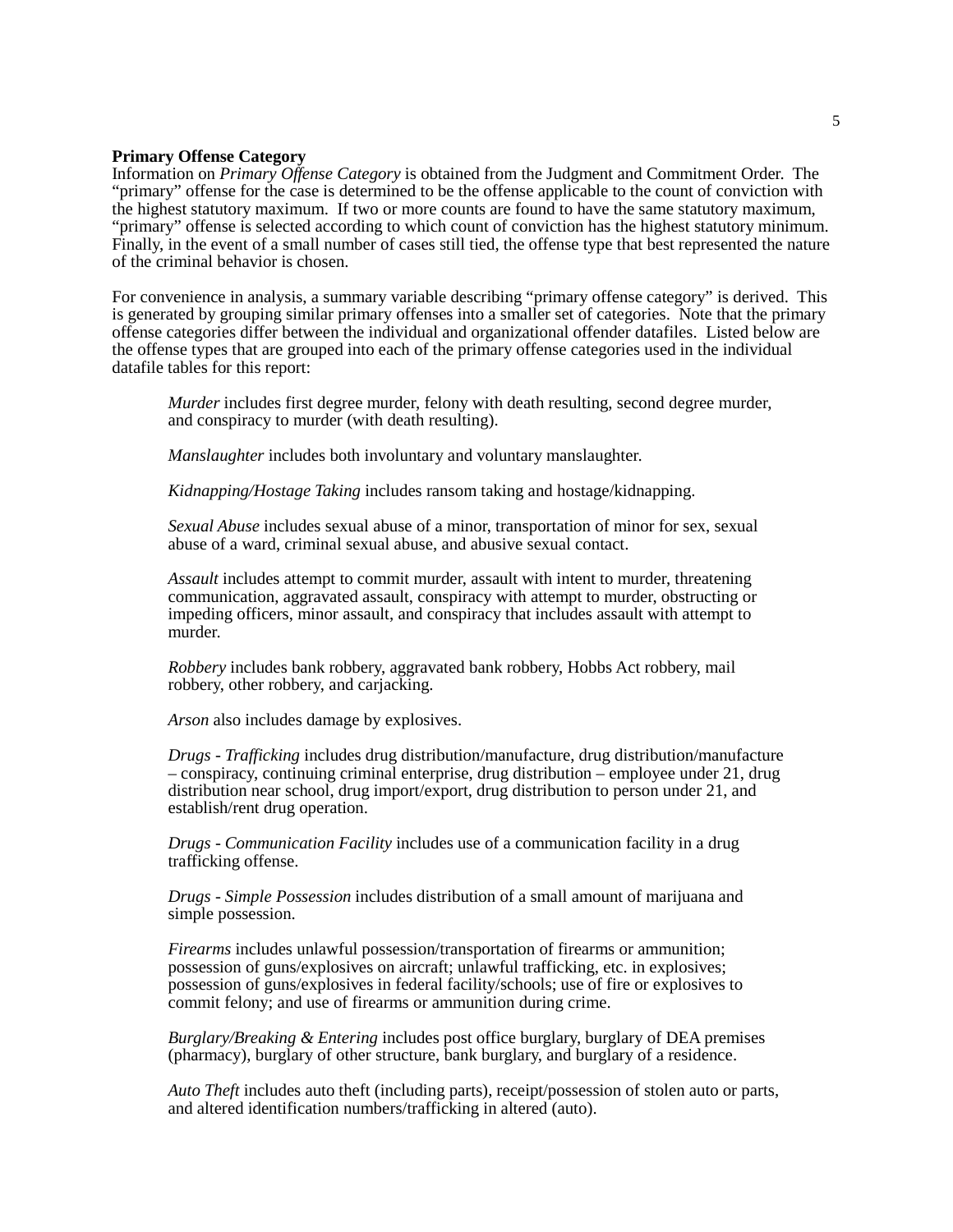#### **Primary Offense Category**

Information on *Primary Offense Category* is obtained from the Judgment and Commitment Order. The "primary" offense for the case is determined to be the offense applicable to the count of conviction with the highest statutory maximum. If two or more counts are found to have the same statutory maximum, "primary" offense is selected according to which count of conviction has the highest statutory minimum. Finally, in the event of a small number of cases still tied, the offense type that best represented the nature of the criminal behavior is chosen.

For convenience in analysis, a summary variable describing "primary offense category" is derived. This is generated by grouping similar primary offenses into a smaller set of categories. Note that the primary offense categories differ between the individual and organizational offender datafiles. Listed below are the offense types that are grouped into each of the primary offense categories used in the individual datafile tables for this report:

*Murder* includes first degree murder, felony with death resulting, second degree murder, and conspiracy to murder (with death resulting).

*Manslaughter* includes both involuntary and voluntary manslaughter.

*Kidnapping/Hostage Taking* includes ransom taking and hostage/kidnapping.

*Sexual Abuse* includes sexual abuse of a minor, transportation of minor for sex, sexual abuse of a ward, criminal sexual abuse, and abusive sexual contact.

*Assault* includes attempt to commit murder, assault with intent to murder, threatening communication, aggravated assault, conspiracy with attempt to murder, obstructing or impeding officers, minor assault, and conspiracy that includes assault with attempt to murder.

*Robbery* includes bank robbery, aggravated bank robbery, Hobbs Act robbery, mail robbery, other robbery, and carjacking.

*Arson* also includes damage by explosives.

*Drugs* - *Trafficking* includes drug distribution/manufacture, drug distribution/manufacture – conspiracy, continuing criminal enterprise, drug distribution – employee under 21, drug distribution near school, drug import/export, drug distribution to person under 21, and establish/rent drug operation.

*Drugs* - *Communication Facility* includes use of a communication facility in a drug trafficking offense.

*Drugs* - *Simple Possession* includes distribution of a small amount of marijuana and simple possession.

*Firearms* includes unlawful possession/transportation of firearms or ammunition; possession of guns/explosives on aircraft; unlawful trafficking, etc. in explosives; possession of guns/explosives in federal facility/schools; use of fire or explosives to commit felony; and use of firearms or ammunition during crime.

*Burglary/Breaking & Entering* includes post office burglary, burglary of DEA premises (pharmacy), burglary of other structure, bank burglary, and burglary of a residence.

*Auto Theft* includes auto theft (including parts), receipt/possession of stolen auto or parts, and altered identification numbers/trafficking in altered (auto).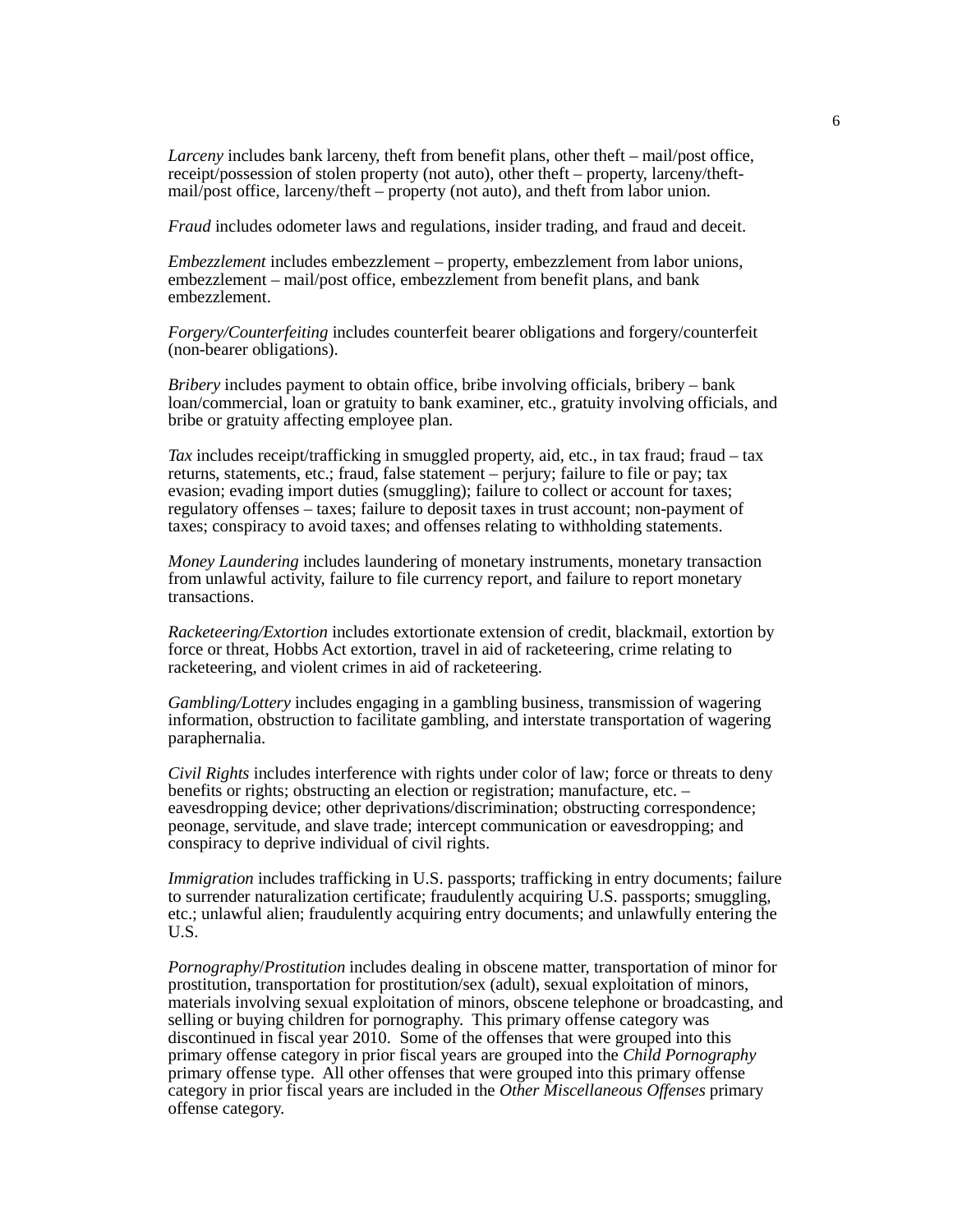*Larceny* includes bank larceny, theft from benefit plans, other theft – mail/post office, receipt/possession of stolen property (not auto), other theft – property, larceny/theftmail/post office, larceny/theft – property (not auto), and theft from labor union.

*Fraud* includes odometer laws and regulations, insider trading, and fraud and deceit.

*Embezzlement* includes embezzlement – property, embezzlement from labor unions, embezzlement – mail/post office, embezzlement from benefit plans, and bank embezzlement.

*Forgery/Counterfeiting* includes counterfeit bearer obligations and forgery/counterfeit (non-bearer obligations).

*Bribery* includes payment to obtain office, bribe involving officials, bribery – bank loan/commercial, loan or gratuity to bank examiner, etc., gratuity involving officials, and bribe or gratuity affecting employee plan.

*Tax* includes receipt/trafficking in smuggled property, aid, etc., in tax fraud; fraud – tax returns, statements, etc.; fraud, false statement – perjury; failure to file or pay; tax evasion; evading import duties (smuggling); failure to collect or account for taxes; regulatory offenses – taxes; failure to deposit taxes in trust account; non-payment of taxes; conspiracy to avoid taxes; and offenses relating to withholding statements.

*Money Laundering* includes laundering of monetary instruments, monetary transaction from unlawful activity, failure to file currency report, and failure to report monetary transactions.

*Racketeering/Extortion* includes extortionate extension of credit, blackmail, extortion by force or threat, Hobbs Act extortion, travel in aid of racketeering, crime relating to racketeering, and violent crimes in aid of racketeering.

*Gambling/Lottery* includes engaging in a gambling business, transmission of wagering information, obstruction to facilitate gambling, and interstate transportation of wagering paraphernalia.

*Civil Rights* includes interference with rights under color of law; force or threats to deny benefits or rights; obstructing an election or registration; manufacture, etc. – eavesdropping device; other deprivations/discrimination; obstructing correspondence; peonage, servitude, and slave trade; intercept communication or eavesdropping; and conspiracy to deprive individual of civil rights.

*Immigration* includes trafficking in U.S. passports; trafficking in entry documents; failure to surrender naturalization certificate; fraudulently acquiring U.S. passports; smuggling, etc.; unlawful alien; fraudulently acquiring entry documents; and unlawfully entering the U.S.

*Pornography*/*Prostitution* includes dealing in obscene matter, transportation of minor for prostitution, transportation for prostitution/sex (adult), sexual exploitation of minors, materials involving sexual exploitation of minors, obscene telephone or broadcasting, and selling or buying children for pornography. This primary offense category was discontinued in fiscal year 2010. Some of the offenses that were grouped into this primary offense category in prior fiscal years are grouped into the *Child Pornography* primary offense type. All other offenses that were grouped into this primary offense category in prior fiscal years are included in the *Other Miscellaneous Offenses* primary offense category.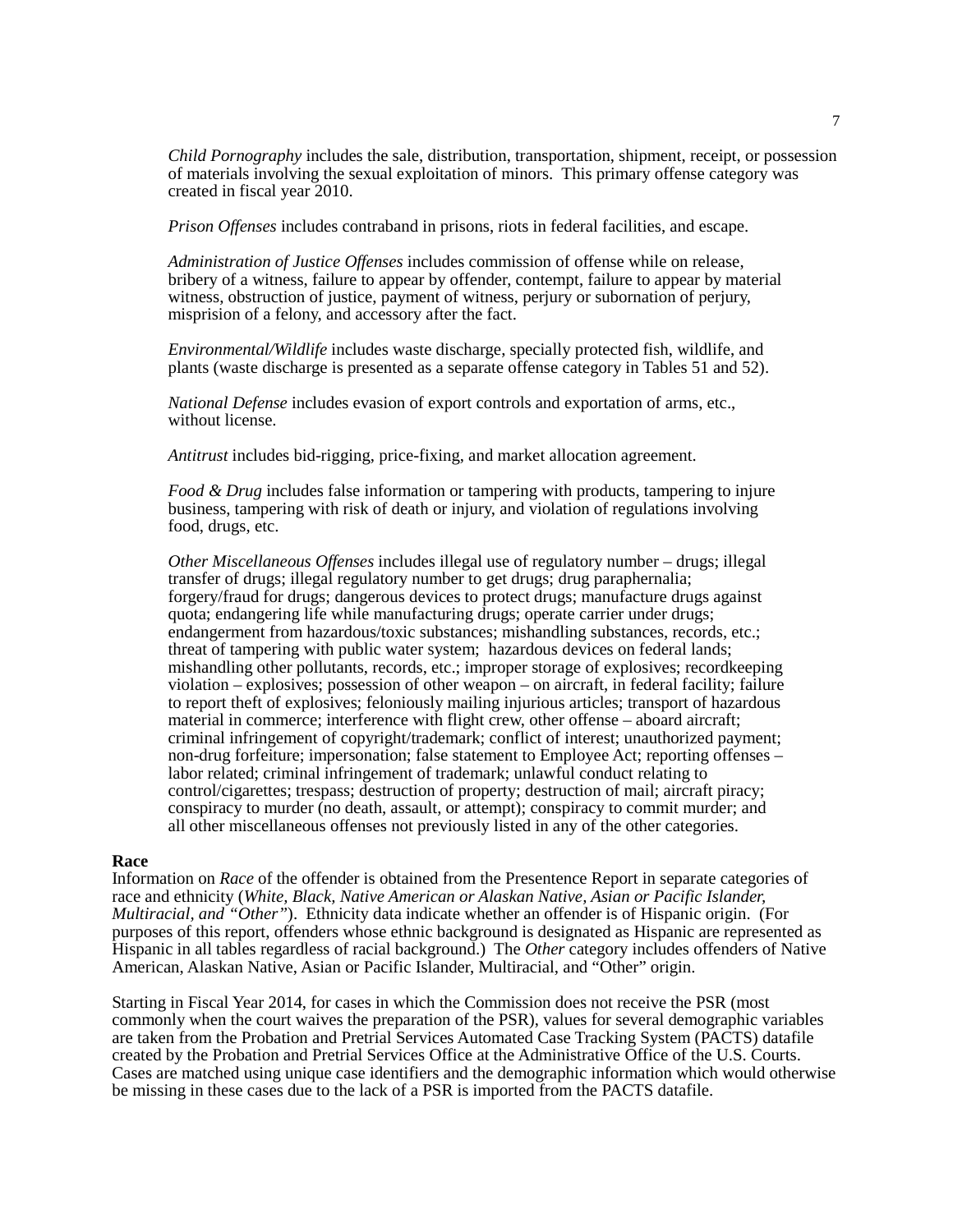*Child Pornography* includes the sale, distribution, transportation, shipment, receipt, or possession of materials involving the sexual exploitation of minors. This primary offense category was created in fiscal year 2010.

*Prison Offenses* includes contraband in prisons, riots in federal facilities, and escape.

*Administration of Justice Offenses* includes commission of offense while on release, bribery of a witness, failure to appear by offender, contempt, failure to appear by material witness, obstruction of justice, payment of witness, perjury or subornation of perjury, misprision of a felony, and accessory after the fact.

*Environmental/Wildlife* includes waste discharge, specially protected fish, wildlife, and plants (waste discharge is presented as a separate offense category in Tables 51 and 52).

*National Defense* includes evasion of export controls and exportation of arms, etc., without license.

*Antitrust* includes bid-rigging, price-fixing, and market allocation agreement.

*Food & Drug* includes false information or tampering with products, tampering to injure business, tampering with risk of death or injury, and violation of regulations involving food, drugs, etc.

*Other Miscellaneous Offenses* includes illegal use of regulatory number – drugs; illegal transfer of drugs; illegal regulatory number to get drugs; drug paraphernalia; forgery/fraud for drugs; dangerous devices to protect drugs; manufacture drugs against quota; endangering life while manufacturing drugs; operate carrier under drugs; endangerment from hazardous/toxic substances; mishandling substances, records, etc.; threat of tampering with public water system; hazardous devices on federal lands; mishandling other pollutants, records, etc.; improper storage of explosives; recordkeeping violation – explosives; possession of other weapon – on aircraft, in federal facility; failure to report theft of explosives; feloniously mailing injurious articles; transport of hazardous material in commerce; interference with flight crew, other offense – aboard aircraft; criminal infringement of copyright/trademark; conflict of interest; unauthorized payment; non-drug forfeiture; impersonation; false statement to Employee Act; reporting offenses – labor related; criminal infringement of trademark; unlawful conduct relating to control/cigarettes; trespass; destruction of property; destruction of mail; aircraft piracy; conspiracy to murder (no death, assault, or attempt); conspiracy to commit murder; and all other miscellaneous offenses not previously listed in any of the other categories.

**Race**<br>Information on *Race* of the offender is obtained from the Presentence Report in separate categories of race and ethnicity (*White, Black, Native American or Alaskan Native, Asian or Pacific Islander, Multiracial, and "Other"*). Ethnicity data indicate whether an offender is of Hispanic origin. (For purposes of this report, offenders whose ethnic background is designated as Hispanic are represented as Hispanic in all tables regardless of racial background.) The *Other* category includes offenders of Native American, Alaskan Native, Asian or Pacific Islander, Multiracial, and "Other" origin.

Starting in Fiscal Year 2014, for cases in which the Commission does not receive the PSR (most commonly when the court waives the preparation of the PSR), values for several demographic variables are taken from the Probation and Pretrial Services Automated Case Tracking System (PACTS) datafile created by the Probation and Pretrial Services Office at the Administrative Office of the U.S. Courts. Cases are matched using unique case identifiers and the demographic information which would otherwise be missing in these cases due to the lack of a PSR is imported from the PACTS datafile.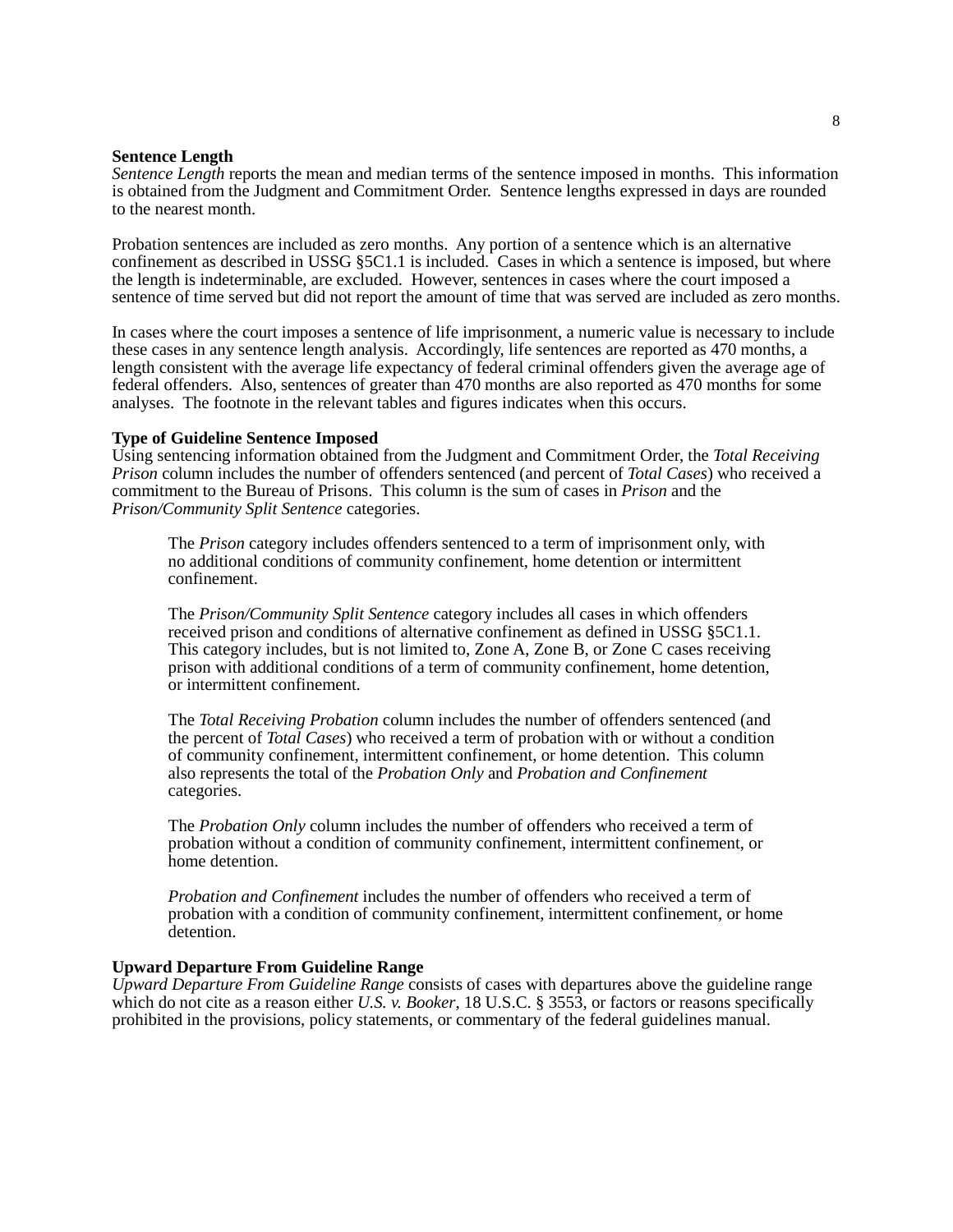#### **Sentence Length**

*Sentence Length* reports the mean and median terms of the sentence imposed in months. This information is obtained from the Judgment and Commitment Order. Sentence lengths expressed in days are rounded to the nearest month.

Probation sentences are included as zero months. Any portion of a sentence which is an alternative confinement as described in USSG §5C1.1 is included. Cases in which a sentence is imposed, but where the length is indeterminable, are excluded. However, sentences in cases where the court imposed a sentence of time served but did not report the amount of time that was served are included as zero months.

In cases where the court imposes a sentence of life imprisonment, a numeric value is necessary to include these cases in any sentence length analysis. Accordingly, life sentences are reported as 470 months, a length consistent with the average life expectancy of federal criminal offenders given the average age of federal offenders. Also, sentences of greater than 470 months are also reported as 470 months for some analyses. The footnote in the relevant tables and figures indicates when this occurs.

#### **Type of Guideline Sentence Imposed**

Using sentencing information obtained from the Judgment and Commitment Order, the *Total Receiving Prison* column includes the number of offenders sentenced (and percent of *Total Cases*) who received a commitment to the Bureau of Prisons. This column is the sum of cases in *Prison* and the *Prison/Community Split Sentence* categories.

The *Prison* category includes offenders sentenced to a term of imprisonment only, with no additional conditions of community confinement, home detention or intermittent confinement.

The *Prison/Community Split Sentence* category includes all cases in which offenders received prison and conditions of alternative confinement as defined in USSG §5C1.1. This category includes, but is not limited to, Zone A, Zone B, or Zone C cases receiving prison with additional conditions of a term of community confinement, home detention, or intermittent confinement.

The *Total Receiving Probation* column includes the number of offenders sentenced (and the percent of *Total Cases*) who received a term of probation with or without a condition of community confinement, intermittent confinement, or home detention. This column also represents the total of the *Probation Only* and *Probation and Confinement* categories.

The *Probation Only* column includes the number of offenders who received a term of probation without a condition of community confinement, intermittent confinement, or home detention.

*Probation and Confinement* includes the number of offenders who received a term of probation with a condition of community confinement, intermittent confinement, or home detention.

#### **Upward Departure From Guideline Range**

*Upward Departure From Guideline Range* consists of cases with departures above the guideline range which do not cite as a reason either *U.S. v. Booker*, 18 U.S.C. § 3553, or factors or reasons specifically prohibited in the provisions, policy statements, or commentary of the federal guidelines manual.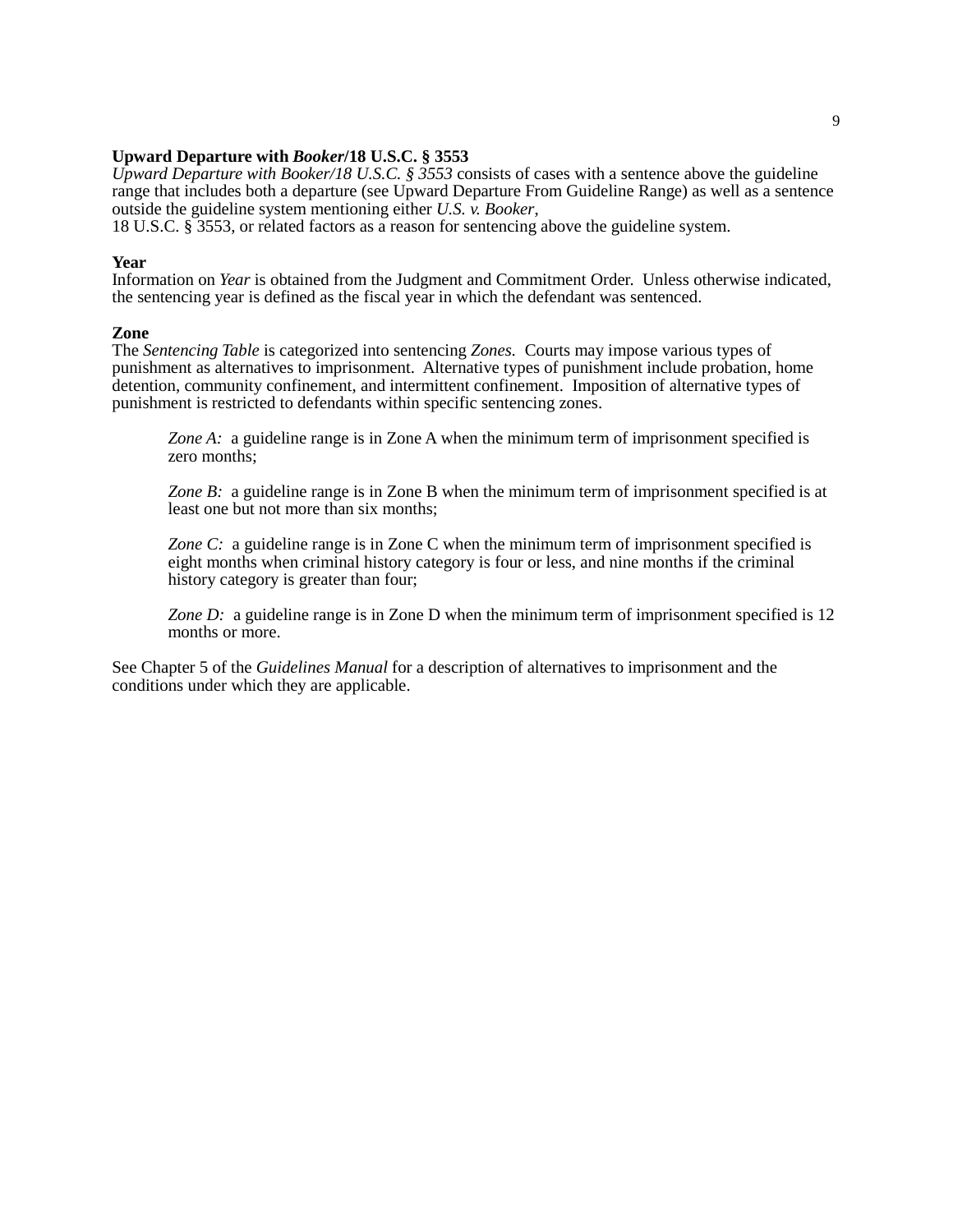#### **Upward Departure with** *Booker***/18 U.S.C. § 3553**

*Upward Departure with Booker/18 U.S.C. § 3553* consists of cases with a sentence above the guideline range that includes both a departure (see Upward Departure From Guideline Range) as well as a sentence outside the guideline system mentioning either *U.S. v. Booker*,

18 U.S.C. § 3553, or related factors as a reason for sentencing above the guideline system.

#### **Year**

Information on *Year* is obtained from the Judgment and Commitment Order. Unless otherwise indicated, the sentencing year is defined as the fiscal year in which the defendant was sentenced.

#### **Zone**

The *Sentencing Table* is categorized into sentencing *Zones.* Courts may impose various types of punishment as alternatives to imprisonment. Alternative types of punishment include probation, home detention, community confinement, and intermittent confinement. Imposition of alternative types of punishment is restricted to defendants within specific sentencing zones.

*Zone A:* a guideline range is in Zone A when the minimum term of imprisonment specified is zero months;

*Zone B:* a guideline range is in Zone B when the minimum term of imprisonment specified is at least one but not more than six months;

*Zone C:* a guideline range is in Zone C when the minimum term of imprisonment specified is eight months when criminal history category is four or less, and nine months if the criminal history category is greater than four;

*Zone D:* a guideline range is in Zone D when the minimum term of imprisonment specified is 12 months or more.

See Chapter 5 of the *Guidelines Manual* for a description of alternatives to imprisonment and the conditions under which they are applicable.